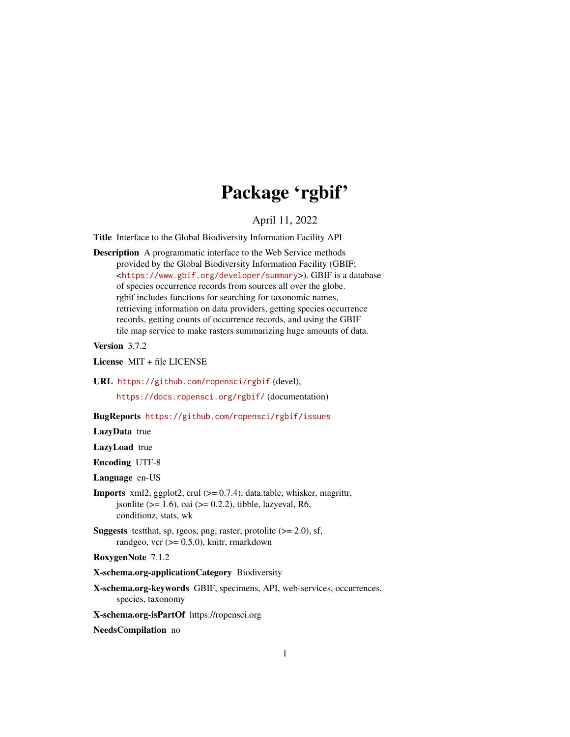# Package 'rgbif'

April 11, 2022

<span id="page-0-0"></span>Title Interface to the Global Biodiversity Information Facility API

Description A programmatic interface to the Web Service methods provided by the Global Biodiversity Information Facility (GBIF; <<https://www.gbif.org/developer/summary>>). GBIF is a database of species occurrence records from sources all over the globe. rgbif includes functions for searching for taxonomic names, retrieving information on data providers, getting species occurrence records, getting counts of occurrence records, and using the GBIF tile map service to make rasters summarizing huge amounts of data.

Version 3.7.2

License MIT + file LICENSE

URL <https://github.com/ropensci/rgbif> (devel),

<https://docs.ropensci.org/rgbif/> (documentation)

BugReports <https://github.com/ropensci/rgbif/issues>

LazyData true

LazyLoad true

Encoding UTF-8

Language en-US

- **Imports** xml2, ggplot2, crul  $(>= 0.7.4)$ , data.table, whisker, magrittr, jsonlite ( $>= 1.6$ ), oai ( $>= 0.2.2$ ), tibble, lazyeval, R6, conditionz, stats, wk
- **Suggests** testthat, sp, rgeos, png, raster, protolite  $(>= 2.0)$ , sf, randgeo, vcr  $(>= 0.5.0)$ , knitr, rmarkdown

RoxygenNote 7.1.2

- X-schema.org-applicationCategory Biodiversity
- X-schema.org-keywords GBIF, specimens, API, web-services, occurrences, species, taxonomy

X-schema.org-isPartOf https://ropensci.org

NeedsCompilation no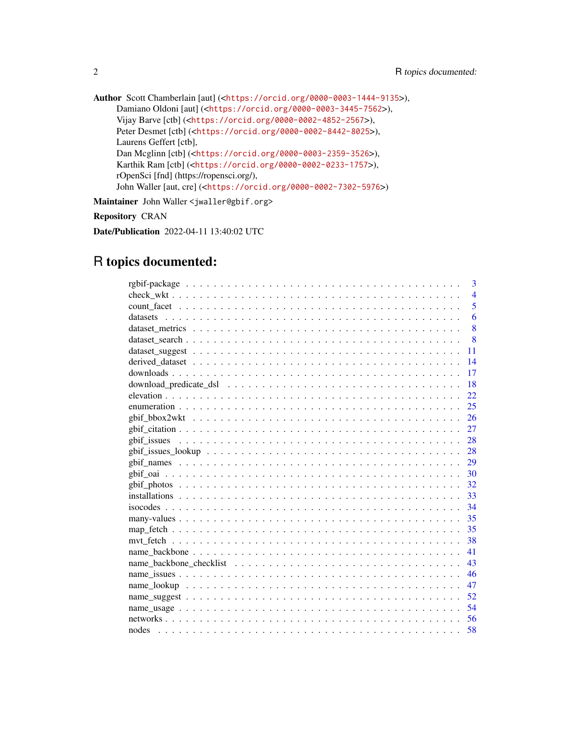```
Author Scott Chamberlain [aut] (<https://orcid.org/0000-0003-1444-9135>),
     Damiano Oldoni [aut] (<https://orcid.org/0000-0003-3445-7562>),
     Vijay Barve [ctb] (<https://orcid.org/0000-0002-4852-2567>),
     Peter Desmet [ctb] (<https://orcid.org/0000-0002-8442-8025>),
     Laurens Geffert [ctb],
     Dan Mcglinn [ctb] (<https://orcid.org/0000-0003-2359-3526>),
     Karthik Ram [ctb] (<https://orcid.org/0000-0002-0233-1757>),
     rOpenSci [fnd] (https://ropensci.org/),
     John Waller [aut, cre] (<https://orcid.org/0000-0002-7302-5976>)
```
Maintainer John Waller < jwaller@gbif.org>

Repository CRAN

Date/Publication 2022-04-11 13:40:02 UTC

# R topics documented:

| 3              |
|----------------|
| $\overline{4}$ |
| 5              |
| 6              |
| 8              |
| 8              |
| 11             |
| 14             |
| 17             |
| 18             |
| 22             |
| 25             |
| 26             |
| 27             |
| 28             |
| - 28           |
| 29             |
| 30             |
| 32             |
| 33             |
| 34             |
| 35             |
| 35             |
| 38             |
| 41             |
| 43             |
| 46             |
| 47             |
| 52             |
| 54             |
| 56             |
| 58             |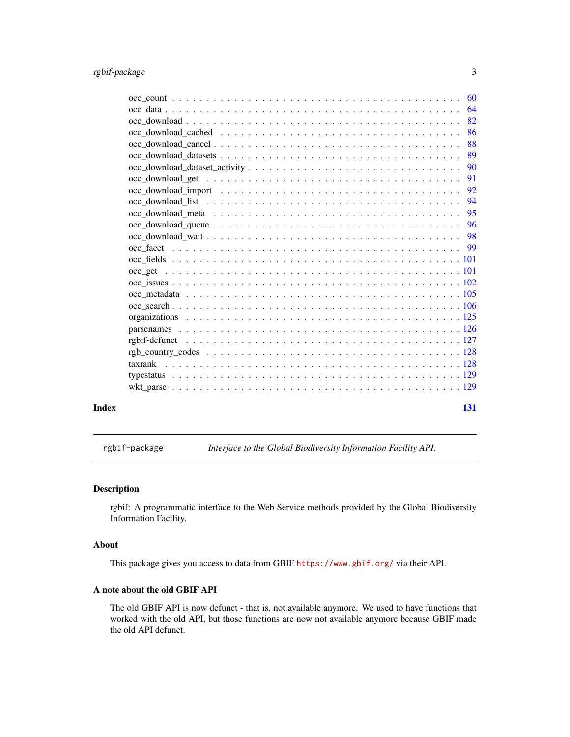<span id="page-2-0"></span>

|       | 64  |
|-------|-----|
|       | 82  |
|       | 86  |
|       | 88  |
|       | 89  |
|       |     |
|       | 91  |
|       | 92  |
|       |     |
|       | 95  |
|       |     |
|       |     |
|       |     |
|       |     |
|       |     |
|       |     |
|       |     |
|       |     |
|       |     |
|       |     |
|       |     |
|       |     |
|       |     |
|       |     |
|       |     |
|       |     |
| Index | 131 |

rgbif-package *Interface to the Global Biodiversity Information Facility API.*

### Description

rgbif: A programmatic interface to the Web Service methods provided by the Global Biodiversity Information Facility.

#### About

This package gives you access to data from GBIF <https://www.gbif.org/> via their API.

### A note about the old GBIF API

The old GBIF API is now defunct - that is, not available anymore. We used to have functions that worked with the old API, but those functions are now not available anymore because GBIF made the old API defunct.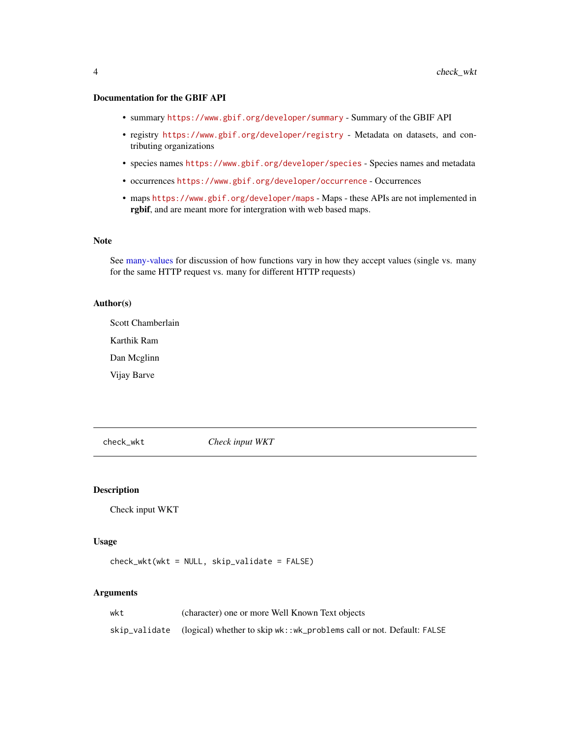### <span id="page-3-0"></span>Documentation for the GBIF API

- summary <https://www.gbif.org/developer/summary> Summary of the GBIF API
- registry <https://www.gbif.org/developer/registry> Metadata on datasets, and contributing organizations
- species names <https://www.gbif.org/developer/species> Species names and metadata
- occurrences <https://www.gbif.org/developer/occurrence> Occurrences
- maps <https://www.gbif.org/developer/maps> Maps these APIs are not implemented in rgbif, and are meant more for intergration with web based maps.

#### Note

See [many-values](#page-34-1) for discussion of how functions vary in how they accept values (single vs. many for the same HTTP request vs. many for different HTTP requests)

### Author(s)

Scott Chamberlain

Karthik Ram

Dan Mcglinn

Vijay Barve

check\_wkt *Check input WKT*

#### Description

Check input WKT

#### Usage

check\_wkt(wkt = NULL, skip\_validate = FALSE)

### Arguments

| wkt | (character) one or more Well Known Text objects                                     |
|-----|-------------------------------------------------------------------------------------|
|     | skip_validate (logical) whether to skip wk::wk_problems call or not. Default: FALSE |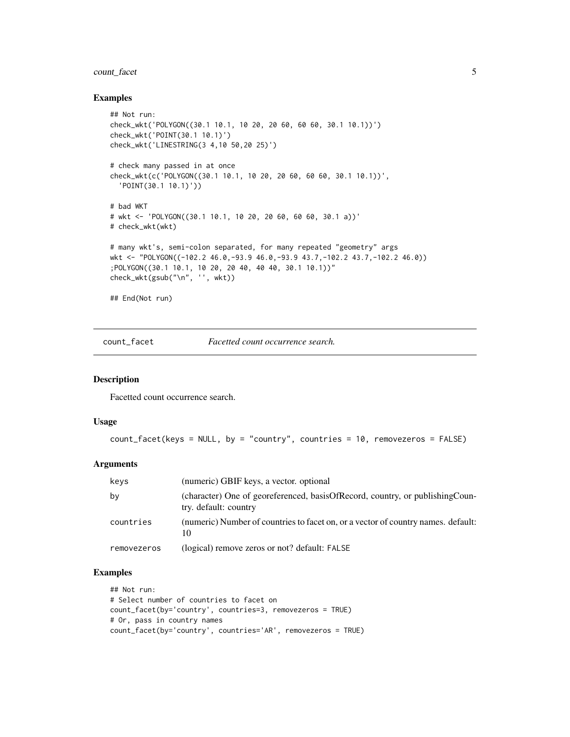### <span id="page-4-0"></span>count\_facet 5

#### Examples

```
## Not run:
check_wkt('POLYGON((30.1 10.1, 10 20, 20 60, 60 60, 30.1 10.1))')
check_wkt('POINT(30.1 10.1)')
check_wkt('LINESTRING(3 4,10 50,20 25)')
# check many passed in at once
check_wkt(c('POLYGON((30.1 10.1, 10 20, 20 60, 60 60, 30.1 10.1))',
  'POINT(30.1 10.1)'))
# bad WKT
# wkt <- 'POLYGON((30.1 10.1, 10 20, 20 60, 60 60, 30.1 a))'
# check_wkt(wkt)
# many wkt's, semi-colon separated, for many repeated "geometry" args
wkt <- "POLYGON((-102.2 46.0,-93.9 46.0,-93.9 43.7,-102.2 43.7,-102.2 46.0))
;POLYGON((30.1 10.1, 10 20, 20 40, 40 40, 30.1 10.1))"
check_wkt(gsub("\n", '', wkt))
## End(Not run)
```
count\_facet *Facetted count occurrence search.*

### Description

Facetted count occurrence search.

#### Usage

```
count_facet(keys = NULL, by = "country", countries = 10, removezeros = FALSE)
```
#### Arguments

| keys        | (numeric) GBIF keys, a vector. optional                                                                  |
|-------------|----------------------------------------------------------------------------------------------------------|
| by          | (character) One of georeferenced, basis Of Record, country, or publishing Coun-<br>try. default: country |
| countries   | (numeric) Number of countries to facet on, or a vector of country names. default:<br>10                  |
| removezeros | (logical) remove zeros or not? default: FALSE                                                            |

### Examples

```
## Not run:
# Select number of countries to facet on
count_facet(by='country', countries=3, removezeros = TRUE)
# Or, pass in country names
count_facet(by='country', countries='AR', removezeros = TRUE)
```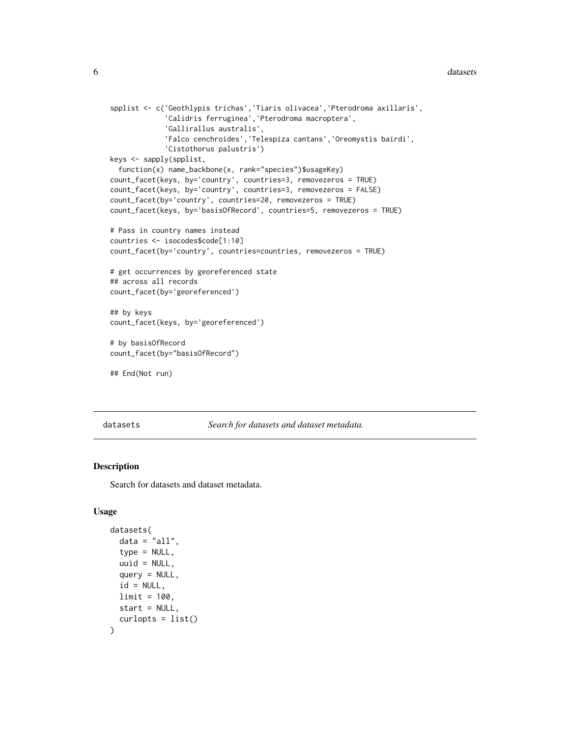```
spplist <- c('Geothlypis trichas','Tiaris olivacea','Pterodroma axillaris',
             'Calidris ferruginea','Pterodroma macroptera',
             'Gallirallus australis',
             'Falco cenchroides','Telespiza cantans','Oreomystis bairdi',
             'Cistothorus palustris')
keys <- sapply(spplist,
 function(x) name_backbone(x, rank="species")$usageKey)
count_facet(keys, by='country', countries=3, removezeros = TRUE)
count_facet(keys, by='country', countries=3, removezeros = FALSE)
count_facet(by='country', countries=20, removezeros = TRUE)
count_facet(keys, by='basisOfRecord', countries=5, removezeros = TRUE)
# Pass in country names instead
countries <- isocodes$code[1:10]
count_facet(by='country', countries=countries, removezeros = TRUE)
# get occurrences by georeferenced state
## across all records
count_facet(by='georeferenced')
## by keys
count_facet(keys, by='georeferenced')
# by basisOfRecord
count_facet(by="basisOfRecord")
## End(Not run)
```
datasets *Search for datasets and dataset metadata.*

### **Description**

Search for datasets and dataset metadata.

#### Usage

```
datasets(
  data = "all",type = NULL,uuid = NULL,
  query = NULL,
  id = NULL,limit = 100,
  start = NULL,
  curlopts = list()
)
```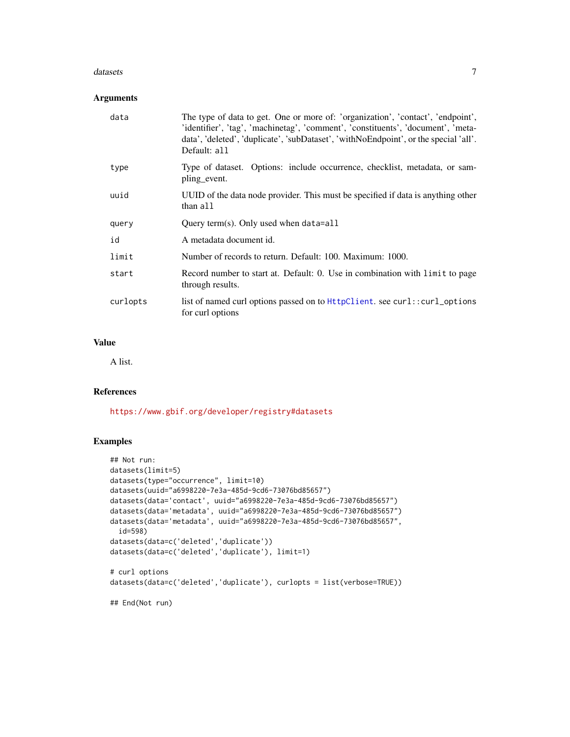#### datasets **7**

### Arguments

| data     | The type of data to get. One or more of: 'organization', 'contact', 'endpoint',<br>'identifier', 'tag', 'machinetag', 'comment', 'constituents', 'document', 'meta-<br>data', 'deleted', 'duplicate', 'subDataset', 'withNoEndpoint', or the special 'all'.<br>Default: all |
|----------|-----------------------------------------------------------------------------------------------------------------------------------------------------------------------------------------------------------------------------------------------------------------------------|
| type     | Type of dataset. Options: include occurrence, checklist, metadata, or sam-<br>pling event.                                                                                                                                                                                  |
| uuid     | UUID of the data node provider. This must be specified if data is anything other<br>than all                                                                                                                                                                                |
| query    | Query term(s). Only used when data=all                                                                                                                                                                                                                                      |
| id       | A metadata document id.                                                                                                                                                                                                                                                     |
| limit    | Number of records to return. Default: 100. Maximum: 1000.                                                                                                                                                                                                                   |
| start    | Record number to start at. Default: 0. Use in combination with limit to page<br>through results.                                                                                                                                                                            |
| curlopts | list of named curl options passed on to HttpClient. see curl::curl_options<br>for curl options                                                                                                                                                                              |

### Value

A list.

### References

<https://www.gbif.org/developer/registry#datasets>

### Examples

```
## Not run:
datasets(limit=5)
datasets(type="occurrence", limit=10)
datasets(uuid="a6998220-7e3a-485d-9cd6-73076bd85657")
datasets(data='contact', uuid="a6998220-7e3a-485d-9cd6-73076bd85657")
datasets(data='metadata', uuid="a6998220-7e3a-485d-9cd6-73076bd85657")
datasets(data='metadata', uuid="a6998220-7e3a-485d-9cd6-73076bd85657",
  id=598)
datasets(data=c('deleted','duplicate'))
datasets(data=c('deleted','duplicate'), limit=1)
# curl options
datasets(data=c('deleted','duplicate'), curlopts = list(verbose=TRUE))
## End(Not run)
```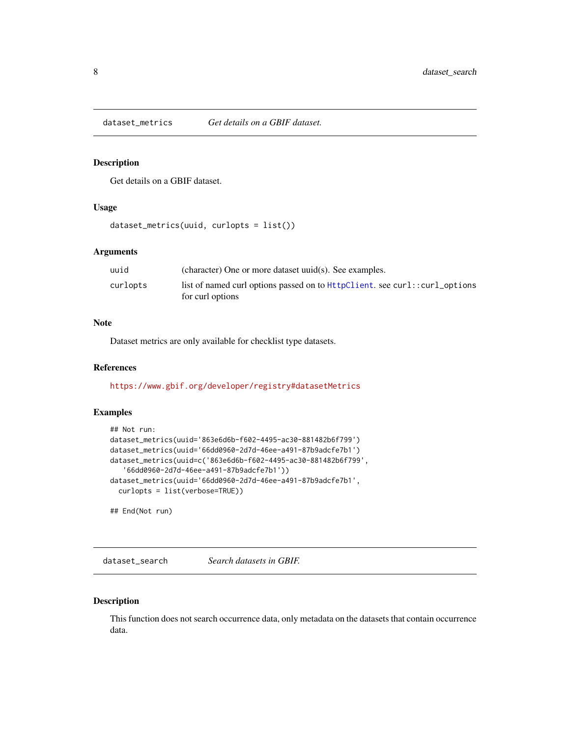<span id="page-7-0"></span>dataset\_metrics *Get details on a GBIF dataset.*

### Description

Get details on a GBIF dataset.

### Usage

```
dataset_metrics(uuid, curlopts = list())
```
### Arguments

| uuid     | (character) One or more dataset uuid(s). See examples.                                           |
|----------|--------------------------------------------------------------------------------------------------|
| curlopts | list of named curl options passed on to HttpClient. see curl: : curl_options<br>for curl options |

### Note

Dataset metrics are only available for checklist type datasets.

### References

<https://www.gbif.org/developer/registry#datasetMetrics>

#### Examples

```
## Not run:
dataset_metrics(uuid='863e6d6b-f602-4495-ac30-881482b6f799')
dataset_metrics(uuid='66dd0960-2d7d-46ee-a491-87b9adcfe7b1')
dataset_metrics(uuid=c('863e6d6b-f602-4495-ac30-881482b6f799',
   '66dd0960-2d7d-46ee-a491-87b9adcfe7b1'))
dataset_metrics(uuid='66dd0960-2d7d-46ee-a491-87b9adcfe7b1',
  curlopts = list(verbose=TRUE))
```
## End(Not run)

<span id="page-7-1"></span>dataset\_search *Search datasets in GBIF.*

### Description

This function does not search occurrence data, only metadata on the datasets that contain occurrence data.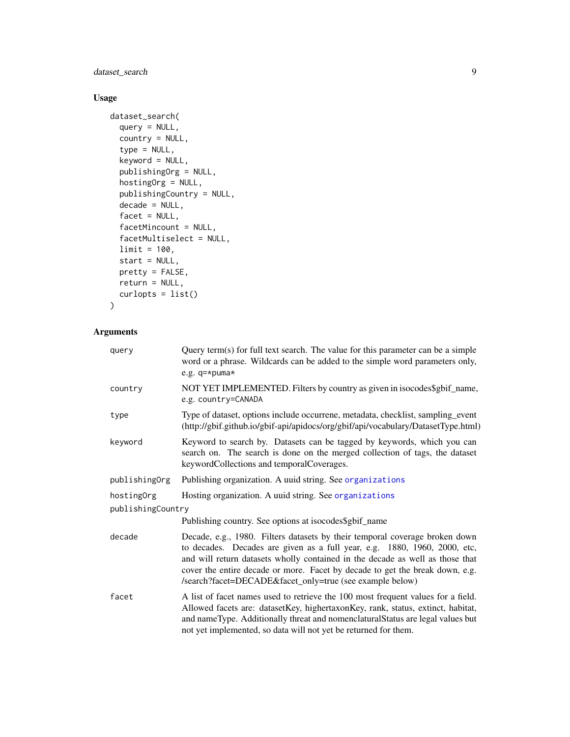## dataset\_search 9

### Usage

```
dataset_search(
 query = NULL,
  country = NULL,
  type = NULL,keyword = NULL,
 publishingOrg = NULL,
 hostingOrg = NULL,
 publishingCountry = NULL,
 decade = NULL,
  facet = NULL,facetMincount = NULL,
  facetMultiselect = NULL,
 limit = 100,start = NULL,
 pretty = FALSE,
 return = NULL,
  curlopts = list()
\mathcal{L}
```
### Arguments

| query             | Query term(s) for full text search. The value for this parameter can be a simple<br>word or a phrase. Wildcards can be added to the simple word parameters only,<br>e.g. $q$ =*puma*                                                                                                                                                                                                  |
|-------------------|---------------------------------------------------------------------------------------------------------------------------------------------------------------------------------------------------------------------------------------------------------------------------------------------------------------------------------------------------------------------------------------|
| country           | NOT YET IMPLEMENTED. Filters by country as given in isocodes\$gbif_name,<br>e.g. country=CANADA                                                                                                                                                                                                                                                                                       |
| type              | Type of dataset, options include occurrene, metadata, checklist, sampling_event<br>(http://gbif.github.io/gbif-api/apidocs/org/gbif/api/vocabulary/DatasetType.html)                                                                                                                                                                                                                  |
| keyword           | Keyword to search by. Datasets can be tagged by keywords, which you can<br>search on. The search is done on the merged collection of tags, the dataset<br>keywordCollections and temporalCoverages.                                                                                                                                                                                   |
| publishingOrg     | Publishing organization. A uuid string. See organizations                                                                                                                                                                                                                                                                                                                             |
| hostingOrg        | Hosting organization. A uuid string. See organizations                                                                                                                                                                                                                                                                                                                                |
| publishingCountry |                                                                                                                                                                                                                                                                                                                                                                                       |
|                   | Publishing country. See options at isocodes\$gbif_name                                                                                                                                                                                                                                                                                                                                |
| decade            | Decade, e.g., 1980. Filters datasets by their temporal coverage broken down<br>to decades. Decades are given as a full year, e.g. 1880, 1960, 2000, etc,<br>and will return datasets wholly contained in the decade as well as those that<br>cover the entire decade or more. Facet by decade to get the break down, e.g.<br>/search?facet=DECADE&facet_only=true (see example below) |
| facet             | A list of facet names used to retrieve the 100 most frequent values for a field.<br>Allowed facets are: datasetKey, highertaxonKey, rank, status, extinct, habitat,<br>and nameType. Additionally threat and nomenclaturalStatus are legal values but<br>not yet implemented, so data will not yet be returned for them.                                                              |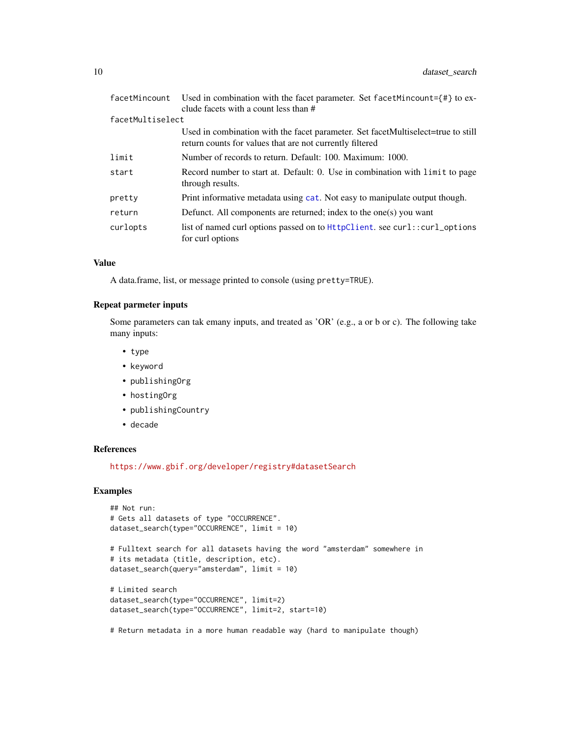| facetMincount    | Used in combination with the facet parameter. Set facetMincount= $\{ \text{\#} \}$ to ex-<br>clude facets with a count less than #           |
|------------------|----------------------------------------------------------------------------------------------------------------------------------------------|
| facetMultiselect |                                                                                                                                              |
|                  | Used in combination with the facet parameter. Set facetMultiselect=true to still<br>return counts for values that are not currently filtered |
| limit            | Number of records to return. Default: 100. Maximum: 1000.                                                                                    |
| start            | Record number to start at. Default: 0. Use in combination with limit to page<br>through results.                                             |
| pretty           | Print informative metadata using cat. Not easy to manipulate output though.                                                                  |
| return           | Defunct. All components are returned; index to the one(s) you want                                                                           |
| curlopts         | list of named curl options passed on to $HtptClient$ . see curl::curl_options<br>for curl options                                            |

### Value

A data.frame, list, or message printed to console (using pretty=TRUE).

#### Repeat parmeter inputs

Some parameters can tak emany inputs, and treated as 'OR' (e.g., a or b or c). The following take many inputs:

- type
- keyword
- publishingOrg
- hostingOrg
- publishingCountry
- decade

#### References

<https://www.gbif.org/developer/registry#datasetSearch>

### Examples

```
## Not run:
# Gets all datasets of type "OCCURRENCE".
dataset_search(type="OCCURRENCE", limit = 10)
```

```
# Fulltext search for all datasets having the word "amsterdam" somewhere in
# its metadata (title, description, etc).
dataset_search(query="amsterdam", limit = 10)
```

```
# Limited search
dataset_search(type="OCCURRENCE", limit=2)
dataset_search(type="OCCURRENCE", limit=2, start=10)
```
# Return metadata in a more human readable way (hard to manipulate though)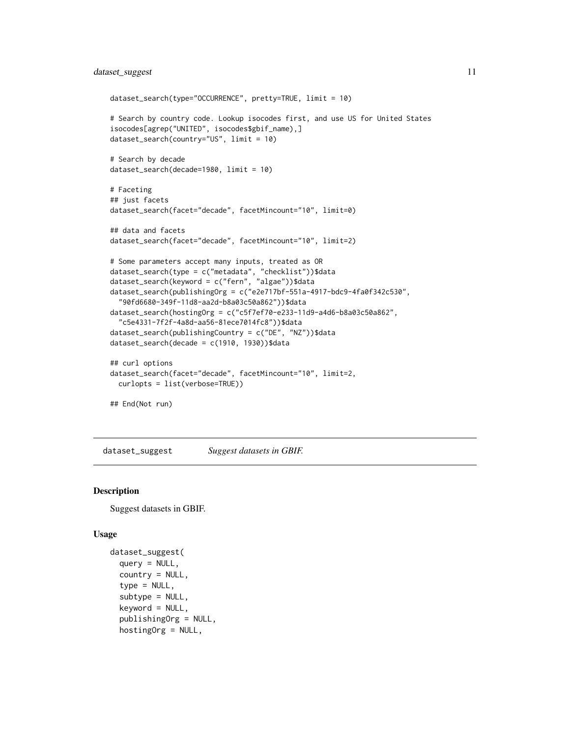### <span id="page-10-0"></span>dataset\_suggest 11

```
dataset_search(type="OCCURRENCE", pretty=TRUE, limit = 10)
# Search by country code. Lookup isocodes first, and use US for United States
isocodes[agrep("UNITED", isocodes$gbif_name),]
dataset_search(country="US", limit = 10)
# Search by decade
dataset_search(decade=1980, limit = 10)
# Faceting
## just facets
dataset_search(facet="decade", facetMincount="10", limit=0)
## data and facets
dataset_search(facet="decade", facetMincount="10", limit=2)
# Some parameters accept many inputs, treated as OR
dataset_search(type = c("metadata", "checklist"))$data
dataset_search(keyword = c("fern", "algae"))$data
dataset_search(publishingOrg = c("e2e717bf-551a-4917-bdc9-4fa0f342c530",
  "90fd6680-349f-11d8-aa2d-b8a03c50a862"))$data
dataset_search(hostingOrg = c("c5f7ef70-e233-11d9-a4d6-b8a03c50a862",
  "c5e4331-7f2f-4a8d-aa56-81ece7014fc8"))$data
dataset_search(publishingCountry = c("DE", "NZ"))$data
dataset_search(decade = c(1910, 1930))$data
## curl options
dataset_search(facet="decade", facetMincount="10", limit=2,
 curlopts = list(verbose=TRUE))
## End(Not run)
```
<span id="page-10-1"></span>dataset\_suggest *Suggest datasets in GBIF.*

#### Description

Suggest datasets in GBIF.

#### Usage

```
dataset_suggest(
  query = NULL,
  countery = NULL,type = NULL,
  subtype = NULL,keyword = NULL,
  publishingOrg = NULL,
  hostingOrg = NULL,
```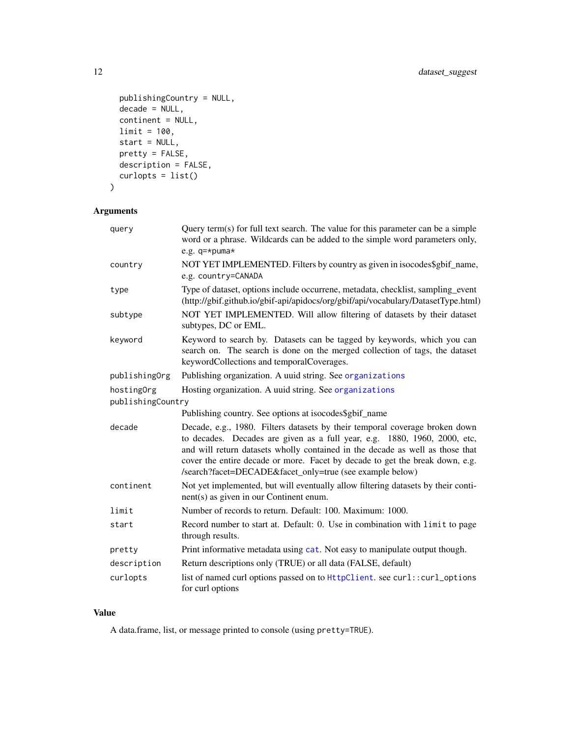```
publishingCountry = NULL,
 decade = NULL,
 continent = NULL,
 limit = 100,
 start = NULL,
 pretty = FALSE,
 description = FALSE,
 curlopts = list()
)
```
# Arguments

| query             | Query term(s) for full text search. The value for this parameter can be a simple<br>word or a phrase. Wildcards can be added to the simple word parameters only,<br>e.g. $q$ =*puma*                                                                                                                                                                                                  |
|-------------------|---------------------------------------------------------------------------------------------------------------------------------------------------------------------------------------------------------------------------------------------------------------------------------------------------------------------------------------------------------------------------------------|
| country           | NOT YET IMPLEMENTED. Filters by country as given in isocodes\$gbif_name,<br>e.g. country=CANADA                                                                                                                                                                                                                                                                                       |
| type              | Type of dataset, options include occurrene, metadata, checklist, sampling_event<br>(http://gbif.github.io/gbif-api/apidocs/org/gbif/api/vocabulary/DatasetType.html)                                                                                                                                                                                                                  |
| subtype           | NOT YET IMPLEMENTED. Will allow filtering of datasets by their dataset<br>subtypes, DC or EML.                                                                                                                                                                                                                                                                                        |
| keyword           | Keyword to search by. Datasets can be tagged by keywords, which you can<br>search on. The search is done on the merged collection of tags, the dataset<br>keywordCollections and temporalCoverages.                                                                                                                                                                                   |
| publishingOrg     | Publishing organization. A uuid string. See organizations                                                                                                                                                                                                                                                                                                                             |
| hostingOrg        | Hosting organization. A uuid string. See organizations                                                                                                                                                                                                                                                                                                                                |
| publishingCountry |                                                                                                                                                                                                                                                                                                                                                                                       |
|                   | Publishing country. See options at isocodes\$gbif_name                                                                                                                                                                                                                                                                                                                                |
| decade            | Decade, e.g., 1980. Filters datasets by their temporal coverage broken down<br>to decades. Decades are given as a full year, e.g. 1880, 1960, 2000, etc,<br>and will return datasets wholly contained in the decade as well as those that<br>cover the entire decade or more. Facet by decade to get the break down, e.g.<br>/search?facet=DECADE&facet_only=true (see example below) |
| continent         | Not yet implemented, but will eventually allow filtering datasets by their conti-<br>nent(s) as given in our Continent enum.                                                                                                                                                                                                                                                          |
| limit             | Number of records to return. Default: 100. Maximum: 1000.                                                                                                                                                                                                                                                                                                                             |
| start             | Record number to start at. Default: 0. Use in combination with limit to page<br>through results.                                                                                                                                                                                                                                                                                      |
| pretty            | Print informative metadata using cat. Not easy to manipulate output though.                                                                                                                                                                                                                                                                                                           |
| description       | Return descriptions only (TRUE) or all data (FALSE, default)                                                                                                                                                                                                                                                                                                                          |
| curlopts          | list of named curl options passed on to HttpClient. see curl::curl_options<br>for curl options                                                                                                                                                                                                                                                                                        |

### Value

A data.frame, list, or message printed to console (using pretty=TRUE).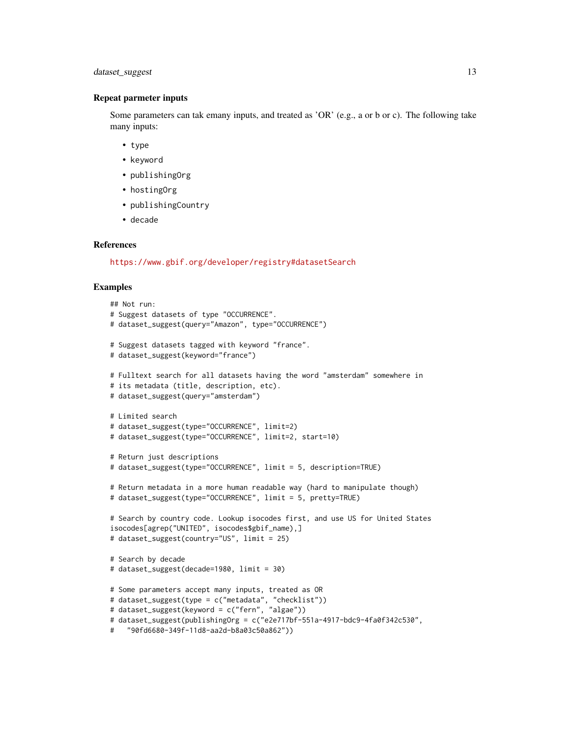### dataset\_suggest 13

#### Repeat parmeter inputs

Some parameters can tak emany inputs, and treated as 'OR' (e.g., a or b or c). The following take many inputs:

- type
- keyword
- publishingOrg
- hostingOrg
- publishingCountry
- decade

### References

<https://www.gbif.org/developer/registry#datasetSearch>

#### Examples

```
## Not run:
# Suggest datasets of type "OCCURRENCE".
# dataset_suggest(query="Amazon", type="OCCURRENCE")
# Suggest datasets tagged with keyword "france".
# dataset_suggest(keyword="france")
# Fulltext search for all datasets having the word "amsterdam" somewhere in
# its metadata (title, description, etc).
# dataset_suggest(query="amsterdam")
# Limited search
# dataset_suggest(type="OCCURRENCE", limit=2)
# dataset_suggest(type="OCCURRENCE", limit=2, start=10)
# Return just descriptions
# dataset_suggest(type="OCCURRENCE", limit = 5, description=TRUE)
# Return metadata in a more human readable way (hard to manipulate though)
# dataset_suggest(type="OCCURRENCE", limit = 5, pretty=TRUE)
# Search by country code. Lookup isocodes first, and use US for United States
isocodes[agrep("UNITED", isocodes$gbif_name),]
# dataset_suggest(country="US", limit = 25)
# Search by decade
# dataset_suggest(decade=1980, limit = 30)
# Some parameters accept many inputs, treated as OR
# dataset_suggest(type = c("metadata", "checklist"))
# dataset_suggest(keyword = c("fern", "algae"))
# dataset_suggest(publishingOrg = c("e2e717bf-551a-4917-bdc9-4fa0f342c530",
```

```
# "90fd6680-349f-11d8-aa2d-b8a03c50a862"))
```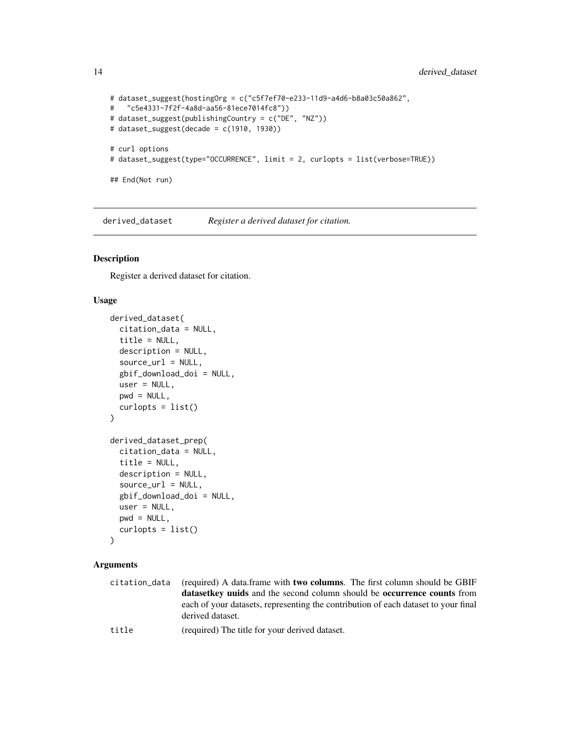```
# dataset_suggest(hostingOrg = c("c5f7ef70-e233-11d9-a4d6-b8a03c50a862",
# "c5e4331-7f2f-4a8d-aa56-81ece7014fc8"))
# dataset_suggest(publishingCountry = c("DE", "NZ"))
# dataset_suggest(decade = c(1910, 1930))
# curl options
# dataset_suggest(type="OCCURRENCE", limit = 2, curlopts = list(verbose=TRUE))
## End(Not run)
```
derived\_dataset *Register a derived dataset for citation.*

### Description

Register a derived dataset for citation.

#### Usage

```
derived_dataset(
  citation_data = NULL,
  title = NULL,
  description = NULL,
  source_url = NULL,
  gbif_download_doi = NULL,
  user = NULL,
 pwd = NULL,
  curlopts = list())
derived_dataset_prep(
  citation_data = NULL,
  title = NULL,
  description = NULL,
  source_url = NULL,
  gbif_download_doi = NULL,
  user = NULL,
 pwd = NULL,curlopts = list())
```
#### Arguments

| citation data | (required) A data.frame with <b>two columns</b> . The first column should be GBIF                                                                                                                                                  |
|---------------|------------------------------------------------------------------------------------------------------------------------------------------------------------------------------------------------------------------------------------|
|               | <b>datasetkey unids</b> and the second column should be <b>occurrence counts</b> from                                                                                                                                              |
|               | each of your datasets, representing the contribution of each dataset to your final                                                                                                                                                 |
|               | derived dataset.                                                                                                                                                                                                                   |
| .             | $\lambda$ is the state of the state of the state of the state of the state of the state of the state of the state of the state of the state of the state of the state of the state of the state of the state of the state of the s |

title (required) The title for your derived dataset.

<span id="page-13-0"></span>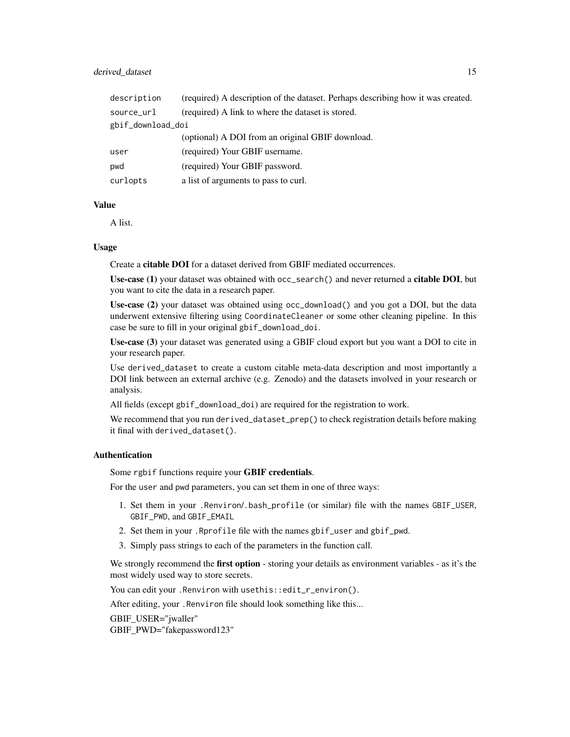#### derived\_dataset 15

| description       | (required) A description of the dataset. Perhaps describing how it was created. |
|-------------------|---------------------------------------------------------------------------------|
| source_url        | (required) A link to where the dataset is stored.                               |
| gbif_download_doi |                                                                                 |
|                   | (optional) A DOI from an original GBIF download.                                |
| user              | (required) Your GBIF username.                                                  |
| pwd               | (required) Your GBIF password.                                                  |
| curlopts          | a list of arguments to pass to curl.                                            |
|                   |                                                                                 |

### Value

A list.

#### Usage

Create a citable DOI for a dataset derived from GBIF mediated occurrences.

Use-case (1) your dataset was obtained with occ\_search() and never returned a citable DOI, but you want to cite the data in a research paper.

Use-case (2) your dataset was obtained using occ\_download() and you got a DOI, but the data underwent extensive filtering using CoordinateCleaner or some other cleaning pipeline. In this case be sure to fill in your original gbif\_download\_doi.

Use-case (3) your dataset was generated using a GBIF cloud export but you want a DOI to cite in your research paper.

Use derived\_dataset to create a custom citable meta-data description and most importantly a DOI link between an external archive (e.g. Zenodo) and the datasets involved in your research or analysis.

All fields (except gbif\_download\_doi) are required for the registration to work.

We recommend that you run derived\_dataset\_prep() to check registration details before making it final with derived\_dataset().

### Authentication

Some rgbif functions require your GBIF credentials.

For the user and pwd parameters, you can set them in one of three ways:

- 1. Set them in your .Renviron/.bash\_profile (or similar) file with the names GBIF\_USER, GBIF\_PWD, and GBIF\_EMAIL
- 2. Set them in your .Rprofile file with the names gbif\_user and gbif\_pwd.
- 3. Simply pass strings to each of the parameters in the function call.

We strongly recommend the **first option** - storing your details as environment variables - as it's the most widely used way to store secrets.

You can edit your. Renviron with usethis::edit\_r\_environ().

After editing, your .Renviron file should look something like this...

GBIF\_USER="jwaller" GBIF\_PWD="fakepassword123"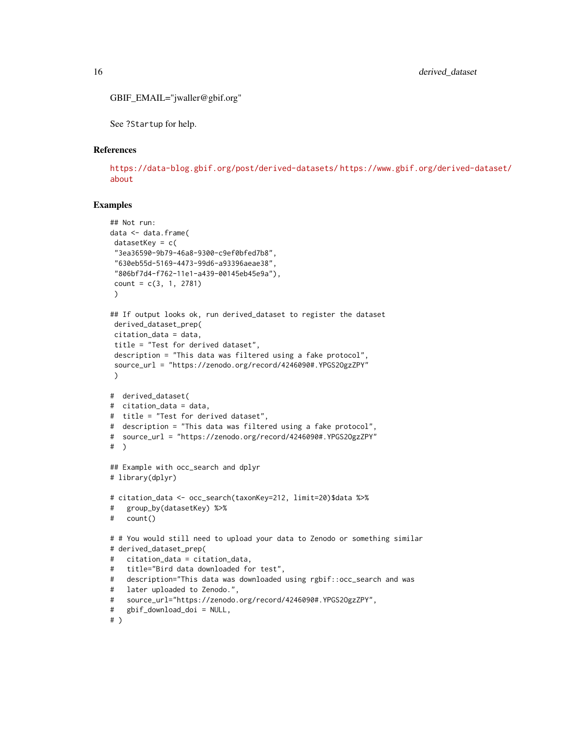```
GBIF_EMAIL="jwaller@gbif.org"
```
See ?Startup for help.

#### References

<https://data-blog.gbif.org/post/derived-datasets/> [https://www.gbif.org/derived-d](https://www.gbif.org/derived-dataset/about)ataset/ [about](https://www.gbif.org/derived-dataset/about)

### Examples

```
## Not run:
data <- data.frame(
datasetKey = c(
 "3ea36590-9b79-46a8-9300-c9ef0bfed7b8",
 "630eb55d-5169-4473-99d6-a93396aeae38",
 "806bf7d4-f762-11e1-a439-00145eb45e9a"),
 count = c(3, 1, 2781)\lambda## If output looks ok, run derived_dataset to register the dataset
 derived_dataset_prep(
 citation_data = data,
 title = "Test for derived dataset",
 description = "This data was filtered using a fake protocol",
 source_url = "https://zenodo.org/record/4246090#.YPGS2OgzZPY"
 \lambda# derived_dataset(
# citation_data = data,
# title = "Test for derived dataset",
# description = "This data was filtered using a fake protocol",
# source_url = "https://zenodo.org/record/4246090#.YPGS2OgzZPY"
# )
## Example with occ_search and dplyr
# library(dplyr)
# citation_data <- occ_search(taxonKey=212, limit=20)$data %>%
# group_by(datasetKey) %>%
# count()
# # You would still need to upload your data to Zenodo or something similar
# derived_dataset_prep(
# citation_data = citation_data,
# title="Bird data downloaded for test",
# description="This data was downloaded using rgbif::occ_search and was
# later uploaded to Zenodo.",
# source_url="https://zenodo.org/record/4246090#.YPGS2OgzZPY",
# gbif_download_doi = NULL,
# )
```
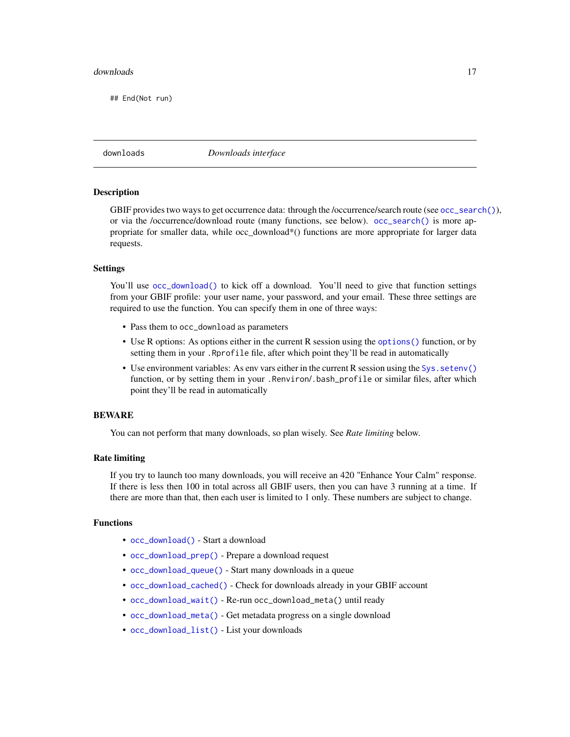#### <span id="page-16-0"></span>downloads and the contract of the contract of the contract of the contract of the contract of the contract of the contract of the contract of the contract of the contract of the contract of the contract of the contract of

## End(Not run)

downloads *Downloads interface*

#### **Description**

GBIF provides two ways to get occurrence data: through the /occurrence/search route (see [occ\\_search\(\)](#page-105-1)), or via the /occurrence/download route (many functions, see below). [occ\\_search\(\)](#page-105-1) is more appropriate for smaller data, while occ\_download\*() functions are more appropriate for larger data requests.

#### Settings

You'll use [occ\\_download\(\)](#page-81-1) to kick off a download. You'll need to give that function settings from your GBIF profile: your user name, your password, and your email. These three settings are required to use the function. You can specify them in one of three ways:

- Pass them to occ\_download as parameters
- Use R options: As options either in the current R session using the [options\(\)](#page-0-0) function, or by setting them in your .Rprofile file, after which point they'll be read in automatically
- Use environment variables: As env vars either in the current R session using the Sys. setenv() function, or by setting them in your .Renviron/.bash\_profile or similar files, after which point they'll be read in automatically

#### BEWARE

You can not perform that many downloads, so plan wisely. See *Rate limiting* below.

#### Rate limiting

If you try to launch too many downloads, you will receive an 420 "Enhance Your Calm" response. If there is less then 100 in total across all GBIF users, then you can have 3 running at a time. If there are more than that, then each user is limited to 1 only. These numbers are subject to change.

#### Functions

- [occ\\_download\(\)](#page-81-1) Start a download
- [occ\\_download\\_prep\(\)](#page-81-2) Prepare a download request
- [occ\\_download\\_queue\(\)](#page-95-1) Start many downloads in a queue
- [occ\\_download\\_cached\(\)](#page-85-1) Check for downloads already in your GBIF account
- [occ\\_download\\_wait\(\)](#page-97-1) Re-run occ\_download\_meta() until ready
- [occ\\_download\\_meta\(\)](#page-94-1) Get metadata progress on a single download
- [occ\\_download\\_list\(\)](#page-93-1) List your downloads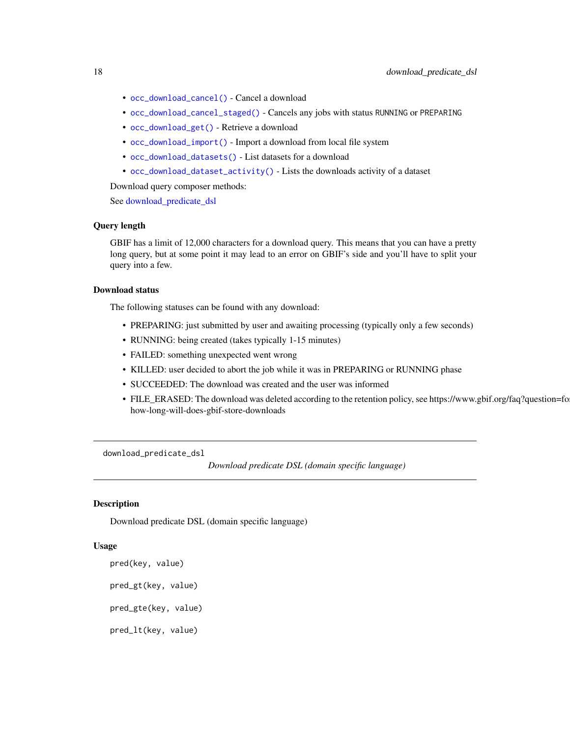- <span id="page-17-0"></span>• [occ\\_download\\_cancel\(\)](#page-87-1) - Cancel a download
- [occ\\_download\\_cancel\\_staged\(\)](#page-87-2) Cancels any jobs with status RUNNING or PREPARING
- [occ\\_download\\_get\(\)](#page-90-1) Retrieve a download
- [occ\\_download\\_import\(\)](#page-91-1) Import a download from local file system
- [occ\\_download\\_datasets\(\)](#page-88-1) List datasets for a download
- [occ\\_download\\_dataset\\_activity\(\)](#page-89-1) Lists the downloads activity of a dataset

Download query composer methods:

See download predicate dsl

### Query length

GBIF has a limit of 12,000 characters for a download query. This means that you can have a pretty long query, but at some point it may lead to an error on GBIF's side and you'll have to split your query into a few.

#### Download status

The following statuses can be found with any download:

- PREPARING: just submitted by user and awaiting processing (typically only a few seconds)
- RUNNING: being created (takes typically 1-15 minutes)
- FAILED: something unexpected went wrong
- KILLED: user decided to abort the job while it was in PREPARING or RUNNING phase
- SUCCEEDED: The download was created and the user was informed
- FILE\_ERASED: The download was deleted according to the retention policy, see https://www.gbif.org/faq?question=fo how-long-will-does-gbif-store-downloads

<span id="page-17-1"></span>download\_predicate\_dsl

*Download predicate DSL (domain specific language)*

### **Description**

Download predicate DSL (domain specific language)

#### Usage

```
pred(key, value)
pred_gt(key, value)
pred_gte(key, value)
```
pred\_lt(key, value)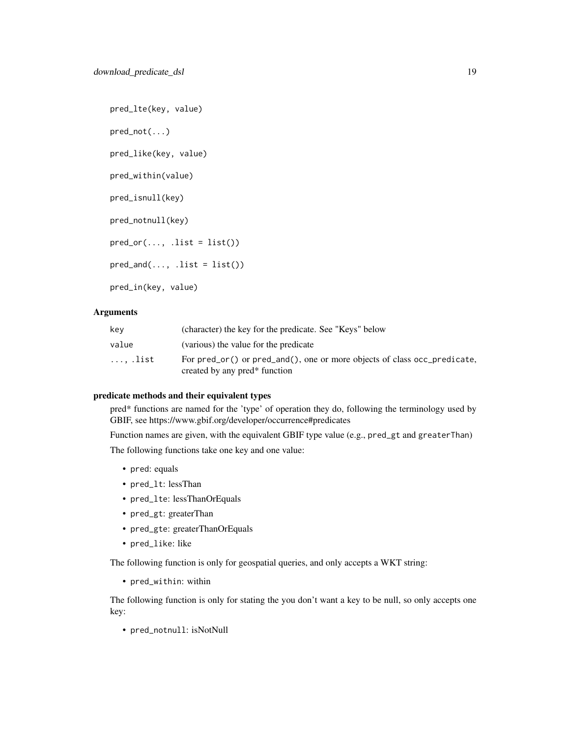pred\_lte(key, value) pred\_not(...) pred\_like(key, value) pred\_within(value) pred\_isnull(key) pred\_notnull(key)  $pred_or(..., .list = list())$  $pred_and(..., .list = list())$ pred\_in(key, value)

### Arguments

| key     | (character) the key for the predicate. See "Keys" below                                                               |
|---------|-----------------------------------------------------------------------------------------------------------------------|
| value   | (various) the value for the predicate                                                                                 |
| , .list | For pred_or() or pred_and(), one or more objects of class occ_predicate,<br>created by any pred <sup>*</sup> function |

#### predicate methods and their equivalent types

pred\* functions are named for the 'type' of operation they do, following the terminology used by GBIF, see https://www.gbif.org/developer/occurrence#predicates

Function names are given, with the equivalent GBIF type value (e.g., pred\_gt and greaterThan) The following functions take one key and one value:

- pred: equals
- pred\_lt: lessThan
- pred\_lte: lessThanOrEquals
- pred\_gt: greaterThan
- pred\_gte: greaterThanOrEquals
- pred\_like: like

The following function is only for geospatial queries, and only accepts a WKT string:

• pred\_within: within

The following function is only for stating the you don't want a key to be null, so only accepts one key:

• pred\_notnull: isNotNull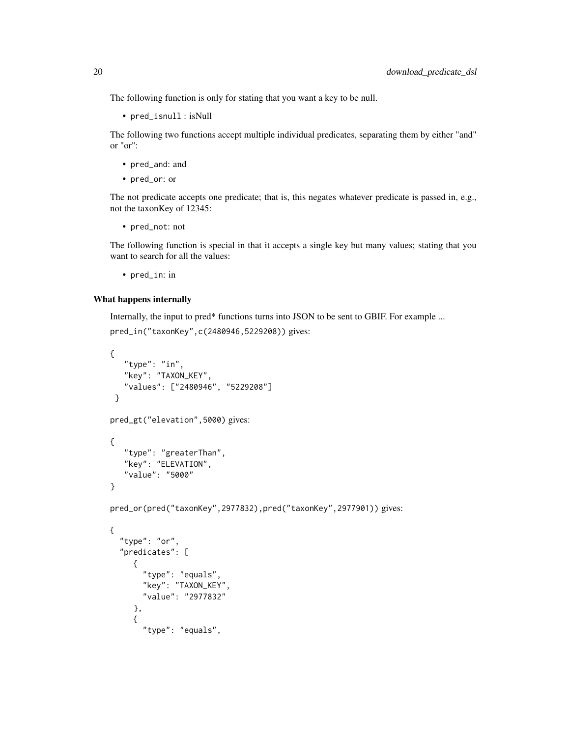The following function is only for stating that you want a key to be null.

• pred\_isnull : isNull

The following two functions accept multiple individual predicates, separating them by either "and" or "or":

- pred\_and: and
- pred\_or: or

The not predicate accepts one predicate; that is, this negates whatever predicate is passed in, e.g., not the taxonKey of 12345:

• pred\_not: not

The following function is special in that it accepts a single key but many values; stating that you want to search for all the values:

• pred\_in: in

#### What happens internally

Internally, the input to pred\* functions turns into JSON to be sent to GBIF. For example ...

```
pred_in("taxonKey",c(2480946,5229208)) gives:
```

```
{
   "type": "in",
   "key": "TAXON_KEY",
   "values": ["2480946", "5229208"]
}
pred_gt("elevation",5000) gives:
{
   "type": "greaterThan",
   "key": "ELEVATION",
   "value": "5000"
}
pred_or(pred("taxonKey",2977832),pred("taxonKey",2977901)) gives:
{
  "type": "or",
  "predicates": [
     {
       "type": "equals",
       "key": "TAXON_KEY",
       "value": "2977832"
     },
     {
       "type": "equals",
```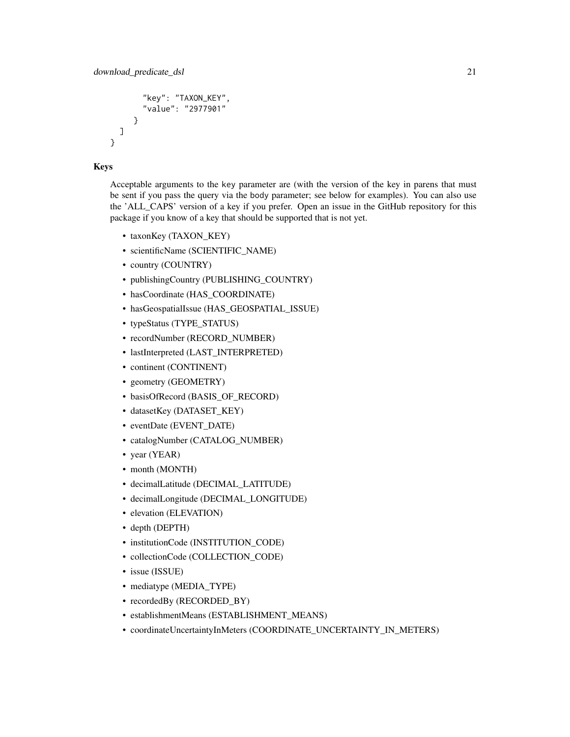```
"key": "TAXON_KEY",
       "value": "2977901"
     }
 ]
}
```
### Keys

Acceptable arguments to the key parameter are (with the version of the key in parens that must be sent if you pass the query via the body parameter; see below for examples). You can also use the 'ALL\_CAPS' version of a key if you prefer. Open an issue in the GitHub repository for this package if you know of a key that should be supported that is not yet.

- taxonKey (TAXON\_KEY)
- scientificName (SCIENTIFIC\_NAME)
- country (COUNTRY)
- publishingCountry (PUBLISHING\_COUNTRY)
- hasCoordinate (HAS\_COORDINATE)
- hasGeospatialIssue (HAS\_GEOSPATIAL\_ISSUE)
- typeStatus (TYPE\_STATUS)
- recordNumber (RECORD\_NUMBER)
- lastInterpreted (LAST\_INTERPRETED)
- continent (CONTINENT)
- geometry (GEOMETRY)
- basisOfRecord (BASIS\_OF\_RECORD)
- datasetKey (DATASET\_KEY)
- eventDate (EVENT\_DATE)
- catalogNumber (CATALOG\_NUMBER)
- year (YEAR)
- month (MONTH)
- decimalLatitude (DECIMAL\_LATITUDE)
- decimalLongitude (DECIMAL\_LONGITUDE)
- elevation (ELEVATION)
- depth (DEPTH)
- institutionCode (INSTITUTION\_CODE)
- collectionCode (COLLECTION\_CODE)
- issue (ISSUE)
- mediatype (MEDIA\_TYPE)
- recordedBy (RECORDED\_BY)
- establishmentMeans (ESTABLISHMENT\_MEANS)
- coordinateUncertaintyInMeters (COORDINATE\_UNCERTAINTY\_IN\_METERS)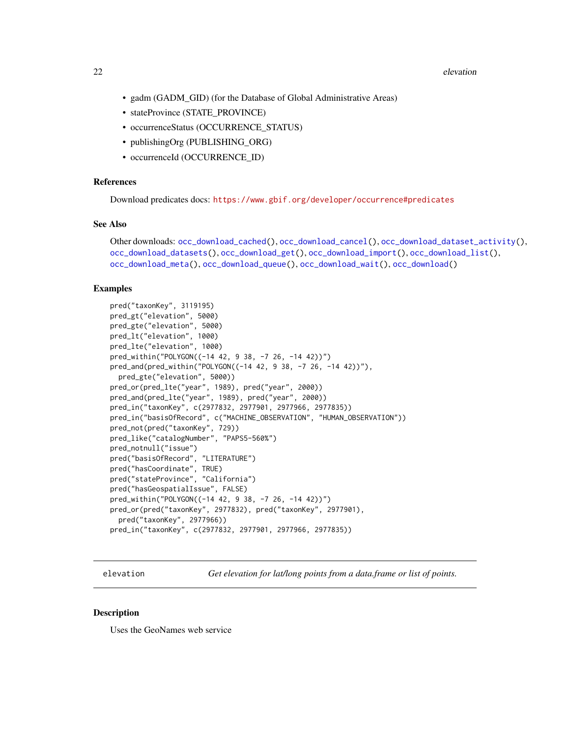#### <span id="page-21-0"></span>22 elevation and the contract of the contract of the contract of the contract of the contract of the contract of the contract of the contract of the contract of the contract of the contract of the contract of the contract

- gadm (GADM\_GID) (for the Database of Global Administrative Areas)
- stateProvince (STATE\_PROVINCE)
- occurrenceStatus (OCCURRENCE\_STATUS)
- publishingOrg (PUBLISHING\_ORG)
- occurrenceId (OCCURRENCE\_ID)

### References

Download predicates docs: <https://www.gbif.org/developer/occurrence#predicates>

### See Also

```
Other downloads: occ_download_cached(), occ_download_cancel(), occ_download_dataset_activity(),
occ_download_datasets(), occ_download_get(), occ_download_import(), occ_download_list(),
occ_download_meta(), occ_download_queue(), occ_download_wait(), occ_download()
```
#### Examples

```
pred("taxonKey", 3119195)
pred_gt("elevation", 5000)
pred_gte("elevation", 5000)
pred_lt("elevation", 1000)
pred_lte("elevation", 1000)
pred_within("POLYGON((-14 42, 9 38, -7 26, -14 42))")
pred_and(pred_within("POLYGON((-14 42, 9 38, -7 26, -14 42))"),
  pred_gte("elevation", 5000))
pred_or(pred_lte("year", 1989), pred("year", 2000))
pred_and(pred_lte("year", 1989), pred("year", 2000))
pred_in("taxonKey", c(2977832, 2977901, 2977966, 2977835))
pred_in("basisOfRecord", c("MACHINE_OBSERVATION", "HUMAN_OBSERVATION"))
pred_not(pred("taxonKey", 729))
pred_like("catalogNumber", "PAPS5-560%")
pred_notnull("issue")
pred("basisOfRecord", "LITERATURE")
pred("hasCoordinate", TRUE)
pred("stateProvince", "California")
pred("hasGeospatialIssue", FALSE)
pred_within("POLYGON((-14 42, 9 38, -7 26, -14 42))")
pred_or(pred("taxonKey", 2977832), pred("taxonKey", 2977901),
  pred("taxonKey", 2977966))
pred_in("taxonKey", c(2977832, 2977901, 2977966, 2977835))
```
elevation *Get elevation for lat/long points from a data.frame or list of points.*

#### **Description**

Uses the GeoNames web service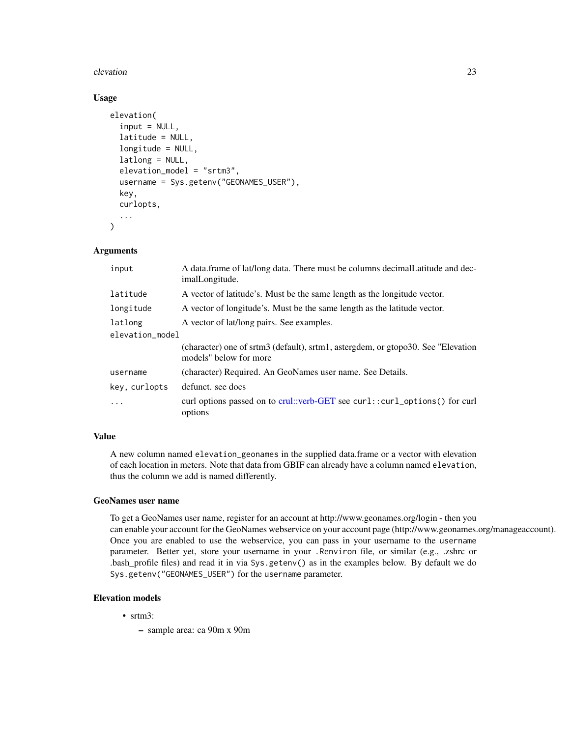#### elevation 23

### Usage

```
elevation(
  input = NULL,latitude = NULL,
  longitude = NULL,
  latlong = NULL,
  elevation_model = "srtm3",
  username = Sys.getenv("GEONAMES_USER"),
  key,
  curlopts,
  ...
)
```
### Arguments

| input           | A data frame of lat/long data. There must be columns decimal Latitude and dec-<br>imalLongitude.            |
|-----------------|-------------------------------------------------------------------------------------------------------------|
| latitude        | A vector of latitude's. Must be the same length as the longitude vector.                                    |
| longitude       | A vector of longitude's. Must be the same length as the latitude vector.                                    |
| latlong         | A vector of lat/long pairs. See examples.                                                                   |
| elevation_model |                                                                                                             |
|                 | (character) one of srtm3 (default), srtm1, astergdem, or gtopo30. See "Elevation"<br>models" below for more |
| username        | (character) Required. An GeoNames user name. See Details.                                                   |
| key, curlopts   | defunct, see docs                                                                                           |
| .               | curl options passed on to crul::verb-GET see curl::curl_options() for curl<br>options                       |

### Value

A new column named elevation\_geonames in the supplied data.frame or a vector with elevation of each location in meters. Note that data from GBIF can already have a column named elevation, thus the column we add is named differently.

#### GeoNames user name

To get a GeoNames user name, register for an account at http://www.geonames.org/login - then you can enable your account for the GeoNames webservice on your account page (http://www.geonames.org/manageaccount). Once you are enabled to use the webservice, you can pass in your username to the username parameter. Better yet, store your username in your .Renviron file, or similar (e.g., .zshrc or .bash\_profile files) and read it in via Sys.getenv() as in the examples below. By default we do Sys.getenv("GEONAMES\_USER") for the username parameter.

### Elevation models

- srtm3:
	- sample area: ca 90m x 90m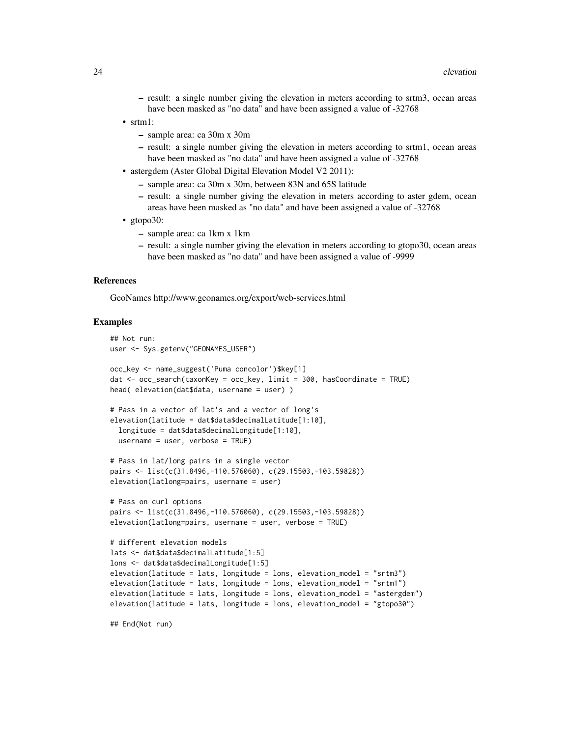- result: a single number giving the elevation in meters according to srtm3, ocean areas have been masked as "no data" and have been assigned a value of -32768
- srtm1:
	- sample area: ca 30m x 30m
	- result: a single number giving the elevation in meters according to srtm1, ocean areas have been masked as "no data" and have been assigned a value of -32768
- astergdem (Aster Global Digital Elevation Model V2 2011):
	- sample area: ca 30m x 30m, between 83N and 65S latitude
	- result: a single number giving the elevation in meters according to aster gdem, ocean areas have been masked as "no data" and have been assigned a value of -32768
- gtopo30:
	- sample area: ca 1km x 1km
	- result: a single number giving the elevation in meters according to gtopo30, ocean areas have been masked as "no data" and have been assigned a value of -9999

#### References

GeoNames http://www.geonames.org/export/web-services.html

#### Examples

```
## Not run:
user <- Sys.getenv("GEONAMES_USER")
occ_key <- name_suggest('Puma concolor')$key[1]
dat <- occ_search(taxonKey = occ_key, limit = 300, hasCoordinate = TRUE)
head( elevation(dat$data, username = user) )
# Pass in a vector of lat's and a vector of long's
elevation(latitude = dat$data$decimalLatitude[1:10],
 longitude = dat$data$decimalLongitude[1:10],
 username = user, verbose = TRUE)
# Pass in lat/long pairs in a single vector
pairs <- list(c(31.8496,-110.576060), c(29.15503,-103.59828))
elevation(latlong=pairs, username = user)
# Pass on curl options
pairs <- list(c(31.8496,-110.576060), c(29.15503,-103.59828))
elevation(latlong=pairs, username = user, verbose = TRUE)
# different elevation models
lats <- dat$data$decimalLatitude[1:5]
lons <- dat$data$decimalLongitude[1:5]
elevation(latitude = lats, longitude = lons, elevation_model = "srtm3")
elevation(latitude = lats, longitude = lons, elevation_model = "srtm1")
elevation(latitude = lats, longitude = lons, elevation_model = "astergdem")
elevation(latitude = lats, longitude = lons, elevation_model = "gtopo30")
```
## End(Not run)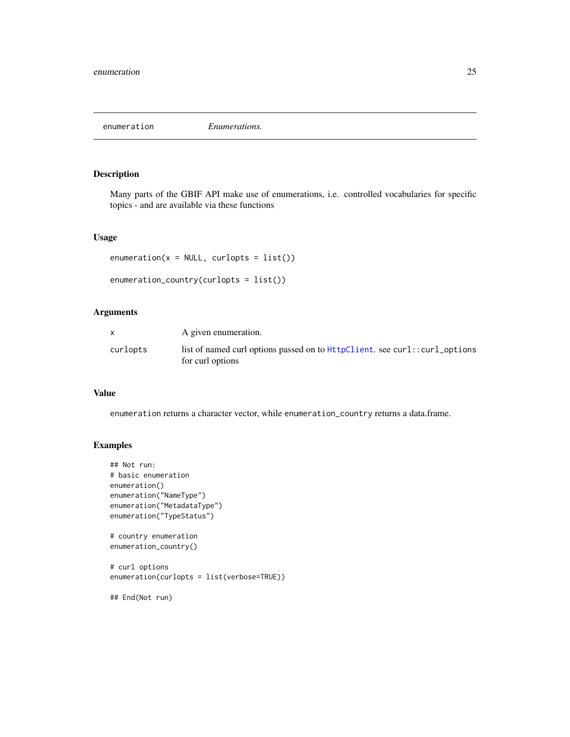<span id="page-24-0"></span>

Many parts of the GBIF API make use of enumerations, i.e. controlled vocabularies for specific topics - and are available via these functions

#### Usage

```
enumeration(x = NULL, curlopts = list())enumeration_country(curlopts = list())
```
### Arguments

|          | A given enumeration.                                                                             |
|----------|--------------------------------------------------------------------------------------------------|
| curlopts | list of named curl options passed on to HttpClient. see curl: : curl_options<br>for curl options |

### Value

enumeration returns a character vector, while enumeration\_country returns a data.frame.

### Examples

```
## Not run:
# basic enumeration
enumeration()
enumeration("NameType")
enumeration("MetadataType")
enumeration("TypeStatus")
# country enumeration
enumeration_country()
# curl options
enumeration(curlopts = list(verbose=TRUE))
```
## End(Not run)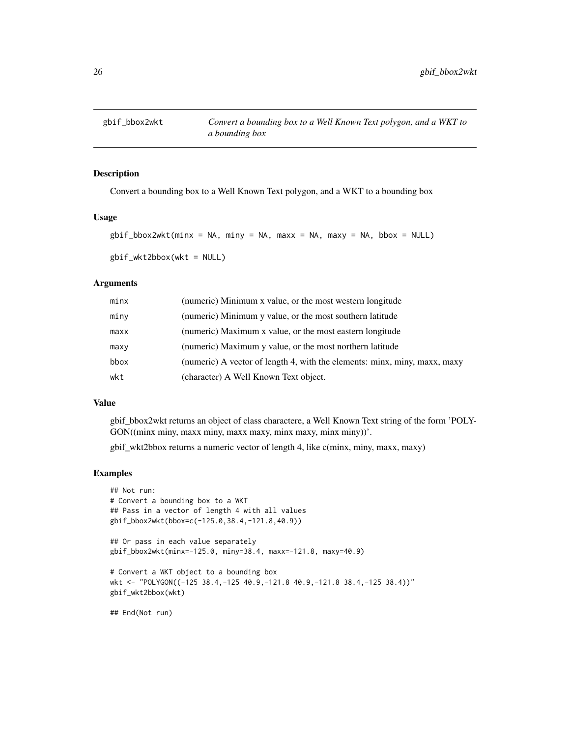<span id="page-25-0"></span>

Convert a bounding box to a Well Known Text polygon, and a WKT to a bounding box

#### Usage

```
g\text{bif\_bbox2wkt(minx = NA, miny = NA, maxx = NA, maxy = NA, bbox = NULL})
```

```
gbif_wkt2bbox(wkt = NULL)
```
### Arguments

| minx | (numeric) Minimum x value, or the most western longitude                  |
|------|---------------------------------------------------------------------------|
| miny | (numeric) Minimum y value, or the most southern latitude                  |
| maxx | (numeric) Maximum x value, or the most eastern longitude                  |
| maxy | (numeric) Maximum y value, or the most northern latitude                  |
| bbox | (numeric) A vector of length 4, with the elements: minx, miny, maxx, maxy |
| wkt  | (character) A Well Known Text object.                                     |

#### Value

gbif\_bbox2wkt returns an object of class charactere, a Well Known Text string of the form 'POLY-GON((minx miny, maxx miny, maxx maxy, minx maxy, minx miny))'.

gbif\_wkt2bbox returns a numeric vector of length 4, like c(minx, miny, maxx, maxy)

#### Examples

```
## Not run:
# Convert a bounding box to a WKT
## Pass in a vector of length 4 with all values
gbif_bbox2wkt(bbox=c(-125.0,38.4,-121.8,40.9))
## Or pass in each value separately
gbif_bbox2wkt(minx=-125.0, miny=38.4, maxx=-121.8, maxy=40.9)
# Convert a WKT object to a bounding box
wkt <- "POLYGON((-125 38.4,-125 40.9,-121.8 40.9,-121.8 38.4,-125 38.4))"
gbif_wkt2bbox(wkt)
## End(Not run)
```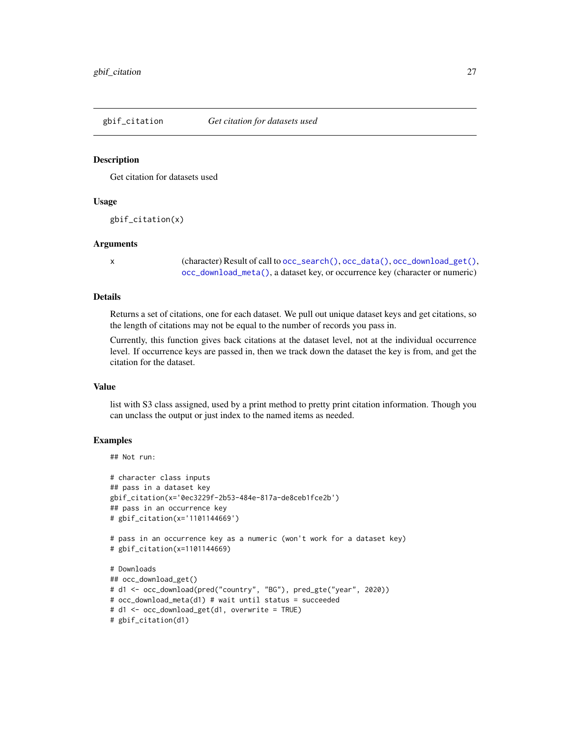<span id="page-26-0"></span>

Get citation for datasets used

#### Usage

gbif\_citation(x)

#### Arguments

x (character) Result of call to [occ\\_search\(\)](#page-105-1), [occ\\_data\(\)](#page-63-1), [occ\\_download\\_get\(\)](#page-90-1), [occ\\_download\\_meta\(\)](#page-94-1), a dataset key, or occurrence key (character or numeric)

#### Details

Returns a set of citations, one for each dataset. We pull out unique dataset keys and get citations, so the length of citations may not be equal to the number of records you pass in.

Currently, this function gives back citations at the dataset level, not at the individual occurrence level. If occurrence keys are passed in, then we track down the dataset the key is from, and get the citation for the dataset.

#### Value

list with S3 class assigned, used by a print method to pretty print citation information. Though you can unclass the output or just index to the named items as needed.

### **Examples**

### ## Not run:

```
# character class inputs
## pass in a dataset key
gbif_citation(x='0ec3229f-2b53-484e-817a-de8ceb1fce2b')
## pass in an occurrence key
# gbif_citation(x='1101144669')
# pass in an occurrence key as a numeric (won't work for a dataset key)
# gbif_citation(x=1101144669)
# Downloads
## occ_download_get()
# d1 <- occ_download(pred("country", "BG"), pred_gte("year", 2020))
# occ_download_meta(d1) # wait until status = succeeded
# d1 <- occ_download_get(d1, overwrite = TRUE)
# gbif_citation(d1)
```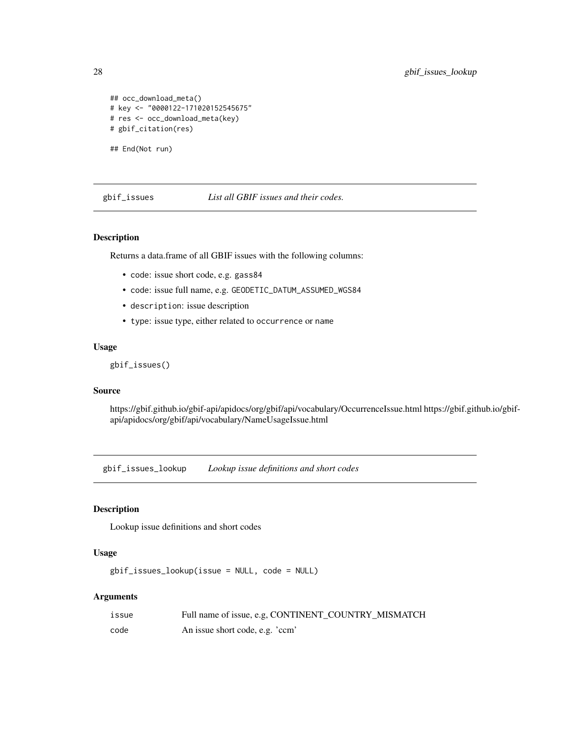```
## occ_download_meta()
# key <- "0000122-171020152545675"
# res <- occ_download_meta(key)
# gbif_citation(res)
```
## End(Not run)

gbif\_issues *List all GBIF issues and their codes.*

#### Description

Returns a data.frame of all GBIF issues with the following columns:

- code: issue short code, e.g. gass84
- code: issue full name, e.g. GEODETIC\_DATUM\_ASSUMED\_WGS84
- description: issue description
- type: issue type, either related to occurrence or name

### Usage

```
gbif_issues()
```
### Source

https://gbif.github.io/gbif-api/apidocs/org/gbif/api/vocabulary/OccurrenceIssue.html https://gbif.github.io/gbifapi/apidocs/org/gbif/api/vocabulary/NameUsageIssue.html

gbif\_issues\_lookup *Lookup issue definitions and short codes*

### Description

Lookup issue definitions and short codes

### Usage

gbif\_issues\_lookup(issue = NULL, code = NULL)

#### Arguments

| issue | Full name of issue, e.g, CONTINENT_COUNTRY_MISMATCH |
|-------|-----------------------------------------------------|
| code  | An issue short code, e.g. 'ccm'                     |

<span id="page-27-0"></span>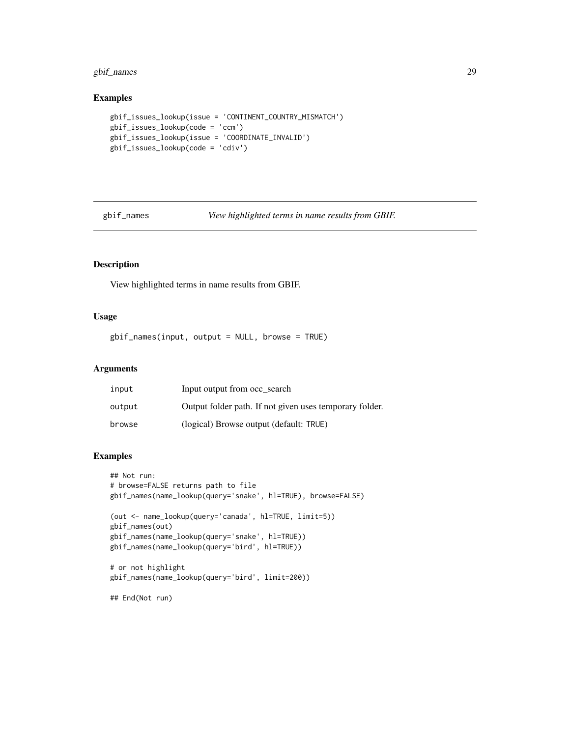### <span id="page-28-0"></span>gbif\_names 29

### Examples

```
gbif_issues_lookup(issue = 'CONTINENT_COUNTRY_MISMATCH')
gbif_issues_lookup(code = 'ccm')
gbif_issues_lookup(issue = 'COORDINATE_INVALID')
gbif_issues_lookup(code = 'cdiv')
```
gbif\_names *View highlighted terms in name results from GBIF.*

### Description

View highlighted terms in name results from GBIF.

#### Usage

gbif\_names(input, output = NULL, browse = TRUE)

### Arguments

| input  | Input output from occ search                            |
|--------|---------------------------------------------------------|
| output | Output folder path. If not given uses temporary folder. |
| browse | (logical) Browse output (default: TRUE)                 |

### Examples

```
## Not run:
# browse=FALSE returns path to file
gbif_names(name_lookup(query='snake', hl=TRUE), browse=FALSE)
(out <- name_lookup(query='canada', hl=TRUE, limit=5))
gbif_names(out)
gbif_names(name_lookup(query='snake', hl=TRUE))
gbif_names(name_lookup(query='bird', hl=TRUE))
# or not highlight
gbif_names(name_lookup(query='bird', limit=200))
```
## End(Not run)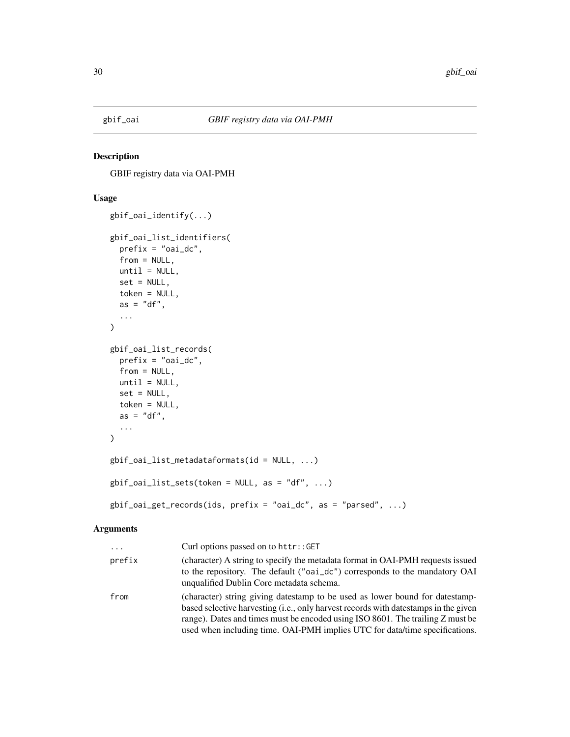<span id="page-29-0"></span>

GBIF registry data via OAI-PMH

### Usage

```
gbif_oai_identify(...)
gbif_oai_list_identifiers(
 prefix = "oai_dc",
 from = NULL,
 until = NULL,set = NULL,token = NULL,
  as = "df",...
\lambdagbif_oai_list_records(
 prefix = "oai_dc",from = NULL,
 until = NULL,set = NULL,token = NULL,
 as = "df",...
\mathcal{L}gbif_oai_list_metadataformats(id = NULL, ...)
gbif_0ai_list_sets(token = NULL, as = "df", ...)gbif_oai_get_records(ids, prefix = "oai_dc", as = "parsed", ...)
```
#### Arguments

| $\cdots$ | Curl options passed on to httr::GET                                                                                                                                                                                                                                                                                                  |
|----------|--------------------------------------------------------------------------------------------------------------------------------------------------------------------------------------------------------------------------------------------------------------------------------------------------------------------------------------|
| prefix   | (character) A string to specify the metadata format in OAI-PMH requests issued<br>to the repository. The default ("oai_dc") corresponds to the mandatory OAI<br>unqualified Dublin Core metadata schema.                                                                                                                             |
| from     | (character) string giving datestamp to be used as lower bound for datestamp-<br>based selective harvesting (i.e., only harvest records with datestamps in the given<br>range). Dates and times must be encoded using ISO 8601. The trailing Z must be<br>used when including time. OAI-PMH implies UTC for data/time specifications. |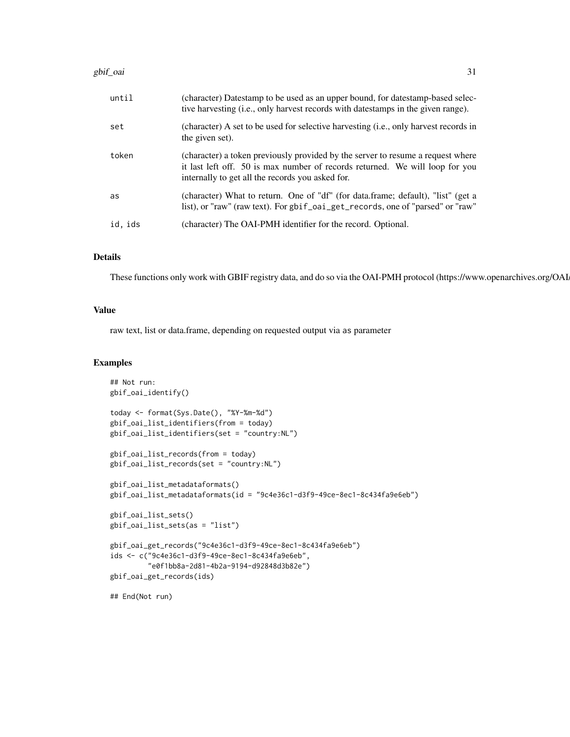| until   | (character) Datestamp to be used as an upper bound, for datestamp-based selec-<br>tive harvesting (i.e., only harvest records with datestamps in the given range).                                                  |
|---------|---------------------------------------------------------------------------------------------------------------------------------------------------------------------------------------------------------------------|
| set     | (character) A set to be used for selective harvesting (i.e., only harvest records in<br>the given set).                                                                                                             |
| token   | (character) a token previously provided by the server to resume a request where<br>it last left off. 50 is max number of records returned. We will loop for you<br>internally to get all the records you asked for. |
| as      | (character) What to return. One of "df" (for data.frame; default), "list" (get a<br>list), or "raw" (raw text). For gbif_oai_get_records, one of "parsed" or "raw"                                                  |
| id, ids | (character) The OAI-PMH identifier for the record. Optional.                                                                                                                                                        |

### Details

These functions only work with GBIF registry data, and do so via the OAI-PMH protocol (https://www.openarchives.org/OAI

#### Value

raw text, list or data.frame, depending on requested output via as parameter

#### Examples

```
## Not run:
gbif_oai_identify()
today <- format(Sys.Date(), "%Y-%m-%d")
gbif_oai_list_identifiers(from = today)
gbif_oai_list_identifiers(set = "country:NL")
gbif_oai_list_records(from = today)
gbif_oai_list_records(set = "country:NL")
gbif_oai_list_metadataformats()
gbif_oai_list_metadataformats(id = "9c4e36c1-d3f9-49ce-8ec1-8c434fa9e6eb")
gbif_oai_list_sets()
gbif_oai_list_sets(as = "list")
gbif_oai_get_records("9c4e36c1-d3f9-49ce-8ec1-8c434fa9e6eb")
ids <- c("9c4e36c1-d3f9-49ce-8ec1-8c434fa9e6eb",
         "e0f1bb8a-2d81-4b2a-9194-d92848d3b82e")
gbif_oai_get_records(ids)
## End(Not run)
```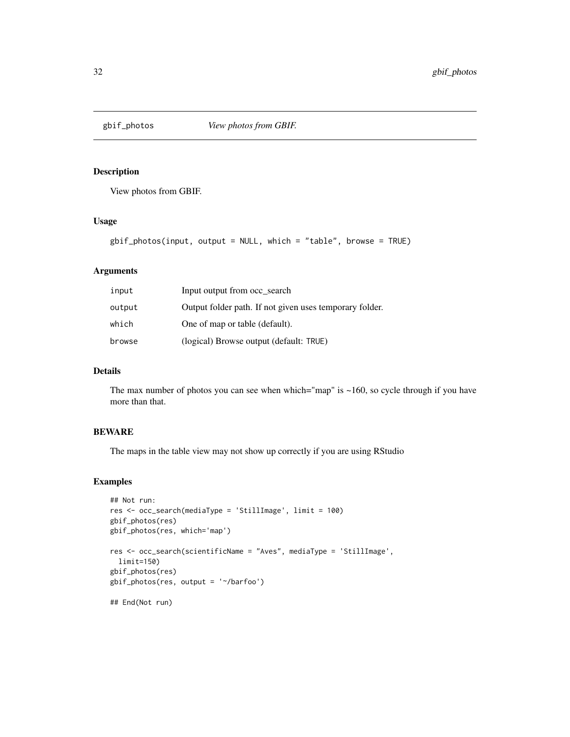<span id="page-31-0"></span>

View photos from GBIF.

### Usage

```
gbif_photos(input, output = NULL, which = "table", browse = TRUE)
```
### Arguments

| input  | Input output from occ search                            |
|--------|---------------------------------------------------------|
| output | Output folder path. If not given uses temporary folder. |
| which  | One of map or table (default).                          |
| browse | (logical) Browse output (default: TRUE)                 |

### Details

The max number of photos you can see when which="map" is  $\sim$ 160, so cycle through if you have more than that.

### BEWARE

The maps in the table view may not show up correctly if you are using RStudio

### Examples

```
## Not run:
res <- occ_search(mediaType = 'StillImage', limit = 100)
gbif_photos(res)
gbif_photos(res, which='map')
res <- occ_search(scientificName = "Aves", mediaType = 'StillImage',
 limit=150)
gbif_photos(res)
gbif_photos(res, output = '~/barfoo')
## End(Not run)
```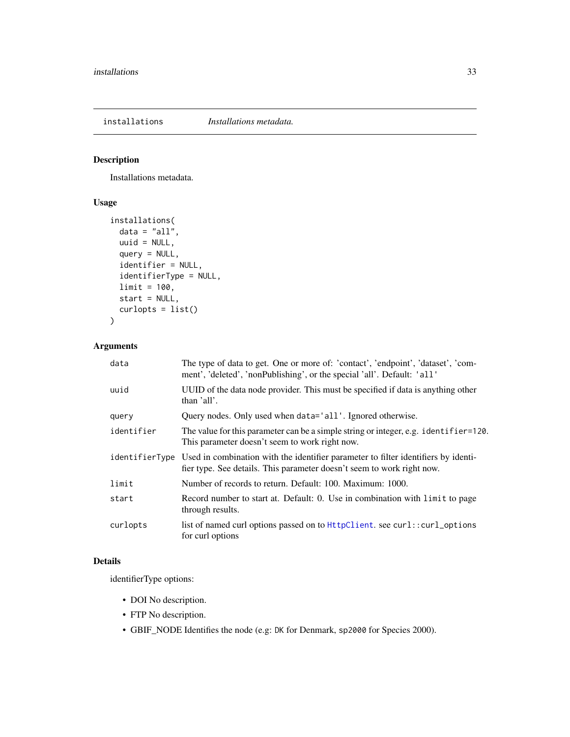<span id="page-32-0"></span>installations *Installations metadata.*

### Description

Installations metadata.

### Usage

```
installations(
 data = "all",uuid = NULL,query = NULL,
 identifier = NULL,
 identifierType = NULL,
 limit = 100,
 start = NULL,
 curlopts = list()
)
```
### Arguments

| data       | The type of data to get. One or more of: 'contact', 'endpoint', 'dataset', 'com-<br>ment', 'deleted', 'nonPublishing', or the special 'all'. Default: 'all'                 |
|------------|-----------------------------------------------------------------------------------------------------------------------------------------------------------------------------|
| uuid       | UUID of the data node provider. This must be specified if data is anything other<br>than 'all'.                                                                             |
| query      | Query nodes. Only used when data='all'. Ignored otherwise.                                                                                                                  |
| identifier | The value for this parameter can be a simple string or integer, e.g. identifier=120.<br>This parameter doesn't seem to work right now.                                      |
|            | identifierType Used in combination with the identifier parameter to filter identifiers by identi-<br>fier type. See details. This parameter doesn't seem to work right now. |
| limit      | Number of records to return. Default: 100. Maximum: 1000.                                                                                                                   |
| start      | Record number to start at. Default: 0. Use in combination with limit to page<br>through results.                                                                            |
| curlopts   | list of named curl options passed on to HttpClient. see curl:: curl_options<br>for curl options                                                                             |

### Details

identifierType options:

- DOI No description.
- FTP No description.
- GBIF\_NODE Identifies the node (e.g: DK for Denmark, sp2000 for Species 2000).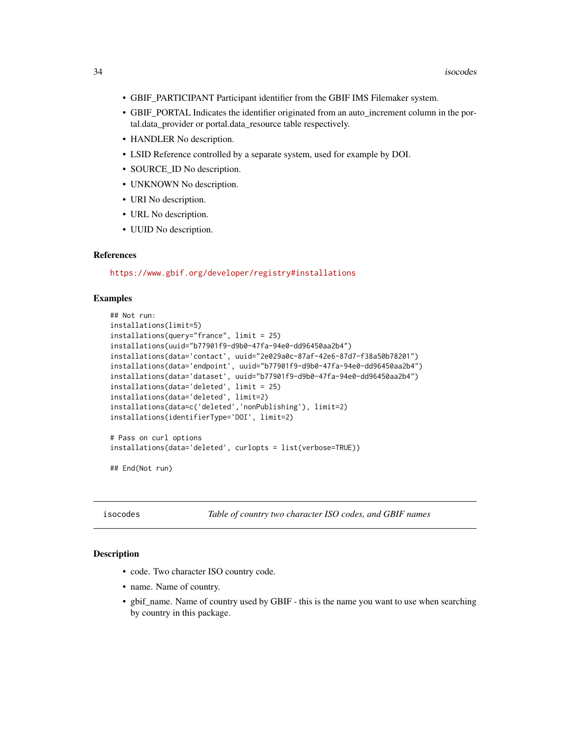- <span id="page-33-0"></span>• GBIF\_PARTICIPANT Participant identifier from the GBIF IMS Filemaker system.
- GBIF\_PORTAL Indicates the identifier originated from an auto\_increment column in the portal.data\_provider or portal.data\_resource table respectively.
- HANDLER No description.
- LSID Reference controlled by a separate system, used for example by DOI.
- SOURCE\_ID No description.
- UNKNOWN No description.
- URI No description.
- URL No description.
- UUID No description.

#### References

<https://www.gbif.org/developer/registry#installations>

#### Examples

```
## Not run:
installations(limit=5)
installations(query="france", limit = 25)
installations(uuid="b77901f9-d9b0-47fa-94e0-dd96450aa2b4")
installations(data='contact', uuid="2e029a0c-87af-42e6-87d7-f38a50b78201")
installations(data='endpoint', uuid="b77901f9-d9b0-47fa-94e0-dd96450aa2b4")
installations(data='dataset', uuid="b77901f9-d9b0-47fa-94e0-dd96450aa2b4")
installations(data='deleted', limit = 25)
installations(data='deleted', limit=2)
installations(data=c('deleted','nonPublishing'), limit=2)
installations(identifierType='DOI', limit=2)
# Pass on curl options
installations(data='deleted', curlopts = list(verbose=TRUE))
```

```
## End(Not run)
```
isocodes *Table of country two character ISO codes, and GBIF names*

#### **Description**

- code. Two character ISO country code.
- name. Name of country.
- gbif\_name. Name of country used by GBIF this is the name you want to use when searching by country in this package.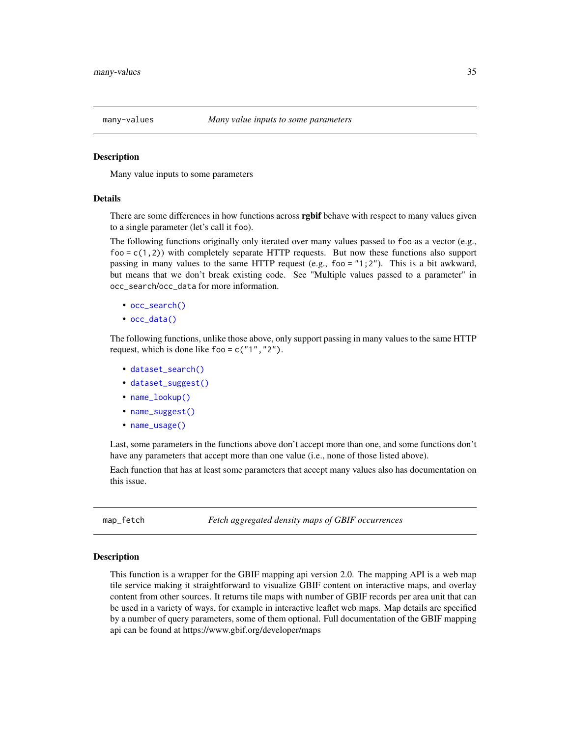<span id="page-34-1"></span><span id="page-34-0"></span>

Many value inputs to some parameters

#### Details

There are some differences in how functions across **rgbif** behave with respect to many values given to a single parameter (let's call it foo).

The following functions originally only iterated over many values passed to foo as a vector (e.g.,  $f$ oo =  $c(1,2)$ ) with completely separate HTTP requests. But now these functions also support passing in many values to the same HTTP request (e.g.,  $f \circ \circ = "1; 2"$ ). This is a bit awkward, but means that we don't break existing code. See "Multiple values passed to a parameter" in occ\_search/occ\_data for more information.

- [occ\\_search\(\)](#page-105-1)
- [occ\\_data\(\)](#page-63-1)

The following functions, unlike those above, only support passing in many values to the same HTTP request, which is done like foo =  $c("1", "2").$ 

- [dataset\\_search\(\)](#page-7-1)
- [dataset\\_suggest\(\)](#page-10-1)
- [name\\_lookup\(\)](#page-46-1)
- [name\\_suggest\(\)](#page-51-1)
- [name\\_usage\(\)](#page-53-1)

Last, some parameters in the functions above don't accept more than one, and some functions don't have any parameters that accept more than one value (i.e., none of those listed above).

Each function that has at least some parameters that accept many values also has documentation on this issue.

map\_fetch *Fetch aggregated density maps of GBIF occurrences*

#### Description

This function is a wrapper for the GBIF mapping api version 2.0. The mapping API is a web map tile service making it straightforward to visualize GBIF content on interactive maps, and overlay content from other sources. It returns tile maps with number of GBIF records per area unit that can be used in a variety of ways, for example in interactive leaflet web maps. Map details are specified by a number of query parameters, some of them optional. Full documentation of the GBIF mapping api can be found at https://www.gbif.org/developer/maps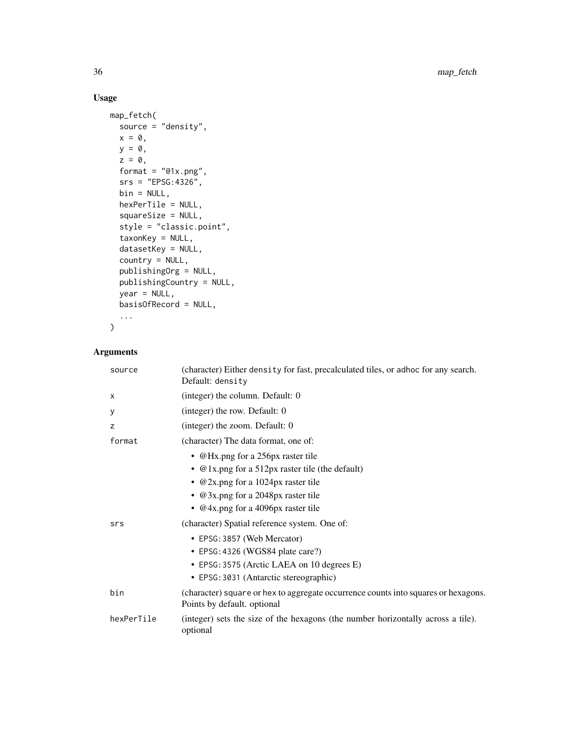## Usage

```
map_fetch(
  source = "density",
  x = 0,
  y = 0,
  z = 0,
  format = "@1x.png",
  srs = "EPSG:4326",
  bin = NULL,hexPerTile = NULL,
  squareSize = NULL,
  style = "classic.point",
  taxonKey = NULL,
  datasetKey = NULL,
  country = NULL,
  publishingOrg = NULL,
  publishingCountry = NULL,
  year = NULL,
  basisOfRecord = NULL,
  ...
\mathcal{L}
```
### Arguments

| source     | (character) Either density for fast, precalculated tiles, or adhoc for any search.<br>Default: density            |
|------------|-------------------------------------------------------------------------------------------------------------------|
| X          | (integer) the column. Default: 0                                                                                  |
| У          | (integer) the row. Default: 0                                                                                     |
| Z          | (integer) the zoom. Default: 0                                                                                    |
| format     | (character) The data format, one of:                                                                              |
|            | • @Hx.png for a 256px raster tile                                                                                 |
|            | • $@1x.png$ for a 512px raster tile (the default)                                                                 |
|            | • $@2x.png$ for a 1024px raster tile                                                                              |
|            | • @ 3x.png for a 2048px raster tile                                                                               |
|            | • $@4x.png$ for a 4096px raster tile                                                                              |
| srs        | (character) Spatial reference system. One of:                                                                     |
|            | • EPSG: 3857 (Web Mercator)                                                                                       |
|            | • EPSG: 4326 (WGS84 plate care?)                                                                                  |
|            | • EPSG: 3575 (Arctic LAEA on 10 degrees E)                                                                        |
|            | • EPSG: 3031 (Antarctic stereographic)                                                                            |
| bin        | (character) square or hex to aggregate occurrence counts into squares or hexagons.<br>Points by default. optional |
| hexPerTile | (integer) sets the size of the hexagons (the number horizontally across a tile).<br>optional                      |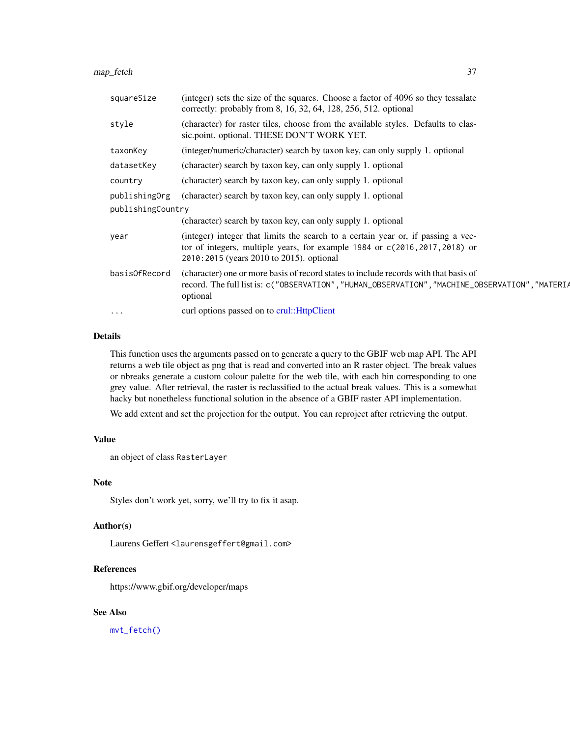map\_fetch 37

| squareSize        | (integer) sets the size of the squares. Choose a factor of 4096 so they tessalate<br>correctly: probably from 8, 16, 32, 64, 128, 256, 512. optional                                                        |  |
|-------------------|-------------------------------------------------------------------------------------------------------------------------------------------------------------------------------------------------------------|--|
| style             | (character) for raster tiles, choose from the available styles. Defaults to clas-<br>sic.point. optional. THESE DON'T WORK YET.                                                                             |  |
| taxonKey          | (integer/numeric/character) search by taxon key, can only supply 1. optional                                                                                                                                |  |
| datasetKey        | (character) search by taxon key, can only supply 1. optional                                                                                                                                                |  |
| country           | (character) search by taxon key, can only supply 1. optional                                                                                                                                                |  |
| publishingOrg     | (character) search by taxon key, can only supply 1. optional                                                                                                                                                |  |
| publishingCountry |                                                                                                                                                                                                             |  |
|                   | (character) search by taxon key, can only supply 1. optional                                                                                                                                                |  |
| year              | (integer) integer that limits the search to a certain year or, if passing a vec-<br>tor of integers, multiple years, for example 1984 or c(2016, 2017, 2018) or<br>2010:2015 (years 2010 to 2015). optional |  |
| basisOfRecord     | (character) one or more basis of record states to include records with that basis of<br>record. The full list is: c("OBSERVATION", "HUMAN_OBSERVATION", "MACHINE_OBSERVATION", "MATERIA<br>optional         |  |
| $\cdots$          | curl options passed on to crul:: HttpClient                                                                                                                                                                 |  |

#### Details

This function uses the arguments passed on to generate a query to the GBIF web map API. The API returns a web tile object as png that is read and converted into an R raster object. The break values or nbreaks generate a custom colour palette for the web tile, with each bin corresponding to one grey value. After retrieval, the raster is reclassified to the actual break values. This is a somewhat hacky but nonetheless functional solution in the absence of a GBIF raster API implementation.

We add extent and set the projection for the output. You can reproject after retrieving the output.

### Value

an object of class RasterLayer

### Note

Styles don't work yet, sorry, we'll try to fix it asap.

#### Author(s)

Laurens Geffert<laurensgeffert@gmail.com>

## References

https://www.gbif.org/developer/maps

## See Also

[mvt\\_fetch\(\)](#page-37-0)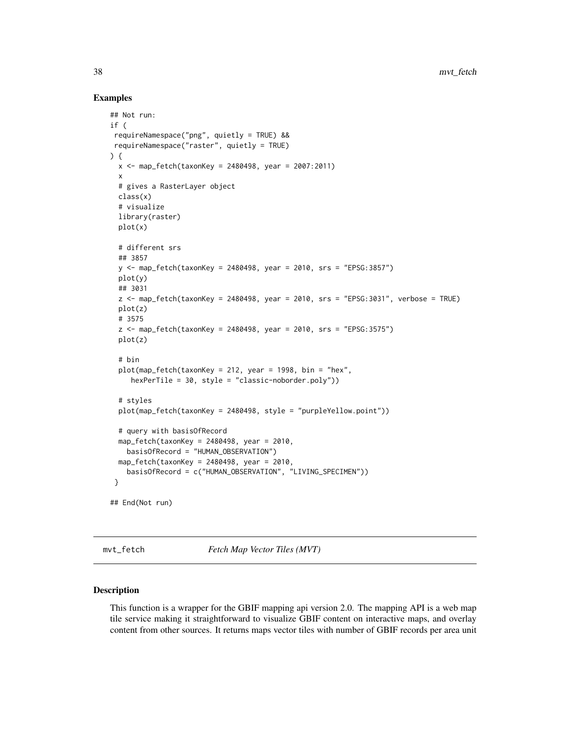#### Examples

```
## Not run:
if (
requireNamespace("png", quietly = TRUE) &&
requireNamespace("raster", quietly = TRUE)
) {
 x <- map_fetch(taxonKey = 2480498, year = 2007:2011)
 x
 # gives a RasterLayer object
 class(x)
 # visualize
 library(raster)
 plot(x)
 # different srs
 ## 3857
 y <- map_fetch(taxonKey = 2480498, year = 2010, srs = "EPSG:3857")
 plot(y)
 ## 3031
 z <- map_fetch(taxonKey = 2480498, year = 2010, srs = "EPSG:3031", verbose = TRUE)
 plot(z)
 # 3575
 z \le map_fetch(taxonKey = 2480498, year = 2010, srs = "EPSG:3575")
 plot(z)
 # bin
 plot(map_fetch(taxonKey = 212, year = 1998, bin = "hex",
    hexPerTile = 30, style = "classic-noborder.poly"))
 # styles
 plot(map_fetch(taxonKey = 2480498, style = "purpleYellow.point"))
 # query with basisOfRecord
 map_fetch(taxonKey = 2480498, year = 2010,
   basisOfRecord = "HUMAN_OBSERVATION")
 map_fetch(taxonKey = 2480498, year = 2010,
   basisOfRecord = c("HUMAN_OBSERVATION", "LIVING_SPECIMEN"))
 }
## End(Not run)
```
<span id="page-37-0"></span>mvt\_fetch *Fetch Map Vector Tiles (MVT)*

### Description

This function is a wrapper for the GBIF mapping api version 2.0. The mapping API is a web map tile service making it straightforward to visualize GBIF content on interactive maps, and overlay content from other sources. It returns maps vector tiles with number of GBIF records per area unit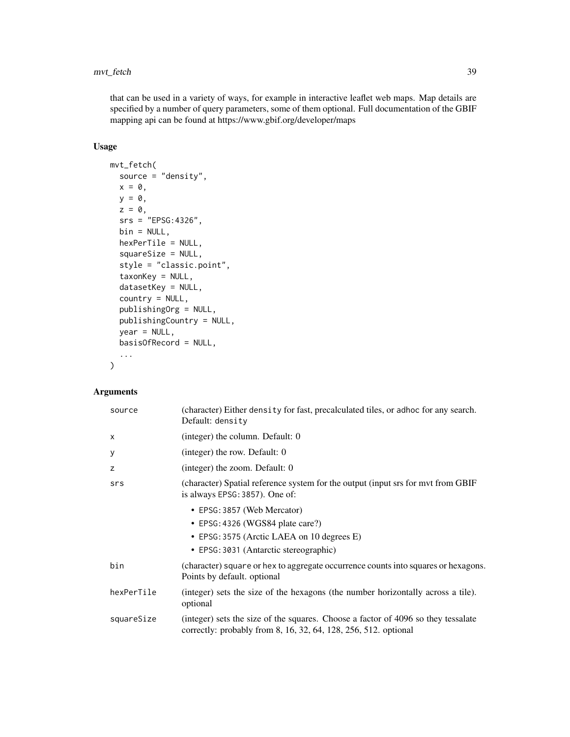### mvt\_fetch 39

that can be used in a variety of ways, for example in interactive leaflet web maps. Map details are specified by a number of query parameters, some of them optional. Full documentation of the GBIF mapping api can be found at https://www.gbif.org/developer/maps

## Usage

```
mvt_fetch(
  source = "density",
 x = 0,
 y = 0,
 z = 0,
  srs = "EPSG:4326",
 bin = NULL,hexPerTile = NULL,
  squareSize = NULL,
  style = "classic.point",
  taxonKey = NULL,
  datasetKey = NULL,
  country = NULL,
  publishingOrg = NULL,
  publishingCountry = NULL,
  year = NULL,
 basisOfRecord = NULL,
  ...
\mathcal{L}
```
## Arguments

| source     | (character) Either density for fast, precalculated tiles, or adhoc for any search.<br>Default: density                                                  |
|------------|---------------------------------------------------------------------------------------------------------------------------------------------------------|
| X          | (integer) the column. Default: 0                                                                                                                        |
| У          | (integer) the row. Default: $0$                                                                                                                         |
| z          | (integer) the zoom. Default: 0                                                                                                                          |
| srs        | (character) Spatial reference system for the output (input srs for mvt from GBIF<br>is always EPSG: 3857). One of:                                      |
|            | • EPSG: 3857 (Web Mercator)                                                                                                                             |
|            | • EPSG: 4326 (WGS84 plate care?)                                                                                                                        |
|            | • EPSG: 3575 (Arctic LAEA on 10 degrees E)                                                                                                              |
|            | • EPSG: 3031 (Antarctic stereographic)                                                                                                                  |
| bin        | (character) square or hex to aggregate occurrence counts into squares or hexagons.<br>Points by default. optional                                       |
| hexPerTile | (integer) sets the size of the hexagons (the number horizontally across a tile).<br>optional                                                            |
| squareSize | (integer) sets the size of the squares. Choose a factor of 4096 so they tessalate<br>correctly: probably from $8, 16, 32, 64, 128, 256, 512$ . optional |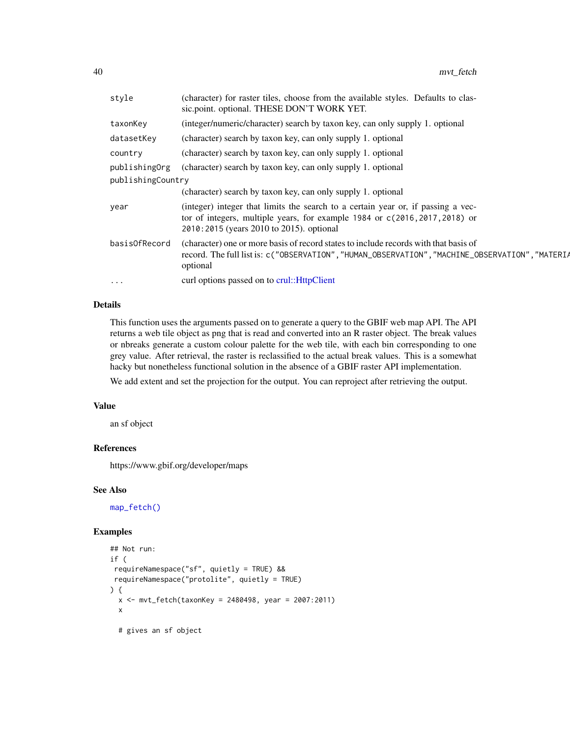| style             | (character) for raster tiles, choose from the available styles. Defaults to clas-<br>sic.point. optional. THESE DON'T WORK YET.                                                                             |
|-------------------|-------------------------------------------------------------------------------------------------------------------------------------------------------------------------------------------------------------|
| taxonKey          | (integer/numeric/character) search by taxon key, can only supply 1. optional                                                                                                                                |
| datasetKey        | (character) search by taxon key, can only supply 1. optional                                                                                                                                                |
| country           | (character) search by taxon key, can only supply 1. optional                                                                                                                                                |
| publishingOrg     | (character) search by taxon key, can only supply 1. optional                                                                                                                                                |
| publishingCountry |                                                                                                                                                                                                             |
|                   | (character) search by taxon key, can only supply 1. optional                                                                                                                                                |
| year              | (integer) integer that limits the search to a certain year or, if passing a vec-<br>tor of integers, multiple years, for example 1984 or c(2016, 2017, 2018) or<br>2010:2015 (years 2010 to 2015). optional |
| basisOfRecord     | (character) one or more basis of record states to include records with that basis of<br>record. The full list is: c("OBSERVATION", "HUMAN_OBSERVATION", "MACHINE_OBSERVATION", "MATERIA<br>optional         |
| $\cdots$          | curl options passed on to crul:: HttpClient                                                                                                                                                                 |

### Details

This function uses the arguments passed on to generate a query to the GBIF web map API. The API returns a web tile object as png that is read and converted into an R raster object. The break values or nbreaks generate a custom colour palette for the web tile, with each bin corresponding to one grey value. After retrieval, the raster is reclassified to the actual break values. This is a somewhat hacky but nonetheless functional solution in the absence of a GBIF raster API implementation.

We add extent and set the projection for the output. You can reproject after retrieving the output.

#### Value

an sf object

### References

https://www.gbif.org/developer/maps

### See Also

[map\\_fetch\(\)](#page-34-0)

### Examples

```
## Not run:
if (
requireNamespace("sf", quietly = TRUE) &&
requireNamespace("protolite", quietly = TRUE)
) {
 x <- mvt_fetch(taxonKey = 2480498, year = 2007:2011)
 x
 # gives an sf object
```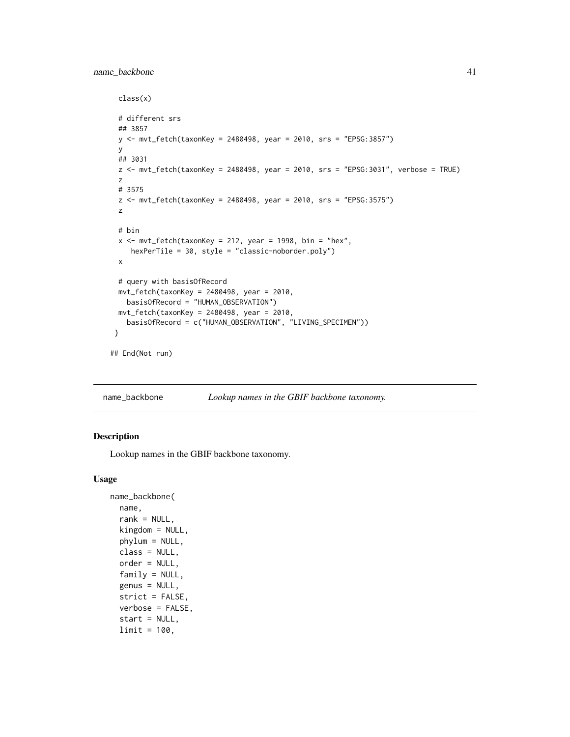### name\_backbone 41

```
class(x)
 # different srs
 ## 3857
 y <- mvt_fetch(taxonKey = 2480498, year = 2010, srs = "EPSG:3857")
 y
 ## 3031
 z <- mvt_fetch(taxonKey = 2480498, year = 2010, srs = "EPSG:3031", verbose = TRUE)
 z
 # 3575
 z <- mvt_fetch(taxonKey = 2480498, year = 2010, srs = "EPSG:3575")
 z
 # bin
 x \le - mvt_fetch(taxonKey = 212, year = 1998, bin = "hex",
     hexPerTile = 30, style = "classic-noborder.poly")
 x
 # query with basisOfRecord
 mvt_fetch(taxonKey = 2480498, year = 2010,basisOfRecord = "HUMAN_OBSERVATION")
 mvt_fetch(taxonKey = 2480498, year = 2010,basisOfRecord = c("HUMAN_OBSERVATION", "LIVING_SPECIMEN"))
}
## End(Not run)
```
name\_backbone *Lookup names in the GBIF backbone taxonomy.*

### Description

Lookup names in the GBIF backbone taxonomy.

#### Usage

```
name_backbone(
  name,
  rank = NULL,
  kingdom = NULL,
  phylum = NULL,
  class = NULL,
  order = NULL,
  family = NULL,genus = NULL,
  strict = FALSE,
  verbose = FALSE,
  start = NULL,
  limit = 100,
```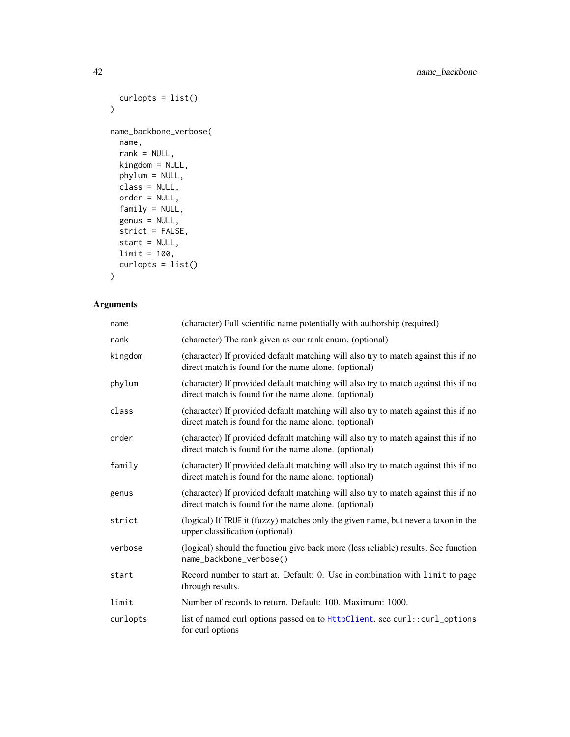```
curlopts = list()
)
name_backbone_verbose(
 name,
 rank = NULL,kingdom = NULL,
 phylum = NULL,
 class = NULL,
 order = NULL,
 family = NULL,
 genus = NULL,
 strict = FALSE,
 start = NULL,
 limit = 100,
 curlopts = list()
\mathcal{L}
```
## Arguments

| name     | (character) Full scientific name potentially with authorship (required)                                                                    |
|----------|--------------------------------------------------------------------------------------------------------------------------------------------|
| rank     | (character) The rank given as our rank enum. (optional)                                                                                    |
| kingdom  | (character) If provided default matching will also try to match against this if no<br>direct match is found for the name alone. (optional) |
| phylum   | (character) If provided default matching will also try to match against this if no<br>direct match is found for the name alone. (optional) |
| class    | (character) If provided default matching will also try to match against this if no<br>direct match is found for the name alone. (optional) |
| order    | (character) If provided default matching will also try to match against this if no<br>direct match is found for the name alone. (optional) |
| family   | (character) If provided default matching will also try to match against this if no<br>direct match is found for the name alone. (optional) |
| genus    | (character) If provided default matching will also try to match against this if no<br>direct match is found for the name alone. (optional) |
| strict   | (logical) If TRUE it (fuzzy) matches only the given name, but never a taxon in the<br>upper classification (optional)                      |
| verbose  | (logical) should the function give back more (less reliable) results. See function<br>name_backbone_verbose()                              |
| start    | Record number to start at. Default: 0. Use in combination with limit to page<br>through results.                                           |
| limit    | Number of records to return. Default: 100. Maximum: 1000.                                                                                  |
| curlopts | list of named curl options passed on to HttpClient. see curl::curl_options<br>for curl options                                             |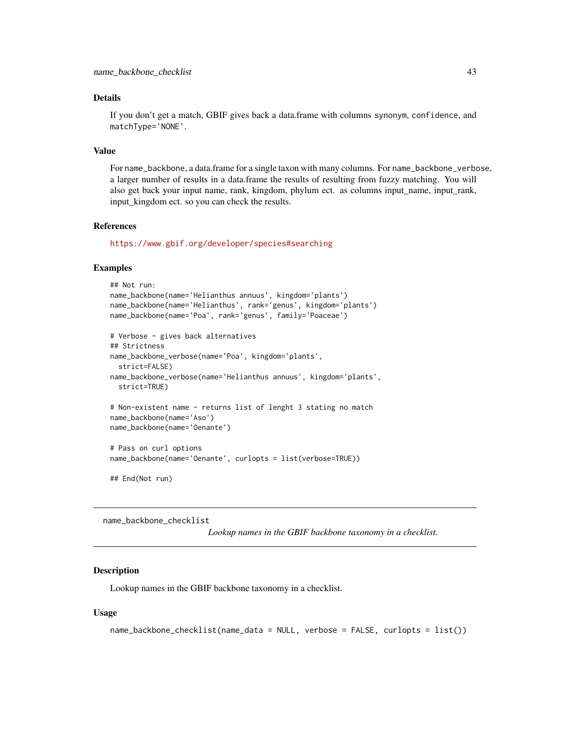### Details

If you don't get a match, GBIF gives back a data.frame with columns synonym, confidence, and matchType='NONE'.

#### Value

For name\_backbone, a data.frame for a single taxon with many columns. For name\_backbone\_verbose, a larger number of results in a data.frame the results of resulting from fuzzy matching. You will also get back your input name, rank, kingdom, phylum ect. as columns input\_name, input\_rank, input kingdom ect. so you can check the results.

#### References

<https://www.gbif.org/developer/species#searching>

#### Examples

```
## Not run:
name_backbone(name='Helianthus annuus', kingdom='plants')
name_backbone(name='Helianthus', rank='genus', kingdom='plants')
name_backbone(name='Poa', rank='genus', family='Poaceae')
# Verbose - gives back alternatives
## Strictness
name_backbone_verbose(name='Poa', kingdom='plants',
  strict=FALSE)
name_backbone_verbose(name='Helianthus annuus', kingdom='plants',
  strict=TRUE)
# Non-existent name - returns list of lenght 3 stating no match
name_backbone(name='Aso')
name_backbone(name='Oenante')
# Pass on curl options
name_backbone(name='Oenante', curlopts = list(verbose=TRUE))
```
## End(Not run)

name\_backbone\_checklist

*Lookup names in the GBIF backbone taxonomy in a checklist.*

#### **Description**

Lookup names in the GBIF backbone taxonomy in a checklist.

#### Usage

```
name_backbone_checklist(name_data = NULL, verbose = FALSE, curlopts = list())
```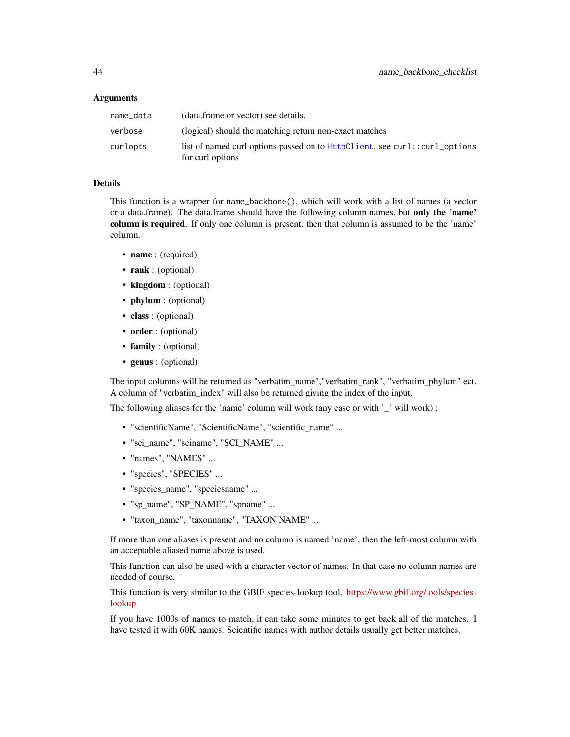#### Arguments

| name_data | (data.frame or vector) see details.                                                            |
|-----------|------------------------------------------------------------------------------------------------|
| verbose   | (logical) should the matching return non-exact matches                                         |
| curlopts  | list of named curl options passed on to HttpClient, see curl::curl_options<br>for curl options |

### Details

This function is a wrapper for name\_backbone(), which will work with a list of names (a vector or a data.frame). The data.frame should have the following column names, but only the 'name' column is required. If only one column is present, then that column is assumed to be the 'name' column.

- name : (required)
- rank : (optional)
- kingdom : (optional)
- phylum : (optional)
- class : (optional)
- order : (optional)
- family : (optional)
- genus : (optional)

The input columns will be returned as "verbatim\_name","verbatim\_rank", "verbatim\_phylum" ect. A column of "verbatim\_index" will also be returned giving the index of the input.

The following aliases for the 'name' column will work (any case or with '\_' will work) :

- "scientificName", "ScientificName", "scientific\_name" ...
- "sci\_name", "sciname", "SCI\_NAME" ...
- "names", "NAMES" ...
- "species", "SPECIES" ...
- "species name", "speciesname" ...
- "sp\_name", "SP\_NAME", "spname" ...
- "taxon\_name", "taxonname", "TAXON NAME" ...

If more than one aliases is present and no column is named 'name', then the left-most column with an acceptable aliased name above is used.

This function can also be used with a character vector of names. In that case no column names are needed of course.

This function is very similar to the GBIF species-lookup tool. [https://www.gbif.org/tools/species](https://www.gbif.org/tools/species-lookup)[lookup](https://www.gbif.org/tools/species-lookup)

If you have 1000s of names to match, it can take some minutes to get back all of the matches. I have tested it with 60K names. Scientific names with author details usually get better matches.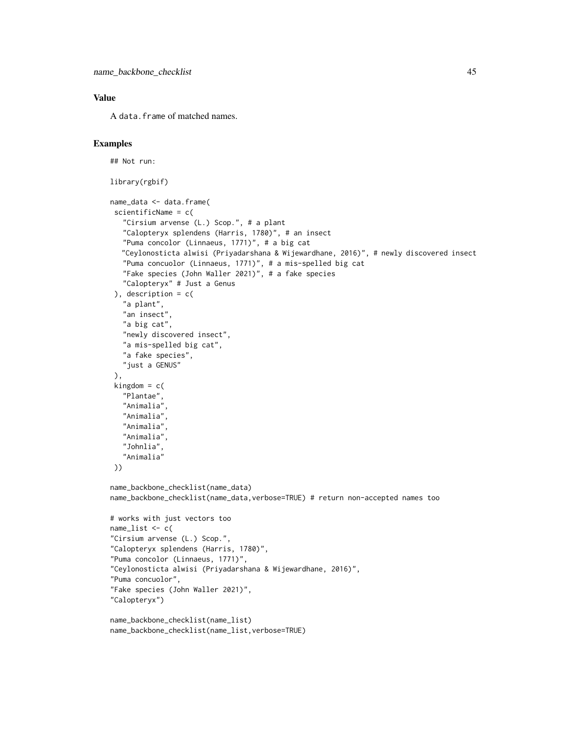### Value

A data.frame of matched names.

## Examples

```
## Not run:
library(rgbif)
name_data <- data.frame(
scientificName = c(
   "Cirsium arvense (L.) Scop.", # a plant
   "Calopteryx splendens (Harris, 1780)", # an insect
   "Puma concolor (Linnaeus, 1771)", # a big cat
  "Ceylonosticta alwisi (Priyadarshana & Wijewardhane, 2016)", # newly discovered insect
   "Puma concuolor (Linnaeus, 1771)", # a mis-spelled big cat
   "Fake species (John Waller 2021)", # a fake species
   "Calopteryx" # Just a Genus
 ), description = c(
   "a plant",
   "an insect"
   "a big cat",
   "newly discovered insect",
   "a mis-spelled big cat",
  "a fake species",
  "just a GENUS"
),
 kingdom = c("Plantae",
   "Animalia",
   "Animalia",
   "Animalia",
   "Animalia",
   "Johnlia",
   "Animalia"
))
name_backbone_checklist(name_data)
name_backbone_checklist(name_data,verbose=TRUE) # return non-accepted names too
# works with just vectors too
name_list < - c("Cirsium arvense (L.) Scop.",
"Calopteryx splendens (Harris, 1780)",
"Puma concolor (Linnaeus, 1771)",
"Ceylonosticta alwisi (Priyadarshana & Wijewardhane, 2016)",
"Puma concuolor",
"Fake species (John Waller 2021)",
"Calopteryx")
name_backbone_checklist(name_list)
name_backbone_checklist(name_list,verbose=TRUE)
```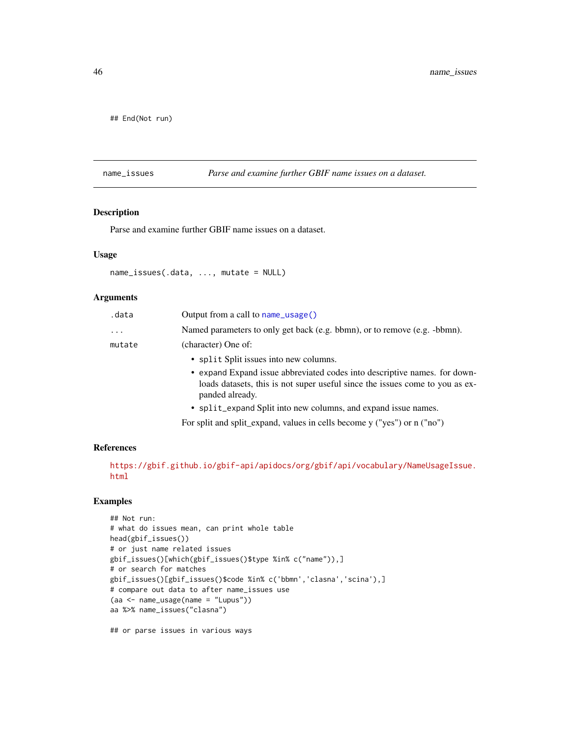## End(Not run)

<span id="page-45-0"></span>name\_issues *Parse and examine further GBIF name issues on a dataset.*

### Description

Parse and examine further GBIF name issues on a dataset.

#### Usage

```
name_issues(.data, ..., mutate = NULL)
```
### Arguments

| .data    | Output from a call to $name\_usage()$                                                                                                                                        |
|----------|------------------------------------------------------------------------------------------------------------------------------------------------------------------------------|
| $\cdots$ | Named parameters to only get back (e.g. bbmn), or to remove (e.g. -bbmn).                                                                                                    |
| mutate   | (character) One of:                                                                                                                                                          |
|          | • split Split issues into new columns.                                                                                                                                       |
|          | • expand Expand issue abbreviated codes into descriptive names. for down-<br>loads datasets, this is not super useful since the issues come to you as ex-<br>panded already. |
|          | • split_expand Split into new columns, and expand issue names.                                                                                                               |
|          |                                                                                                                                                                              |

For split and split\_expand, values in cells become y ("yes") or n ("no")

### References

[https://gbif.github.io/gbif-api/apidocs/org/gbif/api/vocabulary/NameUsageIssue.](https://gbif.github.io/gbif-api/apidocs/org/gbif/api/vocabulary/NameUsageIssue.html) [html](https://gbif.github.io/gbif-api/apidocs/org/gbif/api/vocabulary/NameUsageIssue.html)

### Examples

```
## Not run:
# what do issues mean, can print whole table
head(gbif_issues())
# or just name related issues
gbif_issues()[which(gbif_issues()$type %in% c("name")),]
# or search for matches
gbif_issues()[gbif_issues()$code %in% c('bbmn','clasna','scina'),]
# compare out data to after name_issues use
(aa <- name_usage(name = "Lupus"))
aa %>% name_issues("clasna")
```
## or parse issues in various ways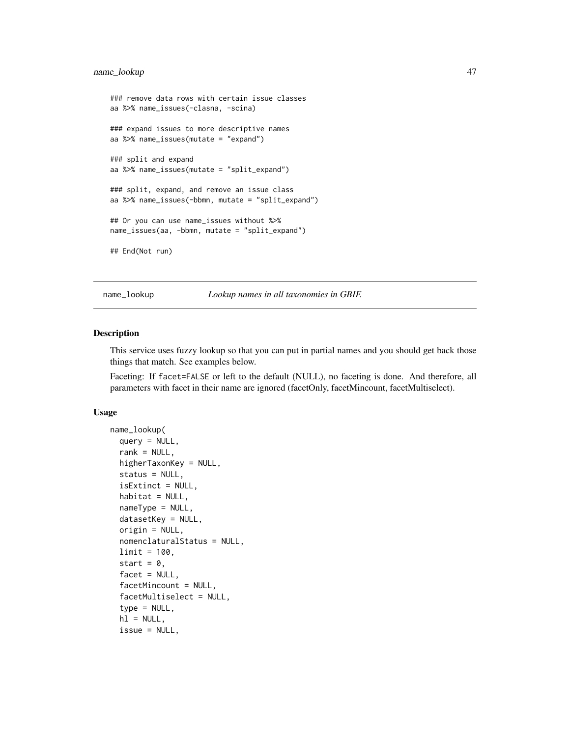### name\_lookup 47

```
### remove data rows with certain issue classes
aa %>% name_issues(-clasna, -scina)
### expand issues to more descriptive names
aa %>% name_issues(mutate = "expand")
### split and expand
aa %>% name_issues(mutate = "split_expand")
### split, expand, and remove an issue class
aa %>% name_issues(-bbmn, mutate = "split_expand")
## Or you can use name_issues without %>%
name_issues(aa, -bbmn, mutate = "split_expand")
## End(Not run)
```
<span id="page-46-0"></span>name\_lookup *Lookup names in all taxonomies in GBIF.*

#### **Description**

This service uses fuzzy lookup so that you can put in partial names and you should get back those things that match. See examples below.

Faceting: If facet=FALSE or left to the default (NULL), no faceting is done. And therefore, all parameters with facet in their name are ignored (facetOnly, facetMincount, facetMultiselect).

### Usage

```
name_lookup(
  query = NULL,
  rank = NULL,higherTaxonKey = NULL,
  status = NULL,
  isExtinct = NULL,
  habitat = NULL,nameType = NULL,datasetKey = NULL,
  origin = NULL,
  nomenclaturalStatus = NULL,
  limit = 100,
  start = 0,
  facet = NULL,facetMincount = NULL,
  facetMultiselect = NULL,
  type = NULL,
  h1 = NULL,issue = NULL,
```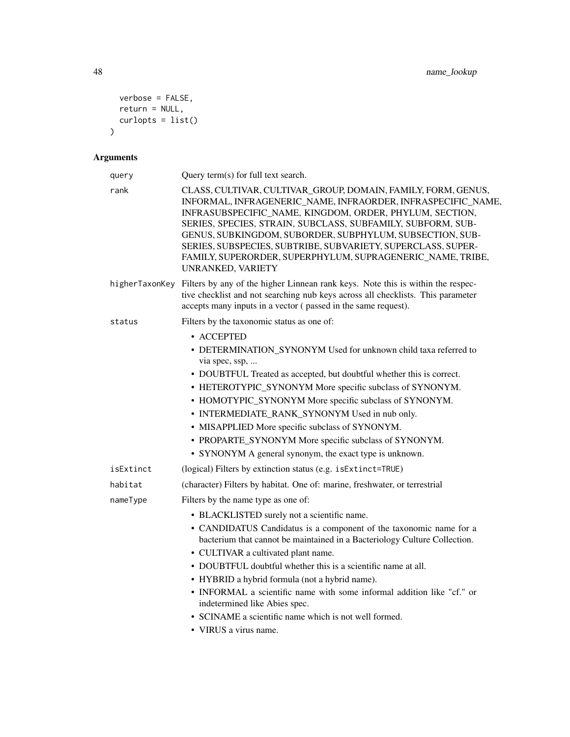```
verbose = FALSE,
  return = NULL,
 curlopts = list()\mathcal{L}
```
# Arguments

| query     | Query term(s) for full text search.                                                                                                                                                                                                                                                                                                                                                                                                                                    |
|-----------|------------------------------------------------------------------------------------------------------------------------------------------------------------------------------------------------------------------------------------------------------------------------------------------------------------------------------------------------------------------------------------------------------------------------------------------------------------------------|
| rank      | CLASS, CULTIVAR, CULTIVAR_GROUP, DOMAIN, FAMILY, FORM, GENUS,<br>INFORMAL, INFRAGENERIC_NAME, INFRAORDER, INFRASPECIFIC_NAME,<br>INFRASUBSPECIFIC_NAME, KINGDOM, ORDER, PHYLUM, SECTION,<br>SERIES, SPECIES, STRAIN, SUBCLASS, SUBFAMILY, SUBFORM, SUB-<br>GENUS, SUBKINGDOM, SUBORDER, SUBPHYLUM, SUBSECTION, SUB-<br>SERIES, SUBSPECIES, SUBTRIBE, SUBVARIETY, SUPERCLASS, SUPER-<br>FAMILY, SUPERORDER, SUPERPHYLUM, SUPRAGENERIC_NAME, TRIBE,<br>UNRANKED, VARIETY |
|           | higherTaxonKey Filters by any of the higher Linnean rank keys. Note this is within the respec-<br>tive checklist and not searching nub keys across all checklists. This parameter<br>accepts many inputs in a vector (passed in the same request).                                                                                                                                                                                                                     |
| status    | Filters by the taxonomic status as one of:                                                                                                                                                                                                                                                                                                                                                                                                                             |
|           | • ACCEPTED                                                                                                                                                                                                                                                                                                                                                                                                                                                             |
|           | • DETERMINATION_SYNONYM Used for unknown child taxa referred to<br>via spec, ssp,                                                                                                                                                                                                                                                                                                                                                                                      |
|           | • DOUBTFUL Treated as accepted, but doubtful whether this is correct.                                                                                                                                                                                                                                                                                                                                                                                                  |
|           | • HETEROTYPIC_SYNONYM More specific subclass of SYNONYM.                                                                                                                                                                                                                                                                                                                                                                                                               |
|           | • HOMOTYPIC_SYNONYM More specific subclass of SYNONYM.                                                                                                                                                                                                                                                                                                                                                                                                                 |
|           | • INTERMEDIATE_RANK_SYNONYM Used in nub only.                                                                                                                                                                                                                                                                                                                                                                                                                          |
|           | • MISAPPLIED More specific subclass of SYNONYM.                                                                                                                                                                                                                                                                                                                                                                                                                        |
|           | • PROPARTE_SYNONYM More specific subclass of SYNONYM.                                                                                                                                                                                                                                                                                                                                                                                                                  |
|           | • SYNONYM A general synonym, the exact type is unknown.                                                                                                                                                                                                                                                                                                                                                                                                                |
| isExtinct | (logical) Filters by extinction status (e.g. is Extinct=TRUE)                                                                                                                                                                                                                                                                                                                                                                                                          |
| habitat   | (character) Filters by habitat. One of: marine, freshwater, or terrestrial                                                                                                                                                                                                                                                                                                                                                                                             |
| nameType  | Filters by the name type as one of:                                                                                                                                                                                                                                                                                                                                                                                                                                    |
|           | • BLACKLISTED surely not a scientific name.                                                                                                                                                                                                                                                                                                                                                                                                                            |
|           | • CANDIDATUS Candidatus is a component of the taxonomic name for a<br>bacterium that cannot be maintained in a Bacteriology Culture Collection.                                                                                                                                                                                                                                                                                                                        |
|           | • CULTIVAR a cultivated plant name.                                                                                                                                                                                                                                                                                                                                                                                                                                    |
|           | • DOUBTFUL doubtful whether this is a scientific name at all.                                                                                                                                                                                                                                                                                                                                                                                                          |
|           | • HYBRID a hybrid formula (not a hybrid name).                                                                                                                                                                                                                                                                                                                                                                                                                         |
|           | • INFORMAL a scientific name with some informal addition like "cf." or<br>indetermined like Abies spec.                                                                                                                                                                                                                                                                                                                                                                |
|           | • SCINAME a scientific name which is not well formed.                                                                                                                                                                                                                                                                                                                                                                                                                  |
|           | • VIRUS a virus name.                                                                                                                                                                                                                                                                                                                                                                                                                                                  |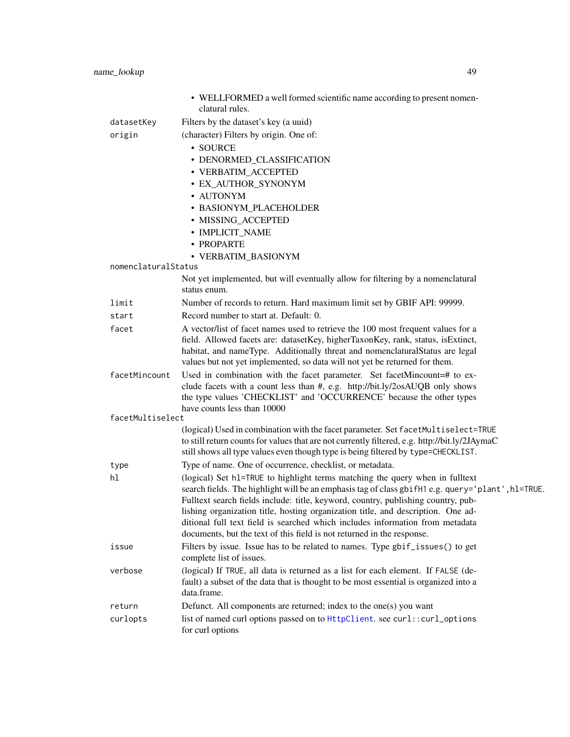|                     | • WELLFORMED a well formed scientific name according to present nomen-<br>clatural rules.                                                                                          |
|---------------------|------------------------------------------------------------------------------------------------------------------------------------------------------------------------------------|
| datasetKey          | Filters by the dataset's key (a uuid)                                                                                                                                              |
| origin              | (character) Filters by origin. One of:                                                                                                                                             |
|                     | · SOURCE                                                                                                                                                                           |
|                     | • DENORMED_CLASSIFICATION                                                                                                                                                          |
|                     | • VERBATIM_ACCEPTED                                                                                                                                                                |
|                     | · EX_AUTHOR_SYNONYM                                                                                                                                                                |
|                     | · AUTONYM                                                                                                                                                                          |
|                     | • BASIONYM_PLACEHOLDER                                                                                                                                                             |
|                     | • MISSING_ACCEPTED                                                                                                                                                                 |
|                     | • IMPLICIT_NAME                                                                                                                                                                    |
|                     | · PROPARTE                                                                                                                                                                         |
| nomenclaturalStatus | • VERBATIM_BASIONYM                                                                                                                                                                |
|                     | Not yet implemented, but will eventually allow for filtering by a nomenclatural<br>status enum.                                                                                    |
| limit               | Number of records to return. Hard maximum limit set by GBIF API: 99999.                                                                                                            |
| start               | Record number to start at. Default: 0.                                                                                                                                             |
| facet               | A vector/list of facet names used to retrieve the 100 most frequent values for a                                                                                                   |
|                     | field. Allowed facets are: datasetKey, higherTaxonKey, rank, status, isExtinct,                                                                                                    |
|                     | habitat, and nameType. Additionally threat and nomenclaturalStatus are legal                                                                                                       |
|                     | values but not yet implemented, so data will not yet be returned for them.                                                                                                         |
| facetMincount       | Used in combination with the facet parameter. Set facetMincount=# to ex-<br>clude facets with a count less than #, e.g. http://bit.ly/2osAUQB only shows                           |
|                     | the type values 'CHECKLIST' and 'OCCURRENCE' because the other types                                                                                                               |
|                     | have counts less than 10000                                                                                                                                                        |
| facetMultiselect    |                                                                                                                                                                                    |
|                     | (logical) Used in combination with the facet parameter. Set facetMultiselect=TRUE                                                                                                  |
|                     | to still return counts for values that are not currently filtered, e.g. http://bit.ly/2JAymaC<br>still shows all type values even though type is being filtered by type=CHECKLIST. |
| type                | Type of name. One of occurrence, checklist, or metadata.                                                                                                                           |
| hl                  | (logical) Set h1=TRUE to highlight terms matching the query when in fulltext                                                                                                       |
|                     | search fields. The highlight will be an emphasis tag of class gbifH1 e.g. query='plant', h1=TRUE.                                                                                  |
|                     | Fulltext search fields include: title, keyword, country, publishing country, pub-                                                                                                  |
|                     | lishing organization title, hosting organization title, and description. One ad-                                                                                                   |
|                     | ditional full text field is searched which includes information from metadata                                                                                                      |
|                     | documents, but the text of this field is not returned in the response.                                                                                                             |
| issue               | Filters by issue. Issue has to be related to names. Type gbif_issues() to get<br>complete list of issues.                                                                          |
| verbose             | (logical) If TRUE, all data is returned as a list for each element. If FALSE (de-                                                                                                  |
|                     | fault) a subset of the data that is thought to be most essential is organized into a<br>data.frame.                                                                                |
| return              | Defunct. All components are returned; index to the one(s) you want                                                                                                                 |
| curlopts            | list of named curl options passed on to HttpClient. see curl:: curl_options<br>for curl options                                                                                    |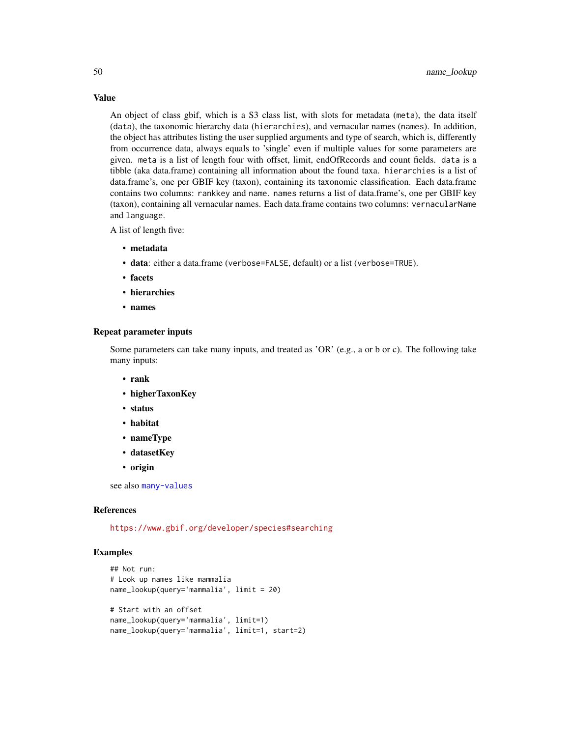Value

An object of class gbif, which is a S3 class list, with slots for metadata (meta), the data itself (data), the taxonomic hierarchy data (hierarchies), and vernacular names (names). In addition, the object has attributes listing the user supplied arguments and type of search, which is, differently from occurrence data, always equals to 'single' even if multiple values for some parameters are given. meta is a list of length four with offset, limit, endOfRecords and count fields. data is a tibble (aka data.frame) containing all information about the found taxa. hierarchies is a list of data.frame's, one per GBIF key (taxon), containing its taxonomic classification. Each data.frame contains two columns: rankkey and name. names returns a list of data.frame's, one per GBIF key (taxon), containing all vernacular names. Each data.frame contains two columns: vernacularName and language.

A list of length five:

- metadata
- data: either a data.frame (verbose=FALSE, default) or a list (verbose=TRUE).
- facets
- hierarchies
- names

#### Repeat parameter inputs

Some parameters can take many inputs, and treated as 'OR' (e.g., a or b or c). The following take many inputs:

- rank
- higherTaxonKey
- status
- habitat
- nameType
- datasetKey
- origin

see also [many-values](#page-34-1)

#### References

<https://www.gbif.org/developer/species#searching>

### Examples

```
## Not run:
# Look up names like mammalia
name_lookup(query='mammalia', limit = 20)
# Start with an offset
name_lookup(query='mammalia', limit=1)
name_lookup(query='mammalia', limit=1, start=2)
```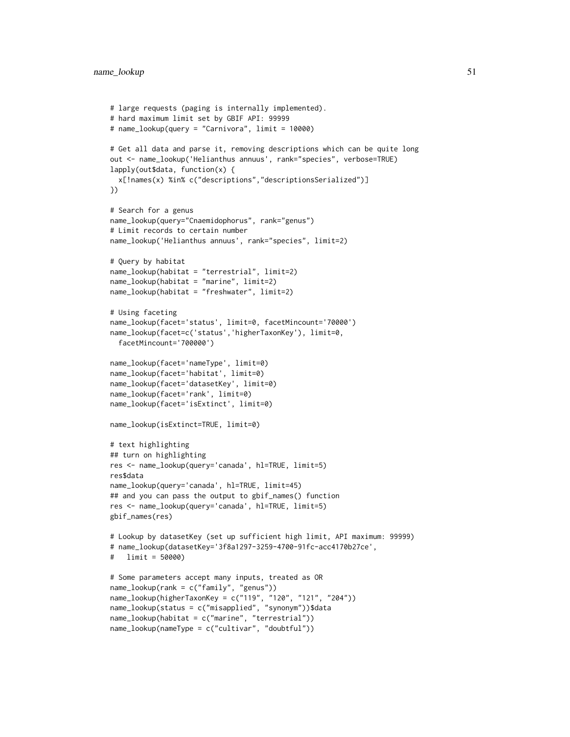```
# large requests (paging is internally implemented).
# hard maximum limit set by GBIF API: 99999
# name_lookup(query = "Carnivora", limit = 10000)
# Get all data and parse it, removing descriptions which can be quite long
out <- name_lookup('Helianthus annuus', rank="species", verbose=TRUE)
lapply(out$data, function(x) {
 x[!names(x) %in% c("descriptions","descriptionsSerialized")]
})
# Search for a genus
name_lookup(query="Cnaemidophorus", rank="genus")
# Limit records to certain number
name_lookup('Helianthus annuus', rank="species", limit=2)
# Query by habitat
name_lookup(habitat = "terrestrial", limit=2)
name_lookup(habitat = "marine", limit=2)
name_lookup(habitat = "freshwater", limit=2)
# Using faceting
name_lookup(facet='status', limit=0, facetMincount='70000')
name_lookup(facet=c('status','higherTaxonKey'), limit=0,
 facetMincount='700000')
name_lookup(facet='nameType', limit=0)
name_lookup(facet='habitat', limit=0)
name_lookup(facet='datasetKey', limit=0)
name_lookup(facet='rank', limit=0)
name_lookup(facet='isExtinct', limit=0)
name_lookup(isExtinct=TRUE, limit=0)
# text highlighting
## turn on highlighting
res <- name_lookup(query='canada', hl=TRUE, limit=5)
res$data
name_lookup(query='canada', hl=TRUE, limit=45)
## and you can pass the output to gbif_names() function
res <- name_lookup(query='canada', hl=TRUE, limit=5)
gbif_names(res)
# Lookup by datasetKey (set up sufficient high limit, API maximum: 99999)
# name_lookup(datasetKey='3f8a1297-3259-4700-91fc-acc4170b27ce',
# limit = 50000)
# Some parameters accept many inputs, treated as OR
name_lookup(rank = c("family", "genus"))
name_lookup(higherTaxonKey = c("119", "120", "121", "204"))
name_lookup(status = c("misapplied", "synonym"))$data
name_lookup(habitat = c("marine", "terrestrial"))
name_lookup(nameType = c("cultivar", "doubtful"))
```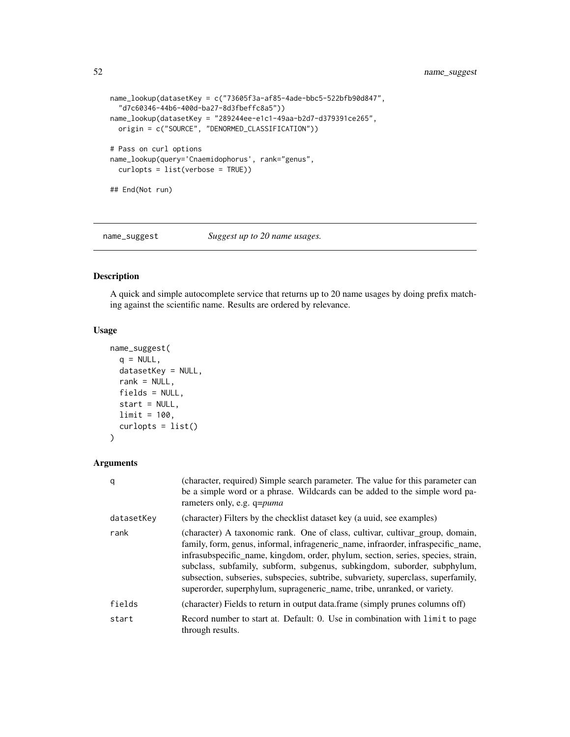```
name_lookup(datasetKey = c("73605f3a-af85-4ade-bbc5-522bfb90d847",
  "d7c60346-44b6-400d-ba27-8d3fbeffc8a5"))
name_lookup(datasetKey = "289244ee-e1c1-49aa-b2d7-d379391ce265",
  origin = c("SOURCE", "DENORMED_CLASSIFICATION"))
# Pass on curl options
name_lookup(query='Cnaemidophorus', rank="genus",
  curlopts = list(verbose = TRUE))
## End(Not run)
```
name\_suggest *Suggest up to 20 name usages.*

### Description

A quick and simple autocomplete service that returns up to 20 name usages by doing prefix matching against the scientific name. Results are ordered by relevance.

#### Usage

```
name_suggest(
 q = NULL,datasetKey = NULL,
 rank = NULL,fields = NULL,
  start = NULL,
 limit = 100,
  curlopts = list())
```
### Arguments

| q          | (character, required) Simple search parameter. The value for this parameter can<br>be a simple word or a phrase. Wildcards can be added to the simple word pa-<br>rameters only, e.g. q=puma                                                                                                                                                                                                                                                                                                        |
|------------|-----------------------------------------------------------------------------------------------------------------------------------------------------------------------------------------------------------------------------------------------------------------------------------------------------------------------------------------------------------------------------------------------------------------------------------------------------------------------------------------------------|
| datasetKey | (character) Filters by the checklist dataset key (a uuid, see examples)                                                                                                                                                                                                                                                                                                                                                                                                                             |
| rank       | (character) A taxonomic rank. One of class, cultivar, cultivar_group, domain,<br>family, form, genus, informal, infrageneric_name, infraorder, infraspecific_name,<br>infrasubspecific_name, kingdom, order, phylum, section, series, species, strain,<br>subclass, subfamily, subform, subgenus, subkingdom, suborder, subphylum,<br>subsection, subseries, subspecies, subtribe, subvariety, superclass, superfamily,<br>superorder, superphylum, suprageneric_name, tribe, unranked, or variety. |
| fields     | (character) Fields to return in output data.frame (simply prunes columns off)                                                                                                                                                                                                                                                                                                                                                                                                                       |
| start      | Record number to start at. Default: 0. Use in combination with limit to page<br>through results.                                                                                                                                                                                                                                                                                                                                                                                                    |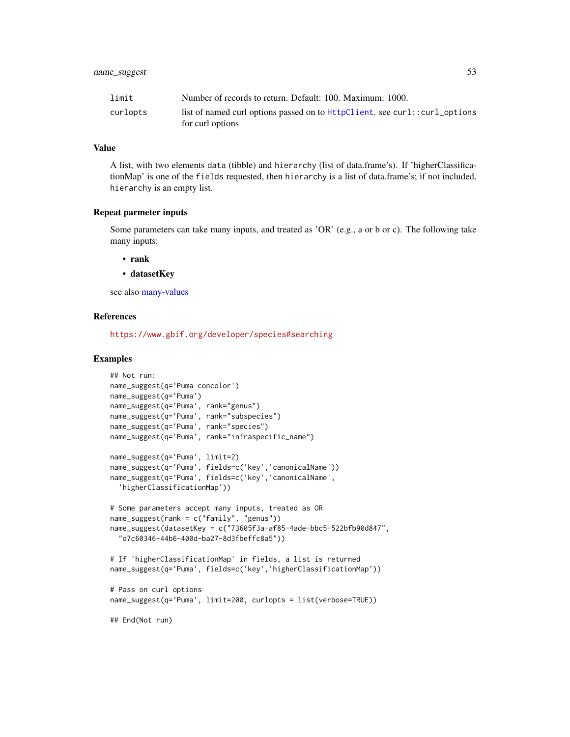| limit    | Number of records to return. Default: 100. Maximum: 1000.                                      |
|----------|------------------------------------------------------------------------------------------------|
| curlopts | list of named curl options passed on to HttpClient, see curl::curl_options<br>for curl options |

### Value

A list, with two elements data (tibble) and hierarchy (list of data.frame's). If 'higherClassificationMap' is one of the fields requested, then hierarchy is a list of data.frame's; if not included, hierarchy is an empty list.

#### Repeat parmeter inputs

Some parameters can take many inputs, and treated as 'OR' (e.g., a or b or c). The following take many inputs:

- rank
- datasetKey

see also [many-values](#page-34-1)

#### References

<https://www.gbif.org/developer/species#searching>

#### Examples

```
## Not run:
name_suggest(q='Puma concolor')
name_suggest(q='Puma')
name_suggest(q='Puma', rank="genus")
name_suggest(q='Puma', rank="subspecies")
name_suggest(q='Puma', rank="species")
name_suggest(q='Puma', rank="infraspecific_name")
name_suggest(q='Puma', limit=2)
name_suggest(q='Puma', fields=c('key','canonicalName'))
name_suggest(q='Puma', fields=c('key','canonicalName',
  'higherClassificationMap'))
# Some parameters accept many inputs, treated as OR
name_suggest(rank = c("family", "genus"))
name_suggest(datasetKey = c("73605f3a-af85-4ade-bbc5-522bfb90d847",
  "d7c60346-44b6-400d-ba27-8d3fbeffc8a5"))
# If 'higherClassificationMap' in fields, a list is returned
name_suggest(q='Puma', fields=c('key','higherClassificationMap'))
# Pass on curl options
name_suggest(q='Puma', limit=200, curlopts = list(verbose=TRUE))
## End(Not run)
```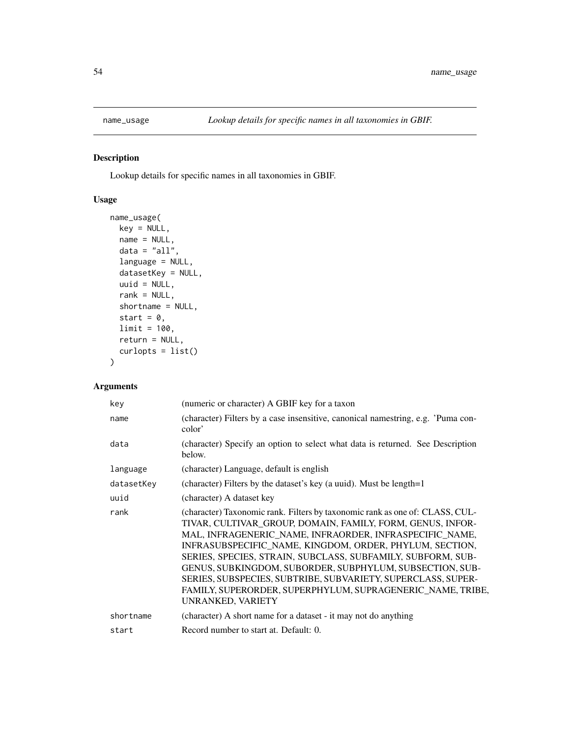<span id="page-53-0"></span>

### Description

Lookup details for specific names in all taxonomies in GBIF.

## Usage

```
name_usage(
 key = NULL,
 name = NULL,data = "all",language = NULL,
 datasetKey = NULL,
 uuid = NULL,rank = NULL,shortname = NULL,
 start = 0,
 limit = 100,
 return = NULL,
 curlopts = list()
)
```
### Arguments

| key        | (numeric or character) A GBIF key for a taxon                                                                                                                                                                                                                                                                                                                                                                                                                                                                                                  |
|------------|------------------------------------------------------------------------------------------------------------------------------------------------------------------------------------------------------------------------------------------------------------------------------------------------------------------------------------------------------------------------------------------------------------------------------------------------------------------------------------------------------------------------------------------------|
| name       | (character) Filters by a case insensitive, canonical namestring, e.g. 'Puma con-<br>color'                                                                                                                                                                                                                                                                                                                                                                                                                                                     |
| data       | (character) Specify an option to select what data is returned. See Description<br>below.                                                                                                                                                                                                                                                                                                                                                                                                                                                       |
| language   | (character) Language, default is english                                                                                                                                                                                                                                                                                                                                                                                                                                                                                                       |
| datasetKey | (character) Filters by the dataset's key (a uuid). Must be length=1                                                                                                                                                                                                                                                                                                                                                                                                                                                                            |
| uuid       | (character) A dataset key                                                                                                                                                                                                                                                                                                                                                                                                                                                                                                                      |
| rank       | (character) Taxonomic rank. Filters by taxonomic rank as one of: CLASS, CUL-<br>TIVAR, CULTIVAR GROUP, DOMAIN, FAMILY, FORM, GENUS, INFOR-<br>MAL, INFRAGENERIC NAME, INFRAORDER, INFRASPECIFIC NAME,<br>INFRASUBSPECIFIC_NAME, KINGDOM, ORDER, PHYLUM, SECTION,<br>SERIES, SPECIES, STRAIN, SUBCLASS, SUBFAMILY, SUBFORM, SUB-<br>GENUS, SUBKINGDOM, SUBORDER, SUBPHYLUM, SUBSECTION, SUB-<br>SERIES, SUBSPECIES, SUBTRIBE, SUBVARIETY, SUPERCLASS, SUPER-<br>FAMILY, SUPERORDER, SUPERPHYLUM, SUPRAGENERIC NAME, TRIBE,<br>UNRANKED, VARIETY |
| shortname  | (character) A short name for a dataset - it may not do anything                                                                                                                                                                                                                                                                                                                                                                                                                                                                                |
| start      | Record number to start at. Default: 0.                                                                                                                                                                                                                                                                                                                                                                                                                                                                                                         |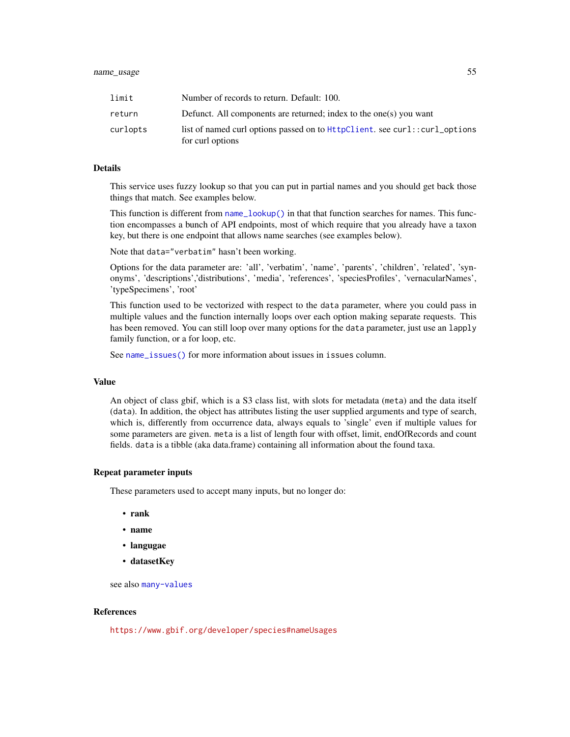| limit    | Number of records to return. Default: 100.                                                     |
|----------|------------------------------------------------------------------------------------------------|
| return   | Defunct. All components are returned; index to the one(s) you want                             |
| curlopts | list of named curl options passed on to HttpClient. see curl::curl_options<br>for curl options |

### Details

This service uses fuzzy lookup so that you can put in partial names and you should get back those things that match. See examples below.

This function is different from [name\\_lookup\(\)](#page-46-0) in that that function searches for names. This function encompasses a bunch of API endpoints, most of which require that you already have a taxon key, but there is one endpoint that allows name searches (see examples below).

Note that data="verbatim" hasn't been working.

Options for the data parameter are: 'all', 'verbatim', 'name', 'parents', 'children', 'related', 'synonyms', 'descriptions','distributions', 'media', 'references', 'speciesProfiles', 'vernacularNames', 'typeSpecimens', 'root'

This function used to be vectorized with respect to the data parameter, where you could pass in multiple values and the function internally loops over each option making separate requests. This has been removed. You can still loop over many options for the data parameter, just use an lapply family function, or a for loop, etc.

See [name\\_issues\(\)](#page-45-0) for more information about issues in issues column.

#### Value

An object of class gbif, which is a S3 class list, with slots for metadata (meta) and the data itself (data). In addition, the object has attributes listing the user supplied arguments and type of search, which is, differently from occurrence data, always equals to 'single' even if multiple values for some parameters are given. meta is a list of length four with offset, limit, endOfRecords and count fields. data is a tibble (aka data.frame) containing all information about the found taxa.

### Repeat parameter inputs

These parameters used to accept many inputs, but no longer do:

- rank
- name
- langugae
- datasetKey

see also [many-values](#page-34-1)

#### References

<https://www.gbif.org/developer/species#nameUsages>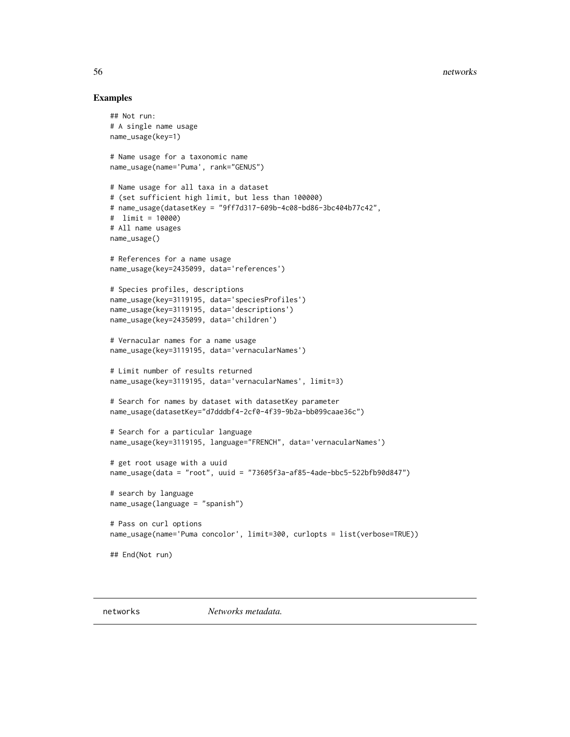#### Examples

```
## Not run:
# A single name usage
name_usage(key=1)
# Name usage for a taxonomic name
name_usage(name='Puma', rank="GENUS")
# Name usage for all taxa in a dataset
# (set sufficient high limit, but less than 100000)
# name_usage(datasetKey = "9ff7d317-609b-4c08-bd86-3bc404b77c42",
# limit = 10000)
# All name usages
name_usage()
# References for a name usage
name_usage(key=2435099, data='references')
# Species profiles, descriptions
name_usage(key=3119195, data='speciesProfiles')
name_usage(key=3119195, data='descriptions')
name_usage(key=2435099, data='children')
# Vernacular names for a name usage
name_usage(key=3119195, data='vernacularNames')
# Limit number of results returned
name_usage(key=3119195, data='vernacularNames', limit=3)
# Search for names by dataset with datasetKey parameter
name_usage(datasetKey="d7dddbf4-2cf0-4f39-9b2a-bb099caae36c")
# Search for a particular language
name_usage(key=3119195, language="FRENCH", data='vernacularNames')
# get root usage with a uuid
name_usage(data = "root", uuid = "73605f3a-af85-4ade-bbc5-522bfb90d847")
# search by language
name_usage(language = "spanish")
# Pass on curl options
name_usage(name='Puma concolor', limit=300, curlopts = list(verbose=TRUE))
## End(Not run)
```
networks *Networks metadata.*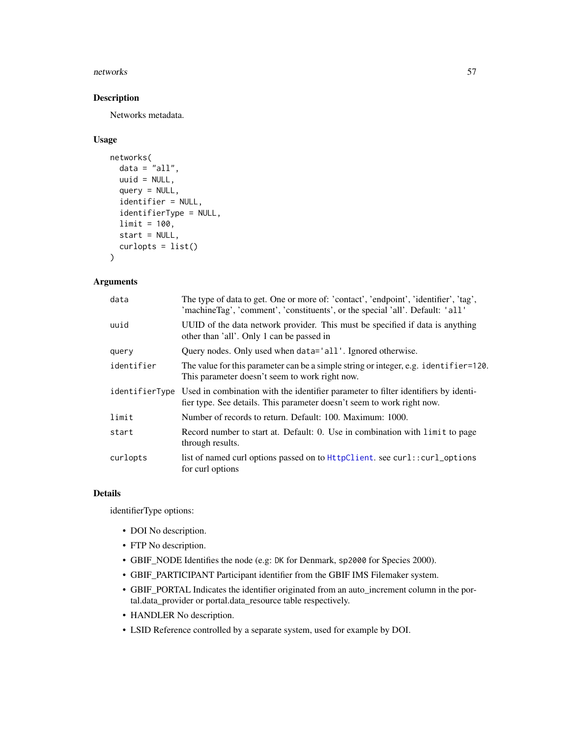#### networks 57

### Description

Networks metadata.

### Usage

```
networks(
 data = "all",uuid = NULL,query = NULL,
  identifier = NULL,
  identifierType = NULL,
  limit = 100,
  start = NULL,
  curlopts = list()\lambda
```
## Arguments

| data       | The type of data to get. One or more of: 'contact', 'endpoint', 'identifier', 'tag',<br>'machineTag', 'comment', 'constituents', or the special 'all'. Default: 'all'       |
|------------|-----------------------------------------------------------------------------------------------------------------------------------------------------------------------------|
| uuid       | UUID of the data network provider. This must be specified if data is anything<br>other than 'all'. Only 1 can be passed in                                                  |
| query      | Query nodes. Only used when data='all'. Ignored otherwise.                                                                                                                  |
| identifier | The value for this parameter can be a simple string or integer, e.g. identifier=120.<br>This parameter doesn't seem to work right now.                                      |
|            | identifierType Used in combination with the identifier parameter to filter identifiers by identi-<br>fier type. See details. This parameter doesn't seem to work right now. |
| limit      | Number of records to return. Default: 100. Maximum: 1000.                                                                                                                   |
| start      | Record number to start at. Default: 0. Use in combination with limit to page<br>through results.                                                                            |
| curlopts   | list of named curl options passed on to HttpClient. see curl::curl_options<br>for curl options                                                                              |

### Details

identifierType options:

- DOI No description.
- FTP No description.
- GBIF\_NODE Identifies the node (e.g: DK for Denmark, sp2000 for Species 2000).
- GBIF\_PARTICIPANT Participant identifier from the GBIF IMS Filemaker system.
- GBIF\_PORTAL Indicates the identifier originated from an auto\_increment column in the portal.data\_provider or portal.data\_resource table respectively.
- HANDLER No description.
- LSID Reference controlled by a separate system, used for example by DOI.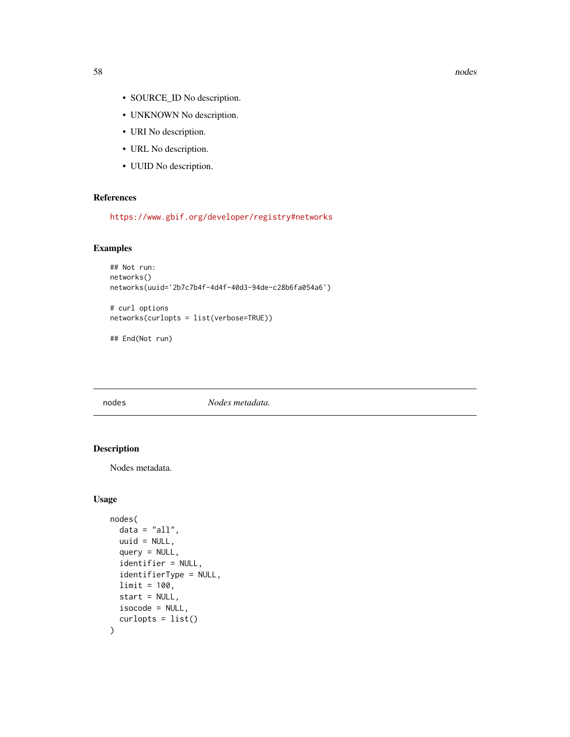- SOURCE\_ID No description.
- UNKNOWN No description.
- URI No description.
- URL No description.
- UUID No description.

### References

<https://www.gbif.org/developer/registry#networks>

### Examples

```
## Not run:
networks()
networks(uuid='2b7c7b4f-4d4f-40d3-94de-c28b6fa054a6')
```
# curl options networks(curlopts = list(verbose=TRUE))

## End(Not run)

nodes *Nodes metadata.*

### Description

Nodes metadata.

### Usage

```
nodes(
  data = "all",uuid = NULL,
  query = NULL,
  identifier = NULL,
  identifierType = NULL,
 limit = 100,
  start = NULL,
  isocode = NULL,
  curlopts = list()
)
```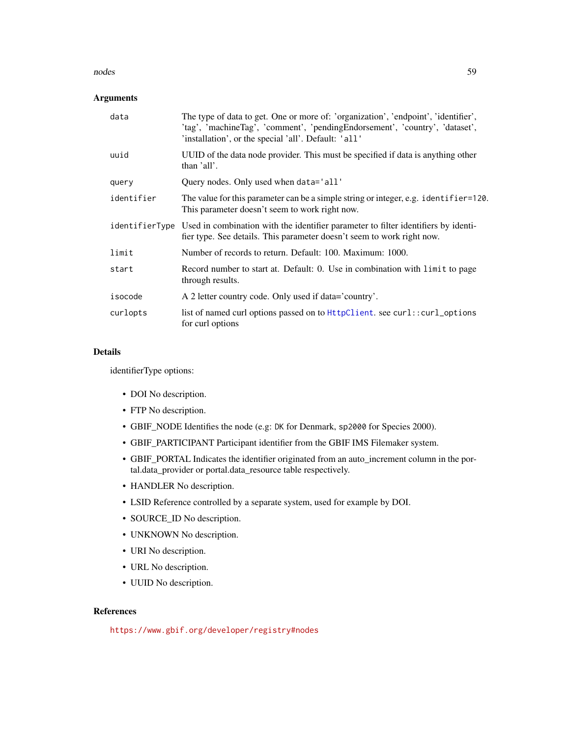#### nodes 59

### Arguments

| data       | The type of data to get. One or more of: 'organization', 'endpoint', 'identifier',<br>'tag', 'machineTag', 'comment', 'pendingEndorsement', 'country', 'dataset',<br>'installation', or the special 'all'. Default: 'all' |
|------------|---------------------------------------------------------------------------------------------------------------------------------------------------------------------------------------------------------------------------|
| uuid       | UUID of the data node provider. This must be specified if data is anything other<br>than 'all'.                                                                                                                           |
| query      | Query nodes. Only used when data='all'                                                                                                                                                                                    |
| identifier | The value for this parameter can be a simple string or integer, e.g. identifier=120.<br>This parameter doesn't seem to work right now.                                                                                    |
|            | identifierType Used in combination with the identifier parameter to filter identifiers by identi-<br>fier type. See details. This parameter doesn't seem to work right now.                                               |
| limit      | Number of records to return. Default: 100. Maximum: 1000.                                                                                                                                                                 |
| start      | Record number to start at. Default: 0. Use in combination with limit to page<br>through results.                                                                                                                          |
| isocode    | A 2 letter country code. Only used if data='country'.                                                                                                                                                                     |
| curlopts   | list of named curl options passed on to HttpClient. see curl::curl_options<br>for curl options                                                                                                                            |

### Details

identifierType options:

- DOI No description.
- FTP No description.
- GBIF\_NODE Identifies the node (e.g: DK for Denmark, sp2000 for Species 2000).
- GBIF\_PARTICIPANT Participant identifier from the GBIF IMS Filemaker system.
- GBIF\_PORTAL Indicates the identifier originated from an auto\_increment column in the portal.data\_provider or portal.data\_resource table respectively.
- HANDLER No description.
- LSID Reference controlled by a separate system, used for example by DOI.
- SOURCE\_ID No description.
- UNKNOWN No description.
- URI No description.
- URL No description.
- UUID No description.

#### References

<https://www.gbif.org/developer/registry#nodes>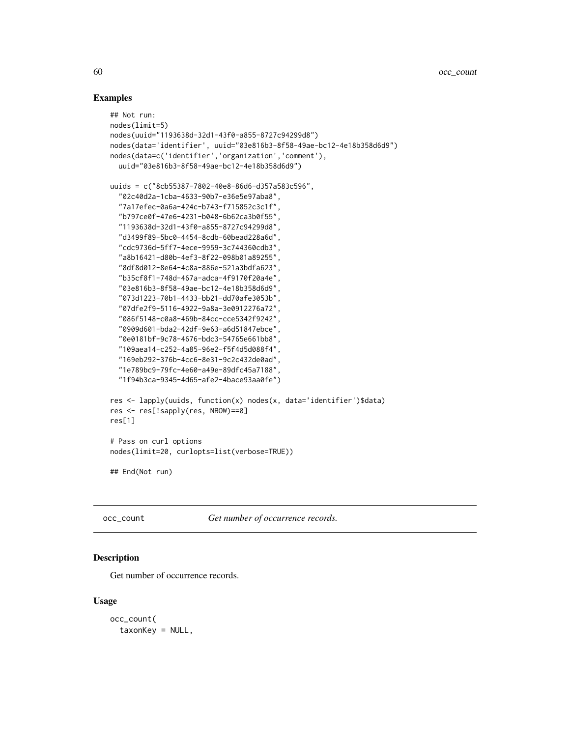#### Examples

```
## Not run:
nodes(limit=5)
nodes(uuid="1193638d-32d1-43f0-a855-8727c94299d8")
nodes(data='identifier', uuid="03e816b3-8f58-49ae-bc12-4e18b358d6d9")
nodes(data=c('identifier','organization','comment'),
  uuid="03e816b3-8f58-49ae-bc12-4e18b358d6d9")
uuids = c("8cb55387-7802-40e8-86d6-d357a583c596",
  "02c40d2a-1cba-4633-90b7-e36e5e97aba8",
  "7a17efec-0a6a-424c-b743-f715852c3c1f",
  "b797ce0f-47e6-4231-b048-6b62ca3b0f55",
  "1193638d-32d1-43f0-a855-8727c94299d8",
  "d3499f89-5bc0-4454-8cdb-60bead228a6d",
  "cdc9736d-5ff7-4ece-9959-3c744360cdb3",
  "a8b16421-d80b-4ef3-8f22-098b01a89255",
  "8df8d012-8e64-4c8a-886e-521a3bdfa623",
  "b35cf8f1-748d-467a-adca-4f9170f20a4e",
  "03e816b3-8f58-49ae-bc12-4e18b358d6d9",
  "073d1223-70b1-4433-bb21-dd70afe3053b",
  "07dfe2f9-5116-4922-9a8a-3e0912276a72",
  "086f5148-c0a8-469b-84cc-cce5342f9242",
  "0909d601-bda2-42df-9e63-a6d51847ebce",
  "0e0181bf-9c78-4676-bdc3-54765e661bb8",
  "109aea14-c252-4a85-96e2-f5f4d5d088f4",
  "169eb292-376b-4cc6-8e31-9c2c432de0ad",
  "1e789bc9-79fc-4e60-a49e-89dfc45a7188",
  "1f94b3ca-9345-4d65-afe2-4bace93aa0fe")
res <- lapply(uuids, function(x) nodes(x, data='identifier')$data)
res <- res[!sapply(res, NROW)==0]
res[1]
# Pass on curl options
nodes(limit=20, curlopts=list(verbose=TRUE))
## End(Not run)
```
occ\_count *Get number of occurrence records.*

## Description

Get number of occurrence records.

#### Usage

occ\_count( taxonKey = NULL,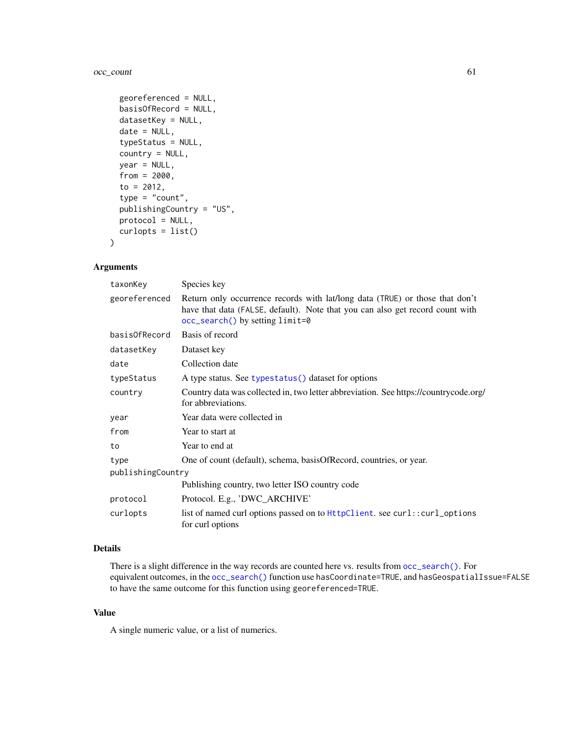### occ\_count 61

```
georeferenced = NULL,
basisOfRecord = NULL,
datasetKey = NULL,
date = NULL,
typeStatus = NULL,
country = NULL,
year = NULL,
from = 2000,
to = 2012,type = "count",publishingCountry = "US",
protocol = NULL,
curlopts = list()
```
#### Arguments

)

| taxonKey          | Species key                                                                                                                                                                                      |  |
|-------------------|--------------------------------------------------------------------------------------------------------------------------------------------------------------------------------------------------|--|
| georeferenced     | Return only occurrence records with lat/long data (TRUE) or those that don't<br>have that data (FALSE, default). Note that you can also get record count with<br>occ_search() by setting limit=0 |  |
| basisOfRecord     | Basis of record                                                                                                                                                                                  |  |
| datasetKey        | Dataset key                                                                                                                                                                                      |  |
| date              | Collection date                                                                                                                                                                                  |  |
| typeStatus        | A type status. See typestatus () dataset for options                                                                                                                                             |  |
| country           | Country data was collected in, two letter abbreviation. See https://countrycode.org/<br>for abbreviations.                                                                                       |  |
| year              | Year data were collected in                                                                                                                                                                      |  |
| from              | Year to start at                                                                                                                                                                                 |  |
| to                | Year to end at                                                                                                                                                                                   |  |
| type              | One of count (default), schema, basisOfRecord, countries, or year.                                                                                                                               |  |
| publishingCountry |                                                                                                                                                                                                  |  |
|                   | Publishing country, two letter ISO country code                                                                                                                                                  |  |
| protocol          | Protocol. E.g., 'DWC_ARCHIVE'                                                                                                                                                                    |  |
| curlopts          | list of named curl options passed on to HttpClient. see curl::curl_options<br>for curl options                                                                                                   |  |

## Details

There is a slight difference in the way records are counted here vs. results from [occ\\_search\(\)](#page-105-0). For equivalent outcomes, in the [occ\\_search\(\)](#page-105-0) function use hasCoordinate=TRUE, and hasGeospatialIssue=FALSE to have the same outcome for this function using georeferenced=TRUE.

### Value

A single numeric value, or a list of numerics.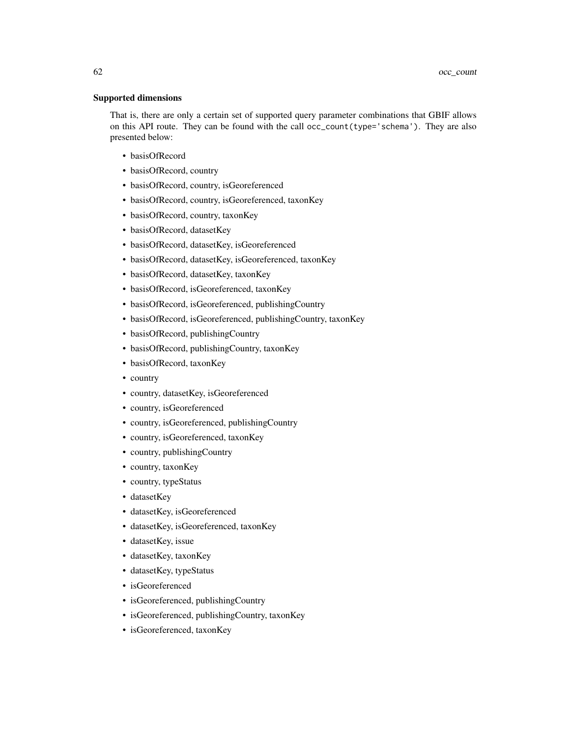#### Supported dimensions

That is, there are only a certain set of supported query parameter combinations that GBIF allows on this API route. They can be found with the call occ\_count(type='schema'). They are also presented below:

- basisOfRecord
- basisOfRecord, country
- basisOfRecord, country, isGeoreferenced
- basisOfRecord, country, isGeoreferenced, taxonKey
- basisOfRecord, country, taxonKey
- basisOfRecord, datasetKey
- basisOfRecord, datasetKey, isGeoreferenced
- basisOfRecord, datasetKey, isGeoreferenced, taxonKey
- basisOfRecord, datasetKey, taxonKey
- basisOfRecord, isGeoreferenced, taxonKey
- basisOfRecord, isGeoreferenced, publishingCountry
- basisOfRecord, isGeoreferenced, publishingCountry, taxonKey
- basisOfRecord, publishingCountry
- basisOfRecord, publishingCountry, taxonKey
- basisOfRecord, taxonKey
- country
- country, datasetKey, isGeoreferenced
- country, isGeoreferenced
- country, isGeoreferenced, publishingCountry
- country, isGeoreferenced, taxonKey
- country, publishingCountry
- country, taxonKey
- country, typeStatus
- datasetKey
- datasetKey, isGeoreferenced
- datasetKey, isGeoreferenced, taxonKey
- datasetKey, issue
- datasetKey, taxonKey
- datasetKey, typeStatus
- isGeoreferenced
- isGeoreferenced, publishingCountry
- isGeoreferenced, publishingCountry, taxonKey
- isGeoreferenced, taxonKey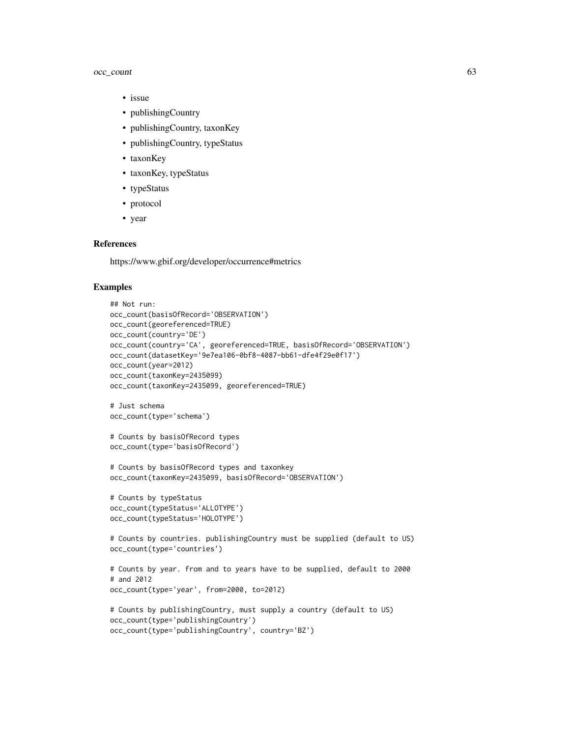### occ\_count 63

- issue
- publishingCountry
- publishingCountry, taxonKey
- publishingCountry, typeStatus
- taxonKey
- taxonKey, typeStatus
- typeStatus
- protocol
- year

## References

https://www.gbif.org/developer/occurrence#metrics

#### Examples

```
## Not run:
occ_count(basisOfRecord='OBSERVATION')
occ_count(georeferenced=TRUE)
occ_count(country='DE')
occ_count(country='CA', georeferenced=TRUE, basisOfRecord='OBSERVATION')
occ_count(datasetKey='9e7ea106-0bf8-4087-bb61-dfe4f29e0f17')
occ_count(year=2012)
occ_count(taxonKey=2435099)
occ_count(taxonKey=2435099, georeferenced=TRUE)
# Just schema
occ_count(type='schema')
# Counts by basisOfRecord types
occ_count(type='basisOfRecord')
# Counts by basisOfRecord types and taxonkey
occ_count(taxonKey=2435099, basisOfRecord='OBSERVATION')
# Counts by typeStatus
occ_count(typeStatus='ALLOTYPE')
occ_count(typeStatus='HOLOTYPE')
# Counts by countries. publishingCountry must be supplied (default to US)
occ_count(type='countries')
# Counts by year. from and to years have to be supplied, default to 2000
# and 2012
occ_count(type='year', from=2000, to=2012)
# Counts by publishingCountry, must supply a country (default to US)
occ_count(type='publishingCountry')
occ_count(type='publishingCountry', country='BZ')
```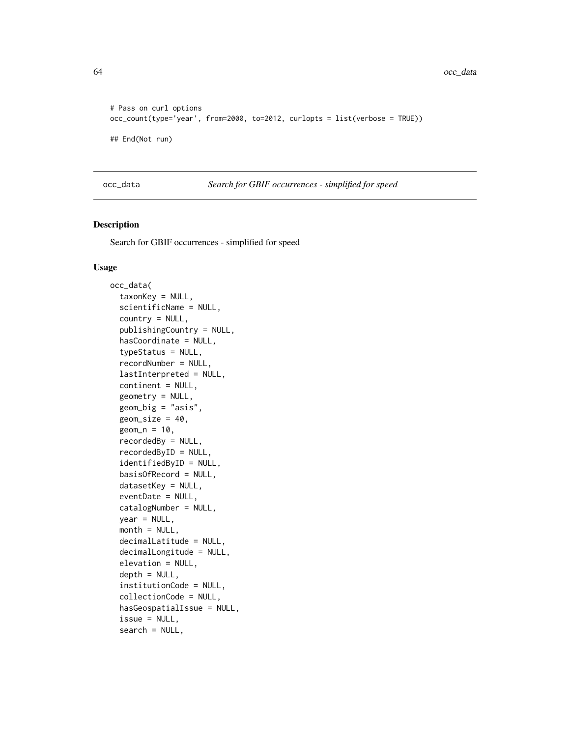```
# Pass on curl options
occ_count(type='year', from=2000, to=2012, curlopts = list(verbose = TRUE))
## End(Not run)
```
<span id="page-63-0"></span>occ\_data *Search for GBIF occurrences - simplified for speed*

### Description

Search for GBIF occurrences - simplified for speed

#### Usage

```
occ_data(
  taxonKey = NULL,
  scientificName = NULL,
  country = NULL,
  publishingCountry = NULL,
  hasCoordinate = NULL,
  typeStatus = NULL,
  recordNumber = NULL,
  lastInterpreted = NULL,
  continent = NULL,
  geometry = NULL,
  geom_big = "asis",
  geom\_size = 40,
  geom_n = 10,
  recordedBy = NULL,
  recordedByID = NULL,
  identifiedByID = NULL,
  basisOfRecord = NULL,
  datasetKey = NULL,
  eventDate = NULL,
  catalogNumber = NULL,
  year = NULL,
  month = NULL,decimalLatitude = NULL,
  decimalLongitude = NULL,
  elevation = NULL,
  depth = NULL,institutionCode = NULL,
  collectionCode = NULL,
  hasGeospatialIssue = NULL,
  issue = NULL,
  search = NULL,
```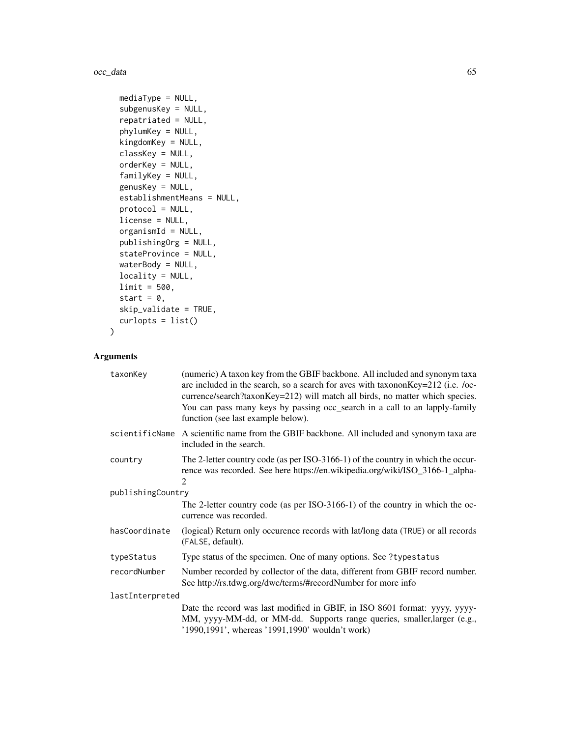#### occ\_data 65

```
mediaType = NULL,
  subgenusKey = NULL,
  repatriated = NULL,
 phylumKey = NULL,
 kingdomKey = NULL,
 classKey = NULL,
 orderKey = NULL,
  familyKey = NULL,
 genusKey = NULL,
 establishmentMeans = NULL,
 protocol = NULL,
 license = NULL,
 organismId = NULL,
 publishingOrg = NULL,
 stateProvince = NULL,
 waterBody = NULL,
 locality = NULL,
 limit = 500,
 start = 0,
 skip_validate = TRUE,
 curlopts = list())
```
## Arguments

| taxonKey          | (numeric) A taxon key from the GBIF backbone. All included and synonym taxa<br>are included in the search, so a search for aves with taxononKey=212 (i.e. /oc-<br>currence/search?taxonKey=212) will match all birds, no matter which species.<br>You can pass many keys by passing occ_search in a call to an lapply-family<br>function (see last example below). |
|-------------------|--------------------------------------------------------------------------------------------------------------------------------------------------------------------------------------------------------------------------------------------------------------------------------------------------------------------------------------------------------------------|
| scientificName    | A scientific name from the GBIF backbone. All included and synonym taxa are<br>included in the search.                                                                                                                                                                                                                                                             |
| country           | The 2-letter country code (as per ISO-3166-1) of the country in which the occur-<br>rence was recorded. See here https://en.wikipedia.org/wiki/ISO_3166-1_alpha-<br>$\mathfrak{D}$                                                                                                                                                                                 |
| publishingCountry |                                                                                                                                                                                                                                                                                                                                                                    |
|                   | The 2-letter country code (as per ISO-3166-1) of the country in which the oc-<br>currence was recorded.                                                                                                                                                                                                                                                            |
| hasCoordinate     | (logical) Return only occurence records with lat/long data (TRUE) or all records<br>(FALSE, default).                                                                                                                                                                                                                                                              |
| typeStatus        | Type status of the specimen. One of many options. See ?typestatus                                                                                                                                                                                                                                                                                                  |
| recordNumber      | Number recorded by collector of the data, different from GBIF record number.<br>See http://rs.tdwg.org/dwc/terms/#recordNumber for more info                                                                                                                                                                                                                       |
| lastInterpreted   |                                                                                                                                                                                                                                                                                                                                                                    |
|                   | Date the record was last modified in GBIF, in ISO 8601 format: yyyy, yyyy-<br>MM, yyyy-MM-dd, or MM-dd. Supports range queries, smaller, larger (e.g.,<br>'1990,1991', whereas '1991,1990' wouldn't work)                                                                                                                                                          |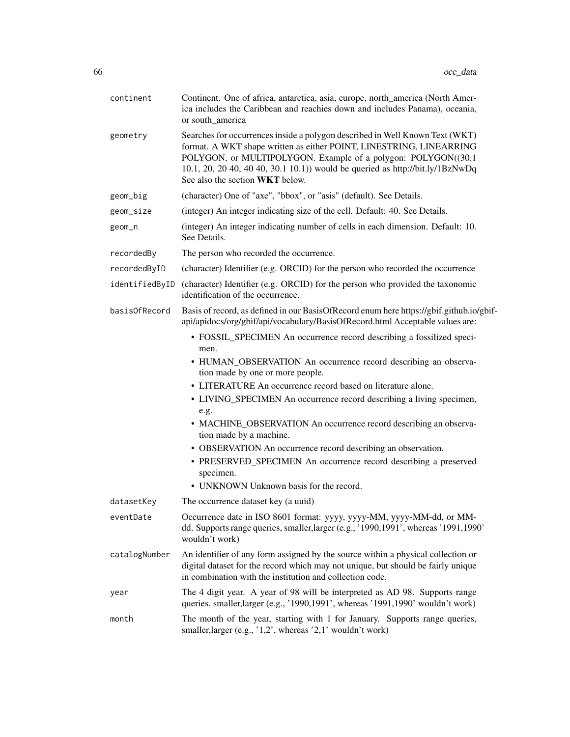| continent      | Continent. One of africa, antarctica, asia, europe, north_america (North Amer-<br>ica includes the Caribbean and reachies down and includes Panama), oceania,<br>or south_america                                                                                                                                                                                                                                                                                                                                                                                                                                                                                        |
|----------------|--------------------------------------------------------------------------------------------------------------------------------------------------------------------------------------------------------------------------------------------------------------------------------------------------------------------------------------------------------------------------------------------------------------------------------------------------------------------------------------------------------------------------------------------------------------------------------------------------------------------------------------------------------------------------|
| geometry       | Searches for occurrences inside a polygon described in Well Known Text (WKT)<br>format. A WKT shape written as either POINT, LINESTRING, LINEARRING<br>POLYGON, or MULTIPOLYGON. Example of a polygon: POLYGON((30.1<br>10.1, 20, 20 40, 40 40, 30.1 10.1)) would be queried as http://bit.ly/1BzNwDq<br>See also the section WKT below.                                                                                                                                                                                                                                                                                                                                 |
| geom_big       | (character) One of "axe", "bbox", or "asis" (default). See Details.                                                                                                                                                                                                                                                                                                                                                                                                                                                                                                                                                                                                      |
| geom_size      | (integer) An integer indicating size of the cell. Default: 40. See Details.                                                                                                                                                                                                                                                                                                                                                                                                                                                                                                                                                                                              |
| geom_n         | (integer) An integer indicating number of cells in each dimension. Default: 10.<br>See Details.                                                                                                                                                                                                                                                                                                                                                                                                                                                                                                                                                                          |
| recordedBy     | The person who recorded the occurrence.                                                                                                                                                                                                                                                                                                                                                                                                                                                                                                                                                                                                                                  |
| recordedByID   | (character) Identifier (e.g. ORCID) for the person who recorded the occurrence                                                                                                                                                                                                                                                                                                                                                                                                                                                                                                                                                                                           |
| identifiedByID | (character) Identifier (e.g. ORCID) for the person who provided the taxonomic<br>identification of the occurrence.                                                                                                                                                                                                                                                                                                                                                                                                                                                                                                                                                       |
| basisOfRecord  | Basis of record, as defined in our BasisOfRecord enum here https://gbif.github.io/gbif-<br>api/apidocs/org/gbif/api/vocabulary/BasisOfRecord.html Acceptable values are:                                                                                                                                                                                                                                                                                                                                                                                                                                                                                                 |
|                | • FOSSIL_SPECIMEN An occurrence record describing a fossilized speci-<br>men.<br>• HUMAN_OBSERVATION An occurrence record describing an observa-<br>tion made by one or more people.<br>• LITERATURE An occurrence record based on literature alone.<br>• LIVING_SPECIMEN An occurrence record describing a living specimen,<br>e.g.<br>• MACHINE_OBSERVATION An occurrence record describing an observa-<br>tion made by a machine.<br>• OBSERVATION An occurrence record describing an observation.<br>• PRESERVED_SPECIMEN An occurrence record describing a preserved<br>specimen.<br>• UNKNOWN Unknown basis for the record.<br>The occurrence dataset key (a uuid) |
| datasetKey     |                                                                                                                                                                                                                                                                                                                                                                                                                                                                                                                                                                                                                                                                          |
| eventDate      | Occurrence date in ISO 8601 format: yyyy, yyyy-MM, yyyy-MM-dd, or MM-<br>dd. Supports range queries, smaller, larger (e.g., '1990, 1991', whereas '1991, 1990'<br>wouldn't work)                                                                                                                                                                                                                                                                                                                                                                                                                                                                                         |
| catalogNumber  | An identifier of any form assigned by the source within a physical collection or<br>digital dataset for the record which may not unique, but should be fairly unique<br>in combination with the institution and collection code.                                                                                                                                                                                                                                                                                                                                                                                                                                         |
| year           | The 4 digit year. A year of 98 will be interpreted as AD 98. Supports range<br>queries, smaller, larger (e.g., '1990, 1991', whereas '1991, 1990' wouldn't work)                                                                                                                                                                                                                                                                                                                                                                                                                                                                                                         |
| month          | The month of the year, starting with 1 for January. Supports range queries,<br>smaller, larger (e.g., '1,2', whereas '2,1' wouldn't work)                                                                                                                                                                                                                                                                                                                                                                                                                                                                                                                                |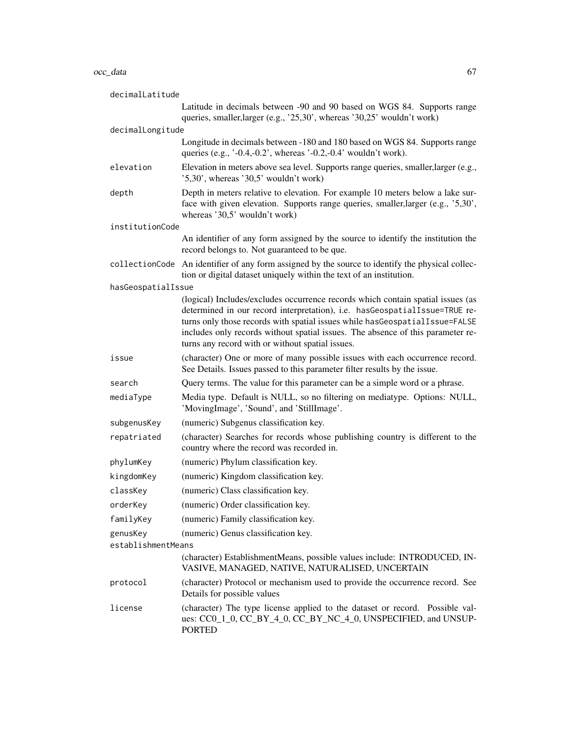#### $\rm{occ\_data}$  67

| decimalLatitude    |                                                                                                                                                                                                                                                                                                                                                                                       |
|--------------------|---------------------------------------------------------------------------------------------------------------------------------------------------------------------------------------------------------------------------------------------------------------------------------------------------------------------------------------------------------------------------------------|
|                    | Latitude in decimals between -90 and 90 based on WGS 84. Supports range<br>queries, smaller, larger (e.g., '25,30', whereas '30,25' wouldn't work)                                                                                                                                                                                                                                    |
| decimalLongitude   |                                                                                                                                                                                                                                                                                                                                                                                       |
|                    | Longitude in decimals between -180 and 180 based on WGS 84. Supports range<br>queries (e.g., $\cdot$ -0.4,-0.2', whereas $\cdot$ -0.2,-0.4' wouldn't work).                                                                                                                                                                                                                           |
| elevation          | Elevation in meters above sea level. Supports range queries, smaller, larger (e.g.,<br>$'5,30'$ , whereas '30,5' wouldn't work)                                                                                                                                                                                                                                                       |
| depth              | Depth in meters relative to elevation. For example 10 meters below a lake sur-<br>face with given elevation. Supports range queries, smaller, larger (e.g., '5,30',<br>whereas '30,5' wouldn't work)                                                                                                                                                                                  |
| institutionCode    |                                                                                                                                                                                                                                                                                                                                                                                       |
|                    | An identifier of any form assigned by the source to identify the institution the<br>record belongs to. Not guaranteed to be que.                                                                                                                                                                                                                                                      |
|                    | collectionCode An identifier of any form assigned by the source to identify the physical collec-<br>tion or digital dataset uniquely within the text of an institution.                                                                                                                                                                                                               |
| hasGeospatialIssue |                                                                                                                                                                                                                                                                                                                                                                                       |
|                    | (logical) Includes/excludes occurrence records which contain spatial issues (as<br>determined in our record interpretation), i.e. hasGeospatialIssue=TRUE re-<br>turns only those records with spatial issues while has Geospatial Issue=FALSE<br>includes only records without spatial issues. The absence of this parameter re-<br>turns any record with or without spatial issues. |
| issue              | (character) One or more of many possible issues with each occurrence record.<br>See Details. Issues passed to this parameter filter results by the issue.                                                                                                                                                                                                                             |
| search             | Query terms. The value for this parameter can be a simple word or a phrase.                                                                                                                                                                                                                                                                                                           |
| mediaType          | Media type. Default is NULL, so no filtering on mediatype. Options: NULL,<br>'MovingImage', 'Sound', and 'StillImage'.                                                                                                                                                                                                                                                                |
| subgenusKey        | (numeric) Subgenus classification key.                                                                                                                                                                                                                                                                                                                                                |
| repatriated        | (character) Searches for records whose publishing country is different to the<br>country where the record was recorded in.                                                                                                                                                                                                                                                            |
| phylumKey          | (numeric) Phylum classification key.                                                                                                                                                                                                                                                                                                                                                  |
| kingdomKey         | (numeric) Kingdom classification key.                                                                                                                                                                                                                                                                                                                                                 |
| classKey           | (numeric) Class classification key.                                                                                                                                                                                                                                                                                                                                                   |
| orderKey           | (numeric) Order classification key.                                                                                                                                                                                                                                                                                                                                                   |
| familyKey          | (numeric) Family classification key.                                                                                                                                                                                                                                                                                                                                                  |
| genusKey           | (numeric) Genus classification key.                                                                                                                                                                                                                                                                                                                                                   |
| establishmentMeans |                                                                                                                                                                                                                                                                                                                                                                                       |
|                    | (character) EstablishmentMeans, possible values include: INTRODUCED, IN-<br>VASIVE, MANAGED, NATIVE, NATURALISED, UNCERTAIN                                                                                                                                                                                                                                                           |
| protocol           | (character) Protocol or mechanism used to provide the occurrence record. See<br>Details for possible values                                                                                                                                                                                                                                                                           |
| license            | (character) The type license applied to the dataset or record. Possible val-<br>ues: CC0_1_0, CC_BY_4_0, CC_BY_NC_4_0, UNSPECIFIED, and UNSUP-<br><b>PORTED</b>                                                                                                                                                                                                                       |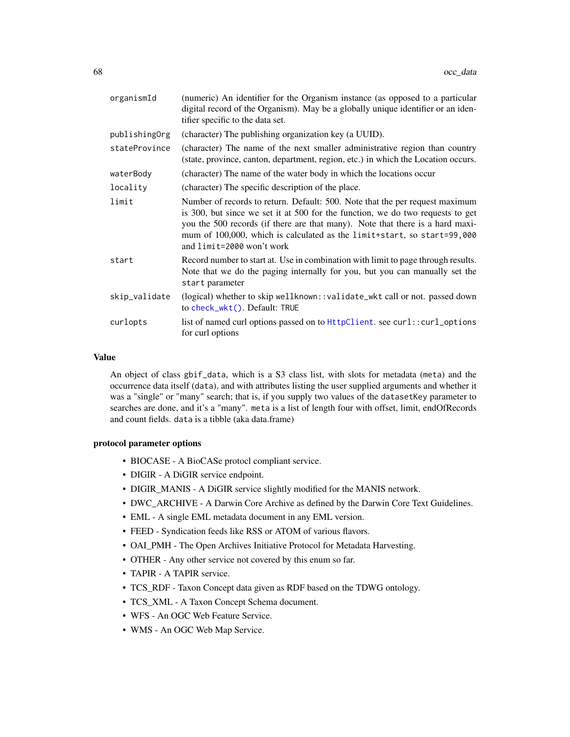| organismId    | (numeric) An identifier for the Organism instance (as opposed to a particular<br>digital record of the Organism). May be a globally unique identifier or an iden-<br>tifier specific to the data set.                                                                                                                                                   |
|---------------|---------------------------------------------------------------------------------------------------------------------------------------------------------------------------------------------------------------------------------------------------------------------------------------------------------------------------------------------------------|
| publishingOrg | (character) The publishing organization key (a UUID).                                                                                                                                                                                                                                                                                                   |
| stateProvince | (character) The name of the next smaller administrative region than country<br>(state, province, canton, department, region, etc.) in which the Location occurs.                                                                                                                                                                                        |
| waterBody     | (character) The name of the water body in which the locations occur                                                                                                                                                                                                                                                                                     |
| locality      | (character) The specific description of the place.                                                                                                                                                                                                                                                                                                      |
| limit         | Number of records to return. Default: 500. Note that the per request maximum<br>is 300, but since we set it at 500 for the function, we do two requests to get<br>you the 500 records (if there are that many). Note that there is a hard maxi-<br>mum of 100,000, which is calculated as the limit+start, so start=99,000<br>and limit=2000 won't work |
| start         | Record number to start at. Use in combination with limit to page through results.<br>Note that we do the paging internally for you, but you can manually set the<br>start parameter                                                                                                                                                                     |
| skip_validate | (logical) whether to skip wellknown::validate_wkt call or not. passed down<br>to check_wkt(). Default: TRUE                                                                                                                                                                                                                                             |
| curlopts      | list of named curl options passed on to $HtptClient$ . see curl::curl_options<br>for curl options                                                                                                                                                                                                                                                       |
|               |                                                                                                                                                                                                                                                                                                                                                         |

#### Value

An object of class gbif\_data, which is a S3 class list, with slots for metadata (meta) and the occurrence data itself (data), and with attributes listing the user supplied arguments and whether it was a "single" or "many" search; that is, if you supply two values of the datasetKey parameter to searches are done, and it's a "many". meta is a list of length four with offset, limit, endOfRecords and count fields. data is a tibble (aka data.frame)

#### protocol parameter options

- BIOCASE A BioCASe protocl compliant service.
- DIGIR A DiGIR service endpoint.
- DIGIR\_MANIS A DiGIR service slightly modified for the MANIS network.
- DWC\_ARCHIVE A Darwin Core Archive as defined by the Darwin Core Text Guidelines.
- EML A single EML metadata document in any EML version.
- FEED Syndication feeds like RSS or ATOM of various flavors.
- OAI\_PMH The Open Archives Initiative Protocol for Metadata Harvesting.
- OTHER Any other service not covered by this enum so far.
- TAPIR A TAPIR service.
- TCS\_RDF Taxon Concept data given as RDF based on the TDWG ontology.
- TCS\_XML A Taxon Concept Schema document.
- WFS An OGC Web Feature Service.
- WMS An OGC Web Map Service.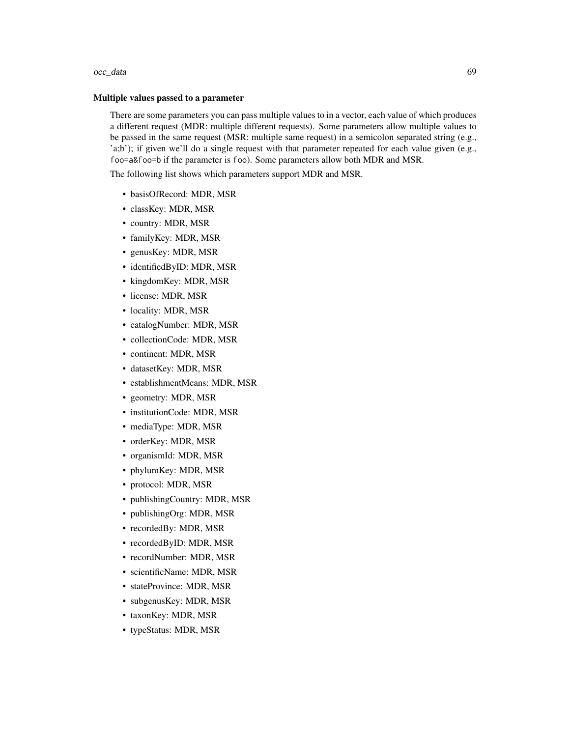#### occ\_data 69

#### Multiple values passed to a parameter

There are some parameters you can pass multiple values to in a vector, each value of which produces a different request (MDR: multiple different requests). Some parameters allow multiple values to be passed in the same request (MSR: multiple same request) in a semicolon separated string (e.g., 'a;b'); if given we'll do a single request with that parameter repeated for each value given (e.g., foo=a&foo=b if the parameter is foo). Some parameters allow both MDR and MSR.

The following list shows which parameters support MDR and MSR.

- basisOfRecord: MDR, MSR
- classKey: MDR, MSR
- country: MDR, MSR
- familyKey: MDR, MSR
- genusKey: MDR, MSR
- identifiedByID: MDR, MSR
- kingdomKey: MDR, MSR
- license: MDR, MSR
- locality: MDR, MSR
- catalogNumber: MDR, MSR
- collectionCode: MDR, MSR
- continent: MDR, MSR
- datasetKey: MDR, MSR
- establishmentMeans: MDR, MSR
- geometry: MDR, MSR
- institutionCode: MDR, MSR
- mediaType: MDR, MSR
- orderKey: MDR, MSR
- organismId: MDR, MSR
- phylumKey: MDR, MSR
- protocol: MDR, MSR
- publishingCountry: MDR, MSR
- publishingOrg: MDR, MSR
- recordedBy: MDR, MSR
- recordedByID: MDR, MSR
- recordNumber: MDR, MSR
- scientificName: MDR, MSR
- stateProvince: MDR, MSR
- subgenusKey: MDR, MSR
- taxonKey: MDR, MSR
- typeStatus: MDR, MSR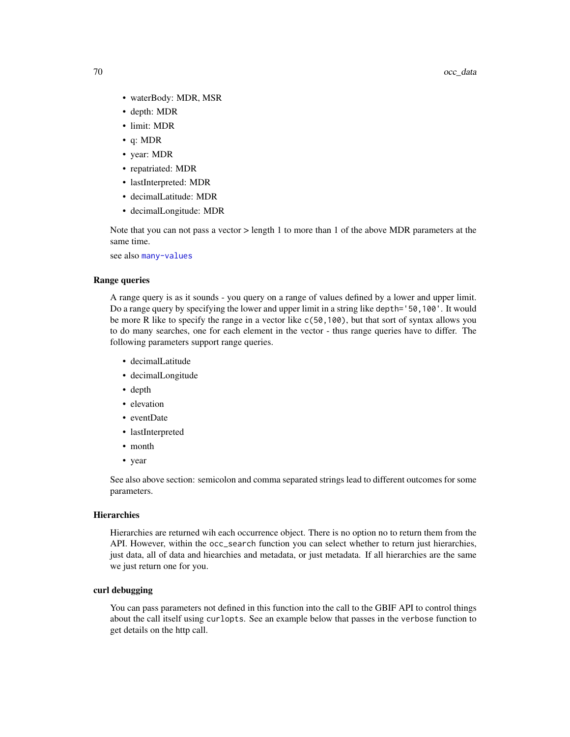- waterBody: MDR, MSR
- depth: MDR
- limit: MDR
- q: MDR
- year: MDR
- repatriated: MDR
- lastInterpreted: MDR
- decimalLatitude: MDR
- decimalLongitude: MDR

Note that you can not pass a vector > length 1 to more than 1 of the above MDR parameters at the same time.

see also [many-values](#page-34-1)

### Range queries

A range query is as it sounds - you query on a range of values defined by a lower and upper limit. Do a range query by specifying the lower and upper limit in a string like depth='50,100'. It would be more R like to specify the range in a vector like c(50,100), but that sort of syntax allows you to do many searches, one for each element in the vector - thus range queries have to differ. The following parameters support range queries.

- decimalLatitude
- decimalLongitude
- depth
- elevation
- eventDate
- lastInterpreted
- month
- year

See also above section: semicolon and comma separated strings lead to different outcomes for some parameters.

### **Hierarchies**

Hierarchies are returned wih each occurrence object. There is no option no to return them from the API. However, within the occ\_search function you can select whether to return just hierarchies, just data, all of data and hiearchies and metadata, or just metadata. If all hierarchies are the same we just return one for you.

#### curl debugging

You can pass parameters not defined in this function into the call to the GBIF API to control things about the call itself using curlopts. See an example below that passes in the verbose function to get details on the http call.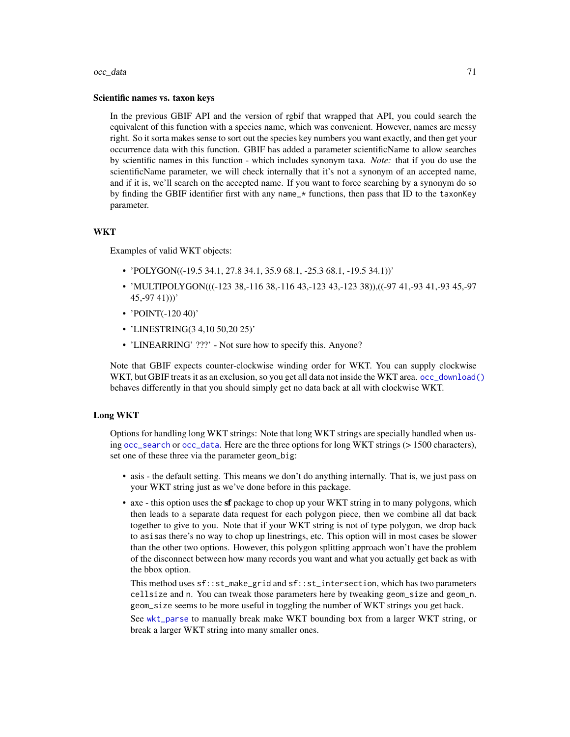#### $\rm{occ\_data}$  71

#### Scientific names vs. taxon keys

In the previous GBIF API and the version of rgbif that wrapped that API, you could search the equivalent of this function with a species name, which was convenient. However, names are messy right. So it sorta makes sense to sort out the species key numbers you want exactly, and then get your occurrence data with this function. GBIF has added a parameter scientificName to allow searches by scientific names in this function - which includes synonym taxa. *Note:* that if you do use the scientificName parameter, we will check internally that it's not a synonym of an accepted name, and if it is, we'll search on the accepted name. If you want to force searching by a synonym do so by finding the GBIF identifier first with any name\_\* functions, then pass that ID to the taxonKey parameter.

#### **WKT**

Examples of valid WKT objects:

- 'POLYGON((-19.5 34.1, 27.8 34.1, 35.9 68.1, -25.3 68.1, -19.5 34.1))'
- 'MULTIPOLYGON(((-123 38,-116 38,-116 43,-123 43,-123 38)),((-97 41,-93 41,-93 45,-97  $45,-9741$ )))'
- 'POINT(-120 40)'
- 'LINESTRING(3 4,10 50,20 25)'
- 'LINEARRING' ???' Not sure how to specify this. Anyone?

Note that GBIF expects counter-clockwise winding order for WKT. You can supply clockwise WKT, but GBIF treats it as an exclusion, so you get all data not inside the WKT area. [occ\\_download\(\)](#page-81-0) behaves differently in that you should simply get no data back at all with clockwise WKT.

#### Long WKT

Options for handling long WKT strings: Note that long WKT strings are specially handled when using [occ\\_search](#page-105-0) or [occ\\_data](#page-63-0). Here are the three options for long WKT strings (> 1500 characters), set one of these three via the parameter geom\_big:

- asis the default setting. This means we don't do anything internally. That is, we just pass on your WKT string just as we've done before in this package.
- axe this option uses the **sf** package to chop up your WKT string in to many polygons, which then leads to a separate data request for each polygon piece, then we combine all dat back together to give to you. Note that if your WKT string is not of type polygon, we drop back to asisas there's no way to chop up linestrings, etc. This option will in most cases be slower than the other two options. However, this polygon splitting approach won't have the problem of the disconnect between how many records you want and what you actually get back as with the bbox option.

This method uses sf::st\_make\_grid and sf::st\_intersection, which has two parameters cellsize and n. You can tweak those parameters here by tweaking geom\_size and geom\_n. geom\_size seems to be more useful in toggling the number of WKT strings you get back.

See [wkt\\_parse](#page-128-1) to manually break make WKT bounding box from a larger WKT string, or break a larger WKT string into many smaller ones.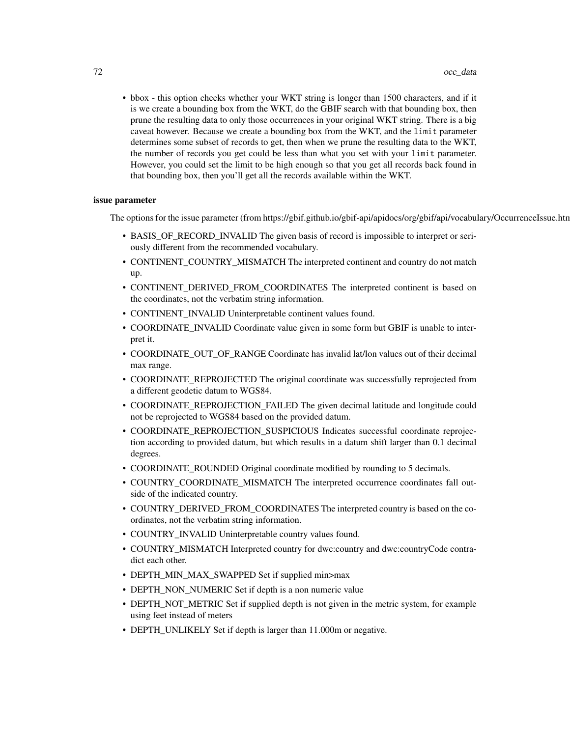• bbox - this option checks whether your WKT string is longer than 1500 characters, and if it is we create a bounding box from the WKT, do the GBIF search with that bounding box, then prune the resulting data to only those occurrences in your original WKT string. There is a big caveat however. Because we create a bounding box from the WKT, and the limit parameter determines some subset of records to get, then when we prune the resulting data to the WKT, the number of records you get could be less than what you set with your limit parameter. However, you could set the limit to be high enough so that you get all records back found in that bounding box, then you'll get all the records available within the WKT.

#### issue parameter

The options for the issue parameter (from https://gbif.github.io/gbif-api/apidocs/org/gbif/api/vocabulary/OccurrenceIssue.htm

- BASIS\_OF\_RECORD\_INVALID The given basis of record is impossible to interpret or seriously different from the recommended vocabulary.
- CONTINENT\_COUNTRY\_MISMATCH The interpreted continent and country do not match up.
- CONTINENT\_DERIVED\_FROM\_COORDINATES The interpreted continent is based on the coordinates, not the verbatim string information.
- CONTINENT\_INVALID Uninterpretable continent values found.
- COORDINATE\_INVALID Coordinate value given in some form but GBIF is unable to interpret it.
- COORDINATE\_OUT\_OF\_RANGE Coordinate has invalid lat/lon values out of their decimal max range.
- COORDINATE\_REPROJECTED The original coordinate was successfully reprojected from a different geodetic datum to WGS84.
- COORDINATE\_REPROJECTION\_FAILED The given decimal latitude and longitude could not be reprojected to WGS84 based on the provided datum.
- COORDINATE\_REPROJECTION\_SUSPICIOUS Indicates successful coordinate reprojection according to provided datum, but which results in a datum shift larger than 0.1 decimal degrees.
- COORDINATE\_ROUNDED Original coordinate modified by rounding to 5 decimals.
- COUNTRY\_COORDINATE\_MISMATCH The interpreted occurrence coordinates fall outside of the indicated country.
- COUNTRY\_DERIVED\_FROM\_COORDINATES The interpreted country is based on the coordinates, not the verbatim string information.
- COUNTRY INVALID Uninterpretable country values found.
- COUNTRY\_MISMATCH Interpreted country for dwc:country and dwc:countryCode contradict each other.
- DEPTH\_MIN\_MAX\_SWAPPED Set if supplied min>max
- DEPTH\_NON\_NUMERIC Set if depth is a non numeric value
- DEPTH\_NOT\_METRIC Set if supplied depth is not given in the metric system, for example using feet instead of meters
- DEPTH\_UNLIKELY Set if depth is larger than 11.000m or negative.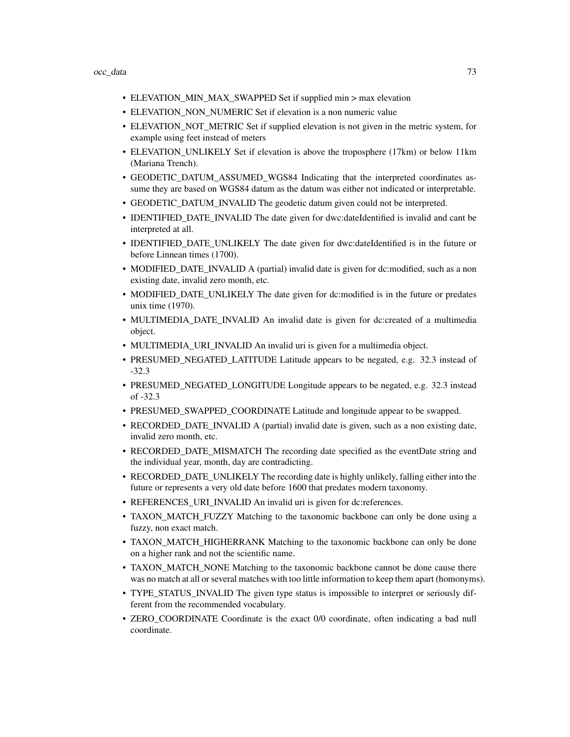- ELEVATION\_MIN\_MAX\_SWAPPED Set if supplied min > max elevation
- ELEVATION\_NON\_NUMERIC Set if elevation is a non numeric value
- ELEVATION\_NOT\_METRIC Set if supplied elevation is not given in the metric system, for example using feet instead of meters
- ELEVATION\_UNLIKELY Set if elevation is above the troposphere (17km) or below 11km (Mariana Trench).
- GEODETIC\_DATUM\_ASSUMED\_WGS84 Indicating that the interpreted coordinates assume they are based on WGS84 datum as the datum was either not indicated or interpretable.
- GEODETIC\_DATUM\_INVALID The geodetic datum given could not be interpreted.
- IDENTIFIED DATE INVALID The date given for dwc:dateIdentified is invalid and cant be interpreted at all.
- IDENTIFIED\_DATE\_UNLIKELY The date given for dwc:dateIdentified is in the future or before Linnean times (1700).
- MODIFIED\_DATE\_INVALID A (partial) invalid date is given for dc:modified, such as a non existing date, invalid zero month, etc.
- MODIFIED DATE UNLIKELY The date given for dc:modified is in the future or predates unix time (1970).
- MULTIMEDIA\_DATE\_INVALID An invalid date is given for dc:created of a multimedia object.
- MULTIMEDIA\_URI\_INVALID An invalid uri is given for a multimedia object.
- PRESUMED NEGATED LATITUDE Latitude appears to be negated, e.g. 32.3 instead of -32.3
- PRESUMED\_NEGATED\_LONGITUDE Longitude appears to be negated, e.g. 32.3 instead of -32.3
- PRESUMED\_SWAPPED\_COORDINATE Latitude and longitude appear to be swapped.
- RECORDED\_DATE\_INVALID A (partial) invalid date is given, such as a non existing date, invalid zero month, etc.
- RECORDED\_DATE\_MISMATCH The recording date specified as the eventDate string and the individual year, month, day are contradicting.
- RECORDED DATE\_UNLIKELY The recording date is highly unlikely, falling either into the future or represents a very old date before 1600 that predates modern taxonomy.
- REFERENCES\_URI\_INVALID An invalid uri is given for dc:references.
- TAXON\_MATCH\_FUZZY Matching to the taxonomic backbone can only be done using a fuzzy, non exact match.
- TAXON\_MATCH\_HIGHERRANK Matching to the taxonomic backbone can only be done on a higher rank and not the scientific name.
- TAXON\_MATCH\_NONE Matching to the taxonomic backbone cannot be done cause there was no match at all or several matches with too little information to keep them apart (homonyms).
- TYPE\_STATUS\_INVALID The given type status is impossible to interpret or seriously different from the recommended vocabulary.
- ZERO\_COORDINATE Coordinate is the exact 0/0 coordinate, often indicating a bad null coordinate.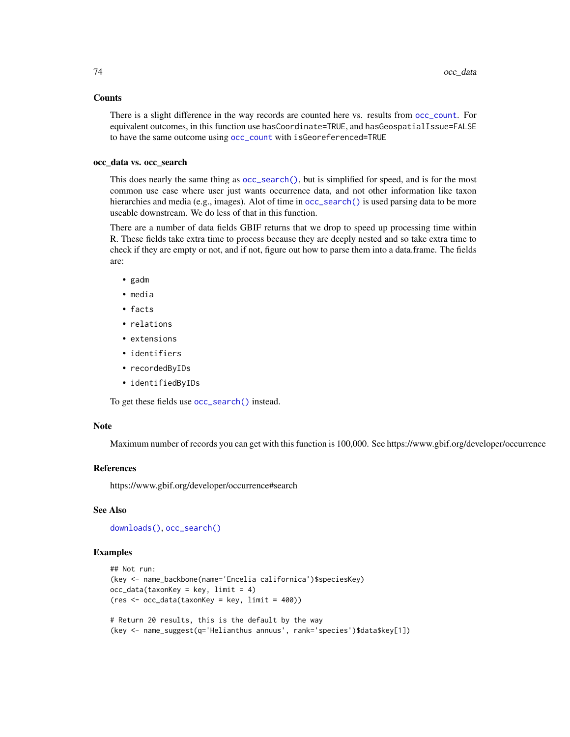#### **Counts**

There is a slight difference in the way records are counted here vs. results from [occ\\_count](#page-59-0). For equivalent outcomes, in this function use hasCoordinate=TRUE, and hasGeospatialIssue=FALSE to have the same outcome using [occ\\_count](#page-59-0) with isGeoreferenced=TRUE

## occ\_data vs. occ\_search

This does nearly the same thing as [occ\\_search\(\)](#page-105-0), but is simplified for speed, and is for the most common use case where user just wants occurrence data, and not other information like taxon hierarchies and media (e.g., images). Alot of time in [occ\\_search\(\)](#page-105-0) is used parsing data to be more useable downstream. We do less of that in this function.

There are a number of data fields GBIF returns that we drop to speed up processing time within R. These fields take extra time to process because they are deeply nested and so take extra time to check if they are empty or not, and if not, figure out how to parse them into a data.frame. The fields are:

- gadm
- media
- facts
- relations
- extensions
- identifiers
- recordedByIDs
- identifiedByIDs

To get these fields use [occ\\_search\(\)](#page-105-0) instead.

#### Note

Maximum number of records you can get with this function is 100,000. See https://www.gbif.org/developer/occurrence

#### References

https://www.gbif.org/developer/occurrence#search

## See Also

[downloads\(\)](#page-16-0), [occ\\_search\(\)](#page-105-0)

## Examples

```
## Not run:
(key <- name_backbone(name='Encelia californica')$speciesKey)
occ\_data(taxonKey = key, limit = 4)(res <- occ_data(taxonKey = key, limit = 400))
# Return 20 results, this is the default by the way
```
(key <- name\_suggest(q='Helianthus annuus', rank='species')\$data\$key[1])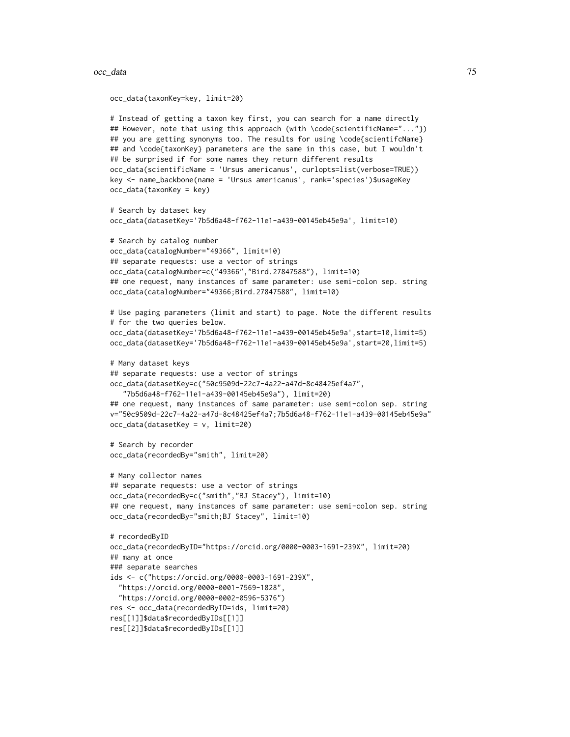```
occ_data(taxonKey=key, limit=20)
# Instead of getting a taxon key first, you can search for a name directly
## However, note that using this approach (with \code{scientificName="..."})
## you are getting synonyms too. The results for using \code{scientifcName}
## and \code{taxonKey} parameters are the same in this case, but I wouldn't
## be surprised if for some names they return different results
occ_data(scientificName = 'Ursus americanus', curlopts=list(verbose=TRUE))
key <- name_backbone(name = 'Ursus americanus', rank='species')$usageKey
occ_data(taxonKey = key)
# Search by dataset key
occ_data(datasetKey='7b5d6a48-f762-11e1-a439-00145eb45e9a', limit=10)
# Search by catalog number
occ_data(catalogNumber="49366", limit=10)
## separate requests: use a vector of strings
occ_data(catalogNumber=c("49366","Bird.27847588"), limit=10)
## one request, many instances of same parameter: use semi-colon sep. string
occ_data(catalogNumber="49366;Bird.27847588", limit=10)
# Use paging parameters (limit and start) to page. Note the different results
# for the two queries below.
occ_data(datasetKey='7b5d6a48-f762-11e1-a439-00145eb45e9a',start=10,limit=5)
occ_data(datasetKey='7b5d6a48-f762-11e1-a439-00145eb45e9a',start=20,limit=5)
# Many dataset keys
## separate requests: use a vector of strings
occ_data(datasetKey=c("50c9509d-22c7-4a22-a47d-8c48425ef4a7",
   "7b5d6a48-f762-11e1-a439-00145eb45e9a"), limit=20)
## one request, many instances of same parameter: use semi-colon sep. string
v="50c9509d-22c7-4a22-a47d-8c48425ef4a7;7b5d6a48-f762-11e1-a439-00145eb45e9a"
occ_data(datasetKey = v, limit=20)
# Search by recorder
occ_data(recordedBy="smith", limit=20)
# Many collector names
## separate requests: use a vector of strings
occ_data(recordedBy=c("smith","BJ Stacey"), limit=10)
## one request, many instances of same parameter: use semi-colon sep. string
occ_data(recordedBy="smith;BJ Stacey", limit=10)
# recordedByID
occ_data(recordedByID="https://orcid.org/0000-0003-1691-239X", limit=20)
## many at once
### separate searches
ids <- c("https://orcid.org/0000-0003-1691-239X",
  "https://orcid.org/0000-0001-7569-1828",
  "https://orcid.org/0000-0002-0596-5376")
res <- occ_data(recordedByID=ids, limit=20)
res[[1]]$data$recordedByIDs[[1]]
res[[2]]$data$recordedByIDs[[1]]
```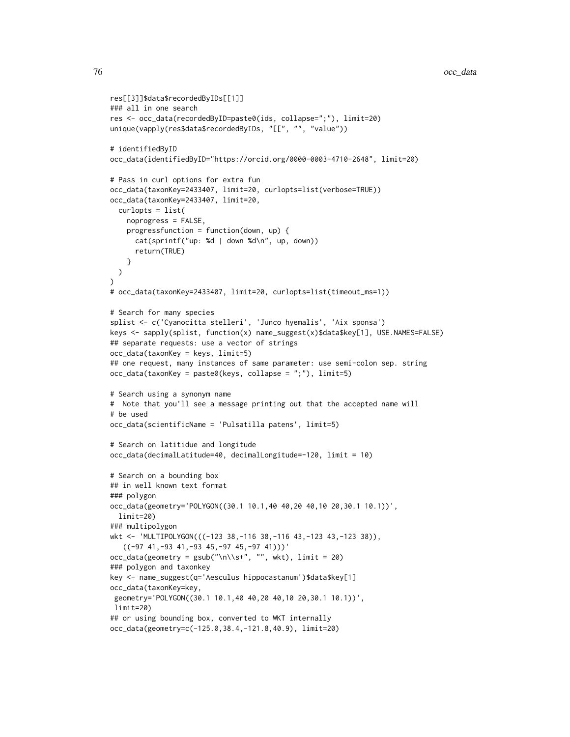```
res[[3]]$data$recordedByIDs[[1]]
### all in one search
res <- occ_data(recordedByID=paste0(ids, collapse=";"), limit=20)
unique(vapply(res$data$recordedByIDs, "[[", "", "value"))
# identifiedByID
occ_data(identifiedByID="https://orcid.org/0000-0003-4710-2648", limit=20)
# Pass in curl options for extra fun
occ_data(taxonKey=2433407, limit=20, curlopts=list(verbose=TRUE))
occ_data(taxonKey=2433407, limit=20,
  curlopts = list(
    noprogress = FALSE,
    progressfunction = function(down, up) {
      cat(sprintf("up: %d | down %d\n", up, down))
      return(TRUE)
    }
  )
)
# occ_data(taxonKey=2433407, limit=20, curlopts=list(timeout_ms=1))
# Search for many species
splist <- c('Cyanocitta stelleri', 'Junco hyemalis', 'Aix sponsa')
keys <- sapply(splist, function(x) name_suggest(x)$data$key[1], USE.NAMES=FALSE)
## separate requests: use a vector of strings
occ_data(taxonKey = keys, limit=5)
## one request, many instances of same parameter: use semi-colon sep. string
occ_data(taxonKey = paste0(key, collapse = ";"), limit=5)# Search using a synonym name
# Note that you'll see a message printing out that the accepted name will
# be used
occ_data(scientificName = 'Pulsatilla patens', limit=5)
# Search on latitidue and longitude
occ_data(decimalLatitude=40, decimalLongitude=-120, limit = 10)
# Search on a bounding box
## in well known text format
### polygon
occ_data(geometry='POLYGON((30.1 10.1,40 40,20 40,10 20,30.1 10.1))',
  limit=20)
### multipolygon
wkt <- 'MULTIPOLYGON(((-123 38,-116 38,-116 43,-123 43,-123 38)),
   ((-97 41,-93 41,-93 45,-97 45,-97 41)))'occ_data(geometry = gsub("\\n\\s+, "", wkt), limit = 20)### polygon and taxonkey
key <- name_suggest(q='Aesculus hippocastanum')$data$key[1]
occ_data(taxonKey=key,
 geometry='POLYGON((30.1 10.1,40 40,20 40,10 20,30.1 10.1))',
limit=20)
## or using bounding box, converted to WKT internally
occ_data(geometry=c(-125.0,38.4,-121.8,40.9), limit=20)
```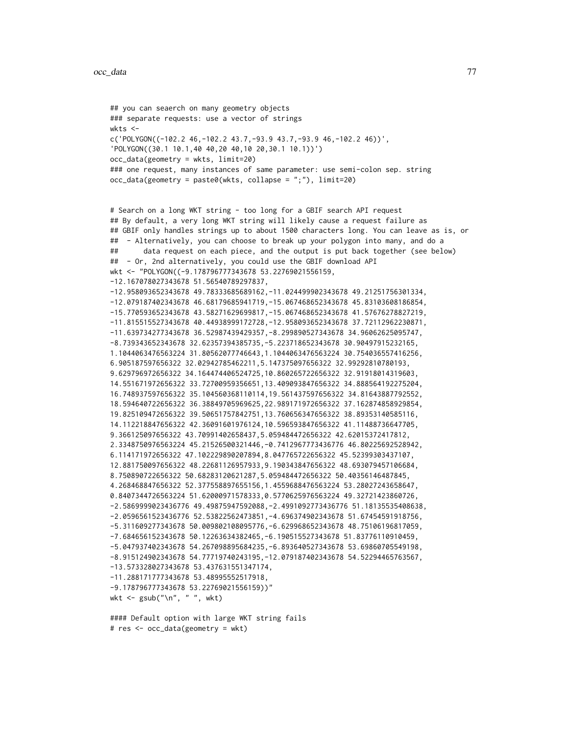```
## you can seaerch on many geometry objects
### separate requests: use a vector of strings
wkts <-
c('POLYGON((-102.2 46,-102.2 43.7,-93.9 43.7,-93.9 46,-102.2 46))',
'POLYGON((30.1 10.1,40 40,20 40,10 20,30.1 10.1))')
occ_data(geometry = wkts, limit=20)
### one request, many instances of same parameter: use semi-colon sep. string
occ_data(geometry = paste0(wkts, collapse = ";"), limit=20)
```

```
# Search on a long WKT string - too long for a GBIF search API request
## By default, a very long WKT string will likely cause a request failure as
## GBIF only handles strings up to about 1500 characters long. You can leave as is, or
## - Alternatively, you can choose to break up your polygon into many, and do a
## data request on each piece, and the output is put back together (see below)
## - Or, 2nd alternatively, you could use the GBIF download API
wkt <- "POLYGON((-9.178796777343678 53.22769021556159,
-12.167078027343678 51.56540789297837,
-12.958093652343678 49.78333685689162,-11.024499902343678 49.21251756301334,
-12.079187402343678 46.68179685941719,-15.067468652343678 45.83103608186854,
-15.770593652343678 43.58271629699817,-15.067468652343678 41.57676278827219,
-11.815515527343678 40.44938999172728,-12.958093652343678 37.72112962230871,
-11.639734277343678 36.52987439429357,-8.299890527343678 34.96062625095747,
-8.739343652343678 32.62357394385735,-5.223718652343678 30.90497915232165,
1.1044063476563224 31.80562077746643,1.1044063476563224 30.754036557416256,
6.905187597656322 32.02942785462211,5.147375097656322 32.99292810780193,
9.629796972656322 34.164474406524725,10.860265722656322 32.91918014319603,
14.551671972656322 33.72700959356651,13.409093847656322 34.888564192275204,
16.748937597656322 35.104560368110114,19.561437597656322 34.81643887792552,
18.594640722656322 36.38849705969625,22.989171972656322 37.162874858929854,
19.825109472656322 39.50651757842751,13.760656347656322 38.89353140585116,
14.112218847656322 42.36091601976124,10.596593847656322 41.11488736647705,
9.366125097656322 43.70991402658437,5.059484472656322 42.62015372417812,
2.3348750976563224 45.21526500321446,-0.7412967773436776 46.80225692528942,
6.114171972656322 47.102229890207894,8.047765722656322 45.52399303437107,
12.881750097656322 48.22681126957933,9.190343847656322 48.693079457106684,
8.750890722656322 50.68283120621287,5.059484472656322 50.40356146487845,
4.268468847656322 52.377558897655156,1.4559688476563224 53.28027243658647,
0.8407344726563224 51.62000971578333,0.5770625976563224 49.32721423860726,
-2.5869999023436776 49.49875947592088,-2.4991092773436776 51.18135535408638,
-2.0596561523436776 52.53822562473851,-4.696374902343678 51.67454591918756,
-5.311609277343678 50.009802108095776,-6.629968652343678 48.75106196817059,
-7.684656152343678 50.12263634382465,-6.190515527343678 51.83776110910459,
-5.047937402343678 54.267098895684235,-6.893640527343678 53.69860705549198,
-8.915124902343678 54.77719740243195,-12.079187402343678 54.52294465763567,
-13.573328027343678 53.437631551347174,
-11.288171777343678 53.48995552517918,
-9.178796777343678 53.22769021556159))"
wkt <- gsub("\n", " ", wkt)
```
#### Default option with large WKT string fails # res <- occ\_data(geometry = wkt)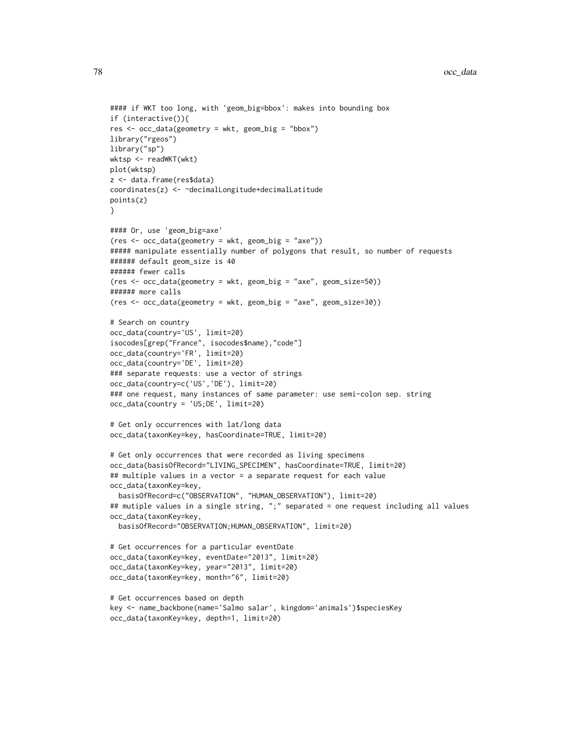```
#### if WKT too long, with 'geom_big=bbox': makes into bounding box
if (interactive()){
res <- occ_data(geometry = wkt, geom_big = "bbox")
library("rgeos")
library("sp")
wktsp <- readWKT(wkt)
plot(wktsp)
z <- data.frame(res$data)
coordinates(z) <- ~decimalLongitude+decimalLatitude
points(z)
}
#### Or, use 'geom_big=axe'
(res <- occ_data(geometry = wkt, geom_big = "axe"))
##### manipulate essentially number of polygons that result, so number of requests
###### default geom_size is 40
###### fewer calls
(res <- occ_data(geometry = wkt, geom_big = "axe", geom_size=50))
###### more calls
(res <- occ_data(geometry = wkt, geom_big = "axe", geom_size=30))
# Search on country
occ_data(country='US', limit=20)
isocodes[grep("France", isocodes$name),"code"]
occ_data(country='FR', limit=20)
occ_data(country='DE', limit=20)
### separate requests: use a vector of strings
occ_data(country=c('US','DE'), limit=20)
### one request, many instances of same parameter: use semi-colon sep. string
occ_data(country = 'US;DE', limit=20)
# Get only occurrences with lat/long data
occ_data(taxonKey=key, hasCoordinate=TRUE, limit=20)
# Get only occurrences that were recorded as living specimens
occ_data(basisOfRecord="LIVING_SPECIMEN", hasCoordinate=TRUE, limit=20)
## multiple values in a vector = a separate request for each value
occ_data(taxonKey=key,
  basisOfRecord=c("OBSERVATION", "HUMAN_OBSERVATION"), limit=20)
## mutiple values in a single string, ";" separated = one request including all values
occ_data(taxonKey=key,
  basisOfRecord="OBSERVATION;HUMAN_OBSERVATION", limit=20)
# Get occurrences for a particular eventDate
occ_data(taxonKey=key, eventDate="2013", limit=20)
occ_data(taxonKey=key, year="2013", limit=20)
occ_data(taxonKey=key, month="6", limit=20)
# Get occurrences based on depth
key <- name_backbone(name='Salmo salar', kingdom='animals')$speciesKey
occ_data(taxonKey=key, depth=1, limit=20)
```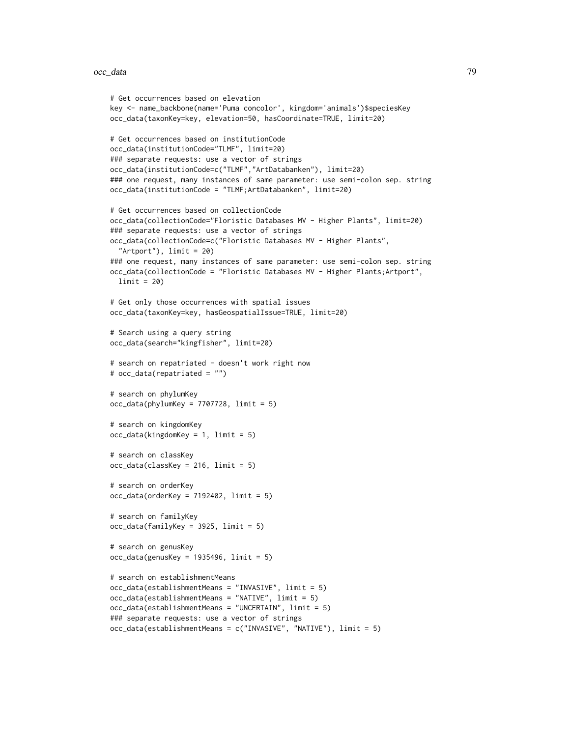#### occ\_data 79

```
# Get occurrences based on elevation
key <- name_backbone(name='Puma concolor', kingdom='animals')$speciesKey
occ_data(taxonKey=key, elevation=50, hasCoordinate=TRUE, limit=20)
# Get occurrences based on institutionCode
occ_data(institutionCode="TLMF", limit=20)
### separate requests: use a vector of strings
occ_data(institutionCode=c("TLMF","ArtDatabanken"), limit=20)
### one request, many instances of same parameter: use semi-colon sep. string
occ_data(institutionCode = "TLMF;ArtDatabanken", limit=20)
# Get occurrences based on collectionCode
occ_data(collectionCode="Floristic Databases MV - Higher Plants", limit=20)
### separate requests: use a vector of strings
occ_data(collectionCode=c("Floristic Databases MV - Higher Plants",
  "Artport"), limit = 20)
### one request, many instances of same parameter: use semi-colon sep. string
occ_data(collectionCode = "Floristic Databases MV - Higher Plants;Artport",
  limit = 20)
# Get only those occurrences with spatial issues
occ_data(taxonKey=key, hasGeospatialIssue=TRUE, limit=20)
# Search using a query string
occ_data(search="kingfisher", limit=20)
# search on repatriated - doesn't work right now
# occ_data(repatriated = "")
# search on phylumKey
occ\_data(phylumKey = 7707728, limit = 5)# search on kingdomKey
occ_data(kingdomKey = 1, limit = 5)# search on classKey
occ_data(classKey = 216, limit = 5)
# search on orderKey
occ\_data(orderKey = 7192402, limit = 5)# search on familyKey
occ_data(familyKey = 3925, limit = 5)
# search on genusKey
occ_data(genusKey = 1935496, limit = 5)# search on establishmentMeans
occ_data(establishmentMeans = "INVASIVE", limit = 5)
occ_data(establishmentMeans = "NATIVE", limit = 5)
occ_data(establishmentMeans = "UNCERTAIN", limit = 5)
### separate requests: use a vector of strings
occ_data(establishmentMeans = c("INVASIVE", "NATIVE"), limit = 5)
```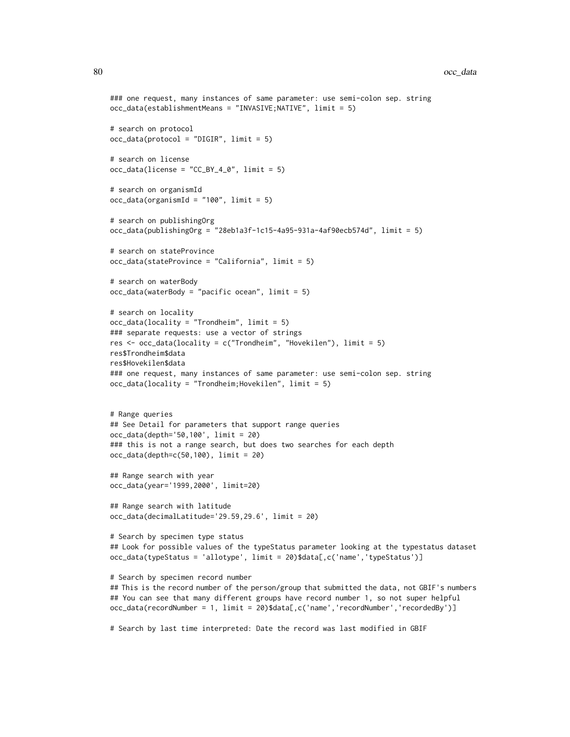```
### one request, many instances of same parameter: use semi-colon sep. string
occ_data(establishmentMeans = "INVASIVE;NATIVE", limit = 5)
# search on protocol
occ_data(protocol = "DIGIR", limit = 5)
# search on license
occ\_data(license = "CC_BY_4_0", limit = 5)# search on organismId
occ\_data(organismId = "100", limit = 5)# search on publishingOrg
occ_data(publishingOrg = "28eb1a3f-1c15-4a95-931a-4af90ecb574d", limit = 5)
# search on stateProvince
occ_data(stateProvince = "California", limit = 5)
# search on waterBody
occ_data(waterBody = "pacific ocean", limit = 5)
# search on locality
occ_data(locality = "Trondheim", limit = 5)
### separate requests: use a vector of strings
res <- occ_data(locality = c("Trondheim", "Hovekilen"), limit = 5)
res$Trondheim$data
res$Hovekilen$data
### one request, many instances of same parameter: use semi-colon sep. string
occ_data(locality = "Trondheim;Hovekilen", limit = 5)
# Range queries
## See Detail for parameters that support range queries
occ_data(depth='50,100', limit = 20)
### this is not a range search, but does two searches for each depth
occ_data(depth=c(50,100), limit = 20)
## Range search with year
occ_data(year='1999,2000', limit=20)
## Range search with latitude
occ_data(decimalLatitude='29.59,29.6', limit = 20)
# Search by specimen type status
## Look for possible values of the typeStatus parameter looking at the typestatus dataset
occ_data(typeStatus = 'allotype', limit = 20)$data[,c('name','typeStatus')]
# Search by specimen record number
## This is the record number of the person/group that submitted the data, not GBIF's numbers
## You can see that many different groups have record number 1, so not super helpful
occ_data(recordNumber = 1, limit = 20)$data[,c('name','recordNumber','recordedBy')]
# Search by last time interpreted: Date the record was last modified in GBIF
```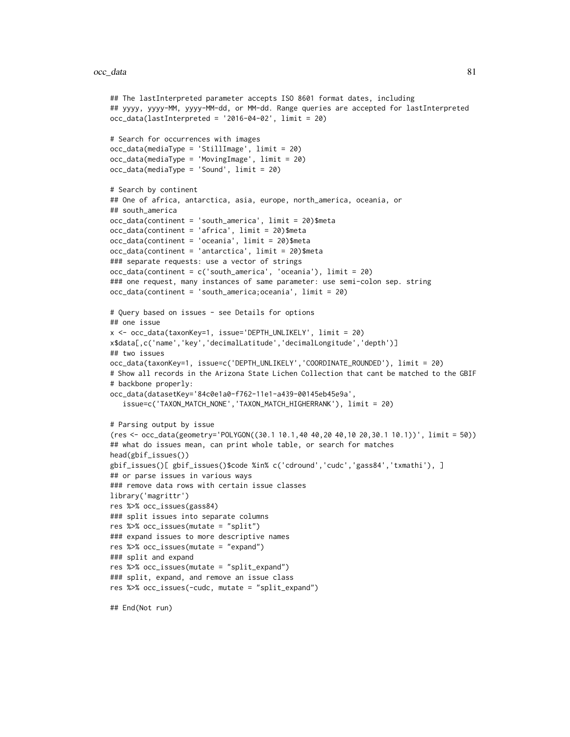#### occ\_data 81

```
## The lastInterpreted parameter accepts ISO 8601 format dates, including
## yyyy, yyyy-MM, yyyy-MM-dd, or MM-dd. Range queries are accepted for lastInterpreted
occ_data(lastInterpreted = '2016-04-02', limit = 20)
# Search for occurrences with images
occ_data(mediaType = 'StillImage', limit = 20)
occ_data(mediaType = 'MovingImage', limit = 20)
occ_data(mediaType = 'Sound', limit = 20)
# Search by continent
## One of africa, antarctica, asia, europe, north_america, oceania, or
## south_america
occ_data(continent = 'south_america', limit = 20)$meta
occ_data(continent = 'africa', limit = 20)$meta
occ_data(continent = 'oceania', limit = 20)$meta
occ_data(continent = 'antarctica', limit = 20)$meta
### separate requests: use a vector of strings
occ_data(continent = c('south_america', 'oceania'), limit = 20)
### one request, many instances of same parameter: use semi-colon sep. string
occ_data(continent = 'south_america;oceania', limit = 20)
# Query based on issues - see Details for options
## one issue
x <- occ_data(taxonKey=1, issue='DEPTH_UNLIKELY', limit = 20)
x$data[,c('name','key','decimalLatitude','decimalLongitude','depth')]
## two issues
occ_data(taxonKey=1, issue=c('DEPTH_UNLIKELY','COORDINATE_ROUNDED'), limit = 20)
# Show all records in the Arizona State Lichen Collection that cant be matched to the GBIF
# backbone properly:
occ_data(datasetKey='84c0e1a0-f762-11e1-a439-00145eb45e9a',
   issue=c('TAXON_MATCH_NONE','TAXON_MATCH_HIGHERRANK'), limit = 20)
# Parsing output by issue
(res <- occ_data(geometry='POLYGON((30.1 10.1,40 40,20 40,10 20,30.1 10.1))', limit = 50))
## what do issues mean, can print whole table, or search for matches
head(gbif_issues())
gbif_issues()[ gbif_issues()$code %in% c('cdround','cudc','gass84','txmathi'), ]
## or parse issues in various ways
### remove data rows with certain issue classes
library('magrittr')
res %>% occ_issues(gass84)
### split issues into separate columns
res %>% occ_issues(mutate = "split")
### expand issues to more descriptive names
res %>% occ_issues(mutate = "expand")
### split and expand
res %>% occ_issues(mutate = "split_expand")
### split, expand, and remove an issue class
res %>% occ_issues(-cudc, mutate = "split_expand")
## End(Not run)
```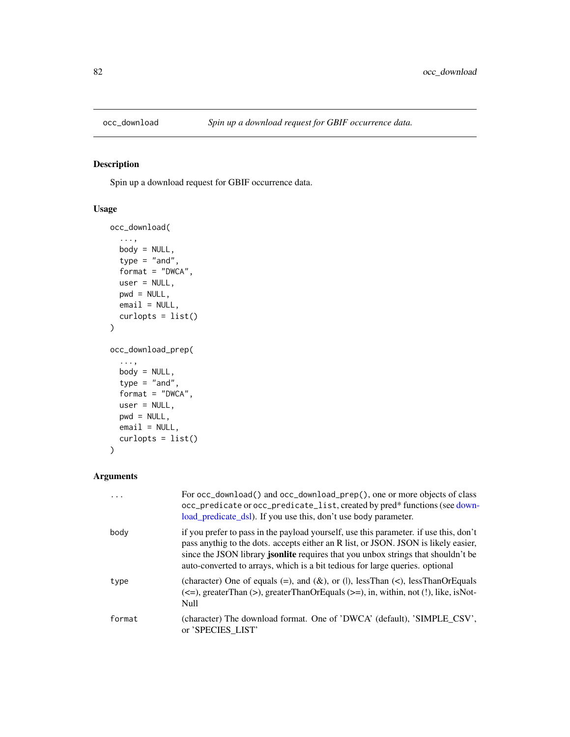<span id="page-81-0"></span>

## <span id="page-81-1"></span>Description

Spin up a download request for GBIF occurrence data.

## Usage

```
occ_download(
  ...,
 body = NULL,
  type = "and",
  format = "DWCA",
 user = NULL,
 pwd = NULL,email = NULL,curlopts = list()
)
occ_download_prep(
  ...,
 body = NULL,
  type = "and",
  format = "DWCA",
 user = NULL,
 pwd = NULL,
 email = NULL,
 curlopts = list()
)
```
## Arguments

| .      | For occ_download() and occ_download_prep(), one or more objects of class<br>occ_predicate or occ_predicate_list, created by pred* functions (see down-<br>load_predicate_dsl). If you use this, don't use body parameter.                                                                                                                         |
|--------|---------------------------------------------------------------------------------------------------------------------------------------------------------------------------------------------------------------------------------------------------------------------------------------------------------------------------------------------------|
| body   | if you prefer to pass in the payload yourself, use this parameter. if use this, don't<br>pass anythig to the dots. accepts either an R list, or JSON. JSON is likely easier,<br>since the JSON library jsonlite requires that you unbox strings that shouldn't be<br>auto-converted to arrays, which is a bit tedious for large queries. optional |
| type   | (character) One of equals (=), and ( $\&$ ), or ( ), lessThan (<), lessThanOrEquals<br>$(\leq)$ , greaterThan $(\geq)$ , greaterThanOrEquals $(\geq)$ , in, within, not (!), like, isNot-<br>Null                                                                                                                                                 |
| format | (character) The download format. One of 'DWCA' (default), 'SIMPLE_CSV',<br>or 'SPECIES LIST'                                                                                                                                                                                                                                                      |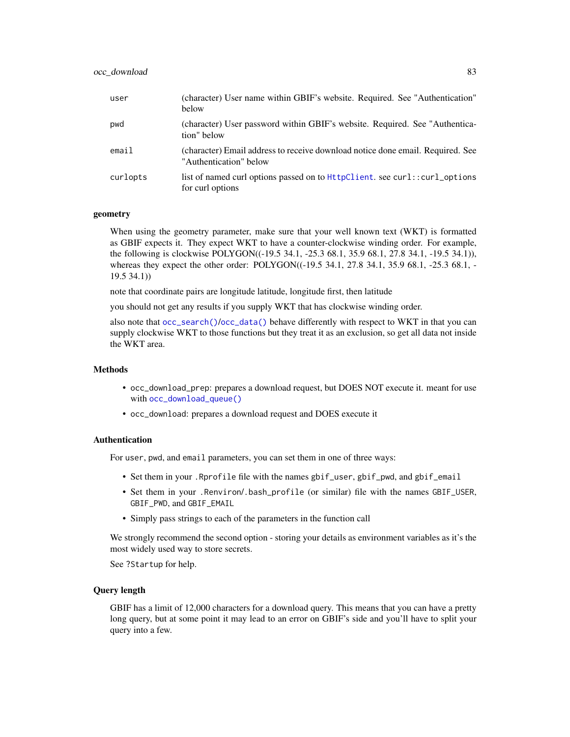| user     | (character) User name within GBIF's website. Required. See "Authentication"<br>below                     |
|----------|----------------------------------------------------------------------------------------------------------|
| pwd      | (character) User password within GBIF's website. Required. See "Authentica-<br>tion" below               |
| email    | (character) Email address to receive download notice done email. Required. See<br>"Authentication" below |
| curlopts | list of named curl options passed on to HttpClient, see curl::curl_options<br>for curl options           |

## geometry

When using the geometry parameter, make sure that your well known text (WKT) is formatted as GBIF expects it. They expect WKT to have a counter-clockwise winding order. For example, the following is clockwise POLYGON((-19.5 34.1, -25.3 68.1, 35.9 68.1, 27.8 34.1, -19.5 34.1)), whereas they expect the other order: POLYGON((-19.5 34.1, 27.8 34.1, 35.9 68.1, -25.3 68.1, -19.5 34.1))

note that coordinate pairs are longitude latitude, longitude first, then latitude

you should not get any results if you supply WKT that has clockwise winding order.

also note that [occ\\_search\(\)](#page-105-0)/[occ\\_data\(\)](#page-63-0) behave differently with respect to WKT in that you can supply clockwise WKT to those functions but they treat it as an exclusion, so get all data not inside the WKT area.

## Methods

- occ\_download\_prep: prepares a download request, but DOES NOT execute it. meant for use with [occ\\_download\\_queue\(\)](#page-95-0)
- occ\_download: prepares a download request and DOES execute it

#### Authentication

For user, pwd, and email parameters, you can set them in one of three ways:

- Set them in your .Rprofile file with the names gbif\_user, gbif\_pwd, and gbif\_email
- Set them in your .Renviron/.bash\_profile (or similar) file with the names GBIF\_USER, GBIF\_PWD, and GBIF\_EMAIL
- Simply pass strings to each of the parameters in the function call

We strongly recommend the second option - storing your details as environment variables as it's the most widely used way to store secrets.

See ?Startup for help.

#### Query length

GBIF has a limit of 12,000 characters for a download query. This means that you can have a pretty long query, but at some point it may lead to an error on GBIF's side and you'll have to split your query into a few.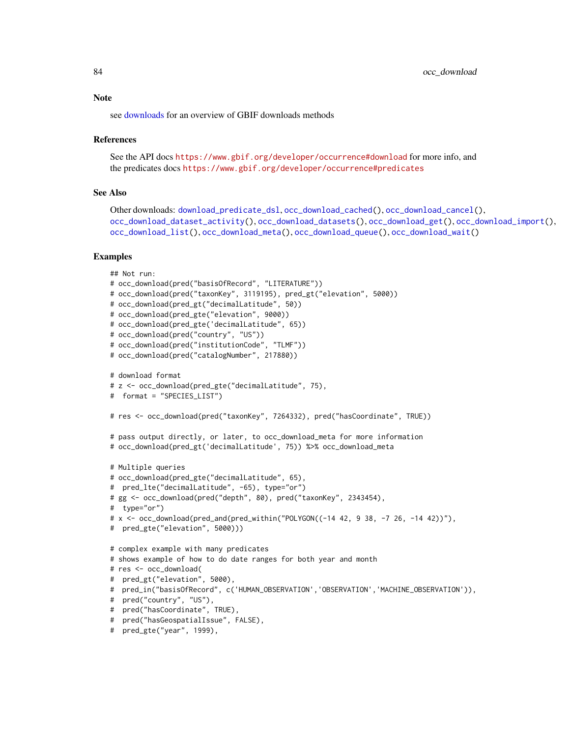see [downloads](#page-16-0) for an overview of GBIF downloads methods

#### References

```
See the API docs https://www.gbif.org/developer/occurrence#download for more info, and
the predicates docs https://www.gbif.org/developer/occurrence#predicates
```
#### See Also

```
Other downloads: download_predicate_dsl, occ_download_cached(), occ_download_cancel(),
occ_download_dataset_activity(), occ_download_datasets(), occ_download_get(), occ_download_import(),
occ_download_list(), occ_download_meta(), occ_download_queue(), occ_download_wait()
```
#### Examples

```
## Not run:
# occ_download(pred("basisOfRecord", "LITERATURE"))
# occ_download(pred("taxonKey", 3119195), pred_gt("elevation", 5000))
# occ_download(pred_gt("decimalLatitude", 50))
# occ_download(pred_gte("elevation", 9000))
# occ_download(pred_gte('decimalLatitude", 65))
# occ_download(pred("country", "US"))
# occ_download(pred("institutionCode", "TLMF"))
# occ_download(pred("catalogNumber", 217880))
# download format
# z <- occ_download(pred_gte("decimalLatitude", 75),
# format = "SPECIES_LIST")
# res <- occ_download(pred("taxonKey", 7264332), pred("hasCoordinate", TRUE))
# pass output directly, or later, to occ_download_meta for more information
# occ_download(pred_gt('decimalLatitude', 75)) %>% occ_download_meta
# Multiple queries
# occ_download(pred_gte("decimalLatitude", 65),
# pred_lte("decimalLatitude", -65), type="or")
# gg <- occ_download(pred("depth", 80), pred("taxonKey", 2343454),
# type="or")
# x <- occ_download(pred_and(pred_within("POLYGON((-14 42, 9 38, -7 26, -14 42))"),
# pred_gte("elevation", 5000)))
# complex example with many predicates
# shows example of how to do date ranges for both year and month
# res <- occ_download(
# pred_gt("elevation", 5000),
# pred_in("basisOfRecord", c('HUMAN_OBSERVATION','OBSERVATION','MACHINE_OBSERVATION')),
# pred("country", "US"),
# pred("hasCoordinate", TRUE),
# pred("hasGeospatialIssue", FALSE),
# pred_gte("year", 1999),
```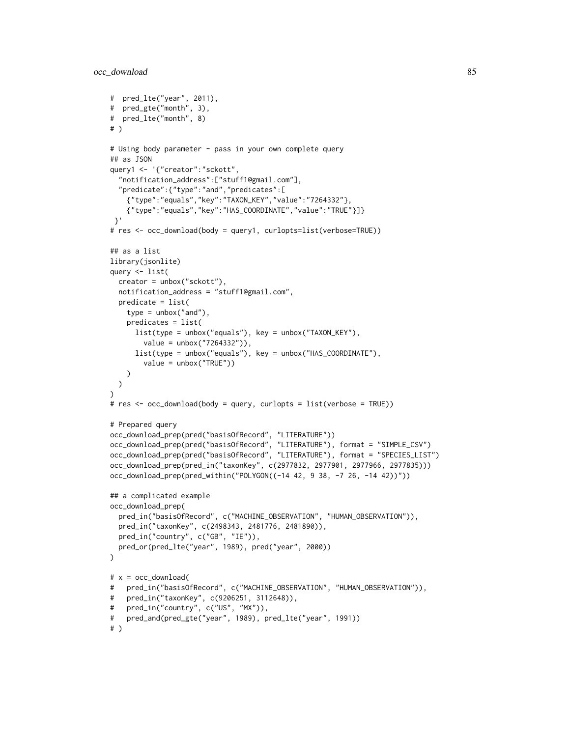```
# pred_lte("year", 2011),
# pred_gte("month", 3),
# pred_lte("month", 8)
# )
# Using body parameter - pass in your own complete query
## as JSON
query1 <- '{"creator":"sckott",
  "notification_address":["stuff1@gmail.com"],
  "predicate":{"type":"and","predicates":[
    {"type":"equals","key":"TAXON_KEY","value":"7264332"},
    {"type":"equals","key":"HAS_COORDINATE","value":"TRUE"}]}
 }'
# res <- occ_download(body = query1, curlopts=list(verbose=TRUE))
## as a list
library(jsonlite)
query <- list(
  creator = unbox("sckott"),
  notification_address = "stuff1@gmail.com",
  predicate = list(
   type = unbox("and"),
   predicates = list(
      list(type = unbox("equals"), key = unbox("TAXON_KEY"),
       value = unbox("7264332")),
     list(type = unbox("equals"), key = unbox("HAS_COORDINATE"),
        value = unbox("TRUE"))
   )
 )
)
# res <- occ_download(body = query, curlopts = list(verbose = TRUE))
# Prepared query
occ_download_prep(pred("basisOfRecord", "LITERATURE"))
occ_download_prep(pred("basisOfRecord", "LITERATURE"), format = "SIMPLE_CSV")
occ_download_prep(pred("basisOfRecord", "LITERATURE"), format = "SPECIES_LIST")
occ_download_prep(pred_in("taxonKey", c(2977832, 2977901, 2977966, 2977835)))
occ_download_prep(pred_within("POLYGON((-14 42, 9 38, -7 26, -14 42))"))
## a complicated example
occ_download_prep(
  pred_in("basisOfRecord", c("MACHINE_OBSERVATION", "HUMAN_OBSERVATION")),
  pred_in("taxonKey", c(2498343, 2481776, 2481890)),
  pred_in("country", c("GB", "IE")),
  pred_or(pred_lte("year", 1989), pred("year", 2000))
)
# x = occ_download(# pred_in("basisOfRecord", c("MACHINE_OBSERVATION", "HUMAN_OBSERVATION")),
# pred_in("taxonKey", c(9206251, 3112648)),
# pred_in("country", c("US", "MX")),
# pred_and(pred_gte("year", 1989), pred_lte("year", 1991))
# )
```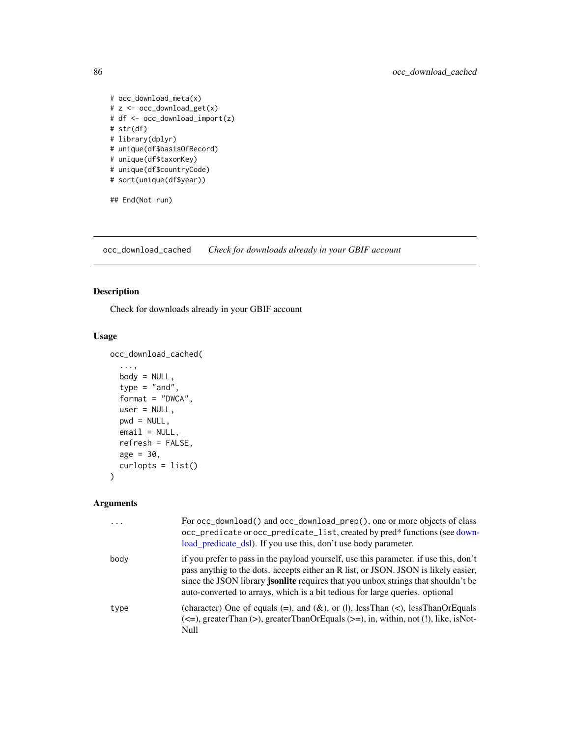```
# occ_download_meta(x)
# z <- occ_download_get(x)
# df <- occ_download_import(z)
# str(df)
# library(dplyr)
# unique(df$basisOfRecord)
# unique(df$taxonKey)
# unique(df$countryCode)
# sort(unique(df$year))
```
## End(Not run)

<span id="page-85-0"></span>occ\_download\_cached *Check for downloads already in your GBIF account*

## Description

Check for downloads already in your GBIF account

#### Usage

```
occ_download_cached(
  ...,
 body = NULL,
  type = "and",format = "DWCA",
 user = NULL,
 pwd = NULL,email = NULL,refresh = FALSE,
 age = 30,curlopts = list()
)
```
## Arguments

| $\ddots$ . | For occ_download() and occ_download_prep(), one or more objects of class<br>occ_predicate or occ_predicate_list, created by pred* functions (see down-<br>load_predicate_dsl). If you use this, don't use body parameter.                                                                                                                         |
|------------|---------------------------------------------------------------------------------------------------------------------------------------------------------------------------------------------------------------------------------------------------------------------------------------------------------------------------------------------------|
| body       | if you prefer to pass in the payload yourself, use this parameter. if use this, don't<br>pass anythig to the dots. accepts either an R list, or JSON. JSON is likely easier,<br>since the JSON library jsonlite requires that you unbox strings that shouldn't be<br>auto-converted to arrays, which is a bit tedious for large queries. optional |
| type       | (character) One of equals (=), and ( $\&$ ), or ( ), lessThan (<), lessThanOrEquals<br>$(\leq)$ , greaterThan $(\geq)$ , greaterThanOrEquals $(\geq)$ , in, within, not (!), like, isNot-<br>Null                                                                                                                                                 |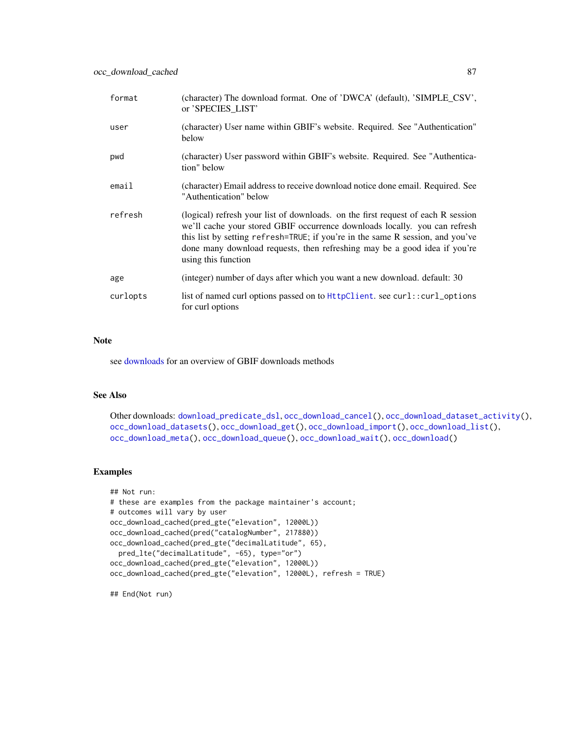| format   | (character) The download format. One of 'DWCA' (default), 'SIMPLE_CSV',<br>or 'SPECIES_LIST'                                                                                                                                                                                                                                                         |
|----------|------------------------------------------------------------------------------------------------------------------------------------------------------------------------------------------------------------------------------------------------------------------------------------------------------------------------------------------------------|
| user     | (character) User name within GBIF's website. Required. See "Authentication"<br>below                                                                                                                                                                                                                                                                 |
| pwd      | (character) User password within GBIF's website. Required. See "Authentica-<br>tion" below                                                                                                                                                                                                                                                           |
| email    | (character) Email address to receive download notice done email. Required. See<br>"Authentication" below                                                                                                                                                                                                                                             |
| refresh  | (logical) refresh your list of downloads. on the first request of each R session<br>we'll cache your stored GBIF occurrence downloads locally. you can refresh<br>this list by setting refresh=TRUE; if you're in the same R session, and you've<br>done many download requests, then refreshing may be a good idea if you're<br>using this function |
| age      | (integer) number of days after which you want a new download. default: 30                                                                                                                                                                                                                                                                            |
| curlopts | list of named curl options passed on to $HtptClient$ . see curl::curl_options<br>for curl options                                                                                                                                                                                                                                                    |

#### Note

see [downloads](#page-16-0) for an overview of GBIF downloads methods

#### See Also

```
Other downloads: download_predicate_dsl, occ_download_cancel(), occ_download_dataset_activity(),
occ_download_datasets(), occ_download_get(), occ_download_import(), occ_download_list(),
occ_download_meta(), occ_download_queue(), occ_download_wait(), occ_download()
```
## Examples

```
## Not run:
# these are examples from the package maintainer's account;
# outcomes will vary by user
occ_download_cached(pred_gte("elevation", 12000L))
occ_download_cached(pred("catalogNumber", 217880))
occ_download_cached(pred_gte("decimalLatitude", 65),
  pred_lte("decimalLatitude", -65), type="or")
occ_download_cached(pred_gte("elevation", 12000L))
occ_download_cached(pred_gte("elevation", 12000L), refresh = TRUE)
```
## End(Not run)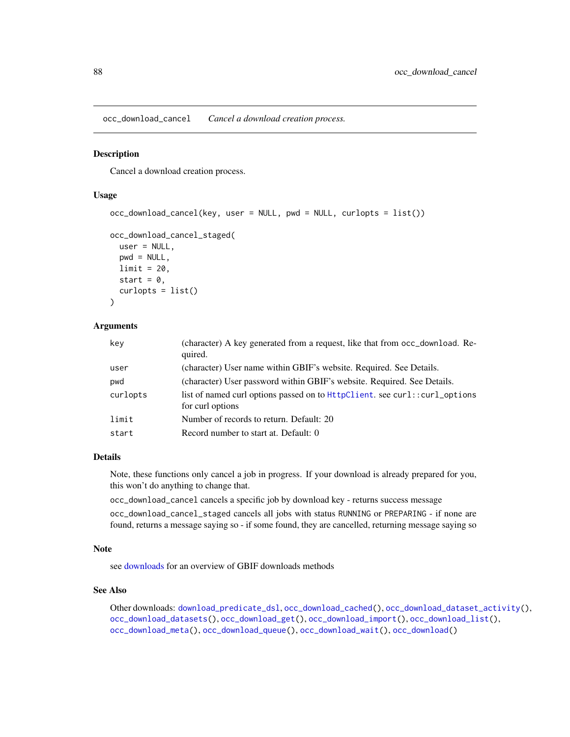<span id="page-87-0"></span>occ\_download\_cancel *Cancel a download creation process.*

#### Description

Cancel a download creation process.

## Usage

```
occ_download_cancel(key, user = NULL, pwd = NULL, curlopts = list())
occ_download_cancel_staged(
 user = NULL,
 pwd = NULL,limit = 20,start = 0,
  curlopts = list()
```
# ) Arguments

| key      | (character) A key generated from a request, like that from occ_download. Re-<br>quired.        |
|----------|------------------------------------------------------------------------------------------------|
| user     | (character) User name within GBIF's website. Required. See Details.                            |
| pwd      | (character) User password within GBIF's website. Required. See Details.                        |
| curlopts | list of named curl options passed on to HttpClient. see curl::curl_options<br>for curl options |
| limit    | Number of records to return. Default: 20                                                       |
| start    | Record number to start at. Default: 0                                                          |

#### Details

Note, these functions only cancel a job in progress. If your download is already prepared for you, this won't do anything to change that.

```
occ_download_cancel cancels a specific job by download key - returns success message
occ_download_cancel_staged cancels all jobs with status RUNNING or PREPARING - if none are
```
found, returns a message saying so - if some found, they are cancelled, returning message saying so

#### Note

see [downloads](#page-16-0) for an overview of GBIF downloads methods

## See Also

Other downloads: [download\\_predicate\\_dsl](#page-17-0), [occ\\_download\\_cached\(](#page-85-0)), [occ\\_download\\_dataset\\_activity\(](#page-89-0)), [occ\\_download\\_datasets\(](#page-88-0)), [occ\\_download\\_get\(](#page-90-0)), [occ\\_download\\_import\(](#page-91-0)), [occ\\_download\\_list\(](#page-93-0)), [occ\\_download\\_meta\(](#page-94-0)), [occ\\_download\\_queue\(](#page-95-0)), [occ\\_download\\_wait\(](#page-97-0)), [occ\\_download\(](#page-81-0))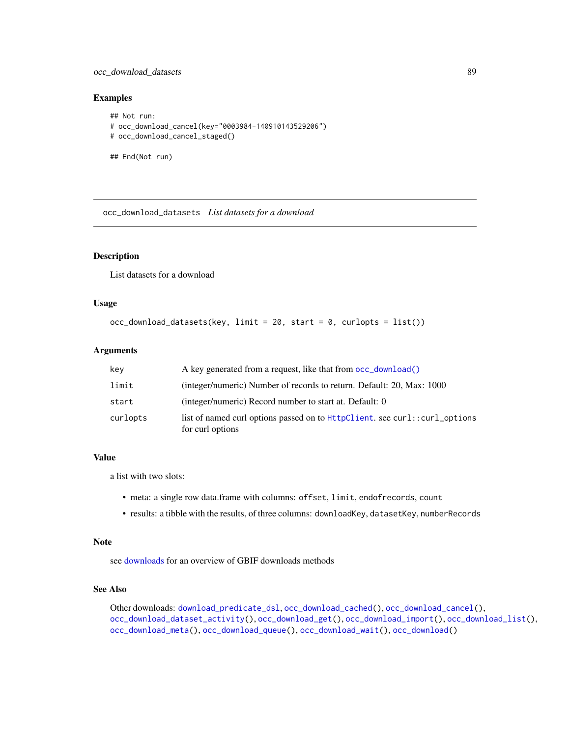## occ\_download\_datasets 89

#### Examples

```
## Not run:
# occ_download_cancel(key="0003984-140910143529206")
# occ_download_cancel_staged()
## End(Not run)
```
<span id="page-88-0"></span>occ\_download\_datasets *List datasets for a download*

## Description

List datasets for a download

## Usage

```
occ_download_datasets(key, limit = 20, start = 0, curlopts = list())
```
## Arguments

| key      | A key generated from a request, like that from occ_download()                                  |
|----------|------------------------------------------------------------------------------------------------|
| limit    | (integer/numeric) Number of records to return. Default: 20, Max: 1000                          |
| start    | (integer/numeric) Record number to start at. Default: 0                                        |
| curlopts | list of named curl options passed on to HttpClient. see curl::curl_options<br>for curl options |

### Value

a list with two slots:

- meta: a single row data.frame with columns: offset, limit, endofrecords, count
- results: a tibble with the results, of three columns: downloadKey, datasetKey, numberRecords

#### Note

see [downloads](#page-16-0) for an overview of GBIF downloads methods

## See Also

Other downloads: [download\\_predicate\\_dsl](#page-17-0), [occ\\_download\\_cached\(](#page-85-0)), [occ\\_download\\_cancel\(](#page-87-0)), [occ\\_download\\_dataset\\_activity\(](#page-89-0)), [occ\\_download\\_get\(](#page-90-0)), [occ\\_download\\_import\(](#page-91-0)), [occ\\_download\\_list\(](#page-93-0)), [occ\\_download\\_meta\(](#page-94-0)), [occ\\_download\\_queue\(](#page-95-0)), [occ\\_download\\_wait\(](#page-97-0)), [occ\\_download\(](#page-81-0))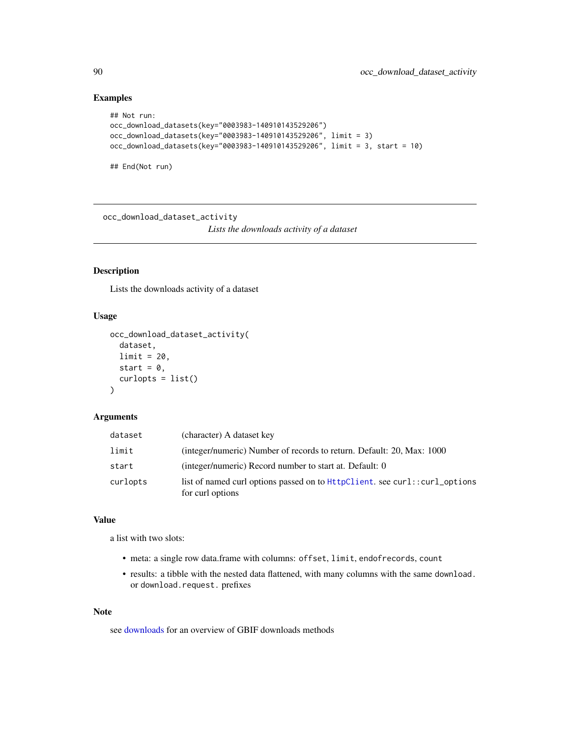## Examples

```
## Not run:
occ_download_datasets(key="0003983-140910143529206")
occ_download_datasets(key="0003983-140910143529206", limit = 3)
occ_download_datasets(key="0003983-140910143529206", limit = 3, start = 10)
## End(Not run)
```
<span id="page-89-0"></span>occ\_download\_dataset\_activity

*Lists the downloads activity of a dataset*

## Description

Lists the downloads activity of a dataset

#### Usage

```
occ_download_dataset_activity(
  dataset,
  limit = 20,
  start = \theta,
  curlopts = list()
\lambda
```
#### Arguments

| dataset  | (character) A dataset key                                                                      |
|----------|------------------------------------------------------------------------------------------------|
| limit    | (integer/numeric) Number of records to return. Default: 20, Max: 1000                          |
| start    | (integer/numeric) Record number to start at. Default: 0                                        |
| curlopts | list of named curl options passed on to HttpClient. see curl::curl_options<br>for curl options |

## Value

a list with two slots:

- meta: a single row data.frame with columns: offset, limit, endofrecords, count
- results: a tibble with the nested data flattened, with many columns with the same download. or download.request. prefixes

#### Note

see [downloads](#page-16-0) for an overview of GBIF downloads methods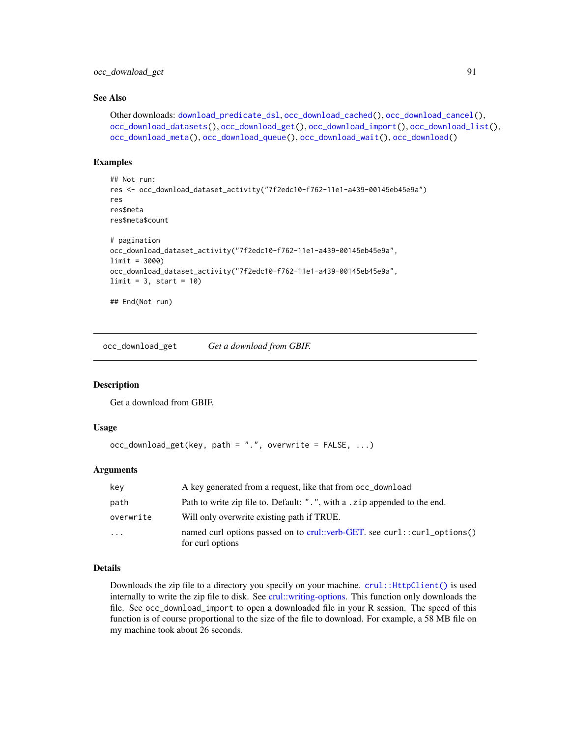#### See Also

```
Other downloads: download_predicate_dsl, occ_download_cached(), occ_download_cancel(),
occ_download_datasets(), occ_download_get(), occ_download_import(), occ_download_list(),
occ_download_meta(), occ_download_queue(), occ_download_wait(), occ_download()
```
#### Examples

```
## Not run:
res <- occ_download_dataset_activity("7f2edc10-f762-11e1-a439-00145eb45e9a")
res
res$meta
res$meta$count
# pagination
occ_download_dataset_activity("7f2edc10-f762-11e1-a439-00145eb45e9a",
limit = 3000)
occ_download_dataset_activity("7f2edc10-f762-11e1-a439-00145eb45e9a",
limit = 3, start = 10)
## End(Not run)
```
<span id="page-90-0"></span>occ\_download\_get *Get a download from GBIF.*

#### **Description**

Get a download from GBIF.

#### Usage

```
occ_download_get(key, path = ".", overwrite = FALSE, ...)
```
## Arguments

| key       | A key generated from a request, like that from occ_download                                  |
|-----------|----------------------------------------------------------------------------------------------|
| path      | Path to write zip file to. Default: ".", with a .zip appended to the end.                    |
| overwrite | Will only overwrite existing path if TRUE.                                                   |
| $\cdots$  | named curl options passed on to crul::verb-GET. see curl::curl_options()<br>for curl options |

## Details

Downloads the zip file to a directory you specify on your machine. [crul::HttpClient\(\)](#page-0-0) is used internally to write the zip file to disk. See [crul::writing-options.](#page-0-0) This function only downloads the file. See occ\_download\_import to open a downloaded file in your R session. The speed of this function is of course proportional to the size of the file to download. For example, a 58 MB file on my machine took about 26 seconds.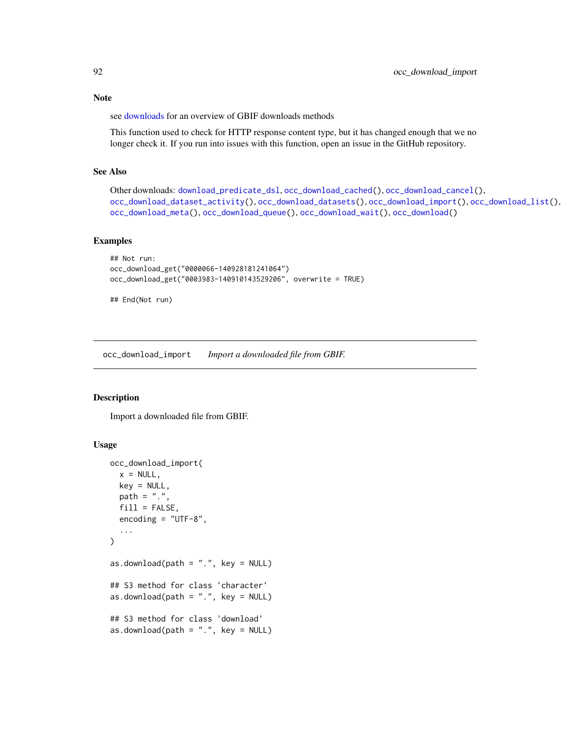Note

see [downloads](#page-16-0) for an overview of GBIF downloads methods

This function used to check for HTTP response content type, but it has changed enough that we no longer check it. If you run into issues with this function, open an issue in the GitHub repository.

#### See Also

```
Other downloads: download_predicate_dsl, occ_download_cached(), occ_download_cancel(),
occ_download_dataset_activity(), occ_download_datasets(), occ_download_import(), occ_download_list(),
occ_download_meta(), occ_download_queue(), occ_download_wait(), occ_download()
```
#### Examples

```
## Not run:
occ_download_get("0000066-140928181241064")
occ_download_get("0003983-140910143529206", overwrite = TRUE)
```
## End(Not run)

<span id="page-91-0"></span>occ\_download\_import *Import a downloaded file from GBIF.*

#### Description

Import a downloaded file from GBIF.

#### Usage

```
occ_download_import(
  x = NULL,key = NULL,
 path = ".'',fill = FALSE,encoding = "UTF-8",
  ...
)
as.download(path = "."., key = NULL)
## S3 method for class 'character'
as.download(path = "."., key = NULL)
## S3 method for class 'download'
as.download(path = "."., key = NULL)
```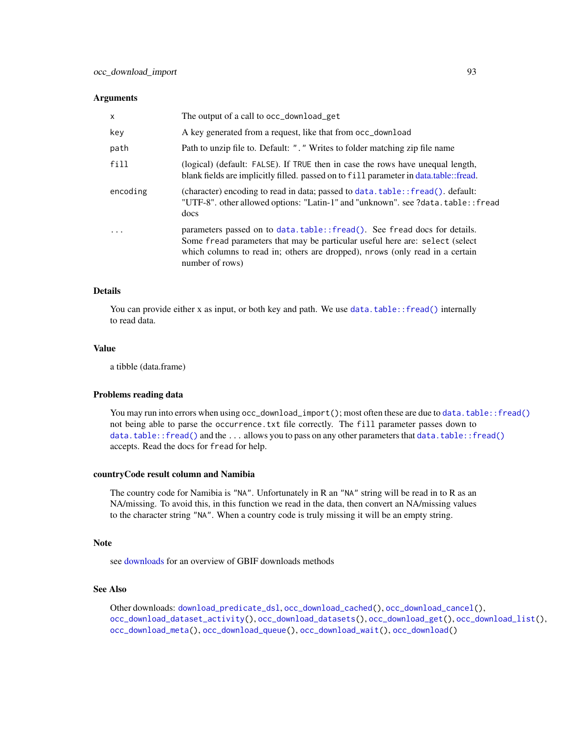#### **Arguments**

| $\mathsf{x}$ | The output of a call to occ_download_get                                                                                                                                                                                                                     |
|--------------|--------------------------------------------------------------------------------------------------------------------------------------------------------------------------------------------------------------------------------------------------------------|
| key          | A key generated from a request, like that from occ_download                                                                                                                                                                                                  |
| path         | Path to unzip file to. Default: ". " Writes to folder matching zip file name                                                                                                                                                                                 |
| fill         | (logical) (default: FALSE). If TRUE then in case the rows have unequal length,<br>blank fields are implicitly filled. passed on to fill parameter in data.table: fread.                                                                                      |
| encoding     | (character) encoding to read in data; passed to $data$ . $table::fread()$ . $default:$<br>"UTF-8", other allowed options: "Latin-1" and "unknown", see ?data.table:: fread<br>docs                                                                           |
| $\cdot$      | parameters passed on to data.table::fread(). See fread docs for details.<br>Some fread parameters that may be particular useful here are: select (select)<br>which columns to read in; others are dropped), nrows (only read in a certain<br>number of rows) |

## Details

You can provide either x as input, or both key and path. We use [data.table::fread\(\)](#page-0-0) internally to read data.

## Value

a tibble (data.frame)

#### Problems reading data

You may run into errors when using occ\_download\_import(); most often these are due to [data.table::fread\(\)](#page-0-0) not being able to parse the occurrence.txt file correctly. The fill parameter passes down to [data.table::fread\(\)](#page-0-0) and the ... allows you to pass on any other parameters that data.table::fread() accepts. Read the docs for fread for help.

#### countryCode result column and Namibia

The country code for Namibia is "NA". Unfortunately in R an "NA" string will be read in to R as an NA/missing. To avoid this, in this function we read in the data, then convert an NA/missing values to the character string "NA". When a country code is truly missing it will be an empty string.

#### **Note**

see [downloads](#page-16-0) for an overview of GBIF downloads methods

#### See Also

Other downloads: [download\\_predicate\\_dsl](#page-17-0), [occ\\_download\\_cached\(](#page-85-0)), [occ\\_download\\_cancel\(](#page-87-0)), [occ\\_download\\_dataset\\_activity\(](#page-89-0)), [occ\\_download\\_datasets\(](#page-88-0)), [occ\\_download\\_get\(](#page-90-0)), [occ\\_download\\_list\(](#page-93-0)), [occ\\_download\\_meta\(](#page-94-0)), [occ\\_download\\_queue\(](#page-95-0)), [occ\\_download\\_wait\(](#page-97-0)), [occ\\_download\(](#page-81-0))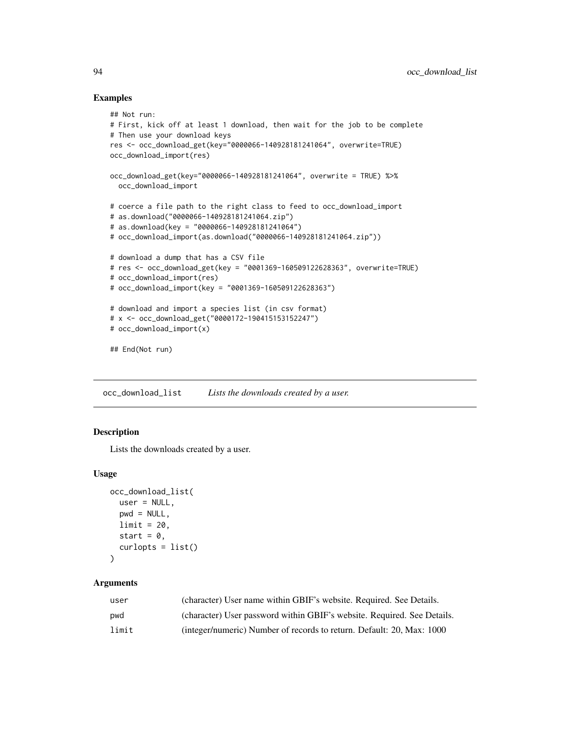#### Examples

```
## Not run:
# First, kick off at least 1 download, then wait for the job to be complete
# Then use your download keys
res <- occ_download_get(key="0000066-140928181241064", overwrite=TRUE)
occ_download_import(res)
occ_download_get(key="0000066-140928181241064", overwrite = TRUE) %>%
  occ_download_import
# coerce a file path to the right class to feed to occ_download_import
# as.download("0000066-140928181241064.zip")
# as.download(key = "0000066-140928181241064")
# occ_download_import(as.download("0000066-140928181241064.zip"))
# download a dump that has a CSV file
# res <- occ_download_get(key = "0001369-160509122628363", overwrite=TRUE)
# occ_download_import(res)
# occ_download_import(key = "0001369-160509122628363")
# download and import a species list (in csv format)
# x <- occ_download_get("0000172-190415153152247")
# occ_download_import(x)
## End(Not run)
```
<span id="page-93-0"></span>occ\_download\_list *Lists the downloads created by a user.*

## **Description**

Lists the downloads created by a user.

## Usage

```
occ_download_list(
  user = NULL,
 pwd = NULL,
 limit = 20,
  start = 0,
  curlopts = list()\lambda
```
## Arguments

| user  | (character) User name within GBIF's website. Required. See Details.     |
|-------|-------------------------------------------------------------------------|
| pwd   | (character) User password within GBIF's website. Required. See Details. |
| limit | (integer/numeric) Number of records to return. Default: 20, Max: 1000   |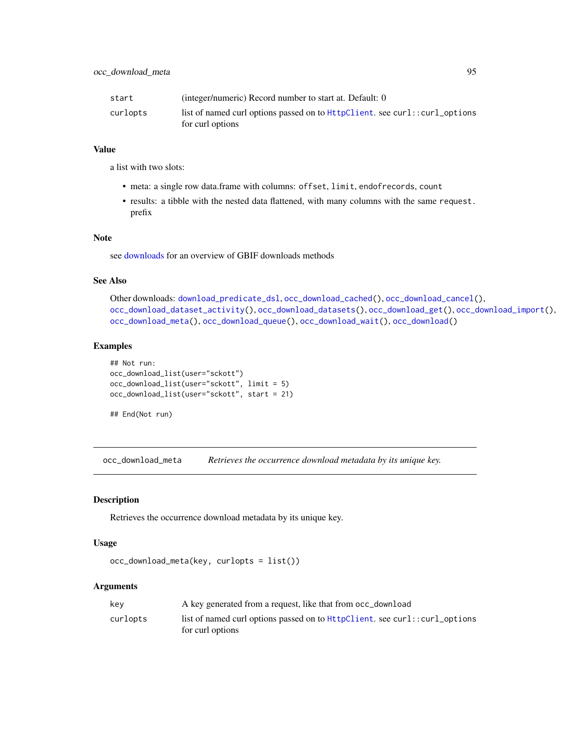| start    | (integer/numeric) Record number to start at. Default: 0                                        |
|----------|------------------------------------------------------------------------------------------------|
| curlopts | list of named curl options passed on to HttpClient, see curl::curl_options<br>for curl options |

## Value

a list with two slots:

- meta: a single row data.frame with columns: offset, limit, endofrecords, count
- results: a tibble with the nested data flattened, with many columns with the same request. prefix

#### Note

see [downloads](#page-16-0) for an overview of GBIF downloads methods

## See Also

```
Other downloads: download_predicate_dsl, occ_download_cached(), occ_download_cancel(),
occ_download_dataset_activity(), occ_download_datasets(), occ_download_get(), occ_download_import(),
occ_download_meta(), occ_download_queue(), occ_download_wait(), occ_download()
```
#### Examples

```
## Not run:
occ_download_list(user="sckott")
occ_download_list(user="sckott", limit = 5)
occ_download_list(user="sckott", start = 21)
```

```
## End(Not run)
```
<span id="page-94-0"></span>occ\_download\_meta *Retrieves the occurrence download metadata by its unique key.*

#### Description

Retrieves the occurrence download metadata by its unique key.

#### Usage

```
occ_download_meta(key, curlopts = list())
```
#### Arguments

| kev      | A key generated from a request, like that from occ_download                |
|----------|----------------------------------------------------------------------------|
| curlopts | list of named curl options passed on to HttpClient. see curl::curl_options |
|          | for curl options                                                           |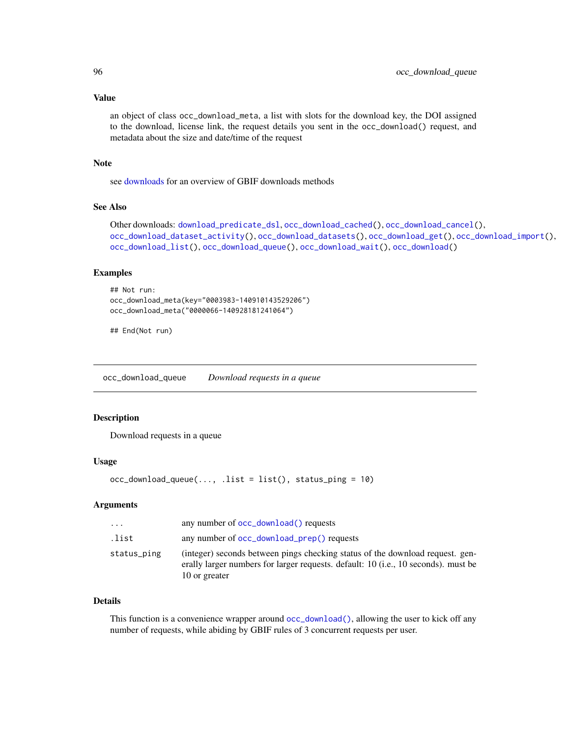## Value

an object of class occ\_download\_meta, a list with slots for the download key, the DOI assigned to the download, license link, the request details you sent in the occ\_download() request, and metadata about the size and date/time of the request

## Note

see [downloads](#page-16-0) for an overview of GBIF downloads methods

#### See Also

```
Other downloads: download_predicate_dsl, occ_download_cached(), occ_download_cancel(),
occ_download_dataset_activity(), occ_download_datasets(), occ_download_get(), occ_download_import(),
occ_download_list(), occ_download_queue(), occ_download_wait(), occ_download()
```
### Examples

```
## Not run:
occ_download_meta(key="0003983-140910143529206")
occ_download_meta("0000066-140928181241064")
```
## End(Not run)

<span id="page-95-0"></span>occ\_download\_queue *Download requests in a queue*

#### Description

Download requests in a queue

#### Usage

```
occ_download_queue(..., .list = list(), status_ping = 10)
```
## Arguments

| $\cdots$    | any number of occ_download() requests                                                                                                                                                         |
|-------------|-----------------------------------------------------------------------------------------------------------------------------------------------------------------------------------------------|
| .list       | any number of occ_download_prep() requests                                                                                                                                                    |
| status_ping | (integer) seconds between pings checking status of the download request. gen-<br>erally larger numbers for larger requests. default: 10 ( <i>i.e.</i> , 10 seconds), must be<br>10 or greater |

#### Details

This function is a convenience wrapper around [occ\\_download\(\)](#page-81-0), allowing the user to kick off any number of requests, while abiding by GBIF rules of 3 concurrent requests per user.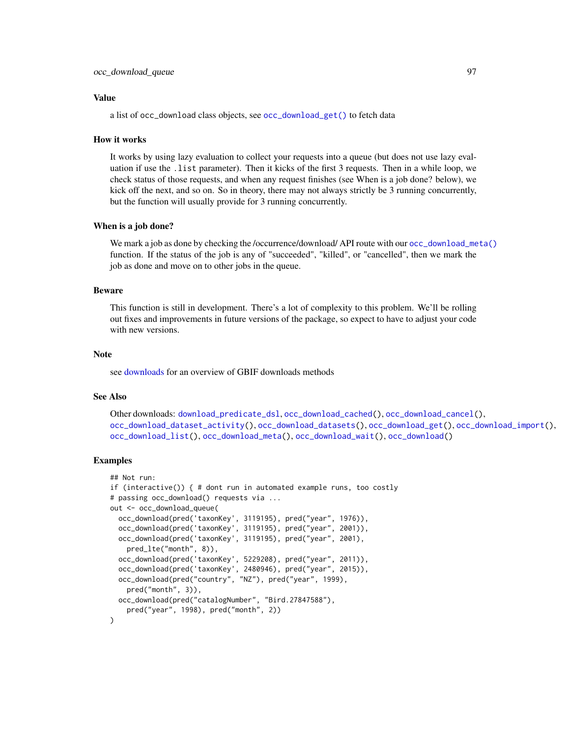#### Value

a list of occ\_download class objects, see [occ\\_download\\_get\(\)](#page-90-0) to fetch data

#### How it works

It works by using lazy evaluation to collect your requests into a queue (but does not use lazy evaluation if use the .list parameter). Then it kicks of the first 3 requests. Then in a while loop, we check status of those requests, and when any request finishes (see When is a job done? below), we kick off the next, and so on. So in theory, there may not always strictly be 3 running concurrently, but the function will usually provide for 3 running concurrently.

#### When is a job done?

We mark a job as done by checking the /occurrence/download/ API route with our [occ\\_download\\_meta\(\)](#page-94-0) function. If the status of the job is any of "succeeded", "killed", or "cancelled", then we mark the job as done and move on to other jobs in the queue.

#### Beware

This function is still in development. There's a lot of complexity to this problem. We'll be rolling out fixes and improvements in future versions of the package, so expect to have to adjust your code with new versions.

#### **Note**

see [downloads](#page-16-0) for an overview of GBIF downloads methods

#### See Also

```
Other downloads: download_predicate_dsl, occ_download_cached(), occ_download_cancel(),
occ_download_dataset_activity(), occ_download_datasets(), occ_download_get(), occ_download_import(),
occ_download_list(), occ_download_meta(), occ_download_wait(), occ_download()
```
## Examples

```
## Not run:
if (interactive()) { # dont run in automated example runs, too costly
# passing occ_download() requests via ...
out <- occ_download_queue(
 occ_download(pred('taxonKey', 3119195), pred("year", 1976)),
 occ_download(pred('taxonKey', 3119195), pred("year", 2001)),
 occ_download(pred('taxonKey', 3119195), pred("year", 2001),
   pred_lte("month", 8)),
 occ_download(pred('taxonKey', 5229208), pred("year", 2011)),
 occ_download(pred('taxonKey', 2480946), pred("year", 2015)),
 occ_download(pred("country", "NZ"), pred("year", 1999),
   pred("month", 3)),
 occ_download(pred("catalogNumber", "Bird.27847588"),
   pred("year", 1998), pred("month", 2))
)
```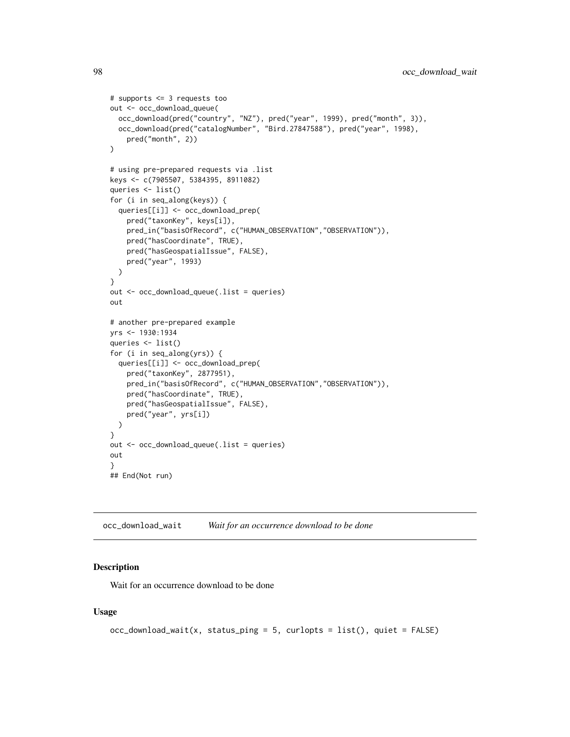```
# supports <= 3 requests too
out <- occ_download_queue(
  occ_download(pred("country", "NZ"), pred("year", 1999), pred("month", 3)),
  occ_download(pred("catalogNumber", "Bird.27847588"), pred("year", 1998),
    pred("month", 2))
)
# using pre-prepared requests via .list
keys <- c(7905507, 5384395, 8911082)
queries <- list()
for (i in seq_along(keys)) {
  queries[[i]] <- occ_download_prep(
    pred("taxonKey", keys[i]),
    pred_in("basisOfRecord", c("HUMAN_OBSERVATION","OBSERVATION")),
   pred("hasCoordinate", TRUE),
   pred("hasGeospatialIssue", FALSE),
   pred("year", 1993)
  )
}
out <- occ_download_queue(.list = queries)
out
# another pre-prepared example
yrs <- 1930:1934
queries <- list()
for (i in seq_along(yrs)) {
  queries[[i]] <- occ_download_prep(
    pred("taxonKey", 2877951),
    pred_in("basisOfRecord", c("HUMAN_OBSERVATION","OBSERVATION")),
    pred("hasCoordinate", TRUE),
    pred("hasGeospatialIssue", FALSE),
    pred("year", yrs[i])
  )
}
out <- occ_download_queue(.list = queries)
out
}
## End(Not run)
```
<span id="page-97-0"></span>occ\_download\_wait *Wait for an occurrence download to be done*

#### Description

Wait for an occurrence download to be done

## Usage

```
occ\_download\_wait(x, status\_ping = 5, curlopts = list(), quiet = FALSE)
```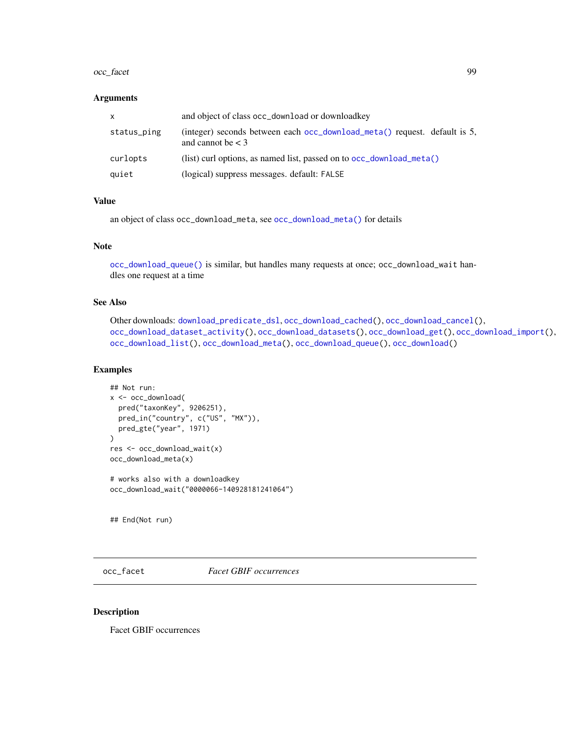#### occ\_facet 99

#### **Arguments**

| X           | and object of class occ_download or download key                                                 |
|-------------|--------------------------------------------------------------------------------------------------|
| status_ping | (integer) seconds between each occ_download_meta() request. default is 5,<br>and cannot be $<$ 3 |
| curlopts    | (list) curl options, as named list, passed on to $\text{occ}_\text{column}$ download meta()      |
| quiet       | (logical) suppress messages. default: FALSE                                                      |

## Value

an object of class occ\_download\_meta, see [occ\\_download\\_meta\(\)](#page-94-0) for details

## Note

[occ\\_download\\_queue\(\)](#page-95-0) is similar, but handles many requests at once; occ\_download\_wait handles one request at a time

## See Also

Other downloads: [download\\_predicate\\_dsl](#page-17-0), [occ\\_download\\_cached\(](#page-85-0)), [occ\\_download\\_cancel\(](#page-87-0)), [occ\\_download\\_dataset\\_activity\(](#page-89-0)), [occ\\_download\\_datasets\(](#page-88-0)), [occ\\_download\\_get\(](#page-90-0)), [occ\\_download\\_import\(](#page-91-0)), [occ\\_download\\_list\(](#page-93-0)), [occ\\_download\\_meta\(](#page-94-0)), [occ\\_download\\_queue\(](#page-95-0)), [occ\\_download\(](#page-81-0))

## Examples

```
## Not run:
x <- occ_download(
  pred("taxonKey", 9206251),
  pred_in("country", c("US", "MX")),
  pred_gte("year", 1971)
)
res <- occ_download_wait(x)
occ_download_meta(x)
# works also with a downloadkey
occ_download_wait("0000066-140928181241064")
```
## End(Not run)

occ\_facet *Facet GBIF occurrences*

#### Description

Facet GBIF occurrences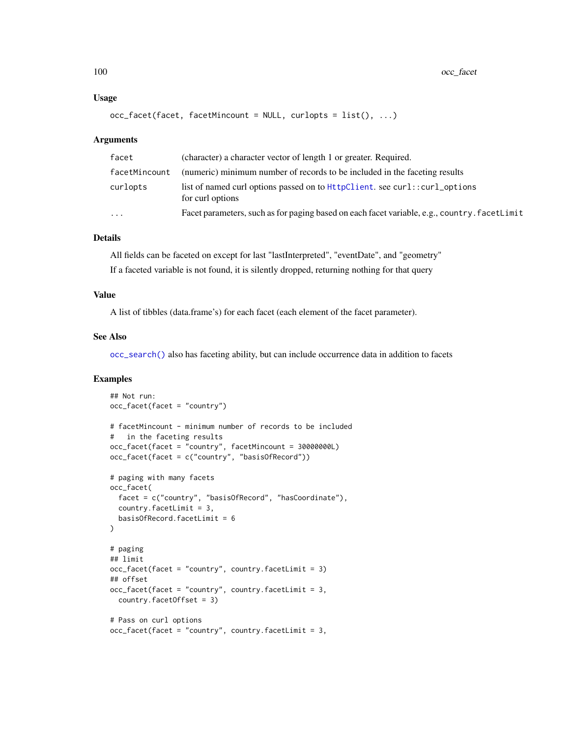#### Usage

```
occ_facet(facet, facetMincount = NULL, curlopts = list(), ...)
```
#### Arguments

| facet         | (character) a character vector of length 1 or greater. Required.                               |
|---------------|------------------------------------------------------------------------------------------------|
| facetMincount | (numeric) minimum number of records to be included in the faceting results                     |
| curlopts      | list of named curl options passed on to HttpClient. see curl::curl_options<br>for curl options |
| .             | Facet parameters, such as for paging based on each facet variable, e.g., country. facetLimit   |
|               |                                                                                                |

## Details

All fields can be faceted on except for last "lastInterpreted", "eventDate", and "geometry" If a faceted variable is not found, it is silently dropped, returning nothing for that query

#### Value

A list of tibbles (data.frame's) for each facet (each element of the facet parameter).

## See Also

[occ\\_search\(\)](#page-105-0) also has faceting ability, but can include occurrence data in addition to facets

## Examples

```
## Not run:
occ_facet(facet = "country")
# facetMincount - minimum number of records to be included
# in the faceting results
occ_facet(facet = "country", facetMincount = 30000000L)
occ_facet(facet = c("country", "basisOfRecord"))
# paging with many facets
occ_facet(
  facet = c("country", "basisOfRecord", "hasCoordinate"),
  country.facetLimit = 3,
  basisOfRecord.facetLimit = 6
)
# paging
## limit
occ_facet(facet = "country", country.facetLimit = 3)
## offset
occ_facet(facet = "country", country.facetLimit = 3,
  country.facetOffset = 3)
# Pass on curl options
occ_facet(facet = "country", country.facetLimit = 3,
```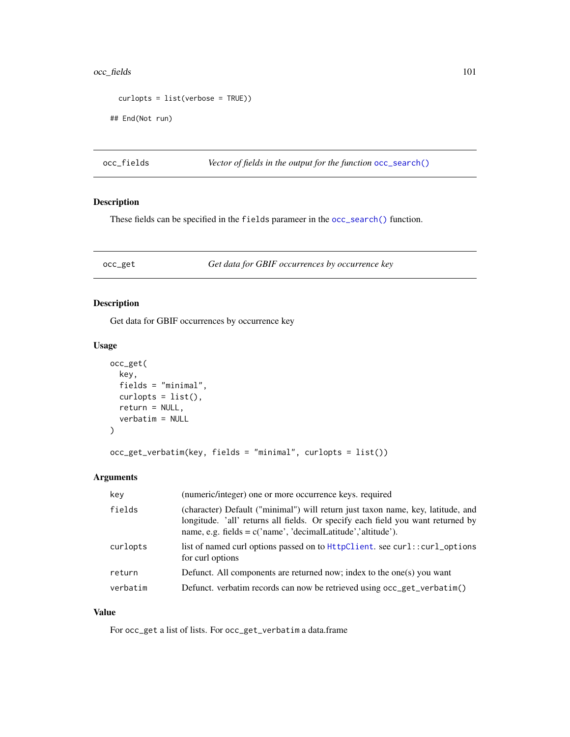#### occ\_fields 101

```
curlopts = list(verbose = TRUE))
## End(Not run)
```
occ\_fields *Vector of fields in the output for the function* [occ\\_search\(\)](#page-105-0)

## Description

These fields can be specified in the fields parameer in the [occ\\_search\(\)](#page-105-0) function.

occ\_get *Get data for GBIF occurrences by occurrence key*

## Description

Get data for GBIF occurrences by occurrence key

#### Usage

```
occ_get(
  key,
  fields = "minimal",
  curlopts = list(),return = NULL,
  verbatim = NULL
)
```
occ\_get\_verbatim(key, fields = "minimal", curlopts = list())

## Arguments

| key      | (numeric/integer) one or more occurrence keys, required                                                                                                                                                                               |
|----------|---------------------------------------------------------------------------------------------------------------------------------------------------------------------------------------------------------------------------------------|
| fields   | (character) Default ("minimal") will return just taxon name, key, latitude, and<br>longitude. 'all' returns all fields. Or specify each field you want returned by<br>name, e.g. fields = $c('name', 'decimalLatitude', 'altitude').$ |
| curlopts | list of named curl options passed on to HttpClient. see curl::curl_options<br>for curl options                                                                                                                                        |
| return   | Defunct. All components are returned now; index to the one(s) you want                                                                                                                                                                |
| verbatim | Defunct. verbatim records can now be retrieved using occ_get_verbatim()                                                                                                                                                               |

## Value

For occ\_get a list of lists. For occ\_get\_verbatim a data.frame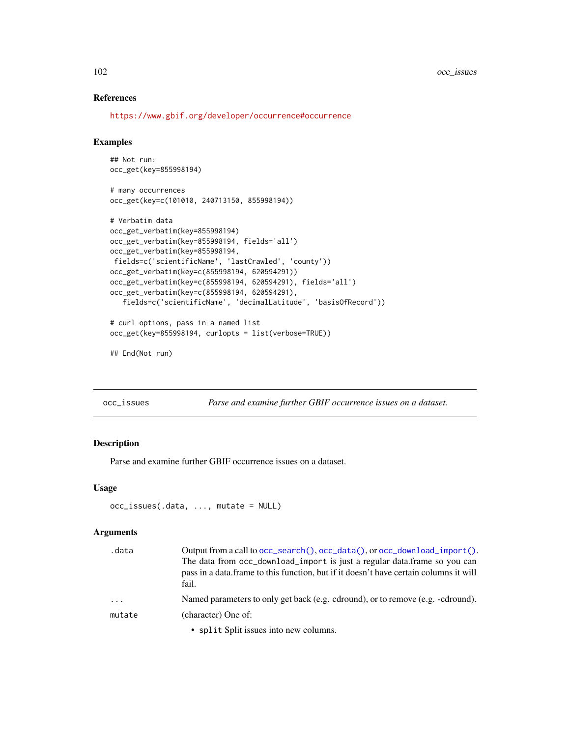## References

<https://www.gbif.org/developer/occurrence#occurrence>

#### Examples

```
## Not run:
occ_get(key=855998194)
# many occurrences
occ_get(key=c(101010, 240713150, 855998194))
# Verbatim data
occ_get_verbatim(key=855998194)
occ_get_verbatim(key=855998194, fields='all')
occ_get_verbatim(key=855998194,
fields=c('scientificName', 'lastCrawled', 'county'))
occ_get_verbatim(key=c(855998194, 620594291))
occ_get_verbatim(key=c(855998194, 620594291), fields='all')
occ_get_verbatim(key=c(855998194, 620594291),
   fields=c('scientificName', 'decimalLatitude', 'basisOfRecord'))
# curl options, pass in a named list
occ_get(key=855998194, curlopts = list(verbose=TRUE))
```
## End(Not run)

occ\_issues *Parse and examine further GBIF occurrence issues on a dataset.*

#### Description

Parse and examine further GBIF occurrence issues on a dataset.

#### Usage

```
occ_issues(.data, ..., mutate = NULL)
```
#### Arguments

| .data    | Output from a call to $occ\_search()$ , $occ\_data()$ , or $occ\_download\_import()$ .                                                                                      |
|----------|-----------------------------------------------------------------------------------------------------------------------------------------------------------------------------|
|          | The data from occ_download_import is just a regular data.frame so you can<br>pass in a data frame to this function, but if it doesn't have certain columns it will<br>fail. |
| $\ddots$ | Named parameters to only get back (e.g. cdround), or to remove (e.g. -cdround).                                                                                             |
| mutate   | (character) One of:                                                                                                                                                         |
|          | $\bullet$ cplit $\theta$ cplit issues into new columns                                                                                                                      |

• split Split issues into new columns.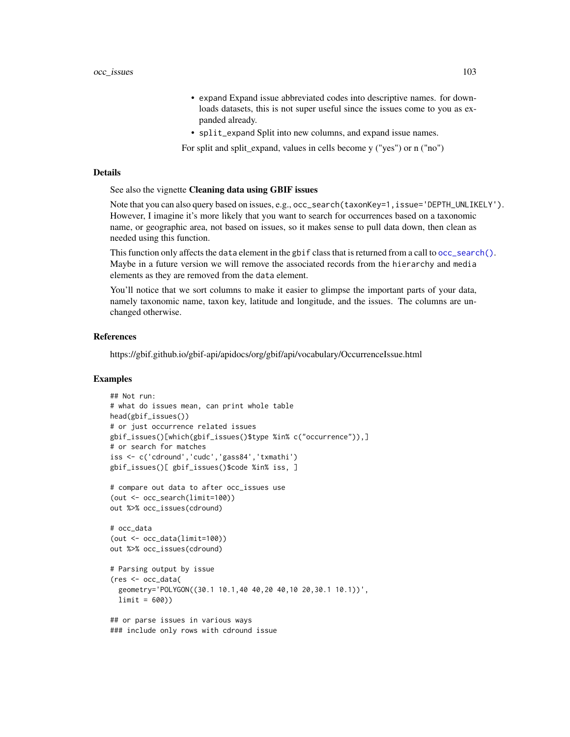- expand Expand issue abbreviated codes into descriptive names. for downloads datasets, this is not super useful since the issues come to you as expanded already.
- split\_expand Split into new columns, and expand issue names.

For split and split\_expand, values in cells become y ("yes") or n ("no")

#### Details

## See also the vignette Cleaning data using GBIF issues

Note that you can also query based on issues, e.g., occ\_search(taxonKey=1,issue='DEPTH\_UNLIKELY'). However, I imagine it's more likely that you want to search for occurrences based on a taxonomic name, or geographic area, not based on issues, so it makes sense to pull data down, then clean as needed using this function.

This function only affects the data element in the gbif class that is returned from a call to [occ\\_search\(\)](#page-105-0). Maybe in a future version we will remove the associated records from the hierarchy and media elements as they are removed from the data element.

You'll notice that we sort columns to make it easier to glimpse the important parts of your data, namely taxonomic name, taxon key, latitude and longitude, and the issues. The columns are unchanged otherwise.

## References

https://gbif.github.io/gbif-api/apidocs/org/gbif/api/vocabulary/OccurrenceIssue.html

#### Examples

```
## Not run:
# what do issues mean, can print whole table
head(gbif_issues())
# or just occurrence related issues
gbif_issues()[which(gbif_issues()$type %in% c("occurrence")),]
# or search for matches
iss <- c('cdround','cudc','gass84','txmathi')
gbif_issues()[ gbif_issues()$code %in% iss, ]
# compare out data to after occ_issues use
(out <- occ_search(limit=100))
out %>% occ_issues(cdround)
# occ_data
(out <- occ_data(limit=100))
out %>% occ_issues(cdround)
# Parsing output by issue
(res <- occ_data(
 geometry='POLYGON((30.1 10.1,40 40,20 40,10 20,30.1 10.1))',
 limit = 600)## or parse issues in various ways
### include only rows with cdround issue
```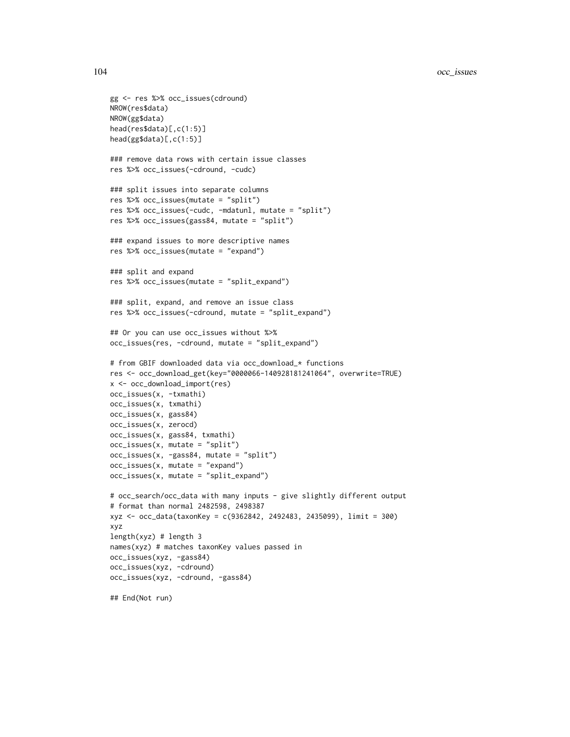```
gg <- res %>% occ_issues(cdround)
NROW(res$data)
NROW(gg$data)
head(res$data)[,c(1:5)]
head(gg$data)[,c(1:5)]
### remove data rows with certain issue classes
res %>% occ_issues(-cdround, -cudc)
### split issues into separate columns
res %>% occ_issues(mutate = "split")
res %>% occ_issues(-cudc, -mdatunl, mutate = "split")
res %>% occ_issues(gass84, mutate = "split")
### expand issues to more descriptive names
res %>% occ_issues(mutate = "expand")
### split and expand
res %>% occ_issues(mutate = "split_expand")
### split, expand, and remove an issue class
res %>% occ_issues(-cdround, mutate = "split_expand")
## Or you can use occ_issues without %>%
occ_issues(res, -cdround, mutate = "split_expand")
# from GBIF downloaded data via occ_download_* functions
res <- occ_download_get(key="0000066-140928181241064", overwrite=TRUE)
x <- occ_download_import(res)
occ_issues(x, -txmathi)
occ_issues(x, txmathi)
occ_issues(x, gass84)
occ_issues(x, zerocd)
occ_issues(x, gass84, txmathi)
occ_issues(x, mutate = "split")
occ_issues(x, -gass84, mutate = "split")
occ_issues(x, mutate = "expand")
occ_issues(x, mutate = "split_expand")
# occ_search/occ_data with many inputs - give slightly different output
# format than normal 2482598, 2498387
xyz <- occ_data(taxonKey = c(9362842, 2492483, 2435099), limit = 300)
xyz
length(xyz) # length 3
names(xyz) # matches taxonKey values passed in
occ_issues(xyz, -gass84)
occ_issues(xyz, -cdround)
occ_issues(xyz, -cdround, -gass84)
## End(Not run)
```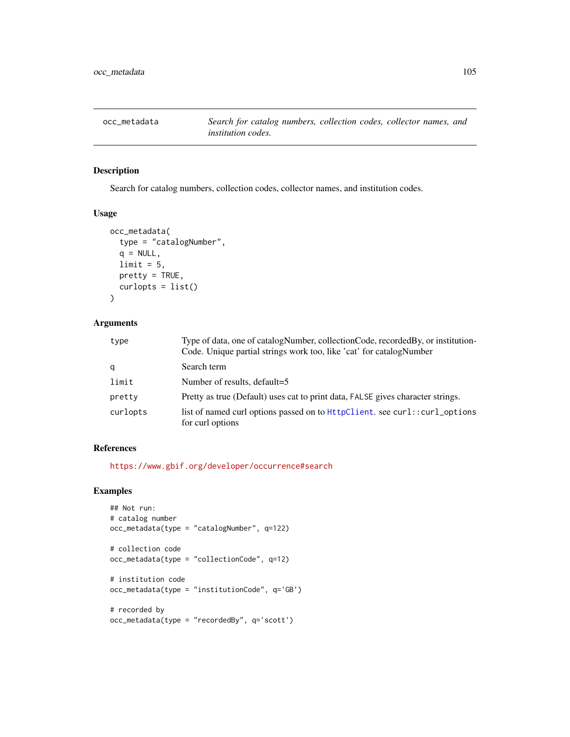## Description

Search for catalog numbers, collection codes, collector names, and institution codes.

#### Usage

```
occ_metadata(
  type = "catalogNumber",
 q = NULL,limit = 5,pretty = TRUE,
 curlopts = list()
)
```
## Arguments

| type     | Type of data, one of catalogNumber, collectionCode, recordedBy, or institution-<br>Code. Unique partial strings work too, like 'cat' for catalogNumber |
|----------|--------------------------------------------------------------------------------------------------------------------------------------------------------|
| q        | Search term                                                                                                                                            |
| limit    | Number of results, default=5                                                                                                                           |
| pretty   | Pretty as true (Default) uses cat to print data, FALSE gives character strings.                                                                        |
| curlopts | list of named curl options passed on to $HtptClient$ . see curl::curl_options<br>for curl options                                                      |

## References

<https://www.gbif.org/developer/occurrence#search>

## Examples

```
## Not run:
# catalog number
occ_metadata(type = "catalogNumber", q=122)
# collection code
occ_metadata(type = "collectionCode", q=12)
# institution code
occ_metadata(type = "institutionCode", q='GB')
# recorded by
occ_metadata(type = "recordedBy", q='scott')
```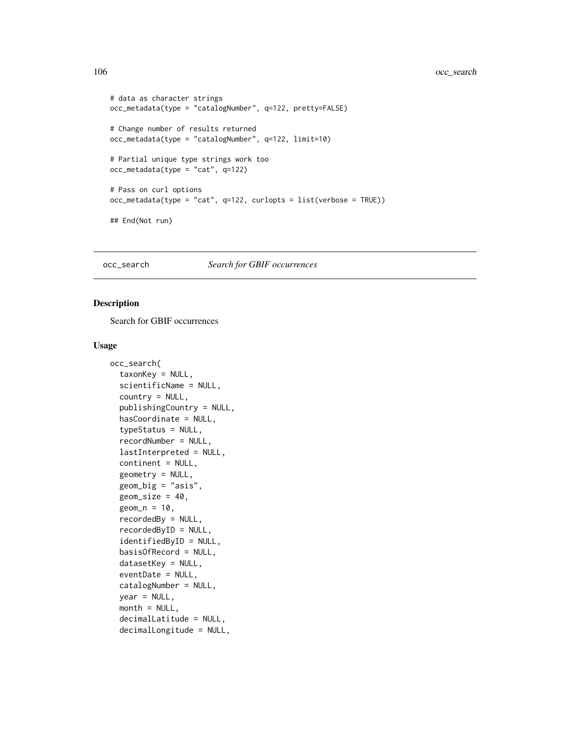```
# data as character strings
occ_metadata(type = "catalogNumber", q=122, pretty=FALSE)
# Change number of results returned
occ_metadata(type = "catalogNumber", q=122, limit=10)
# Partial unique type strings work too
occ_metadata(type = "cat", q=122)
# Pass on curl options
occ_metadata(type = "cat", q=122, curlopts = list(verbose = TRUE))
## End(Not run)
```
#### <span id="page-105-0"></span>occ\_search *Search for GBIF occurrences*

#### Description

Search for GBIF occurrences

#### Usage

```
occ_search(
  taxonKey = NULL,
  scientificName = NULL,
  country = NULL,
  publishingCountry = NULL,
  hasCoordinate = NULL,
  typeStatus = NULL,
  recordNumber = NULL,
  lastInterpreted = NULL,
  continent = NULL,
  geometry = NULL,
  geom_big = "asis",
  geom\_size = 40,geom_n = 10,
  recordedBy = NULL,
  recordedByID = NULL,
  identifiedByID = NULL,
  basisOfRecord = NULL,
  datasetKey = NULL,
  eventDate = NULL,
  catalogNumber = NULL,
  year = NULL,
  month = NULL,decimalLatitude = NULL,
  decimalLongitude = NULL,
```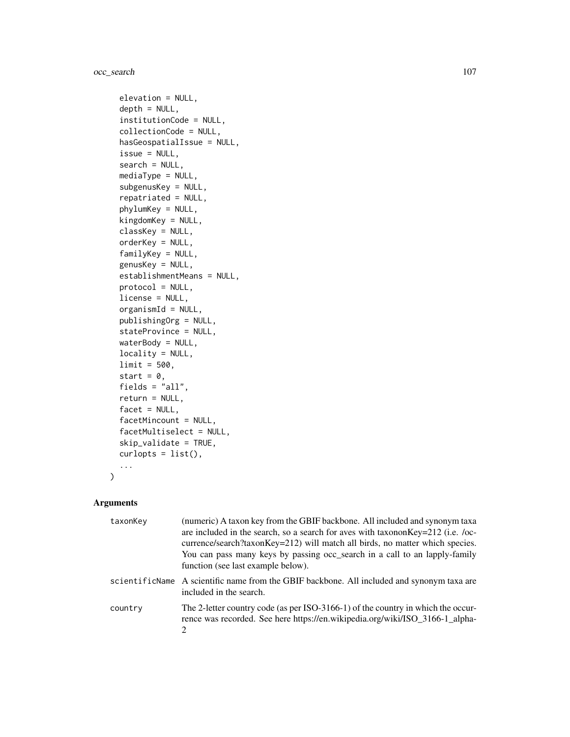occ\_search 107

```
elevation = NULL,
depth = NULL,institutionCode = NULL,
collectionCode = NULL,
hasGeospatialIssue = NULL,
issue = NULL,
search = NULL,
mediaType = NULL,
subgenusKey = NULL,
repatriated = NULL,
phylumKey = NULL,
kingdomKey = NULL,
classKey = NULL,
orderKey = NULL,
familyKey = NULL,
genusKey = NULL,
establishmentMeans = NULL,
protocol = NULL,
license = NULL,
organismId = NULL,publishingOrg = NULL,
stateProvince = NULL,
waterBody = NULL,
locality = NULL,
limit = 500,
start = 0,
fields = "all",
return = NULL,
facet = NULL,facetMincount = NULL,
facetMultiselect = NULL,
skip_validate = TRUE,
curlopts = list(),...
```
## Arguments

 $\mathcal{L}$ 

| taxonKey | (numeric) A taxon key from the GBIF backbone. All included and synonym taxa<br>are included in the search, so a search for aves with taxonon Key=212 (i.e. /oc-<br>currence/search?taxonKey=212) will match all birds, no matter which species.<br>You can pass many keys by passing occ_search in a call to an lapply-family<br>function (see last example below). |
|----------|---------------------------------------------------------------------------------------------------------------------------------------------------------------------------------------------------------------------------------------------------------------------------------------------------------------------------------------------------------------------|
|          | scientificName A scientific name from the GBIF backbone. All included and synonym taxa are<br>included in the search.                                                                                                                                                                                                                                               |
| country  | The 2-letter country code (as per ISO-3166-1) of the country in which the occur-<br>rence was recorded. See here https://en.wikipedia.org/wiki/ISO_3166-1_alpha-<br>$\mathcal{D}_{\mathcal{L}}$                                                                                                                                                                     |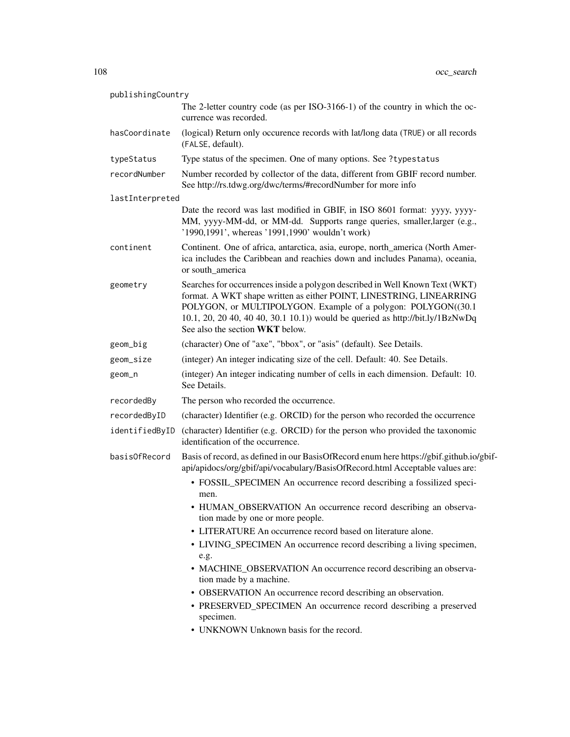| publishingCountry |                 |                                                                                                                                                                                                                                                                                                                                          |
|-------------------|-----------------|------------------------------------------------------------------------------------------------------------------------------------------------------------------------------------------------------------------------------------------------------------------------------------------------------------------------------------------|
|                   |                 | The 2-letter country code (as per ISO-3166-1) of the country in which the oc-<br>currence was recorded.                                                                                                                                                                                                                                  |
|                   | hasCoordinate   | (logical) Return only occurence records with lat/long data (TRUE) or all records<br>(FALSE, default).                                                                                                                                                                                                                                    |
|                   | typeStatus      | Type status of the specimen. One of many options. See ?typestatus                                                                                                                                                                                                                                                                        |
|                   | recordNumber    | Number recorded by collector of the data, different from GBIF record number.<br>See http://rs.tdwg.org/dwc/terms/#recordNumber for more info                                                                                                                                                                                             |
|                   | lastInterpreted |                                                                                                                                                                                                                                                                                                                                          |
|                   |                 | Date the record was last modified in GBIF, in ISO 8601 format: yyyy, yyyy-<br>MM, yyyy-MM-dd, or MM-dd. Supports range queries, smaller, larger (e.g.,<br>'1990,1991', whereas '1991,1990' wouldn't work)                                                                                                                                |
|                   | continent       | Continent. One of africa, antarctica, asia, europe, north_america (North Amer-<br>ica includes the Caribbean and reachies down and includes Panama), oceania,<br>or south_america                                                                                                                                                        |
|                   | geometry        | Searches for occurrences inside a polygon described in Well Known Text (WKT)<br>format. A WKT shape written as either POINT, LINESTRING, LINEARRING<br>POLYGON, or MULTIPOLYGON. Example of a polygon: POLYGON((30.1<br>10.1, 20, 20 40, 40 40, 30.1 10.1)) would be queried as http://bit.ly/1BzNwDq<br>See also the section WKT below. |
|                   | geom_big        | (character) One of "axe", "bbox", or "asis" (default). See Details.                                                                                                                                                                                                                                                                      |
|                   | geom_size       | (integer) An integer indicating size of the cell. Default: 40. See Details.                                                                                                                                                                                                                                                              |
|                   | geom_n          | (integer) An integer indicating number of cells in each dimension. Default: 10.<br>See Details.                                                                                                                                                                                                                                          |
|                   | recordedBy      | The person who recorded the occurrence.                                                                                                                                                                                                                                                                                                  |
|                   | recordedByID    | (character) Identifier (e.g. ORCID) for the person who recorded the occurrence                                                                                                                                                                                                                                                           |
|                   | identifiedByID  | (character) Identifier (e.g. ORCID) for the person who provided the taxonomic<br>identification of the occurrence.                                                                                                                                                                                                                       |
|                   | basisOfRecord   | Basis of record, as defined in our BasisOfRecord enum here https://gbif.github.io/gbif-<br>api/apidocs/org/gbif/api/vocabulary/BasisOfRecord.html Acceptable values are:                                                                                                                                                                 |
|                   |                 | • FOSSIL_SPECIMEN An occurrence record describing a fossilized speci-<br>men.                                                                                                                                                                                                                                                            |
|                   |                 | • HUMAN_OBSERVATION An occurrence record describing an observa-<br>tion made by one or more people.                                                                                                                                                                                                                                      |
|                   |                 | • LITERATURE An occurrence record based on literature alone.                                                                                                                                                                                                                                                                             |
|                   |                 | • LIVING_SPECIMEN An occurrence record describing a living specimen,<br>e.g.                                                                                                                                                                                                                                                             |
|                   |                 | • MACHINE_OBSERVATION An occurrence record describing an observa-<br>tion made by a machine.                                                                                                                                                                                                                                             |
|                   |                 | • OBSERVATION An occurrence record describing an observation.                                                                                                                                                                                                                                                                            |
|                   |                 | • PRESERVED_SPECIMEN An occurrence record describing a preserved<br>specimen.                                                                                                                                                                                                                                                            |
|                   |                 | • UNKNOWN Unknown basis for the record.                                                                                                                                                                                                                                                                                                  |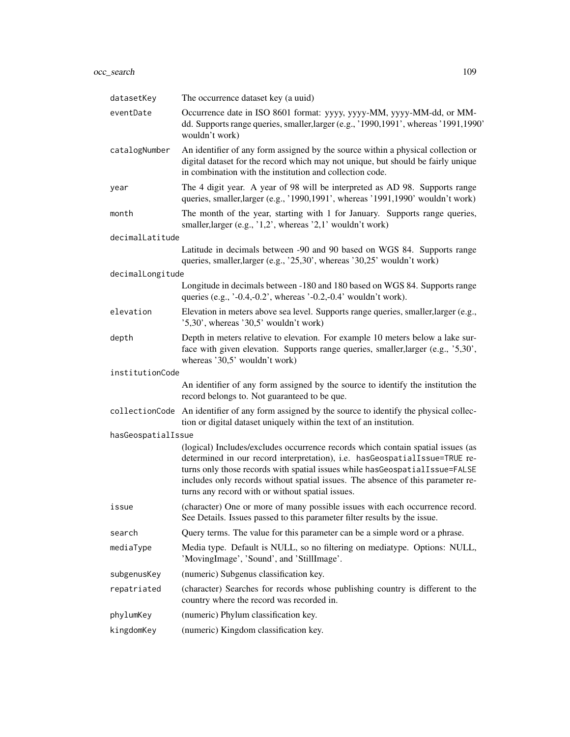| datasetKey         | The occurrence dataset key (a uuid)                                                                                                                                                                                                                                                                                                                                                 |  |
|--------------------|-------------------------------------------------------------------------------------------------------------------------------------------------------------------------------------------------------------------------------------------------------------------------------------------------------------------------------------------------------------------------------------|--|
| eventDate          | Occurrence date in ISO 8601 format: yyyy, yyyy-MM, yyyy-MM-dd, or MM-<br>dd. Supports range queries, smaller, larger (e.g., '1990, 1991', whereas '1991, 1990'<br>wouldn't work)                                                                                                                                                                                                    |  |
| catalogNumber      | An identifier of any form assigned by the source within a physical collection or<br>digital dataset for the record which may not unique, but should be fairly unique<br>in combination with the institution and collection code.                                                                                                                                                    |  |
| year               | The 4 digit year. A year of 98 will be interpreted as AD 98. Supports range<br>queries, smaller, larger (e.g., '1990, 1991', whereas '1991, 1990' wouldn't work)                                                                                                                                                                                                                    |  |
| month              | The month of the year, starting with 1 for January. Supports range queries,<br>smaller, larger (e.g., '1,2', whereas '2,1' wouldn't work)                                                                                                                                                                                                                                           |  |
| decimalLatitude    |                                                                                                                                                                                                                                                                                                                                                                                     |  |
|                    | Latitude in decimals between -90 and 90 based on WGS 84. Supports range<br>queries, smaller, larger (e.g., '25,30', whereas '30,25' wouldn't work)                                                                                                                                                                                                                                  |  |
| decimalLongitude   |                                                                                                                                                                                                                                                                                                                                                                                     |  |
|                    | Longitude in decimals between -180 and 180 based on WGS 84. Supports range<br>queries (e.g., $\cdot$ -0.4,-0.2', whereas $\cdot$ -0.2,-0.4' wouldn't work).                                                                                                                                                                                                                         |  |
| elevation          | Elevation in meters above sea level. Supports range queries, smaller, larger (e.g.,<br>$'5,30'$ , whereas '30,5' wouldn't work)                                                                                                                                                                                                                                                     |  |
| depth              | Depth in meters relative to elevation. For example 10 meters below a lake sur-<br>face with given elevation. Supports range queries, smaller, larger (e.g., '5,30',<br>whereas '30,5' wouldn't work)                                                                                                                                                                                |  |
| institutionCode    |                                                                                                                                                                                                                                                                                                                                                                                     |  |
|                    | An identifier of any form assigned by the source to identify the institution the<br>record belongs to. Not guaranteed to be que.                                                                                                                                                                                                                                                    |  |
| collectionCode     | An identifier of any form assigned by the source to identify the physical collec-<br>tion or digital dataset uniquely within the text of an institution.                                                                                                                                                                                                                            |  |
| hasGeospatialIssue |                                                                                                                                                                                                                                                                                                                                                                                     |  |
|                    | (logical) Includes/excludes occurrence records which contain spatial issues (as<br>determined in our record interpretation), i.e. hasGeospatialIssue=TRUE re-<br>turns only those records with spatial issues while hasGeospatialIssue=FALSE<br>includes only records without spatial issues. The absence of this parameter re-<br>turns any record with or without spatial issues. |  |
| issue              | (character) One or more of many possible issues with each occurrence record.<br>See Details. Issues passed to this parameter filter results by the issue.                                                                                                                                                                                                                           |  |
| search             | Query terms. The value for this parameter can be a simple word or a phrase.                                                                                                                                                                                                                                                                                                         |  |
| mediaType          | Media type. Default is NULL, so no filtering on mediatype. Options: NULL,<br>'MovingImage', 'Sound', and 'StillImage'.                                                                                                                                                                                                                                                              |  |
| subgenusKey        | (numeric) Subgenus classification key.                                                                                                                                                                                                                                                                                                                                              |  |
| repatriated        | (character) Searches for records whose publishing country is different to the<br>country where the record was recorded in.                                                                                                                                                                                                                                                          |  |
| phylumKey          | (numeric) Phylum classification key.                                                                                                                                                                                                                                                                                                                                                |  |
| kingdomKey         | (numeric) Kingdom classification key.                                                                                                                                                                                                                                                                                                                                               |  |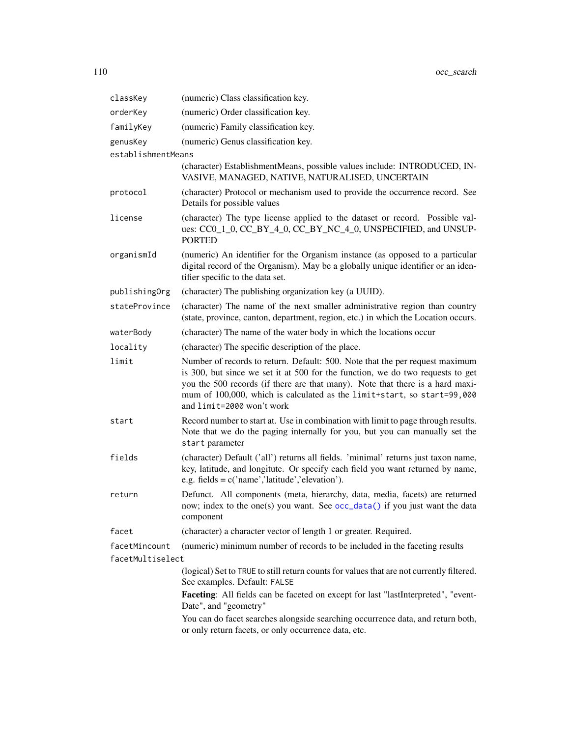<span id="page-109-0"></span>

| classKey           | (numeric) Class classification key.                                                                                                                                                                                                                                                                                                                     |
|--------------------|---------------------------------------------------------------------------------------------------------------------------------------------------------------------------------------------------------------------------------------------------------------------------------------------------------------------------------------------------------|
| orderKey           | (numeric) Order classification key.                                                                                                                                                                                                                                                                                                                     |
| familyKey          | (numeric) Family classification key.                                                                                                                                                                                                                                                                                                                    |
| genusKey           | (numeric) Genus classification key.                                                                                                                                                                                                                                                                                                                     |
| establishmentMeans |                                                                                                                                                                                                                                                                                                                                                         |
|                    | (character) EstablishmentMeans, possible values include: INTRODUCED, IN-<br>VASIVE, MANAGED, NATIVE, NATURALISED, UNCERTAIN                                                                                                                                                                                                                             |
| protocol           | (character) Protocol or mechanism used to provide the occurrence record. See<br>Details for possible values                                                                                                                                                                                                                                             |
| license            | (character) The type license applied to the dataset or record. Possible val-<br>ues: CC0_1_0, CC_BY_4_0, CC_BY_NC_4_0, UNSPECIFIED, and UNSUP-<br><b>PORTED</b>                                                                                                                                                                                         |
| organismId         | (numeric) An identifier for the Organism instance (as opposed to a particular<br>digital record of the Organism). May be a globally unique identifier or an iden-<br>tifier specific to the data set.                                                                                                                                                   |
| publishingOrg      | (character) The publishing organization key (a UUID).                                                                                                                                                                                                                                                                                                   |
| stateProvince      | (character) The name of the next smaller administrative region than country<br>(state, province, canton, department, region, etc.) in which the Location occurs.                                                                                                                                                                                        |
| waterBody          | (character) The name of the water body in which the locations occur                                                                                                                                                                                                                                                                                     |
| locality           | (character) The specific description of the place.                                                                                                                                                                                                                                                                                                      |
| limit              | Number of records to return. Default: 500. Note that the per request maximum<br>is 300, but since we set it at 500 for the function, we do two requests to get<br>you the 500 records (if there are that many). Note that there is a hard maxi-<br>mum of 100,000, which is calculated as the limit+start, so start=99,000<br>and limit=2000 won't work |
| start              | Record number to start at. Use in combination with limit to page through results.<br>Note that we do the paging internally for you, but you can manually set the<br>start parameter                                                                                                                                                                     |
| fields             | (character) Default ('all') returns all fields. 'minimal' returns just taxon name,<br>key, latitude, and longitute. Or specify each field you want returned by name,<br>e.g. fields = $c('name','latitude','elevation').$                                                                                                                               |
| return             | Defunct. All components (meta, hierarchy, data, media, facets) are returned<br>now; index to the one(s) you want. See occ_data() if you just want the data<br>component                                                                                                                                                                                 |
| facet              | (character) a character vector of length 1 or greater. Required.                                                                                                                                                                                                                                                                                        |
| facetMincount      | (numeric) minimum number of records to be included in the faceting results                                                                                                                                                                                                                                                                              |
| facetMultiselect   |                                                                                                                                                                                                                                                                                                                                                         |
|                    | (logical) Set to TRUE to still return counts for values that are not currently filtered.<br>See examples. Default: FALSE                                                                                                                                                                                                                                |
|                    | Faceting: All fields can be faceted on except for last "lastInterpreted", "event-<br>Date", and "geometry"                                                                                                                                                                                                                                              |
|                    | You can do facet searches alongside searching occurrence data, and return both,<br>or only return facets, or only occurrence data, etc.                                                                                                                                                                                                                 |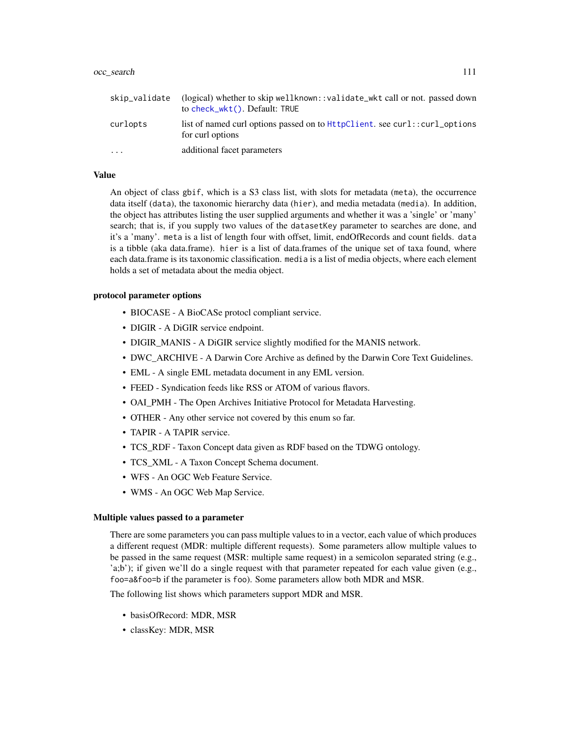<span id="page-110-0"></span>

| skip_validate | (logical) whether to skip well known: :validate_wkt call or not. passed down<br>to check_wkt(). Default: TRUE |
|---------------|---------------------------------------------------------------------------------------------------------------|
| curlopts      | list of named curl options passed on to HttpClient, see curl::curl_options<br>for curl options                |
| .             | additional facet parameters                                                                                   |

# Value

An object of class gbif, which is a S3 class list, with slots for metadata (meta), the occurrence data itself (data), the taxonomic hierarchy data (hier), and media metadata (media). In addition, the object has attributes listing the user supplied arguments and whether it was a 'single' or 'many' search; that is, if you supply two values of the datasetKey parameter to searches are done, and it's a 'many'. meta is a list of length four with offset, limit, endOfRecords and count fields. data is a tibble (aka data.frame). hier is a list of data.frames of the unique set of taxa found, where each data.frame is its taxonomic classification. media is a list of media objects, where each element holds a set of metadata about the media object.

#### protocol parameter options

- BIOCASE A BioCASe protocl compliant service.
- DIGIR A DiGIR service endpoint.
- DIGIR\_MANIS A DiGIR service slightly modified for the MANIS network.
- DWC\_ARCHIVE A Darwin Core Archive as defined by the Darwin Core Text Guidelines.
- EML A single EML metadata document in any EML version.
- FEED Syndication feeds like RSS or ATOM of various flavors.
- OAI\_PMH The Open Archives Initiative Protocol for Metadata Harvesting.
- OTHER Any other service not covered by this enum so far.
- TAPIR A TAPIR service.
- TCS\_RDF Taxon Concept data given as RDF based on the TDWG ontology.
- TCS\_XML A Taxon Concept Schema document.
- WFS An OGC Web Feature Service.
- WMS An OGC Web Map Service.

#### Multiple values passed to a parameter

There are some parameters you can pass multiple values to in a vector, each value of which produces a different request (MDR: multiple different requests). Some parameters allow multiple values to be passed in the same request (MSR: multiple same request) in a semicolon separated string (e.g., 'a;b'); if given we'll do a single request with that parameter repeated for each value given (e.g., foo=a&foo=b if the parameter is foo). Some parameters allow both MDR and MSR.

The following list shows which parameters support MDR and MSR.

- basisOfRecord: MDR, MSR
- classKey: MDR, MSR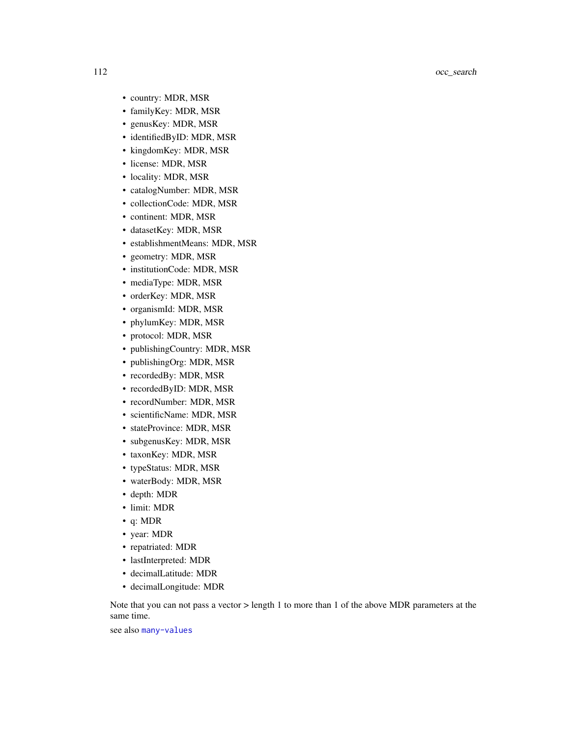- country: MDR, MSR
- familyKey: MDR, MSR
- genusKey: MDR, MSR
- identifiedByID: MDR, MSR
- kingdomKey: MDR, MSR
- license: MDR, MSR
- locality: MDR, MSR
- catalogNumber: MDR, MSR
- collectionCode: MDR, MSR
- continent: MDR, MSR
- datasetKey: MDR, MSR
- establishmentMeans: MDR, MSR
- geometry: MDR, MSR
- institutionCode: MDR, MSR
- mediaType: MDR, MSR
- orderKey: MDR, MSR
- organismId: MDR, MSR
- phylumKey: MDR, MSR
- protocol: MDR, MSR
- publishingCountry: MDR, MSR
- publishingOrg: MDR, MSR
- recordedBy: MDR, MSR
- recordedByID: MDR, MSR
- recordNumber: MDR, MSR
- scientificName: MDR, MSR
- stateProvince: MDR, MSR
- subgenusKey: MDR, MSR
- taxonKey: MDR, MSR
- typeStatus: MDR, MSR
- waterBody: MDR, MSR
- depth: MDR
- limit: MDR
- q: MDR
- year: MDR
- repatriated: MDR
- lastInterpreted: MDR
- decimalLatitude: MDR
- decimalLongitude: MDR

Note that you can not pass a vector > length 1 to more than 1 of the above MDR parameters at the same time.

# see also [many-values](#page-34-0)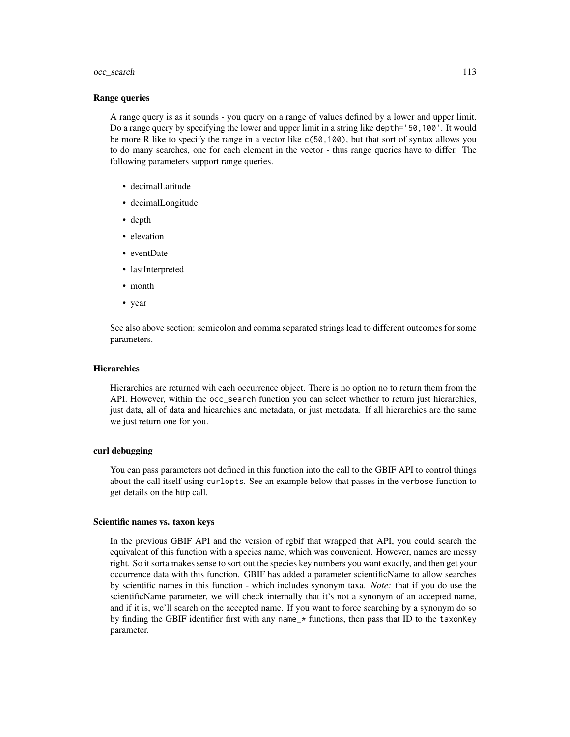#### Range queries

A range query is as it sounds - you query on a range of values defined by a lower and upper limit. Do a range query by specifying the lower and upper limit in a string like depth='50,100'. It would be more R like to specify the range in a vector like c(50,100), but that sort of syntax allows you to do many searches, one for each element in the vector - thus range queries have to differ. The following parameters support range queries.

- decimalLatitude
- decimalLongitude
- depth
- elevation
- eventDate
- lastInterpreted
- month
- year

See also above section: semicolon and comma separated strings lead to different outcomes for some parameters.

# **Hierarchies**

Hierarchies are returned wih each occurrence object. There is no option no to return them from the API. However, within the occ\_search function you can select whether to return just hierarchies, just data, all of data and hiearchies and metadata, or just metadata. If all hierarchies are the same we just return one for you.

# curl debugging

You can pass parameters not defined in this function into the call to the GBIF API to control things about the call itself using curlopts. See an example below that passes in the verbose function to get details on the http call.

#### Scientific names vs. taxon keys

In the previous GBIF API and the version of rgbif that wrapped that API, you could search the equivalent of this function with a species name, which was convenient. However, names are messy right. So it sorta makes sense to sort out the species key numbers you want exactly, and then get your occurrence data with this function. GBIF has added a parameter scientificName to allow searches by scientific names in this function - which includes synonym taxa. *Note:* that if you do use the scientificName parameter, we will check internally that it's not a synonym of an accepted name, and if it is, we'll search on the accepted name. If you want to force searching by a synonym do so by finding the GBIF identifier first with any name\_\* functions, then pass that ID to the taxonKey parameter.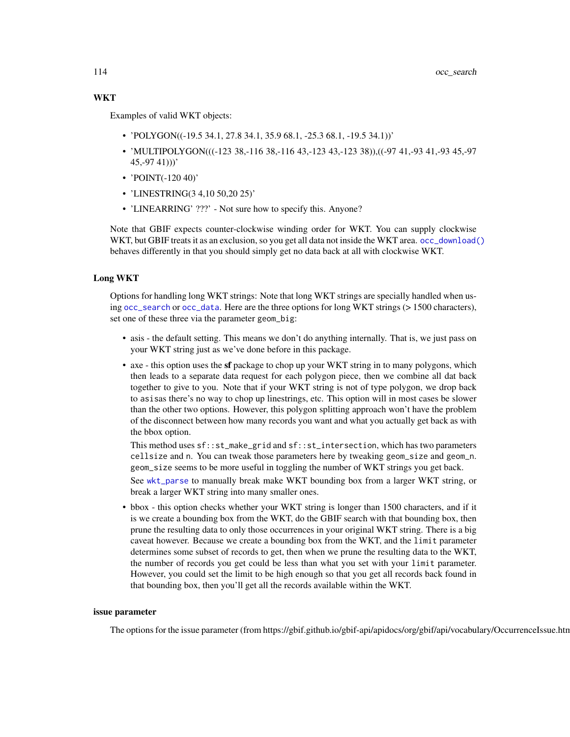# <span id="page-113-0"></span>**WKT**

Examples of valid WKT objects:

- 'POLYGON( $(-19.5\,34.1, 27.8\,34.1, 35.9\,68.1, -25.3\,68.1, -19.5\,34.1)$ )'
- 'MULTIPOLYGON(((-123 38,-116 38,-116 43,-123 43,-123 38)),((-97 41,-93 41,-93 45,-97  $(45,-97\;41))$
- 'POINT(-120 40)'
- 'LINESTRING(3 4,10 50,20 25)'
- 'LINEARRING' ???' Not sure how to specify this. Anyone?

Note that GBIF expects counter-clockwise winding order for WKT. You can supply clockwise WKT, but GBIF treats it as an exclusion, so you get all data not inside the WKT area. [occ\\_download\(\)](#page-81-0) behaves differently in that you should simply get no data back at all with clockwise WKT.

#### Long WKT

Options for handling long WKT strings: Note that long WKT strings are specially handled when using [occ\\_search](#page-105-0) or [occ\\_data](#page-63-0). Here are the three options for long WKT strings (> 1500 characters), set one of these three via the parameter geom\_big:

- asis the default setting. This means we don't do anything internally. That is, we just pass on your WKT string just as we've done before in this package.
- axe this option uses the sf package to chop up your WKT string in to many polygons, which then leads to a separate data request for each polygon piece, then we combine all dat back together to give to you. Note that if your WKT string is not of type polygon, we drop back to asisas there's no way to chop up linestrings, etc. This option will in most cases be slower than the other two options. However, this polygon splitting approach won't have the problem of the disconnect between how many records you want and what you actually get back as with the bbox option.

This method uses sf::st\_make\_grid and sf::st\_intersection, which has two parameters cellsize and n. You can tweak those parameters here by tweaking geom\_size and geom\_n. geom\_size seems to be more useful in toggling the number of WKT strings you get back.

See [wkt\\_parse](#page-128-0) to manually break make WKT bounding box from a larger WKT string, or break a larger WKT string into many smaller ones.

• bbox - this option checks whether your WKT string is longer than 1500 characters, and if it is we create a bounding box from the WKT, do the GBIF search with that bounding box, then prune the resulting data to only those occurrences in your original WKT string. There is a big caveat however. Because we create a bounding box from the WKT, and the limit parameter determines some subset of records to get, then when we prune the resulting data to the WKT, the number of records you get could be less than what you set with your limit parameter. However, you could set the limit to be high enough so that you get all records back found in that bounding box, then you'll get all the records available within the WKT.

#### issue parameter

The options for the issue parameter (from https://gbif.github.io/gbif-api/apidocs/org/gbif/api/vocabulary/OccurrenceIssue.html):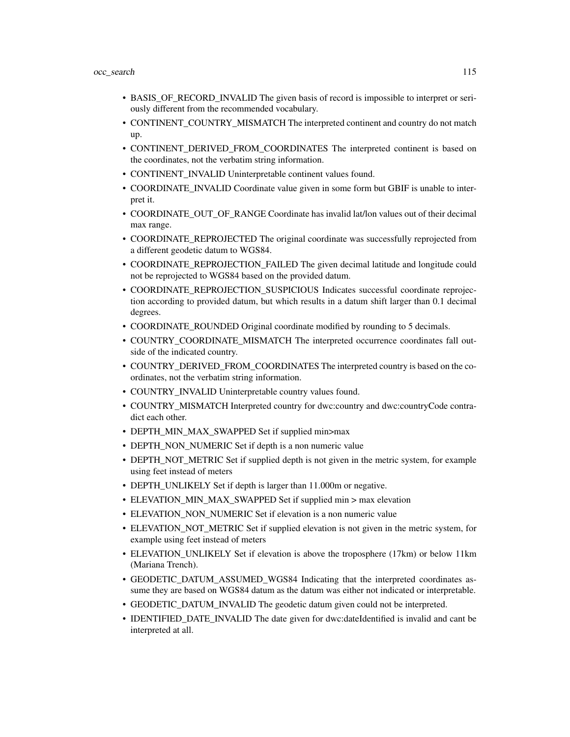- BASIS\_OF\_RECORD\_INVALID The given basis of record is impossible to interpret or seriously different from the recommended vocabulary.
- CONTINENT\_COUNTRY\_MISMATCH The interpreted continent and country do not match up.
- CONTINENT\_DERIVED\_FROM\_COORDINATES The interpreted continent is based on the coordinates, not the verbatim string information.
- CONTINENT\_INVALID Uninterpretable continent values found.
- COORDINATE\_INVALID Coordinate value given in some form but GBIF is unable to interpret it.
- COORDINATE\_OUT\_OF\_RANGE Coordinate has invalid lat/lon values out of their decimal max range.
- COORDINATE\_REPROJECTED The original coordinate was successfully reprojected from a different geodetic datum to WGS84.
- COORDINATE\_REPROJECTION\_FAILED The given decimal latitude and longitude could not be reprojected to WGS84 based on the provided datum.
- COORDINATE\_REPROJECTION\_SUSPICIOUS Indicates successful coordinate reprojection according to provided datum, but which results in a datum shift larger than 0.1 decimal degrees.
- COORDINATE\_ROUNDED Original coordinate modified by rounding to 5 decimals.
- COUNTRY\_COORDINATE\_MISMATCH The interpreted occurrence coordinates fall outside of the indicated country.
- COUNTRY\_DERIVED\_FROM\_COORDINATES The interpreted country is based on the coordinates, not the verbatim string information.
- COUNTRY\_INVALID Uninterpretable country values found.
- COUNTRY\_MISMATCH Interpreted country for dwc:country and dwc:countryCode contradict each other.
- DEPTH\_MIN\_MAX\_SWAPPED Set if supplied min>max
- DEPTH\_NON\_NUMERIC Set if depth is a non numeric value
- DEPTH\_NOT\_METRIC Set if supplied depth is not given in the metric system, for example using feet instead of meters
- DEPTH\_UNLIKELY Set if depth is larger than 11.000m or negative.
- ELEVATION\_MIN\_MAX\_SWAPPED Set if supplied min > max elevation
- ELEVATION\_NON\_NUMERIC Set if elevation is a non numeric value
- ELEVATION NOT METRIC Set if supplied elevation is not given in the metric system, for example using feet instead of meters
- ELEVATION\_UNLIKELY Set if elevation is above the troposphere (17km) or below 11km (Mariana Trench).
- GEODETIC\_DATUM\_ASSUMED\_WGS84 Indicating that the interpreted coordinates assume they are based on WGS84 datum as the datum was either not indicated or interpretable.
- GEODETIC\_DATUM\_INVALID The geodetic datum given could not be interpreted.
- IDENTIFIED DATE INVALID The date given for dwc:dateIdentified is invalid and cant be interpreted at all.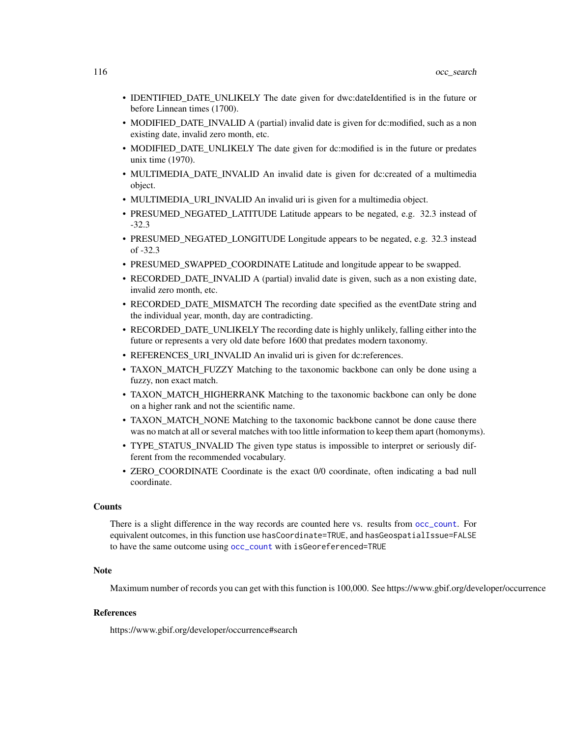- <span id="page-115-0"></span>• IDENTIFIED\_DATE\_UNLIKELY The date given for dwc:dateIdentified is in the future or before Linnean times (1700).
- MODIFIED\_DATE\_INVALID A (partial) invalid date is given for dc:modified, such as a non existing date, invalid zero month, etc.
- MODIFIED\_DATE\_UNLIKELY The date given for dc:modified is in the future or predates unix time (1970).
- MULTIMEDIA\_DATE\_INVALID An invalid date is given for dc:created of a multimedia object.
- MULTIMEDIA\_URI\_INVALID An invalid uri is given for a multimedia object.
- PRESUMED\_NEGATED\_LATITUDE Latitude appears to be negated, e.g. 32.3 instead of -32.3
- PRESUMED\_NEGATED\_LONGITUDE Longitude appears to be negated, e.g. 32.3 instead of -32.3
- PRESUMED\_SWAPPED\_COORDINATE Latitude and longitude appear to be swapped.
- RECORDED\_DATE\_INVALID A (partial) invalid date is given, such as a non existing date, invalid zero month, etc.
- RECORDED DATE MISMATCH The recording date specified as the eventDate string and the individual year, month, day are contradicting.
- RECORDED\_DATE\_UNLIKELY The recording date is highly unlikely, falling either into the future or represents a very old date before 1600 that predates modern taxonomy.
- REFERENCES URI INVALID An invalid uri is given for dc:references.
- TAXON MATCH FUZZY Matching to the taxonomic backbone can only be done using a fuzzy, non exact match.
- TAXON\_MATCH\_HIGHERRANK Matching to the taxonomic backbone can only be done on a higher rank and not the scientific name.
- TAXON\_MATCH\_NONE Matching to the taxonomic backbone cannot be done cause there was no match at all or several matches with too little information to keep them apart (homonyms).
- TYPE\_STATUS\_INVALID The given type status is impossible to interpret or seriously different from the recommended vocabulary.
- ZERO\_COORDINATE Coordinate is the exact 0/0 coordinate, often indicating a bad null coordinate.

#### **Counts**

There is a slight difference in the way records are counted here vs. results from [occ\\_count](#page-59-0). For equivalent outcomes, in this function use hasCoordinate=TRUE, and hasGeospatialIssue=FALSE to have the same outcome using [occ\\_count](#page-59-0) with isGeoreferenced=TRUE

#### **Note**

Maximum number of records you can get with this function is 100,000. See https://www.gbif.org/developer/occurrence

# References

https://www.gbif.org/developer/occurrence#search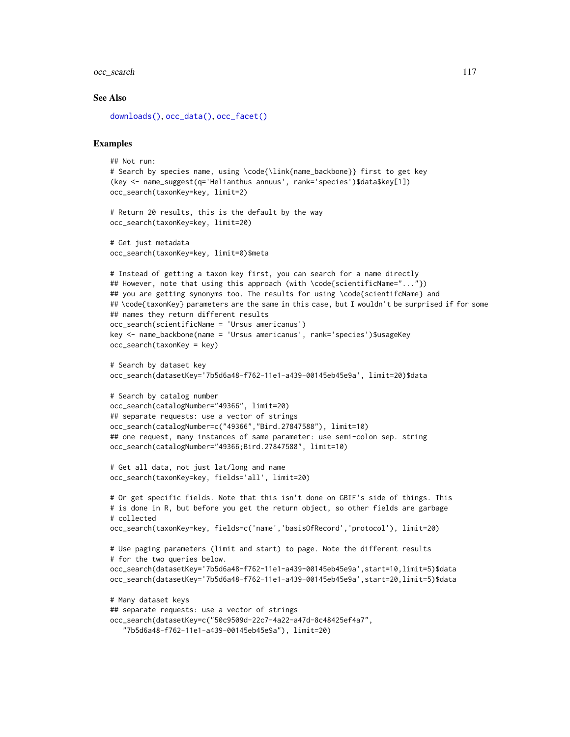#### <span id="page-116-0"></span>See Also

```
downloads(), occ_data(), occ_facet()
```
#### Examples

```
## Not run:
# Search by species name, using \code{\link{name_backbone}} first to get key
(key <- name_suggest(q='Helianthus annuus', rank='species')$data$key[1])
occ_search(taxonKey=key, limit=2)
# Return 20 results, this is the default by the way
occ_search(taxonKey=key, limit=20)
# Get just metadata
occ_search(taxonKey=key, limit=0)$meta
# Instead of getting a taxon key first, you can search for a name directly
## However, note that using this approach (with \code{scientificName="..."})
## you are getting synonyms too. The results for using \code{scientifcName} and
## \code{taxonKey} parameters are the same in this case, but I wouldn't be surprised if for some
## names they return different results
occ_search(scientificName = 'Ursus americanus')
key <- name_backbone(name = 'Ursus americanus', rank='species')$usageKey
occ_search(taxonKey = key)
# Search by dataset key
occ_search(datasetKey='7b5d6a48-f762-11e1-a439-00145eb45e9a', limit=20)$data
# Search by catalog number
occ_search(catalogNumber="49366", limit=20)
## separate requests: use a vector of strings
occ_search(catalogNumber=c("49366","Bird.27847588"), limit=10)
## one request, many instances of same parameter: use semi-colon sep. string
occ_search(catalogNumber="49366;Bird.27847588", limit=10)
# Get all data, not just lat/long and name
occ_search(taxonKey=key, fields='all', limit=20)
# Or get specific fields. Note that this isn't done on GBIF's side of things. This
# is done in R, but before you get the return object, so other fields are garbage
# collected
occ_search(taxonKey=key, fields=c('name','basisOfRecord','protocol'), limit=20)
# Use paging parameters (limit and start) to page. Note the different results
# for the two queries below.
occ_search(datasetKey='7b5d6a48-f762-11e1-a439-00145eb45e9a',start=10,limit=5)$data
occ_search(datasetKey='7b5d6a48-f762-11e1-a439-00145eb45e9a',start=20,limit=5)$data
# Many dataset keys
## separate requests: use a vector of strings
occ_search(datasetKey=c("50c9509d-22c7-4a22-a47d-8c48425ef4a7",
   "7b5d6a48-f762-11e1-a439-00145eb45e9a"), limit=20)
```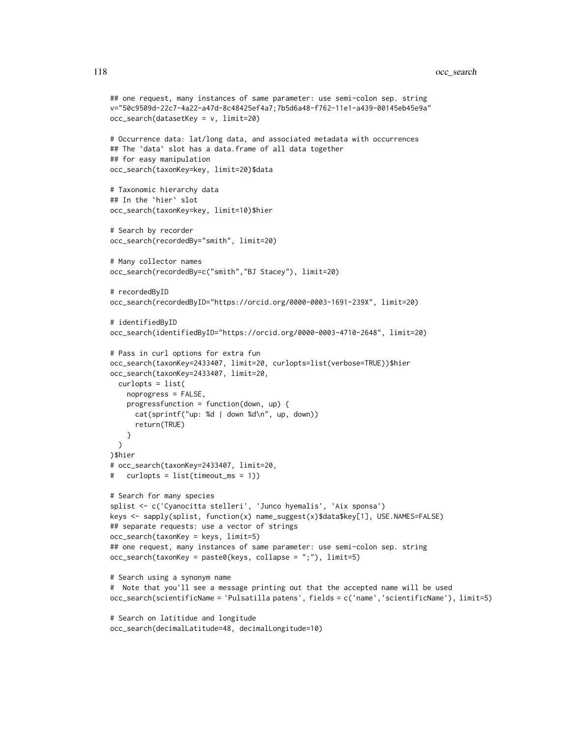```
## one request, many instances of same parameter: use semi-colon sep. string
v="50c9509d-22c7-4a22-a47d-8c48425ef4a7;7b5d6a48-f762-11e1-a439-00145eb45e9a"
occ_search(datasetKey = v, limit=20)
# Occurrence data: lat/long data, and associated metadata with occurrences
## The `data` slot has a data.frame of all data together
## for easy manipulation
occ_search(taxonKey=key, limit=20)$data
# Taxonomic hierarchy data
## In the `hier` slot
occ_search(taxonKey=key, limit=10)$hier
# Search by recorder
occ_search(recordedBy="smith", limit=20)
# Many collector names
occ_search(recordedBy=c("smith","BJ Stacey"), limit=20)
# recordedByID
occ_search(recordedByID="https://orcid.org/0000-0003-1691-239X", limit=20)
# identifiedByID
occ_search(identifiedByID="https://orcid.org/0000-0003-4710-2648", limit=20)
# Pass in curl options for extra fun
occ_search(taxonKey=2433407, limit=20, curlopts=list(verbose=TRUE))$hier
occ_search(taxonKey=2433407, limit=20,
  curlopts = list(
   noprogress = FALSE,
    progressfunction = function(down, up) {
      cat(sprintf("up: %d | down %d\n", up, down))
      return(TRUE)
   }
  )
)$hier
# occ_search(taxonKey=2433407, limit=20,
# curlopts = list(timeout_ms = 1))
# Search for many species
splist <- c('Cyanocitta stelleri', 'Junco hyemalis', 'Aix sponsa')
keys <- sapply(splist, function(x) name_suggest(x)$data$key[1], USE.NAMES=FALSE)
## separate requests: use a vector of strings
occ_search(taxonKey = keys, limit=5)
## one request, many instances of same parameter: use semi-colon sep. string
occ_search(taxonKey = paste0(keys, collapse = ";"), limit=5)
# Search using a synonym name
# Note that you'll see a message printing out that the accepted name will be used
occ_search(scientificName = 'Pulsatilla patens', fields = c('name','scientificName'), limit=5)
# Search on latitidue and longitude
```
occ\_search(decimalLatitude=48, decimalLongitude=10)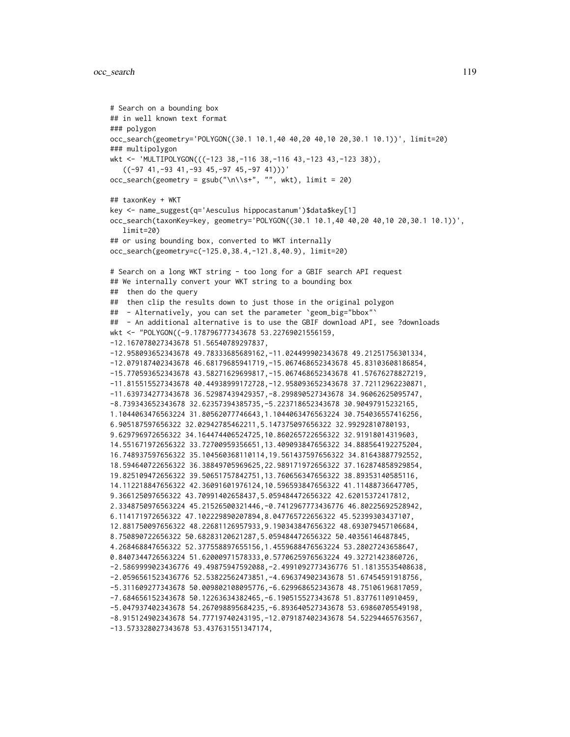```
# Search on a bounding box
## in well known text format
### polygon
occ_search(geometry='POLYGON((30.1 10.1,40 40,20 40,10 20,30.1 10.1))', limit=20)
### multipolygon
wkt <- 'MULTIPOLYGON(((-123 38,-116 38,-116 43,-123 43,-123 38)),
   ((-97 41, -93 41, -93 45, -97 45, -97 41)))'occ\_search(geometry = gsub("\\n\\s+, "", wkt), limit = 20)## taxonKey + WKT
key <- name_suggest(q='Aesculus hippocastanum')$data$key[1]
occ_search(taxonKey=key, geometry='POLYGON((30.1 10.1,40 40,20 40,10 20,30.1 10.1))',
   limit=20)
## or using bounding box, converted to WKT internally
occ_search(geometry=c(-125.0,38.4,-121.8,40.9), limit=20)
# Search on a long WKT string - too long for a GBIF search API request
## We internally convert your WKT string to a bounding box
## then do the query
## then clip the results down to just those in the original polygon
## - Alternatively, you can set the parameter 'geom_big="bbox"'
## - An additional alternative is to use the GBIF download API, see ?downloads
wkt <- "POLYGON((-9.178796777343678 53.22769021556159,
-12.167078027343678 51.56540789297837,
-12.958093652343678 49.78333685689162,-11.024499902343678 49.21251756301334,
-12.079187402343678 46.68179685941719,-15.067468652343678 45.83103608186854,
-15.770593652343678 43.58271629699817,-15.067468652343678 41.57676278827219,
-11.815515527343678 40.44938999172728,-12.958093652343678 37.72112962230871,
-11.639734277343678 36.52987439429357,-8.299890527343678 34.96062625095747,
-8.739343652343678 32.62357394385735,-5.223718652343678 30.90497915232165,
1.1044063476563224 31.80562077746643,1.1044063476563224 30.754036557416256,
6.905187597656322 32.02942785462211,5.147375097656322 32.99292810780193,
9.629796972656322 34.164474406524725,10.860265722656322 32.91918014319603,
14.551671972656322 33.72700959356651,13.409093847656322 34.888564192275204,
16.748937597656322 35.104560368110114,19.561437597656322 34.81643887792552,
18.594640722656322 36.38849705969625,22.989171972656322 37.162874858929854,
19.825109472656322 39.50651757842751,13.760656347656322 38.89353140585116,
14.112218847656322 42.36091601976124,10.596593847656322 41.11488736647705,
9.366125097656322 43.70991402658437,5.059484472656322 42.62015372417812,
2.3348750976563224 45.21526500321446,-0.7412967773436776 46.80225692528942,
6.114171972656322 47.102229890207894,8.047765722656322 45.52399303437107,
12.881750097656322 48.22681126957933,9.190343847656322 48.693079457106684,
8.750890722656322 50.68283120621287,5.059484472656322 50.40356146487845,
4.268468847656322 52.377558897655156,1.4559688476563224 53.28027243658647,
0.8407344726563224 51.62000971578333,0.5770625976563224 49.32721423860726,
-2.5869999023436776 49.49875947592088,-2.4991092773436776 51.18135535408638,
-2.0596561523436776 52.53822562473851,-4.696374902343678 51.67454591918756,
-5.311609277343678 50.009802108095776,-6.629968652343678 48.75106196817059,
-7.684656152343678 50.12263634382465,-6.190515527343678 51.83776110910459,
-5.047937402343678 54.267098895684235,-6.893640527343678 53.69860705549198,
-8.915124902343678 54.77719740243195,-12.079187402343678 54.52294465763567,
-13.573328027343678 53.437631551347174,
```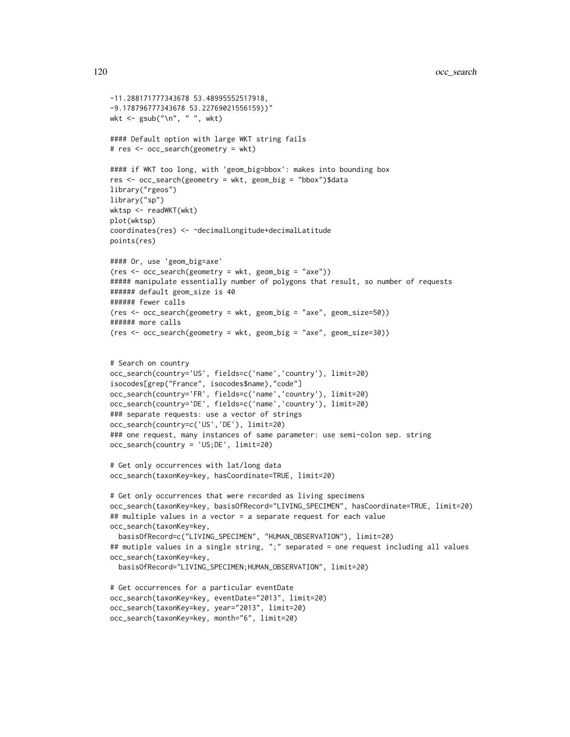```
-11.288171777343678 53.48995552517918,
-9.178796777343678 53.22769021556159))"
wkt <- gsub("\n", " ", wkt)
#### Default option with large WKT string fails
# res <- occ_search(geometry = wkt)
#### if WKT too long, with 'geom_big=bbox': makes into bounding box
res <- occ_search(geometry = wkt, geom_big = "bbox")$data
library("rgeos")
library("sp")
wktsp <- readWKT(wkt)
plot(wktsp)
coordinates(res) <- ~decimalLongitude+decimalLatitude
points(res)
#### Or, use 'geom_big=axe'
(res <- occ_search(geometry = wkt, geom_big = "axe"))
##### manipulate essentially number of polygons that result, so number of requests
###### default geom_size is 40
###### fewer calls
(res <- occ_search(geometry = wkt, geom_big = "axe", geom_size=50))
###### more calls
(res <- occ_search(geometry = wkt, geom_big = "axe", geom_size=30))
# Search on country
occ_search(country='US', fields=c('name','country'), limit=20)
isocodes[grep("France", isocodes$name),"code"]
occ_search(country='FR', fields=c('name','country'), limit=20)
occ_search(country='DE', fields=c('name','country'), limit=20)
### separate requests: use a vector of strings
occ_search(country=c('US','DE'), limit=20)
### one request, many instances of same parameter: use semi-colon sep. string
occ_search(country = 'US;DE', limit=20)
# Get only occurrences with lat/long data
occ_search(taxonKey=key, hasCoordinate=TRUE, limit=20)
# Get only occurrences that were recorded as living specimens
occ_search(taxonKey=key, basisOfRecord="LIVING_SPECIMEN", hasCoordinate=TRUE, limit=20)
## multiple values in a vector = a separate request for each value
occ_search(taxonKey=key,
  basisOfRecord=c("LIVING_SPECIMEN", "HUMAN_OBSERVATION"), limit=20)
## mutiple values in a single string, ";" separated = one request including all values
occ_search(taxonKey=key,
  basisOfRecord="LIVING_SPECIMEN;HUMAN_OBSERVATION", limit=20)
# Get occurrences for a particular eventDate
occ_search(taxonKey=key, eventDate="2013", limit=20)
occ_search(taxonKey=key, year="2013", limit=20)
```

```
occ_search(taxonKey=key, month="6", limit=20)
```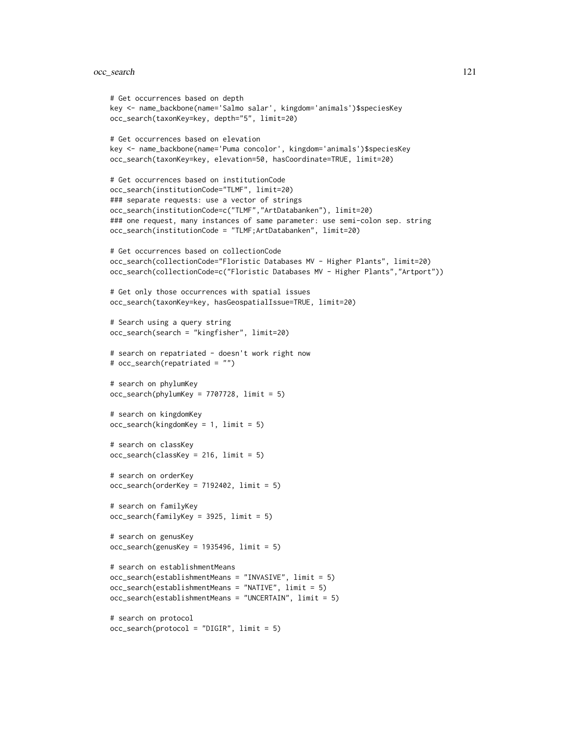```
# Get occurrences based on depth
key <- name_backbone(name='Salmo salar', kingdom='animals')$speciesKey
occ_search(taxonKey=key, depth="5", limit=20)
# Get occurrences based on elevation
key <- name_backbone(name='Puma concolor', kingdom='animals')$speciesKey
occ_search(taxonKey=key, elevation=50, hasCoordinate=TRUE, limit=20)
# Get occurrences based on institutionCode
occ_search(institutionCode="TLMF", limit=20)
### separate requests: use a vector of strings
occ_search(institutionCode=c("TLMF","ArtDatabanken"), limit=20)
### one request, many instances of same parameter: use semi-colon sep. string
occ_search(institutionCode = "TLMF;ArtDatabanken", limit=20)
# Get occurrences based on collectionCode
occ_search(collectionCode="Floristic Databases MV - Higher Plants", limit=20)
occ_search(collectionCode=c("Floristic Databases MV - Higher Plants","Artport"))
# Get only those occurrences with spatial issues
occ_search(taxonKey=key, hasGeospatialIssue=TRUE, limit=20)
# Search using a query string
occ_search(search = "kingfisher", limit=20)
# search on repatriated - doesn't work right now
# occ_search(repatriated = "")
# search on phylumKey
occ_search(phylumKey = 7707728, limit = 5)
# search on kingdomKey
occ_search(kingdomKey = 1, limit = 5)
# search on classKey
occ_search(classKey = 216, limit = 5)
# search on orderKey
occ_search(orderKey = 7192402, limit = 5)
# search on familyKey
occ_search(familyKey = 3925, limit = 5)
# search on genusKey
occ\_search(genusKey = 1935496, limit = 5)# search on establishmentMeans
occ_search(establishmentMeans = "INVASIVE", limit = 5)
occ_search(establishmentMeans = "NATIVE", limit = 5)
occ_search(establishmentMeans = "UNCERTAIN", limit = 5)
# search on protocol
occ_search(protocol = "DIGIR", limit = 5)
```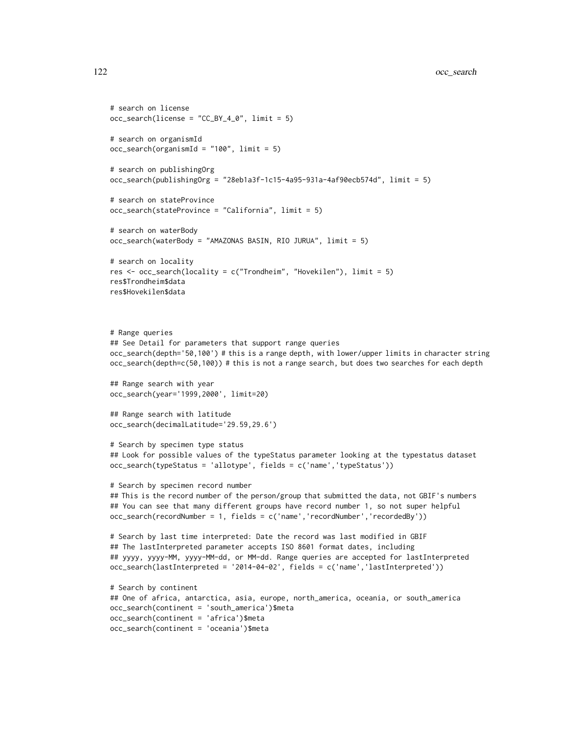```
# search on license
occ\_search(license = "CC_BY_4_0", limit = 5)# search on organismId
occ_search(organismId = "100", limit = 5)
# search on publishingOrg
occ_search(publishingOrg = "28eb1a3f-1c15-4a95-931a-4af90ecb574d", limit = 5)
# search on stateProvince
occ_search(stateProvince = "California", limit = 5)
# search on waterBody
occ_search(waterBody = "AMAZONAS BASIN, RIO JURUA", limit = 5)
# search on locality
res <- occ_search(locality = c("Trondheim", "Hovekilen"), limit = 5)
res$Trondheim$data
res$Hovekilen$data
# Range queries
## See Detail for parameters that support range queries
occ_search(depth='50,100') # this is a range depth, with lower/upper limits in character string
occ_search(depth=c(50,100)) # this is not a range search, but does two searches for each depth
## Range search with year
occ_search(year='1999,2000', limit=20)
## Range search with latitude
occ_search(decimalLatitude='29.59,29.6')
# Search by specimen type status
## Look for possible values of the typeStatus parameter looking at the typestatus dataset
occ_search(typeStatus = 'allotype', fields = c('name','typeStatus'))
# Search by specimen record number
## This is the record number of the person/group that submitted the data, not GBIF's numbers
## You can see that many different groups have record number 1, so not super helpful
occ_search(recordNumber = 1, fields = c('name','recordNumber','recordedBy'))
# Search by last time interpreted: Date the record was last modified in GBIF
## The lastInterpreted parameter accepts ISO 8601 format dates, including
## yyyy, yyyy-MM, yyyy-MM-dd, or MM-dd. Range queries are accepted for lastInterpreted
occ_search(lastInterpreted = '2014-04-02', fields = c('name','lastInterpreted'))
# Search by continent
## One of africa, antarctica, asia, europe, north_america, oceania, or south_america
occ_search(continent = 'south_america')$meta
occ_search(continent = 'africa')$meta
occ_search(continent = 'oceania')$meta
```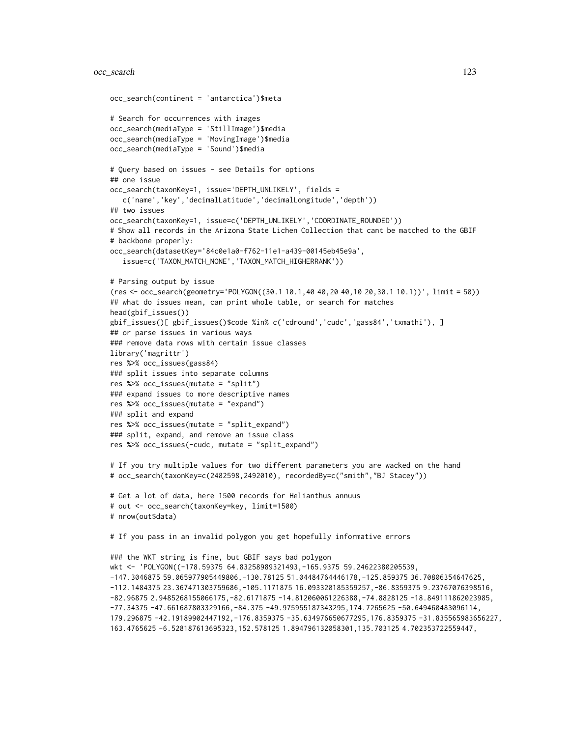```
occ_search(continent = 'antarctica')$meta
# Search for occurrences with images
occ_search(mediaType = 'StillImage')$media
occ_search(mediaType = 'MovingImage')$media
occ_search(mediaType = 'Sound')$media
# Query based on issues - see Details for options
## one issue
occ_search(taxonKey=1, issue='DEPTH_UNLIKELY', fields =
   c('name','key','decimalLatitude','decimalLongitude','depth'))
## two issues
occ_search(taxonKey=1, issue=c('DEPTH_UNLIKELY','COORDINATE_ROUNDED'))
# Show all records in the Arizona State Lichen Collection that cant be matched to the GBIF
# backbone properly:
occ_search(datasetKey='84c0e1a0-f762-11e1-a439-00145eb45e9a',
   issue=c('TAXON_MATCH_NONE','TAXON_MATCH_HIGHERRANK'))
# Parsing output by issue
(res <- occ_search(geometry='POLYGON((30.1 10.1,40 40,20 40,10 20,30.1 10.1))', limit = 50))
## what do issues mean, can print whole table, or search for matches
head(gbif_issues())
gbif_issues()[ gbif_issues()$code %in% c('cdround','cudc','gass84','txmathi'), ]
## or parse issues in various ways
### remove data rows with certain issue classes
library('magrittr')
res %>% occ_issues(gass84)
### split issues into separate columns
res %>% occ_issues(mutate = "split")
### expand issues to more descriptive names
res %>% occ_issues(mutate = "expand")
### split and expand
res %>% occ_issues(mutate = "split_expand")
### split, expand, and remove an issue class
res %>% occ_issues(-cudc, mutate = "split_expand")
# If you try multiple values for two different parameters you are wacked on the hand
# occ_search(taxonKey=c(2482598,2492010), recordedBy=c("smith","BJ Stacey"))
# Get a lot of data, here 1500 records for Helianthus annuus
# out <- occ_search(taxonKey=key, limit=1500)
# nrow(out$data)
# If you pass in an invalid polygon you get hopefully informative errors
### the WKT string is fine, but GBIF says bad polygon
wkt <- 'POLYGON((-178.59375 64.83258989321493,-165.9375 59.24622380205539,
-147.3046875 59.065977905449806,-130.78125 51.04484764446178,-125.859375 36.70806354647625,
-112.1484375 23.367471303759686,-105.1171875 16.093320185359257,-86.8359375 9.23767076398516,
-82.96875 2.9485268155066175,-82.6171875 -14.812060061226388,-74.8828125 -18.849111862023985,
-77.34375 -47.661687803329166,-84.375 -49.975955187343295,174.7265625 -50.649460483096114,
179.296875 -42.19189902447192,-176.8359375 -35.634976650677295,176.8359375 -31.835565983656227,
163.4765625 -6.528187613695323,152.578125 1.894796132058301,135.703125 4.702353722559447,
```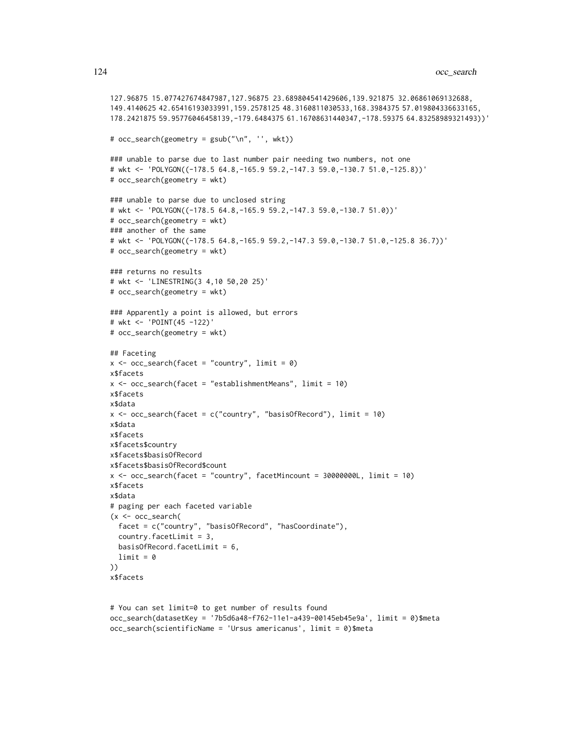```
127.96875 15.077427674847987,127.96875 23.689804541429606,139.921875 32.06861069132688,
149.4140625 42.65416193033991,159.2578125 48.3160811030533,168.3984375 57.019804336633165,
178.2421875 59.95776046458139,-179.6484375 61.16708631440347,-178.59375 64.83258989321493))'
# occ_search(geometry = gsub("\n", '', wkt))
### unable to parse due to last number pair needing two numbers, not one
# wkt <- 'POLYGON((-178.5 64.8,-165.9 59.2,-147.3 59.0,-130.7 51.0,-125.8))'
# occ_search(geometry = wkt)
### unable to parse due to unclosed string
# wkt <- 'POLYGON((-178.5 64.8,-165.9 59.2,-147.3 59.0,-130.7 51.0))'
# occ_search(geometry = wkt)
### another of the same
# wkt <- 'POLYGON((-178.5 64.8,-165.9 59.2,-147.3 59.0,-130.7 51.0,-125.8 36.7))'
# occ_search(geometry = wkt)
### returns no results
# wkt <- 'LINESTRING(3 4,10 50,20 25)'
# occ_search(geometry = wkt)
### Apparently a point is allowed, but errors
# wkt <- 'POINT(45 -122)'
# occ_search(geometry = wkt)
## Faceting
x \leq -\text{occ\_search}(\text{face } t = \text{"country", limit = 0})x$facets
x \le -\text{occ\_search}(\text{facet = "establishmentMeans", limit = 10})x$facets
x$data
x \leftarrow occ\_search(facet = c("country", "basisOfRecord"), limit = 10)x$data
x$facets
x$facets$country
x$facets$basisOfRecord
x$facets$basisOfRecord$count
x <- occ_search(facet = "country", facetMincount = 30000000L, limit = 10)
x$facets
x$data
# paging per each faceted variable
(x <- occ_search(
  facet = c("country", "basisOfRecord", "hasCoordinate"),
  country.facetLimit = 3,
 basisOfRecord.facetLimit = 6,
 limit = 0))
x$facets
```

```
# You can set limit=0 to get number of results found
occ_search(datasetKey = '7b5d6a48-f762-11e1-a439-00145eb45e9a', limit = 0)$meta
occ_search(scientificName = 'Ursus americanus', limit = 0)$meta
```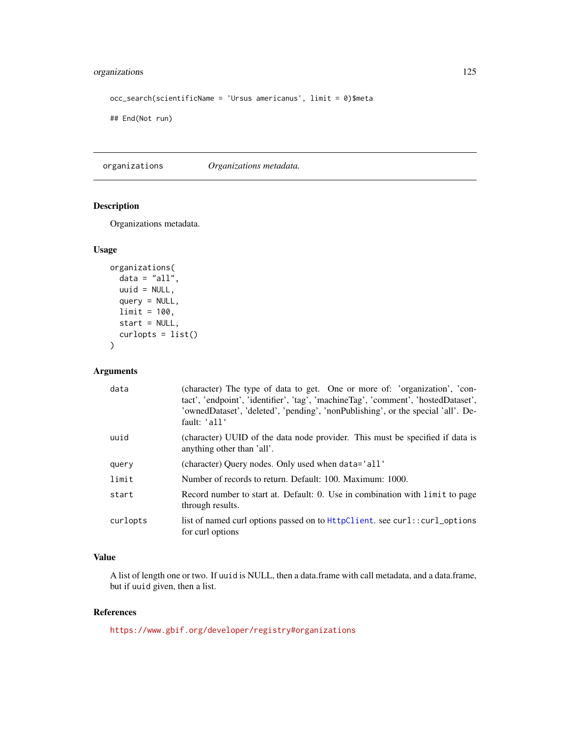# <span id="page-124-0"></span>organizations 125

```
occ_search(scientificName = 'Ursus americanus', limit = 0)$meta
```
## End(Not run)

organizations *Organizations metadata.*

# Description

Organizations metadata.

#### Usage

```
organizations(
 data = "all",uuid = NULL,query = NULL,
 limit = 100,
  start = NULL,
  curlopts = list()
\mathcal{L}
```
# Arguments

| data     | (character) The type of data to get. One or more of: 'organization', 'con-<br>tact', 'endpoint', 'identifier', 'tag', 'machineTag', 'comment', 'hostedDataset',<br>'ownedDataset', 'deleted', 'pending', 'nonPublishing', or the special 'all'. De-<br>fault: 'all' |
|----------|---------------------------------------------------------------------------------------------------------------------------------------------------------------------------------------------------------------------------------------------------------------------|
| uuid     | (character) UUID of the data node provider. This must be specified if data is<br>anything other than 'all'.                                                                                                                                                         |
| query    | (character) Ouery nodes. Only used when data='all'                                                                                                                                                                                                                  |
| limit    | Number of records to return. Default: 100. Maximum: 1000.                                                                                                                                                                                                           |
| start    | Record number to start at. Default: 0. Use in combination with limit to page<br>through results.                                                                                                                                                                    |
| curlopts | list of named curl options passed on to HttpClient. see curl::curl_options<br>for curl options                                                                                                                                                                      |

# Value

A list of length one or two. If uuid is NULL, then a data.frame with call metadata, and a data.frame, but if uuid given, then a list.

# References

<https://www.gbif.org/developer/registry#organizations>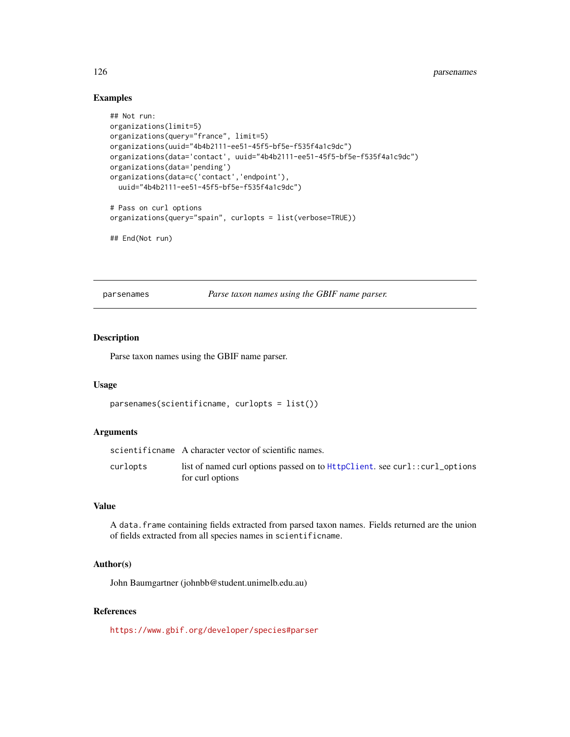## <span id="page-125-0"></span>Examples

```
## Not run:
organizations(limit=5)
organizations(query="france", limit=5)
organizations(uuid="4b4b2111-ee51-45f5-bf5e-f535f4a1c9dc")
organizations(data='contact', uuid="4b4b2111-ee51-45f5-bf5e-f535f4a1c9dc")
organizations(data='pending')
organizations(data=c('contact','endpoint'),
  uuid="4b4b2111-ee51-45f5-bf5e-f535f4a1c9dc")
# Pass on curl options
organizations(query="spain", curlopts = list(verbose=TRUE))
## End(Not run)
```
parsenames *Parse taxon names using the GBIF name parser.*

# Description

Parse taxon names using the GBIF name parser.

#### Usage

```
parsenames(scientificname, curlopts = list())
```
#### Arguments

|          | scientificname A character vector of scientific names.                                            |
|----------|---------------------------------------------------------------------------------------------------|
| curlopts | list of named curl options passed on to $HttpClient$ . see curl::curl_options<br>for curl options |

# Value

A data.frame containing fields extracted from parsed taxon names. Fields returned are the union of fields extracted from all species names in scientificname.

## Author(s)

John Baumgartner (johnbb@student.unimelb.edu.au)

# References

<https://www.gbif.org/developer/species#parser>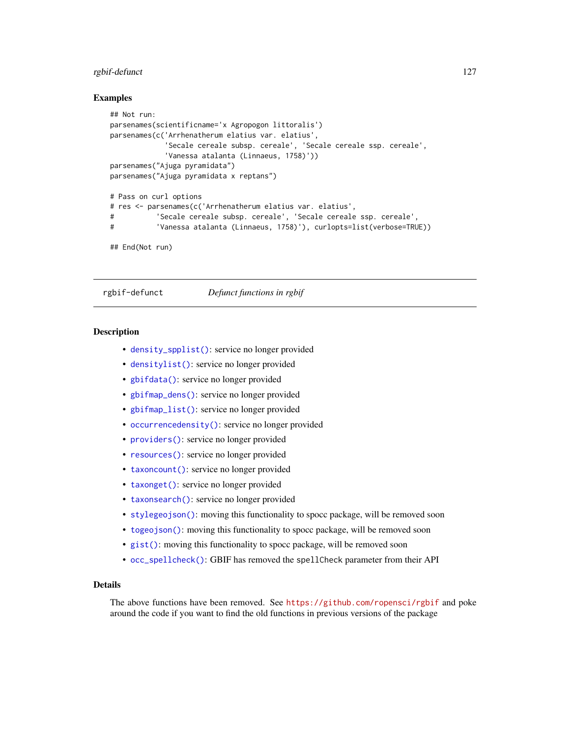#### <span id="page-126-0"></span>rgbif-defunct 127

#### Examples

```
## Not run:
parsenames(scientificname='x Agropogon littoralis')
parsenames(c('Arrhenatherum elatius var. elatius',
            'Secale cereale subsp. cereale', 'Secale cereale ssp. cereale',
            'Vanessa atalanta (Linnaeus, 1758)'))
parsenames("Ajuga pyramidata")
parsenames("Ajuga pyramidata x reptans")
# Pass on curl options
# res <- parsenames(c('Arrhenatherum elatius var. elatius',
# 'Secale cereale subsp. cereale', 'Secale cereale ssp. cereale',
# 'Vanessa atalanta (Linnaeus, 1758)'), curlopts=list(verbose=TRUE))
```

```
## End(Not run)
```
rgbif-defunct *Defunct functions in rgbif*

#### **Description**

- [density\\_spplist\(\)](#page-0-0): service no longer provided
- [densitylist\(\)](#page-0-0): service no longer provided
- [gbifdata\(\)](#page-0-0): service no longer provided
- [gbifmap\\_dens\(\)](#page-0-0): service no longer provided
- [gbifmap\\_list\(\)](#page-0-0): service no longer provided
- [occurrencedensity\(\)](#page-0-0): service no longer provided
- [providers\(\)](#page-0-0): service no longer provided
- [resources\(\)](#page-0-0): service no longer provided
- [taxoncount\(\)](#page-0-0): service no longer provided
- [taxonget\(\)](#page-0-0): service no longer provided
- [taxonsearch\(\)](#page-0-0): service no longer provided
- [stylegeojson\(\)](#page-0-0): moving this functionality to spocc package, will be removed soon
- [togeojson\(\)](#page-0-0): moving this functionality to spocc package, will be removed soon
- [gist\(\)](#page-0-0): moving this functionality to spocc package, will be removed soon
- [occ\\_spellcheck\(\)](#page-0-0): GBIF has removed the spellCheck parameter from their API

#### Details

The above functions have been removed. See <https://github.com/ropensci/rgbif> and poke around the code if you want to find the old functions in previous versions of the package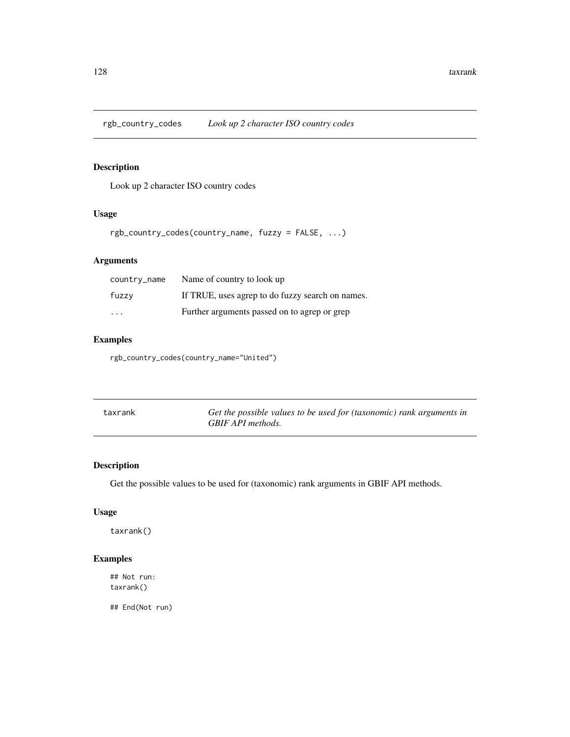<span id="page-127-0"></span>rgb\_country\_codes *Look up 2 character ISO country codes*

# Description

Look up 2 character ISO country codes

# Usage

rgb\_country\_codes(country\_name, fuzzy = FALSE, ...)

# Arguments

| country_name            | Name of country to look up                       |
|-------------------------|--------------------------------------------------|
| fuzzy                   | If TRUE, uses agrep to do fuzzy search on names. |
| $\cdot$ $\cdot$ $\cdot$ | Further arguments passed on to agrep or grep     |

# Examples

rgb\_country\_codes(country\_name="United")

| taxrank | Get the possible values to be used for (taxonomic) rank arguments in |
|---------|----------------------------------------------------------------------|
|         | GBIF API methods.                                                    |

# Description

Get the possible values to be used for (taxonomic) rank arguments in GBIF API methods.

# Usage

taxrank()

# Examples

## Not run: taxrank()

## End(Not run)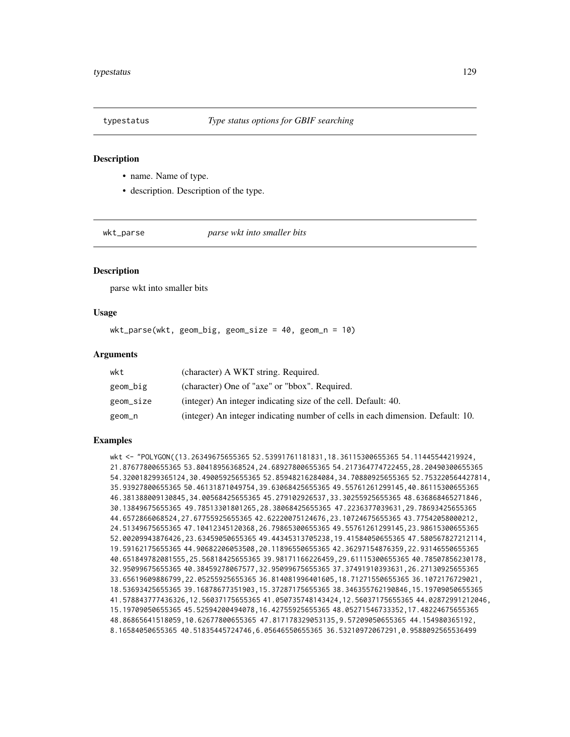<span id="page-128-1"></span>

#### **Description**

- name. Name of type.
- description. Description of the type.

<span id="page-128-0"></span>

wkt\_parse *parse wkt into smaller bits*

# **Description**

parse wkt into smaller bits

# Usage

wkt\_parse(wkt, geom\_big, geom\_size = 40, geom\_n = 10)

#### Arguments

| wkt       | (character) A WKT string. Required.                                             |
|-----------|---------------------------------------------------------------------------------|
| geom_big  | (character) One of "axe" or "bbox". Required.                                   |
| geom_size | (integer) An integer indicating size of the cell. Default: 40.                  |
| geom_n    | (integer) An integer indicating number of cells in each dimension. Default: 10. |

# Examples

wkt <- "POLYGON((13.26349675655365 52.53991761181831,18.36115300655365 54.11445544219924, 21.87677800655365 53.80418956368524,24.68927800655365 54.217364774722455,28.20490300655365 54.320018299365124,30.49005925655365 52.85948216284084,34.70880925655365 52.753220564427814, 35.93927800655365 50.46131871049754,39.63068425655365 49.55761261299145,40.86115300655365 46.381388009130845,34.00568425655365 45.279102926537,33.30255925655365 48.636868465271846, 30.13849675655365 49.78513301801265,28.38068425655365 47.2236377039631,29.78693425655365 44.6572866068524,27.67755925655365 42.62220075124676,23.10724675655365 43.77542058000212, 24.51349675655365 47.10412345120368,26.79865300655365 49.55761261299145,23.98615300655365 52.00209943876426,23.63459050655365 49.44345313705238,19.41584050655365 47.580567827212114, 19.59162175655365 44.90682206053508,20.11896550655365 42.36297154876359,22.93146550655365 40.651849782081555,25.56818425655365 39.98171166226459,29.61115300655365 40.78507856230178, 32.95099675655365 40.38459278067577,32.95099675655365 37.37491910393631,26.27130925655365 33.65619609886799,22.05255925655365 36.814081996401605,18.71271550655365 36.1072176729021, 18.53693425655365 39.16878677351903,15.37287175655365 38.346355762190846,15.19709050655365 41.578843777436326,12.56037175655365 41.050735748143424,12.56037175655365 44.02872991212046, 15.19709050655365 45.52594200494078,16.42755925655365 48.05271546733352,17.48224675655365 48.86865641518059,10.62677800655365 47.817178329053135,9.57209050655365 44.154980365192, 8.16584050655365 40.51835445724746,6.05646550655365 36.53210972067291,0.9588092565536499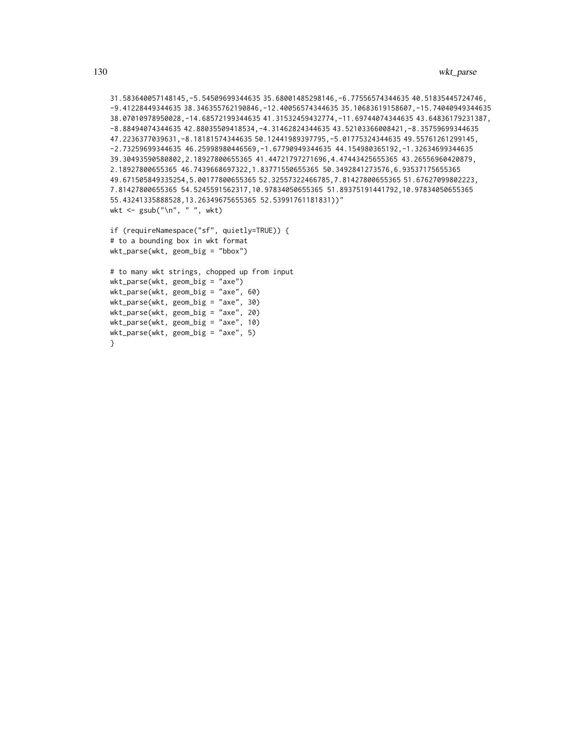```
31.583640057148145,-5.54509699344635 35.68001485298146,-6.77556574344635 40.51835445724746,
-9.41228449344635 38.346355762190846,-12.40056574344635 35.10683619158607,-15.74040949344635
38.07010978950028,-14.68572199344635 41.31532459432774,-11.69744074344635 43.64836179231387,
-8.88494074344635 42.88035509418534,-4.31462824344635 43.52103366008421,-8.35759699344635
47.2236377039631,-8.18181574344635 50.12441989397795,-5.01775324344635 49.55761261299145,
-2.73259699344635 46.25998980446569,-1.67790949344635 44.154980365192,-1.32634699344635
39.30493590580802,2.18927800655365 41.44721797271696,4.47443425655365 43.26556960420879,
2.18927800655365 46.7439668697322,1.83771550655365 50.3492841273576,6.93537175655365
49.671505849335254,5.00177800655365 52.32557322466785,7.81427800655365 51.67627099802223,
7.81427800655365 54.5245591562317,10.97834050655365 51.89375191441792,10.97834050655365
55.43241335888528,13.26349675655365 52.53991761181831))"
wkt <- gsub("\n", " ", wkt)
if (requireNamespace("sf", quietly=TRUE)) {
# to a bounding box in wkt format
wkt_parse(wkt, geom_big = "bbox")
```

```
# to many wkt strings, chopped up from input
wkt_parse(wkt, geom_big = "axe")
wkt_parse(wkt, geom_big = "axe", 60)
wkt_parse(wkt, geom_big = "axe", 30)
wkt_parse(wkt, geom_big = "axe", 20)
wkt_parse(wkt, geom_big = "axe", 10)
wkt_parse(wkt, geom_big = "axe", 5)
}
```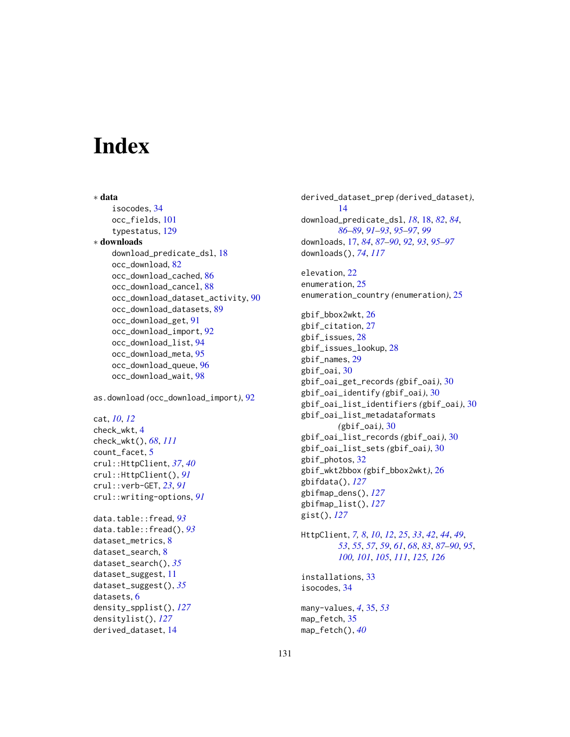# **Index**

∗ data isocodes, [34](#page-33-0) occ\_fields, [101](#page-100-0) typestatus, [129](#page-128-1) ∗ downloads download\_predicate\_dsl, [18](#page-17-0) occ\_download, [82](#page-81-1) occ\_download\_cached, [86](#page-85-0) occ\_download\_cancel, [88](#page-87-0) occ\_download\_dataset\_activity, [90](#page-89-0) occ\_download\_datasets, [89](#page-88-0) occ\_download\_get, [91](#page-90-0) occ\_download\_import, [92](#page-91-0) occ\_download\_list, [94](#page-93-0) occ\_download\_meta, [95](#page-94-0) occ\_download\_queue, [96](#page-95-0) occ\_download\_wait, [98](#page-97-0)

as.download *(*occ\_download\_import*)*, [92](#page-91-0)

```
cat, 10, 12
check_wkt, 4
check_wkt(), 68, 111
5
crul::HttpClient, 37, 40
crul::HttpClient(), 91
crul::verb-GET, 23, 91
```
crul::writing-options, *[91](#page-90-0)*

```
data.table::fread, 93
data.table::fread(), 93
dataset_metrics, 8
dataset_search, 8
dataset_search(), 35
dataset_suggest, 11
dataset_suggest(), 35
datasets, 6
density_spplist(), 127
densitylist(), 127
derived_dataset, 14
```
derived\_dataset\_prep *(*derived\_dataset*)*, [14](#page-13-0) download\_predicate\_dsl, *[18](#page-17-0)*, [18,](#page-17-0) *[82](#page-81-1)*, *[84](#page-83-0)*, *[86](#page-85-0)[–89](#page-88-0)*, *[91](#page-90-0)[–93](#page-92-0)*, *[95](#page-94-0)[–97](#page-96-0)*, *[99](#page-98-1)* downloads, [17,](#page-16-1) *[84](#page-83-0)*, *[87](#page-86-0)[–90](#page-89-0)*, *[92,](#page-91-0) [93](#page-92-0)*, *[95](#page-94-0)[–97](#page-96-0)* downloads(), *[74](#page-73-0)*, *[117](#page-116-0)* elevation, [22](#page-21-0)

enumeration, [25](#page-24-0) enumeration\_country *(*enumeration*)*, [25](#page-24-0)

gbif\_bbox2wkt, [26](#page-25-0) gbif\_citation, [27](#page-26-0) gbif\_issues, [28](#page-27-0) gbif\_issues\_lookup, [28](#page-27-0) gbif\_names, [29](#page-28-0) gbif\_oai, [30](#page-29-0) gbif\_oai\_get\_records *(*gbif\_oai*)*, [30](#page-29-0) gbif\_oai\_identify *(*gbif\_oai*)*, [30](#page-29-0) gbif\_oai\_list\_identifiers *(*gbif\_oai*)*, [30](#page-29-0) gbif\_oai\_list\_metadataformats *(*gbif\_oai*)*, [30](#page-29-0) gbif\_oai\_list\_records *(*gbif\_oai*)*, [30](#page-29-0) gbif\_oai\_list\_sets *(*gbif\_oai*)*, [30](#page-29-0) gbif\_photos, [32](#page-31-0) gbif\_wkt2bbox *(*gbif\_bbox2wkt*)*, [26](#page-25-0) gbifdata(), *[127](#page-126-0)* gbifmap\_dens(), *[127](#page-126-0)* gbifmap\_list(), *[127](#page-126-0)* gist(), *[127](#page-126-0)*

```
HttpClient, 7, 8, 10, 12, 25, 33, 42, 44, 49,
          53, 55, 57, 59, 61, 68, 83, 87–90, 95,
          100, 101, 105, 111, 125, 126
```
installations, [33](#page-32-0) isocodes, [34](#page-33-0)

many-values, *[4](#page-3-1)*, [35,](#page-34-1) *[53](#page-52-0)* map\_fetch, [35](#page-34-1) map\_fetch(), *[40](#page-39-0)*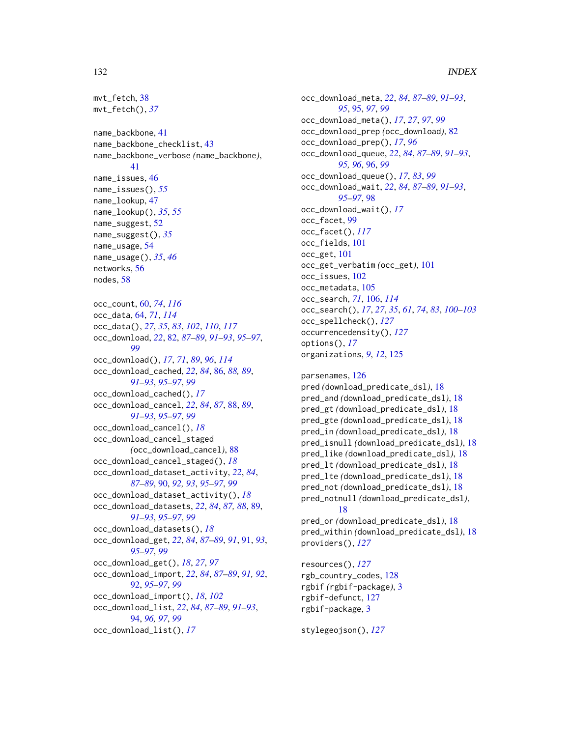# 132 INDEX

```
mvt_fetch, 38
mvt_fetch(), 37
name_backbone, 41
name_backbone_checklist, 43
name_backbone_verbose (name_backbone),
        41
name_issues, 46
name_issues(), 55
name_lookup, 47
name_lookup(), 35, 55
name_suggest, 52
name_suggest(), 35
name_usage, 54
name_usage(), 35, 46
networks, 56
nodes, 58
occ_count, 60, 74, 116
occ_data, 64, 71, 114
occ_data(), 27, 35, 83, 102, 110, 117
occ_download, 22, 82, 87–89, 91–93, 95–97,
         99
occ_download(), 17, 71, 89, 96, 114
occ_download_cached, 22, 84, 86, 88, 89,
        91–93, 95–97, 99
occ_download_cached(), 17
occ_download_cancel, 22, 84, 87, 88, 89,
         91–93, 95–97, 99
occ_download_cancel(), 18
occ_download_cancel_staged
        (occ_download_cancel), 88
occ_download_cancel_staged(), 18
occ_download_dataset_activity, 22, 84,
        87–89, 90, 92, 93, 95–97, 99
occ_download_dataset_activity(), 18
occ_download_datasets, 22, 84, 87, 88, 89,
         91–93, 95–97, 99
occ_download_datasets(), 18
occ_download_get, 22, 84, 87–89, 91, 91, 93,
        95–97, 99
occ_download_get(), 18, 27, 97
occ_download_import, 22, 84, 87–89, 91, 92,
        92, 95–97, 99
occ_download_import(), 18, 102
occ_download_list, 22, 84, 87–89, 91–93,
        94, 96, 97, 99
occ_download_list(), 17
```
occ\_download\_meta, *[22](#page-21-0)*, *[84](#page-83-0)*, *[87](#page-86-0)[–89](#page-88-0)*, *[91](#page-90-0)[–93](#page-92-0)*, *[95](#page-94-0)*, [95,](#page-94-0) *[97](#page-96-0)*, *[99](#page-98-1)* occ\_download\_meta(), *[17](#page-16-1)*, *[27](#page-26-0)*, *[97](#page-96-0)*, *[99](#page-98-1)* occ\_download\_prep *(*occ\_download*)*, [82](#page-81-1) occ\_download\_prep(), *[17](#page-16-1)*, *[96](#page-95-0)* occ\_download\_queue, *[22](#page-21-0)*, *[84](#page-83-0)*, *[87](#page-86-0)[–89](#page-88-0)*, *[91](#page-90-0)[–93](#page-92-0)*, *[95,](#page-94-0) [96](#page-95-0)*, [96,](#page-95-0) *[99](#page-98-1)* occ\_download\_queue(), *[17](#page-16-1)*, *[83](#page-82-0)*, *[99](#page-98-1)* occ\_download\_wait, *[22](#page-21-0)*, *[84](#page-83-0)*, *[87](#page-86-0)[–89](#page-88-0)*, *[91](#page-90-0)[–93](#page-92-0)*, *[95](#page-94-0)[–97](#page-96-0)*, [98](#page-97-0) occ\_download\_wait(), *[17](#page-16-1)* occ\_facet, [99](#page-98-1) occ\_facet(), *[117](#page-116-0)* occ\_fields, [101](#page-100-0) occ\_get, [101](#page-100-0) occ\_get\_verbatim *(*occ\_get*)*, [101](#page-100-0) occ\_issues, [102](#page-101-0) occ\_metadata, [105](#page-104-0) occ\_search, *[71](#page-70-0)*, [106,](#page-105-1) *[114](#page-113-0)* occ\_search(), *[17](#page-16-1)*, *[27](#page-26-0)*, *[35](#page-34-1)*, *[61](#page-60-0)*, *[74](#page-73-0)*, *[83](#page-82-0)*, *[100](#page-99-0)[–103](#page-102-0)* occ\_spellcheck(), *[127](#page-126-0)* occurrencedensity(), *[127](#page-126-0)* options(), *[17](#page-16-1)* organizations, *[9](#page-8-0)*, *[12](#page-11-0)*, [125](#page-124-0)

parsenames, [126](#page-125-0) pred *(*download\_predicate\_dsl*)*, [18](#page-17-0) pred\_and *(*download\_predicate\_dsl*)*, [18](#page-17-0) pred\_gt *(*download\_predicate\_dsl*)*, [18](#page-17-0) pred\_gte *(*download\_predicate\_dsl*)*, [18](#page-17-0) pred\_in *(*download\_predicate\_dsl*)*, [18](#page-17-0) pred\_isnull *(*download\_predicate\_dsl*)*, [18](#page-17-0) pred\_like *(*download\_predicate\_dsl*)*, [18](#page-17-0) pred\_lt *(*download\_predicate\_dsl*)*, [18](#page-17-0) pred\_lte *(*download\_predicate\_dsl*)*, [18](#page-17-0) pred\_not *(*download\_predicate\_dsl*)*, [18](#page-17-0) pred\_notnull *(*download\_predicate\_dsl*)*, [18](#page-17-0) pred\_or *(*download\_predicate\_dsl*)*, [18](#page-17-0) pred\_within *(*download\_predicate\_dsl*)*, [18](#page-17-0) providers(), *[127](#page-126-0)*

resources(), *[127](#page-126-0)* rgb\_country\_codes, [128](#page-127-0) rgbif *(*rgbif-package*)*, [3](#page-2-0) rgbif-defunct, [127](#page-126-0) rgbif-package, [3](#page-2-0)

stylegeojson(), *[127](#page-126-0)*